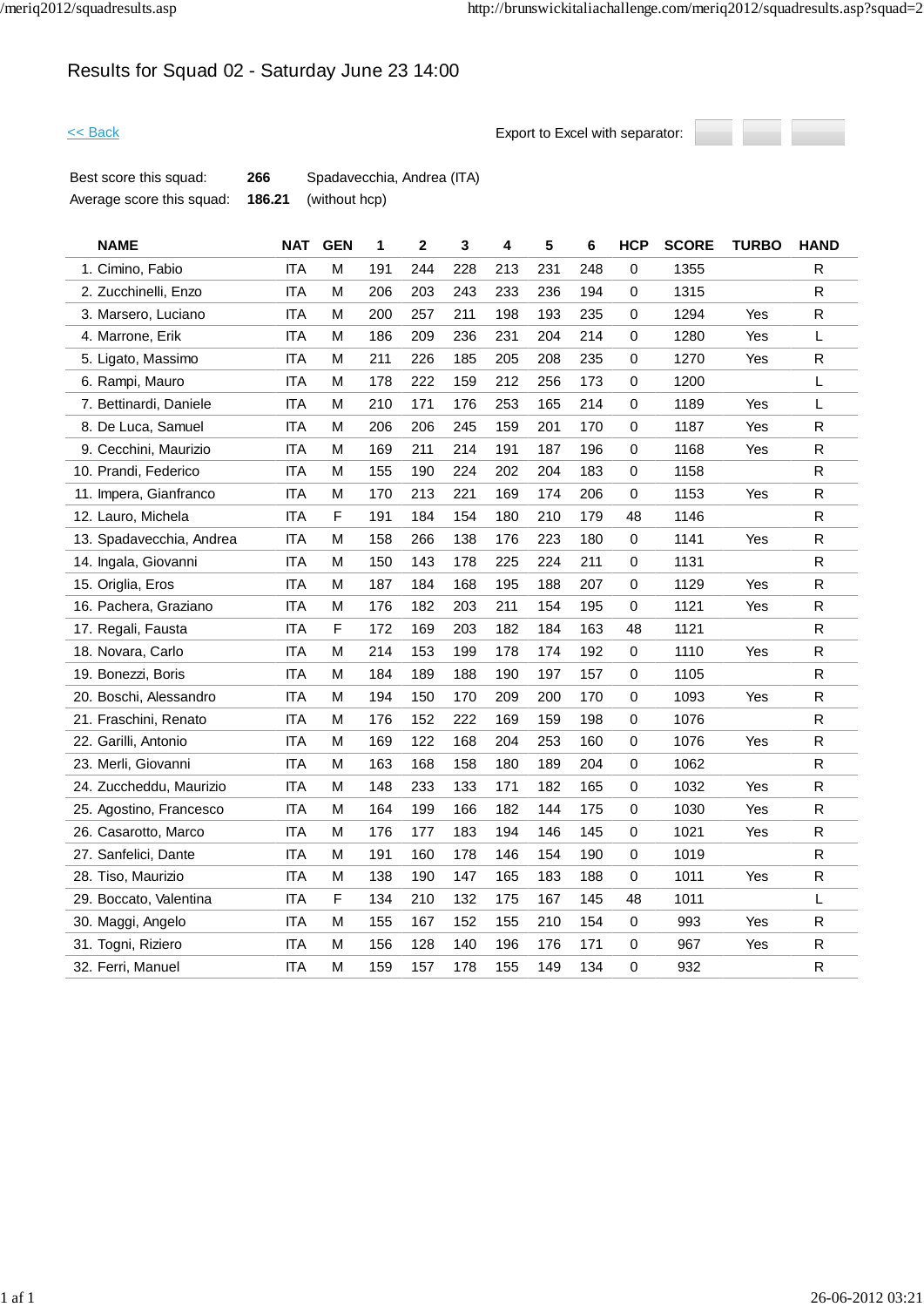# Results for Squad 02 - Saturday June 23 14:00



| Best score this squad:    | 266    | Spadavecchia, Andrea (ITA) |
|---------------------------|--------|----------------------------|
| Average score this squad: | 186.21 | (without hcp)              |

| <b>NAME</b>              | <b>NAT</b> | <b>GEN</b> | 1   | $\mathbf{2}$ | 3   | 4   | 5   | 6   | <b>HCP</b> | <b>SCORE</b> | <b>TURBO</b> | <b>HAND</b>  |
|--------------------------|------------|------------|-----|--------------|-----|-----|-----|-----|------------|--------------|--------------|--------------|
| 1. Cimino, Fabio         | <b>ITA</b> | M          | 191 | 244          | 228 | 213 | 231 | 248 | 0          | 1355         |              | ${\sf R}$    |
| 2. Zucchinelli, Enzo     | <b>ITA</b> | M          | 206 | 203          | 243 | 233 | 236 | 194 | 0          | 1315         |              | R            |
| 3. Marsero, Luciano      | <b>ITA</b> | M          | 200 | 257          | 211 | 198 | 193 | 235 | 0          | 1294         | Yes          | $\mathsf{R}$ |
| 4. Marrone, Erik         | <b>ITA</b> | M          | 186 | 209          | 236 | 231 | 204 | 214 | 0          | 1280         | Yes          | L            |
| 5. Ligato, Massimo       | <b>ITA</b> | M          | 211 | 226          | 185 | 205 | 208 | 235 | 0          | 1270         | Yes          | ${\sf R}$    |
| 6. Rampi, Mauro          | <b>ITA</b> | M          | 178 | 222          | 159 | 212 | 256 | 173 | 0          | 1200         |              | L            |
| 7. Bettinardi, Daniele   | ITA        | M          | 210 | 171          | 176 | 253 | 165 | 214 | 0          | 1189         | Yes          | L            |
| 8. De Luca, Samuel       | <b>ITA</b> | M          | 206 | 206          | 245 | 159 | 201 | 170 | 0          | 1187         | Yes          | R            |
| 9. Cecchini, Maurizio    | <b>ITA</b> | м          | 169 | 211          | 214 | 191 | 187 | 196 | 0          | 1168         | Yes          | R            |
| 10. Prandi, Federico     | <b>ITA</b> | M          | 155 | 190          | 224 | 202 | 204 | 183 | 0          | 1158         |              | $\mathsf{R}$ |
| 11. Impera, Gianfranco   | <b>ITA</b> | M          | 170 | 213          | 221 | 169 | 174 | 206 | 0          | 1153         | Yes          | R            |
| 12. Lauro, Michela       | <b>ITA</b> | F          | 191 | 184          | 154 | 180 | 210 | 179 | 48         | 1146         |              | $\mathsf{R}$ |
| 13. Spadavecchia, Andrea | ITA        | M          | 158 | 266          | 138 | 176 | 223 | 180 | 0          | 1141         | Yes          | R            |
| 14. Ingala, Giovanni     | <b>ITA</b> | M          | 150 | 143          | 178 | 225 | 224 | 211 | 0          | 1131         |              | ${\sf R}$    |
| 15. Origlia, Eros        | ITA        | M          | 187 | 184          | 168 | 195 | 188 | 207 | 0          | 1129         | Yes          | $\mathsf{R}$ |
| 16. Pachera, Graziano    | <b>ITA</b> | M          | 176 | 182          | 203 | 211 | 154 | 195 | 0          | 1121         | Yes          | ${\sf R}$    |
| 17. Regali, Fausta       | <b>ITA</b> | F          | 172 | 169          | 203 | 182 | 184 | 163 | 48         | 1121         |              | R            |
| 18. Novara, Carlo        | <b>ITA</b> | M          | 214 | 153          | 199 | 178 | 174 | 192 | 0          | 1110         | Yes          | ${\sf R}$    |
| 19. Bonezzi, Boris       | <b>ITA</b> | M          | 184 | 189          | 188 | 190 | 197 | 157 | 0          | 1105         |              | R            |
| 20. Boschi, Alessandro   | <b>ITA</b> | M          | 194 | 150          | 170 | 209 | 200 | 170 | 0          | 1093         | Yes          | $\mathsf{R}$ |
| 21. Fraschini, Renato    | <b>ITA</b> | M          | 176 | 152          | 222 | 169 | 159 | 198 | 0          | 1076         |              | ${\sf R}$    |
| 22. Garilli, Antonio     | <b>ITA</b> | M          | 169 | 122          | 168 | 204 | 253 | 160 | 0          | 1076         | Yes          | $\mathsf{R}$ |
| 23. Merli, Giovanni      | <b>ITA</b> | M          | 163 | 168          | 158 | 180 | 189 | 204 | 0          | 1062         |              | R            |
| 24. Zuccheddu, Maurizio  | ITA        | M          | 148 | 233          | 133 | 171 | 182 | 165 | 0          | 1032         | Yes          | $\mathsf{R}$ |
| 25. Agostino, Francesco  | <b>ITA</b> | М          | 164 | 199          | 166 | 182 | 144 | 175 | 0          | 1030         | Yes          | R            |
| 26. Casarotto, Marco     | <b>ITA</b> | M          | 176 | 177          | 183 | 194 | 146 | 145 | 0          | 1021         | Yes          | R            |
| 27. Sanfelici, Dante     | <b>ITA</b> | M          | 191 | 160          | 178 | 146 | 154 | 190 | 0          | 1019         |              | R            |
| 28. Tiso, Maurizio       | <b>ITA</b> | M          | 138 | 190          | 147 | 165 | 183 | 188 | 0          | 1011         | Yes          | R            |
| 29. Boccato, Valentina   | <b>ITA</b> | F          | 134 | 210          | 132 | 175 | 167 | 145 | 48         | 1011         |              | Г            |
| 30. Maggi, Angelo        | <b>ITA</b> | M          | 155 | 167          | 152 | 155 | 210 | 154 | 0          | 993          | Yes          | $\mathsf{R}$ |
| 31. Togni, Riziero       | <b>ITA</b> | M          | 156 | 128          | 140 | 196 | 176 | 171 | 0          | 967          | Yes          | R            |
| 32. Ferri, Manuel        | <b>ITA</b> | M          | 159 | 157          | 178 | 155 | 149 | 134 | 0          | 932          |              | R            |
|                          |            |            |     |              |     |     |     |     |            |              |              |              |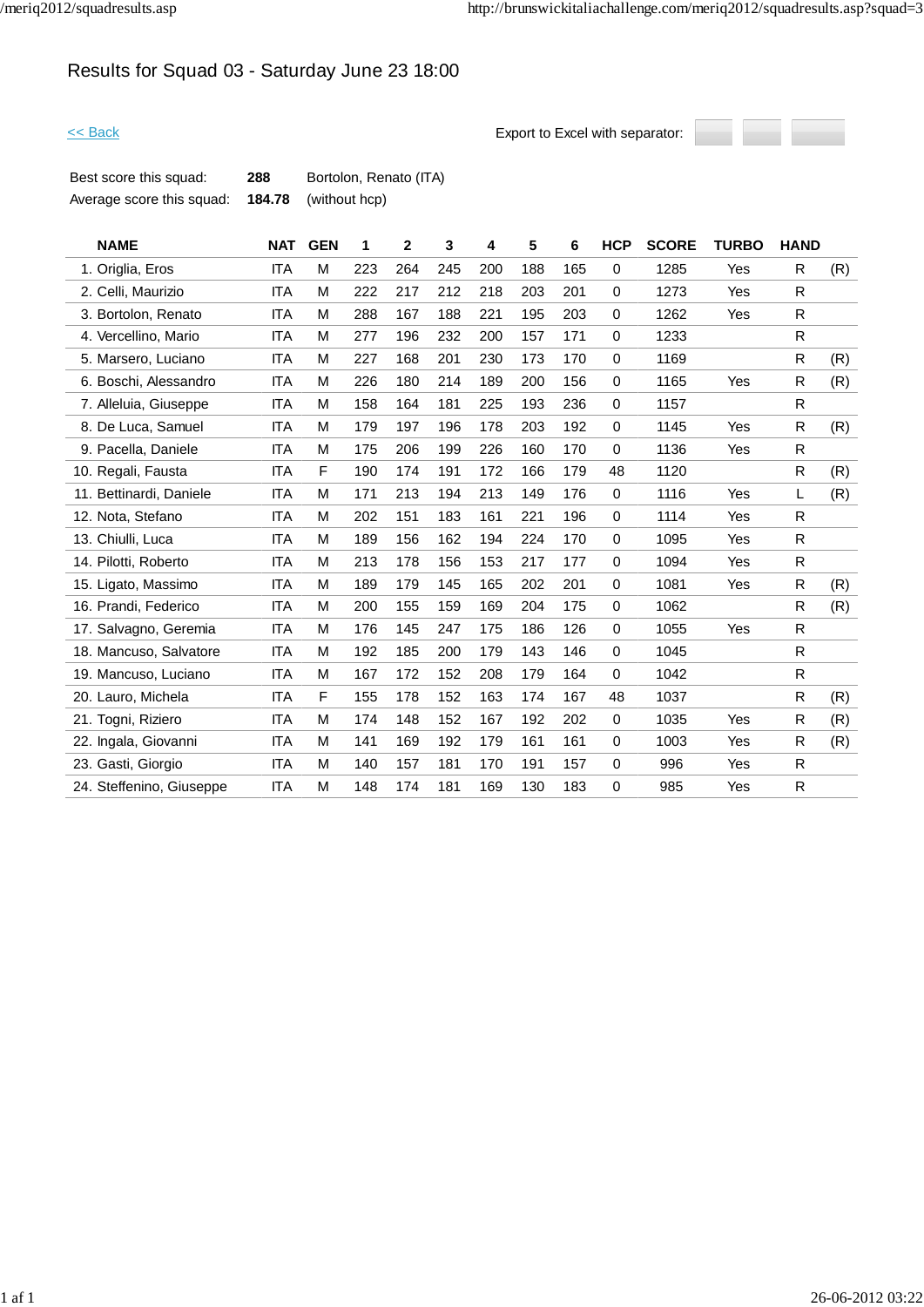# Results for Squad 03 - Saturday June 23 18:00



| Best score this squad:    | 288 | Bortolon, Renato (ITA)      |
|---------------------------|-----|-----------------------------|
| Average score this squad: |     | <b>184.78</b> (without hcp) |

| <b>NAME</b>              | <b>NAT</b> | <b>GEN</b> | 1   | $\overline{2}$ | 3   | 4   | 5   | 6   | <b>HCP</b>  | <b>SCORE</b> | <b>TURBO</b> | <b>HAND</b> |     |
|--------------------------|------------|------------|-----|----------------|-----|-----|-----|-----|-------------|--------------|--------------|-------------|-----|
| 1. Origlia, Eros         | <b>ITA</b> | M          | 223 | 264            | 245 | 200 | 188 | 165 | $\Omega$    | 1285         | Yes          | R           | (R) |
| 2. Celli, Maurizio       | ITA        | M          | 222 | 217            | 212 | 218 | 203 | 201 | $\mathbf 0$ | 1273         | Yes          | R           |     |
| 3. Bortolon, Renato      | <b>ITA</b> | M          | 288 | 167            | 188 | 221 | 195 | 203 | $\mathbf 0$ | 1262         | Yes          | R           |     |
| 4. Vercellino, Mario     | ITA        | M          | 277 | 196            | 232 | 200 | 157 | 171 | $\mathbf 0$ | 1233         |              | R           |     |
| 5. Marsero, Luciano      | <b>ITA</b> | M          | 227 | 168            | 201 | 230 | 173 | 170 | $\mathbf 0$ | 1169         |              | R           | (R) |
| 6. Boschi, Alessandro    | <b>ITA</b> | M          | 226 | 180            | 214 | 189 | 200 | 156 | 0           | 1165         | Yes          | R           | (R) |
| 7. Alleluia, Giuseppe    | <b>ITA</b> | М          | 158 | 164            | 181 | 225 | 193 | 236 | $\mathbf 0$ | 1157         |              | R           |     |
| 8. De Luca, Samuel       | <b>ITA</b> | M          | 179 | 197            | 196 | 178 | 203 | 192 | 0           | 1145         | Yes          | R           | (R) |
| 9. Pacella, Daniele      | <b>ITA</b> | М          | 175 | 206            | 199 | 226 | 160 | 170 | $\mathbf 0$ | 1136         | Yes          | R           |     |
| 10. Regali, Fausta       | <b>ITA</b> | F          | 190 | 174            | 191 | 172 | 166 | 179 | 48          | 1120         |              | R           | (R) |
| 11. Bettinardi, Daniele  | <b>ITA</b> | M          | 171 | 213            | 194 | 213 | 149 | 176 | 0           | 1116         | Yes          | L           | (R) |
| 12. Nota, Stefano        | <b>ITA</b> | M          | 202 | 151            | 183 | 161 | 221 | 196 | 0           | 1114         | Yes          | R           |     |
| 13. Chiulli, Luca        | <b>ITA</b> | M          | 189 | 156            | 162 | 194 | 224 | 170 | 0           | 1095         | Yes          | R.          |     |
| 14. Pilotti, Roberto     | <b>ITA</b> | M          | 213 | 178            | 156 | 153 | 217 | 177 | $\mathbf 0$ | 1094         | Yes          | R.          |     |
| 15. Ligato, Massimo      | <b>ITA</b> | M          | 189 | 179            | 145 | 165 | 202 | 201 | $\mathbf 0$ | 1081         | Yes          | R           | (R) |
| 16. Prandi, Federico     | <b>ITA</b> | M          | 200 | 155            | 159 | 169 | 204 | 175 | $\pmb{0}$   | 1062         |              | R           | (R) |
| 17. Salvagno, Geremia    | <b>ITA</b> | М          | 176 | 145            | 247 | 175 | 186 | 126 | 0           | 1055         | Yes          | R.          |     |
| 18. Mancuso, Salvatore   | <b>ITA</b> | M          | 192 | 185            | 200 | 179 | 143 | 146 | $\pmb{0}$   | 1045         |              | R           |     |
| 19. Mancuso, Luciano     | <b>ITA</b> | M          | 167 | 172            | 152 | 208 | 179 | 164 | $\mathbf 0$ | 1042         |              | R           |     |
| 20. Lauro, Michela       | <b>ITA</b> | F          | 155 | 178            | 152 | 163 | 174 | 167 | 48          | 1037         |              | R.          | (R) |
| 21. Togni, Riziero       | <b>ITA</b> | M          | 174 | 148            | 152 | 167 | 192 | 202 | $\mathbf 0$ | 1035         | Yes          | R           | (R) |
| 22. Ingala, Giovanni     | <b>ITA</b> | M          | 141 | 169            | 192 | 179 | 161 | 161 | $\mathbf 0$ | 1003         | Yes          | R.          | (R) |
| 23. Gasti, Giorgio       | <b>ITA</b> | M          | 140 | 157            | 181 | 170 | 191 | 157 | 0           | 996          | Yes          | R           |     |
| 24. Steffenino, Giuseppe | <b>ITA</b> | M          | 148 | 174            | 181 | 169 | 130 | 183 | $\mathbf 0$ | 985          | Yes          | R           |     |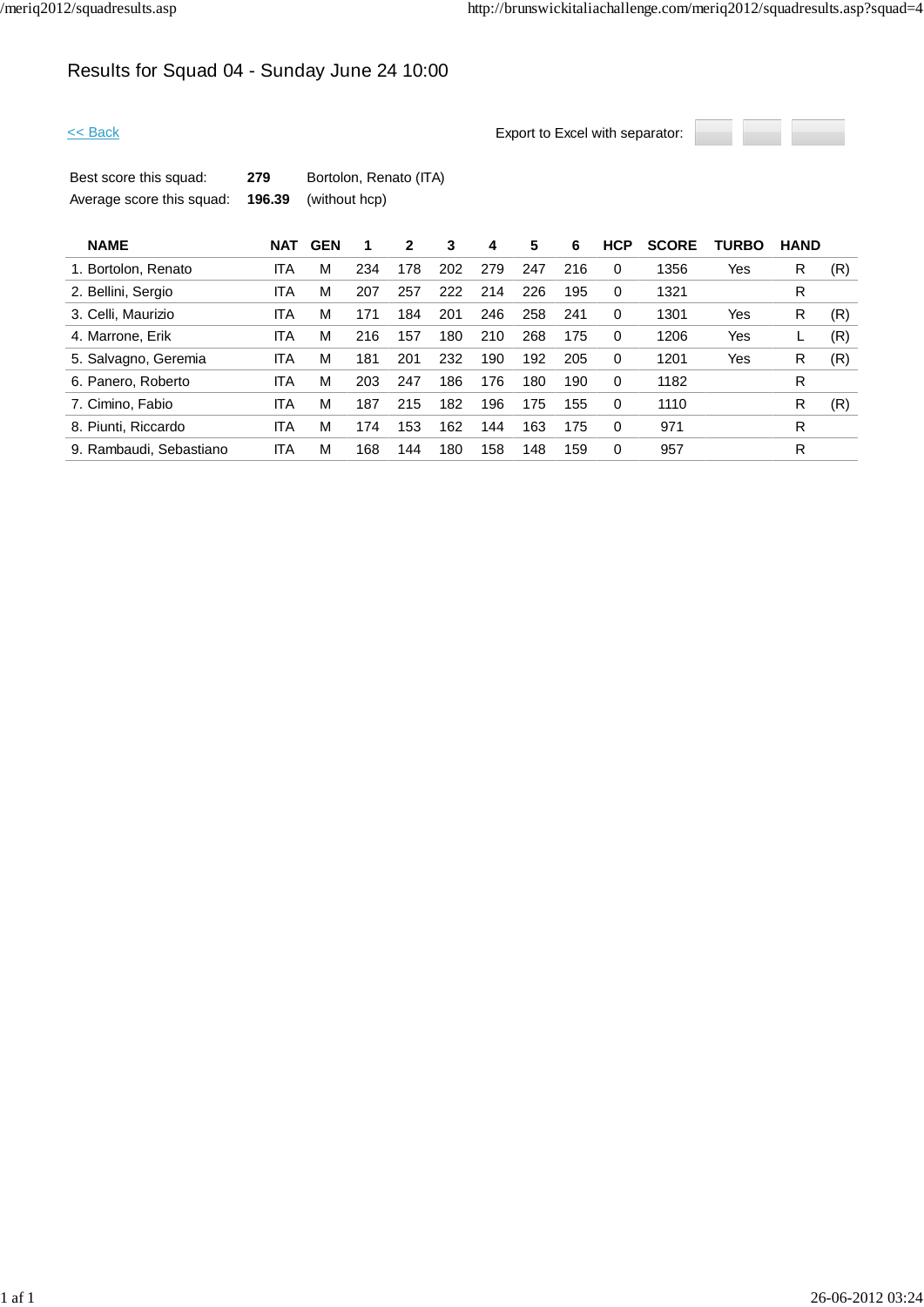# Results for Squad 04 - Sunday June 24 10:00



| Best score this squad:    | 279 | Bortolon, Renato (ITA)      |
|---------------------------|-----|-----------------------------|
| Average score this squad: |     | <b>196.39</b> (without hcp) |

| <b>NAME</b>             | NAT        | <b>GEN</b> |     | 2   | 3   | 4   | 5   | 6   | <b>HCP</b> | <b>SCORE</b> | <b>TURBO</b> | <b>HAND</b> |     |
|-------------------------|------------|------------|-----|-----|-----|-----|-----|-----|------------|--------------|--------------|-------------|-----|
| 1. Bortolon, Renato     | ITA        | M          | 234 | 178 | 202 | 279 | 247 | 216 | 0          | 1356         | Yes          | R           | (R) |
| 2. Bellini, Sergio      | ITA        | М          | 207 | 257 | 222 | 214 | 226 | 195 | 0          | 1321         |              | R           |     |
| 3. Celli, Maurizio      | ITA        | М          | 171 | 184 | 201 | 246 | 258 | 241 | 0          | 1301         | Yes          | R           | (R) |
| 4. Marrone, Erik        | ITA        | М          | 216 | 157 | 180 | 210 | 268 | 175 | 0          | 1206         | Yes          |             | (R) |
| 5. Salvagno, Geremia    | ITA        | м          | 181 | 201 | 232 | 190 | 192 | 205 | 0          | 1201         | Yes          | R           | (R) |
| 6. Panero, Roberto      | <b>ITA</b> | M          | 203 | 247 | 186 | 176 | 180 | 190 | $\Omega$   | 1182         |              | R           |     |
| 7. Cimino, Fabio        | <b>ITA</b> | M          | 187 | 215 | 182 | 196 | 175 | 155 | 0          | 1110         |              | R           | (R) |
| 8. Piunti, Riccardo     | <b>ITA</b> | M          | 174 | 153 | 162 | 144 | 163 | 175 | 0          | 971          |              | R           |     |
| 9. Rambaudi, Sebastiano | ITA        | M          | 168 | 144 | 180 | 158 | 148 | 159 | $\Omega$   | 957          |              | R           |     |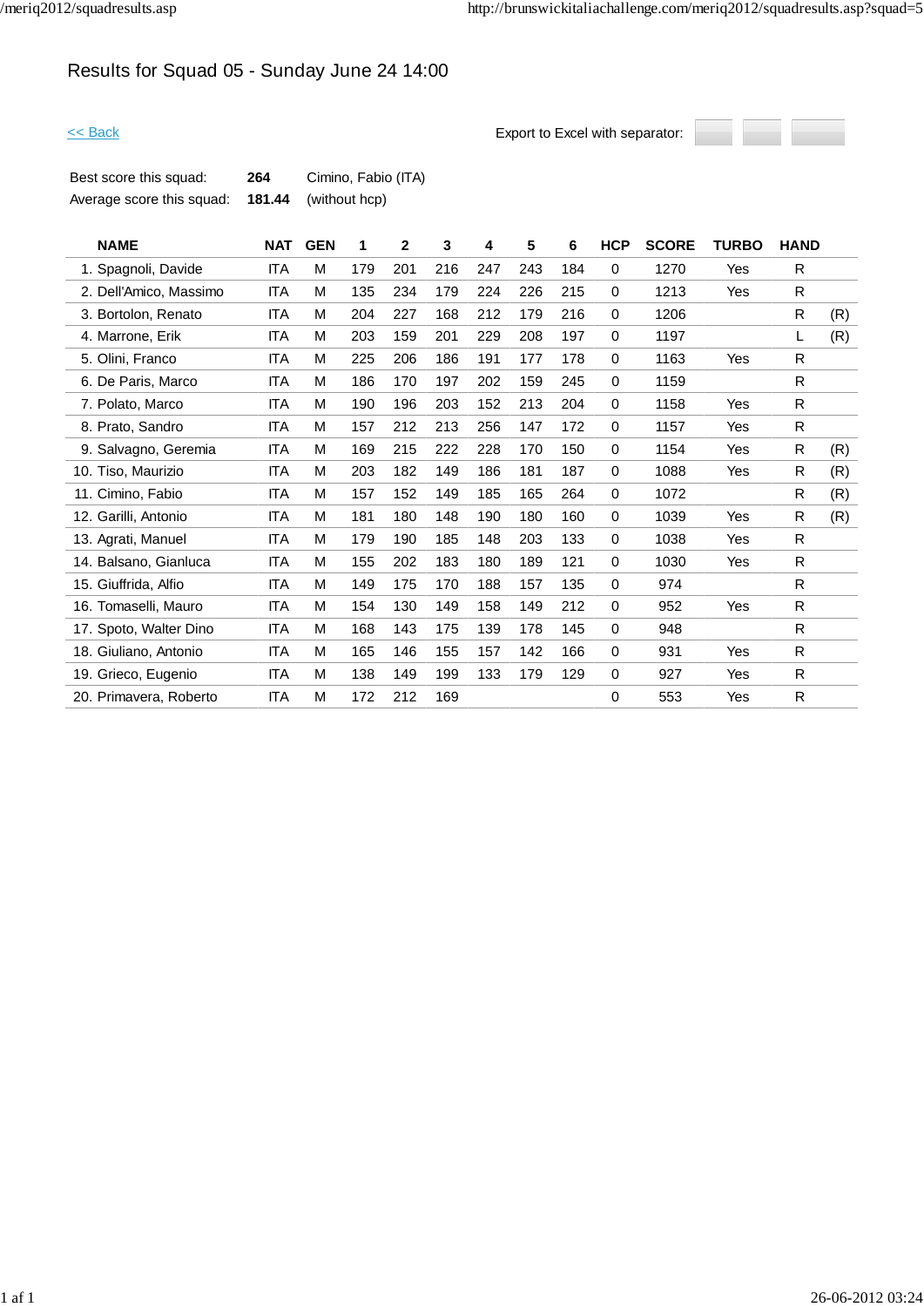# Results for Squad 05 - Sunday June 24 14:00



| Best score this squad:    | 264 | Cimino, Fabio (ITA)         |
|---------------------------|-----|-----------------------------|
| Average score this squad: |     | <b>181.44</b> (without hcp) |

| <b>NAME</b>            | <b>NAT</b> | <b>GEN</b> | 1   | $\overline{2}$ | 3   | 4   | 5   | 6   | <b>HCP</b>  | <b>SCORE</b> | <b>TURBO</b> | <b>HAND</b>  |     |
|------------------------|------------|------------|-----|----------------|-----|-----|-----|-----|-------------|--------------|--------------|--------------|-----|
| 1. Spagnoli, Davide    | <b>ITA</b> | M          | 179 | 201            | 216 | 247 | 243 | 184 | $\mathbf 0$ | 1270         | Yes          | R.           |     |
| 2. Dell'Amico, Massimo | ITA        | м          | 135 | 234            | 179 | 224 | 226 | 215 | 0           | 1213         | Yes          | R            |     |
| 3. Bortolon, Renato    | <b>ITA</b> | M          | 204 | 227            | 168 | 212 | 179 | 216 | 0           | 1206         |              | R            | (R) |
| 4. Marrone, Erik       | <b>ITA</b> | M          | 203 | 159            | 201 | 229 | 208 | 197 | 0           | 1197         |              | L            | (R) |
| 5. Olini, Franco       | <b>ITA</b> | M          | 225 | 206            | 186 | 191 | 177 | 178 | 0           | 1163         | Yes          | R.           |     |
| 6. De Paris, Marco     | <b>ITA</b> | м          | 186 | 170            | 197 | 202 | 159 | 245 | $\mathbf 0$ | 1159         |              | R.           |     |
| 7. Polato, Marco       | <b>ITA</b> | M          | 190 | 196            | 203 | 152 | 213 | 204 | 0           | 1158         | Yes          | R            |     |
| 8. Prato, Sandro       | <b>ITA</b> | м          | 157 | 212            | 213 | 256 | 147 | 172 | 0           | 1157         | Yes          | R            |     |
| 9. Salvagno, Geremia   | <b>ITA</b> | M          | 169 | 215            | 222 | 228 | 170 | 150 | 0           | 1154         | Yes          | R            | (R) |
| 10. Tiso, Maurizio     | <b>ITA</b> | M          | 203 | 182            | 149 | 186 | 181 | 187 | $\mathbf 0$ | 1088         | Yes          | R            | (R) |
| 11. Cimino, Fabio      | <b>ITA</b> | м          | 157 | 152            | 149 | 185 | 165 | 264 | 0           | 1072         |              | R            | (R) |
| 12. Garilli, Antonio   | <b>ITA</b> | м          | 181 | 180            | 148 | 190 | 180 | 160 | 0           | 1039         | Yes          | R            | (R) |
| 13. Agrati, Manuel     | <b>ITA</b> | M          | 179 | 190            | 185 | 148 | 203 | 133 | 0           | 1038         | Yes          | R            |     |
| 14. Balsano, Gianluca  | ITA        | M          | 155 | 202            | 183 | 180 | 189 | 121 | $\mathbf 0$ | 1030         | Yes          | $\mathsf{R}$ |     |
| 15. Giuffrida, Alfio   | <b>ITA</b> | M          | 149 | 175            | 170 | 188 | 157 | 135 | 0           | 974          |              | R            |     |
| 16. Tomaselli, Mauro   | <b>ITA</b> | M          | 154 | 130            | 149 | 158 | 149 | 212 | $\mathbf 0$ | 952          | Yes          | R            |     |
| 17. Spoto, Walter Dino | ITA        | м          | 168 | 143            | 175 | 139 | 178 | 145 | $\mathbf 0$ | 948          |              | R.           |     |
| 18. Giuliano, Antonio  | ITA        | м          | 165 | 146            | 155 | 157 | 142 | 166 | 0           | 931          | Yes          | $\mathsf{R}$ |     |
| 19. Grieco, Eugenio    | ITA        | M          | 138 | 149            | 199 | 133 | 179 | 129 | 0           | 927          | Yes          | $\mathsf{R}$ |     |
| 20. Primavera, Roberto | <b>ITA</b> | M          | 172 | 212            | 169 |     |     |     | 0           | 553          | Yes          | R            |     |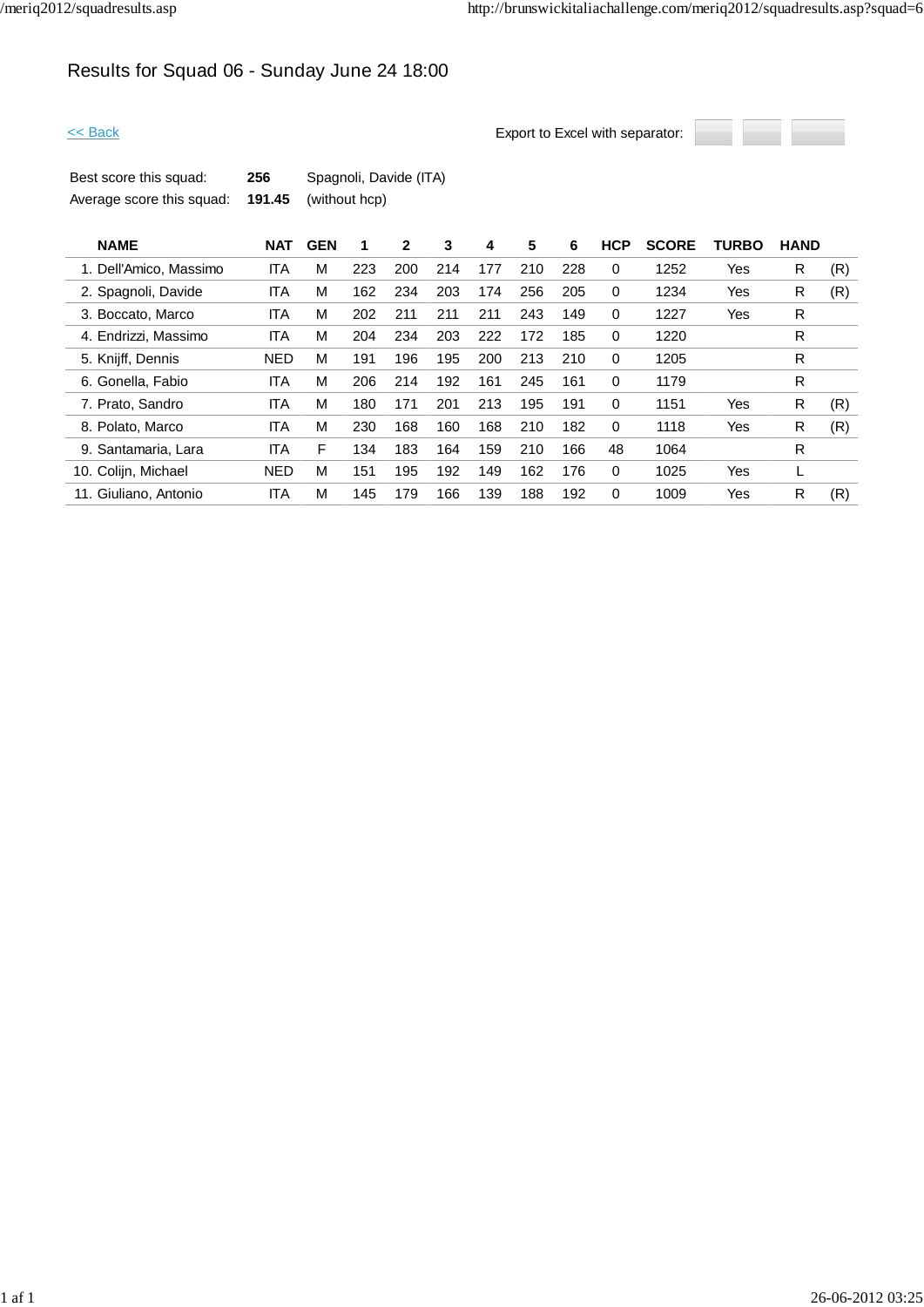# Results for Squad 06 - Sunday June 24 18:00



| Best score this squad:    | 256 | Spagnoli, Davide (ITA)      |
|---------------------------|-----|-----------------------------|
| Average score this squad: |     | <b>191.45</b> (without hcp) |

| <b>NAME</b>            | <b>NAT</b> | <b>GEN</b> | 1   | 2   | 3   | 4   | 5   | 6   | <b>HCP</b> | <b>SCORE</b> | <b>TURBO</b> | <b>HAND</b> |     |
|------------------------|------------|------------|-----|-----|-----|-----|-----|-----|------------|--------------|--------------|-------------|-----|
| 1. Dell'Amico, Massimo | <b>ITA</b> | М          | 223 | 200 | 214 | 177 | 210 | 228 | $\Omega$   | 1252         | Yes          | R           | (R) |
| 2. Spagnoli, Davide    | ITA        | М          | 162 | 234 | 203 | 174 | 256 | 205 | 0          | 1234         | Yes          | R           | (R) |
| 3. Boccato, Marco      | ITA        | М          | 202 | 211 | 211 | 211 | 243 | 149 | 0          | 1227         | Yes          | R           |     |
| 4. Endrizzi, Massimo   | <b>ITA</b> | М          | 204 | 234 | 203 | 222 | 172 | 185 | 0          | 1220         |              | R           |     |
| 5. Knijff, Dennis      | <b>NED</b> | M          | 191 | 196 | 195 | 200 | 213 | 210 | 0          | 1205         |              | R           |     |
| 6. Gonella, Fabio      | ITA        | М          | 206 | 214 | 192 | 161 | 245 | 161 | $\Omega$   | 1179         |              | R           |     |
| 7. Prato, Sandro       | ITA        | М          | 180 | 171 | 201 | 213 | 195 | 191 | $\Omega$   | 1151         | Yes          | R           | (R) |
| 8. Polato, Marco       | ITA        | М          | 230 | 168 | 160 | 168 | 210 | 182 | $\Omega$   | 1118         | Yes          | R           | (R) |
| 9. Santamaria, Lara    | ITA        | F          | 134 | 183 | 164 | 159 | 210 | 166 | 48         | 1064         |              | R           |     |
| 10. Colijn, Michael    | <b>NED</b> | М          | 151 | 195 | 192 | 149 | 162 | 176 | 0          | 1025         | Yes          |             |     |
| 11. Giuliano. Antonio  | ITA        | М          | 145 | 179 | 166 | 139 | 188 | 192 | $\Omega$   | 1009         | Yes          | R           | (R) |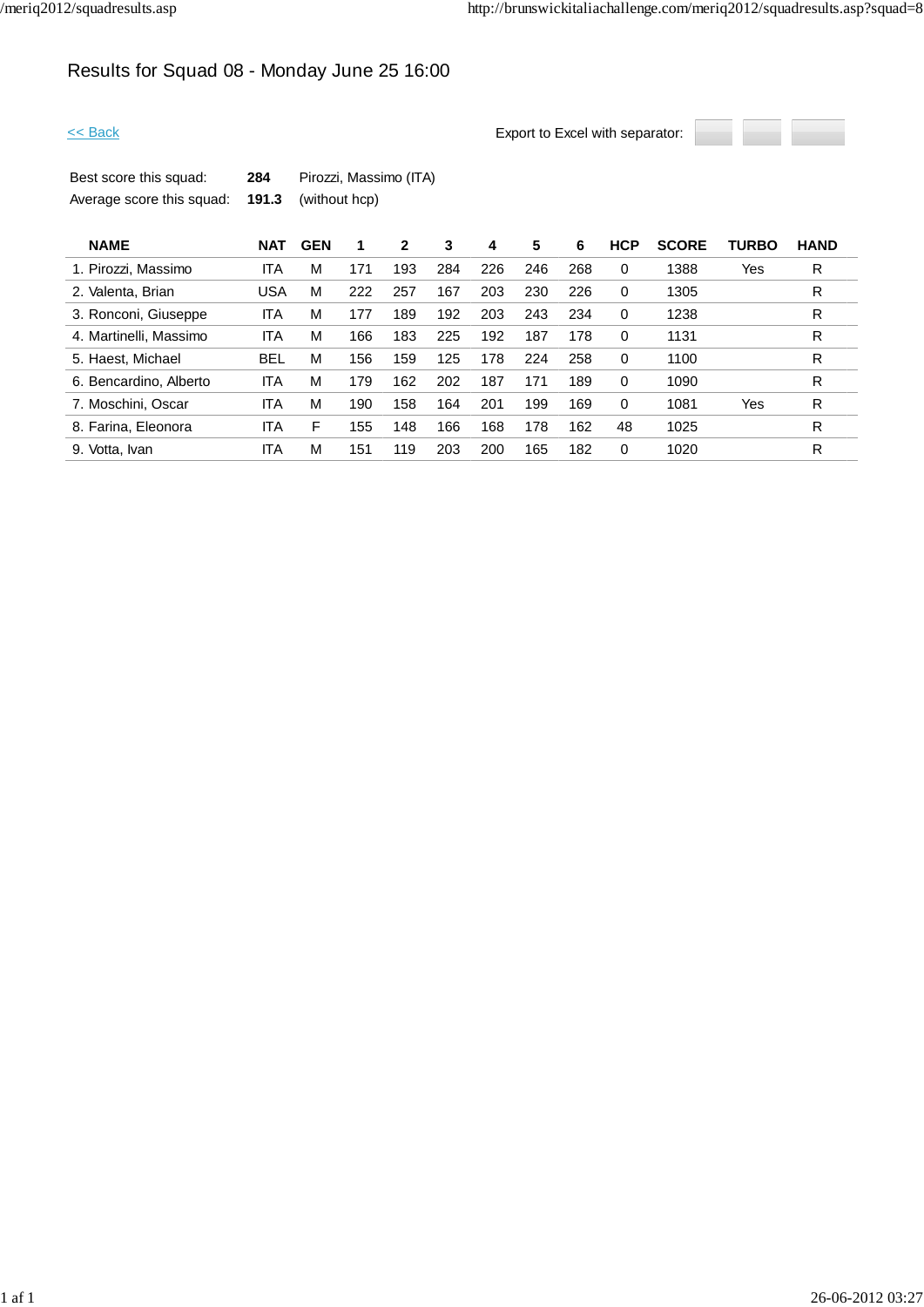# Results for Squad 08 - Monday June 25 16:00



| Best score this squad:    | 284 | Pirozzi, Massimo (ITA)     |
|---------------------------|-----|----------------------------|
| Average score this squad: |     | <b>191.3</b> (without hcp) |

| <b>NAME</b>            | <b>NAT</b> | <b>GEN</b> |     | 2   | 3   | 4   | 5   | 6   | <b>HCP</b> | <b>SCORE</b> | <b>TURBO</b> | <b>HAND</b> |  |
|------------------------|------------|------------|-----|-----|-----|-----|-----|-----|------------|--------------|--------------|-------------|--|
| 1. Pirozzi, Massimo    | ITA        | М          | 171 | 193 | 284 | 226 | 246 | 268 | $\Omega$   | 1388         | Yes          | R           |  |
| 2. Valenta, Brian      | USA        | М          | 222 | 257 | 167 | 203 | 230 | 226 | $\Omega$   | 1305         |              | R           |  |
| 3. Ronconi, Giuseppe   | ITA        | М          | 177 | 189 | 192 | 203 | 243 | 234 | $\Omega$   | 1238         |              | R           |  |
| 4. Martinelli, Massimo | ITA        | M          | 166 | 183 | 225 | 192 | 187 | 178 | $\Omega$   | 1131         |              | R           |  |
| 5. Haest, Michael      | <b>BEL</b> | М          | 156 | 159 | 125 | 178 | 224 | 258 | $\Omega$   | 1100         |              | R           |  |
| 6. Bencardino, Alberto | ITA        | М          | 179 | 162 | 202 | 187 | 171 | 189 | $\Omega$   | 1090         |              | R           |  |
| 7. Moschini, Oscar     | <b>ITA</b> | М          | 190 | 158 | 164 | 201 | 199 | 169 | $\Omega$   | 1081         | Yes          | R           |  |
| 8. Farina, Eleonora    | ITA        | F          | 155 | 148 | 166 | 168 | 178 | 162 | 48         | 1025         |              | R           |  |
| 9. Votta, Ivan         | ITA        | М          | 151 | 119 | 203 | 200 | 165 | 182 | 0          | 1020         |              | R           |  |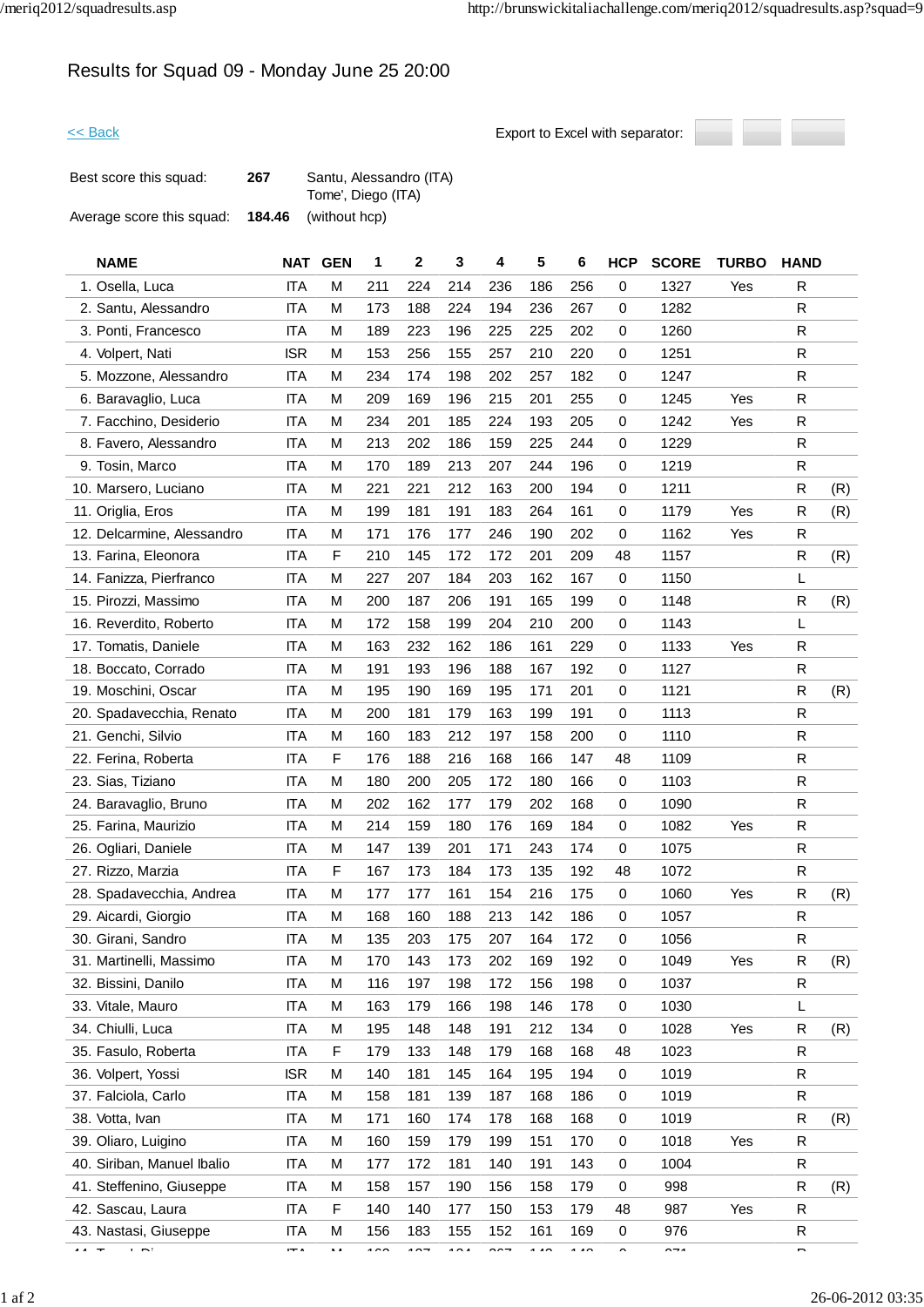# Results for Squad 09 - Monday June 25 20:00



| Best score this squad:    | 267    | Santu, Alessandro (ITA) |
|---------------------------|--------|-------------------------|
|                           |        | Tome', Diego (ITA)      |
| Average score this squad: | 184.46 | (without hcp)           |

| <b>NAME</b>                | <b>NAT</b> | <b>GEN</b> | 1      | 2                        | 3      | 4             | 5              | 6              | <b>HCP</b>     | <b>SCORE</b>         | <b>TURBO</b> | <b>HAND</b>              |     |
|----------------------------|------------|------------|--------|--------------------------|--------|---------------|----------------|----------------|----------------|----------------------|--------------|--------------------------|-----|
| 1. Osella, Luca            | <b>ITA</b> | M          | 211    | 224                      | 214    | 236           | 186            | 256            | 0              | 1327                 | Yes          | R                        |     |
| 2. Santu, Alessandro       | <b>ITA</b> | M          | 173    | 188                      | 224    | 194           | 236            | 267            | 0              | 1282                 |              | R                        |     |
| 3. Ponti, Francesco        | <b>ITA</b> | M          | 189    | 223                      | 196    | 225           | 225            | 202            | 0              | 1260                 |              | ${\sf R}$                |     |
| 4. Volpert, Nati           | <b>ISR</b> | M          | 153    | 256                      | 155    | 257           | 210            | 220            | 0              | 1251                 |              | R                        |     |
| 5. Mozzone, Alessandro     | <b>ITA</b> | M          | 234    | 174                      | 198    | 202           | 257            | 182            | 0              | 1247                 |              | ${\sf R}$                |     |
| 6. Baravaglio, Luca        | <b>ITA</b> | М          | 209    | 169                      | 196    | 215           | 201            | 255            | 0              | 1245                 | Yes          | R                        |     |
| 7. Facchino, Desiderio     | <b>ITA</b> | M          | 234    | 201                      | 185    | 224           | 193            | 205            | 0              | 1242                 | Yes          | R                        |     |
| 8. Favero, Alessandro      | <b>ITA</b> | M          | 213    | 202                      | 186    | 159           | 225            | 244            | 0              | 1229                 |              | R                        |     |
| 9. Tosin, Marco            | <b>ITA</b> | M          | 170    | 189                      | 213    | 207           | 244            | 196            | 0              | 1219                 |              | R                        |     |
| 10. Marsero, Luciano       | <b>ITA</b> | M          | 221    | 221                      | 212    | 163           | 200            | 194            | 0              | 1211                 |              | ${\sf R}$                | (R) |
| 11. Origlia, Eros          | <b>ITA</b> | M          | 199    | 181                      | 191    | 183           | 264            | 161            | 0              | 1179                 | Yes          | R                        | (R) |
| 12. Delcarmine, Alessandro | <b>ITA</b> | M          | 171    | 176                      | 177    | 246           | 190            | 202            | 0              | 1162                 | Yes          | R                        |     |
| 13. Farina, Eleonora       | <b>ITA</b> | F          | 210    | 145                      | 172    | 172           | 201            | 209            | 48             | 1157                 |              | R                        | (R) |
| 14. Fanizza, Pierfranco    | <b>ITA</b> | M          | 227    | 207                      | 184    | 203           | 162            | 167            | 0              | 1150                 |              | L                        |     |
| 15. Pirozzi, Massimo       | <b>ITA</b> | M          | 200    | 187                      | 206    | 191           | 165            | 199            | 0              | 1148                 |              | R                        | (R) |
| 16. Reverdito, Roberto     | <b>ITA</b> | M          | 172    | 158                      | 199    | 204           | 210            | 200            | 0              | 1143                 |              | L                        |     |
| 17. Tomatis, Daniele       | <b>ITA</b> | M          | 163    | 232                      | 162    | 186           | 161            | 229            | 0              | 1133                 | Yes          | R                        |     |
| 18. Boccato, Corrado       | <b>ITA</b> | M          | 191    | 193                      | 196    | 188           | 167            | 192            | 0              | 1127                 |              | R                        |     |
| 19. Moschini, Oscar        | <b>ITA</b> | M          | 195    | 190                      | 169    | 195           | 171            | 201            | 0              | 1121                 |              | R                        | (R) |
| 20. Spadavecchia, Renato   | <b>ITA</b> | M          | 200    | 181                      | 179    | 163           | 199            | 191            | 0              | 1113                 |              | R                        |     |
| 21. Genchi, Silvio         | <b>ITA</b> | M          | 160    | 183                      | 212    | 197           | 158            | 200            | 0              | 1110                 |              | R                        |     |
| 22. Ferina, Roberta        | <b>ITA</b> | F          | 176    | 188                      | 216    | 168           | 166            | 147            | 48             | 1109                 |              | R                        |     |
| 23. Sias, Tiziano          | <b>ITA</b> | М          | 180    | 200                      | 205    | 172           | 180            | 166            | 0              | 1103                 |              | R                        |     |
| 24. Baravaglio, Bruno      | <b>ITA</b> | M          | 202    | 162                      | 177    | 179           | 202            | 168            | 0              | 1090                 |              | $\mathsf{R}$             |     |
| 25. Farina, Maurizio       | <b>ITA</b> | M          | 214    | 159                      | 180    | 176           | 169            | 184            | 0              | 1082                 | Yes          | R                        |     |
| 26. Ogliari, Daniele       | <b>ITA</b> | M          | 147    | 139                      | 201    | 171           | 243            | 174            | 0              | 1075                 |              | R                        |     |
| 27. Rizzo, Marzia          | <b>ITA</b> | F          | 167    | 173                      | 184    | 173           | 135            | 192            | 48             | 1072                 |              | R                        |     |
| 28. Spadavecchia, Andrea   | <b>ITA</b> | M          | 177    | 177                      | 161    | 154           | 216            | 175            | 0              | 1060                 | Yes          | R                        | (R) |
| 29. Aicardi, Giorgio       | <b>ITA</b> | M          | 168    | 160                      | 188    | 213           | 142            | 186            | 0              | 1057                 |              | R                        |     |
| 30. Girani, Sandro         | <b>ITA</b> | М          | 135    | 203                      | 175    | 207           | 164            | 172            | 0              | 1056                 |              | R                        |     |
| 31. Martinelli, Massimo    | <b>ITA</b> | M          | 170    | 143                      | 173    | 202           | 169            | 192            | 0              | 1049                 | Yes          | ${\sf R}$                | (R) |
| 32. Bissini, Danilo        | <b>ITA</b> | M          | 116    | 197                      | 198    | 172           | 156            | 198            | 0              | 1037                 |              | R                        |     |
| 33. Vitale, Mauro          | ITA        | М          | 163    | 179                      | 166    | 198           | 146            | 178            | 0              | 1030                 |              | L                        |     |
| 34. Chiulli, Luca          | <b>ITA</b> | M          | 195    | 148                      | 148    | 191           | 212            | 134            | 0              | 1028                 | Yes          | R                        | (R) |
| 35. Fasulo, Roberta        | ITA        | F          | 179    | 133                      | 148    | 179           | 168            | 168            | 48             | 1023                 |              | R                        |     |
| 36. Volpert, Yossi         | <b>ISR</b> | M          | 140    | 181                      | 145    | 164           | 195            | 194            | 0              | 1019                 |              | R                        |     |
| 37. Falciola, Carlo        | ITA        | М          | 158    | 181                      | 139    | 187           | 168            | 186            | 0              | 1019                 |              | R                        |     |
| 38. Votta, Ivan            | <b>ITA</b> | М          | 171    | 160                      | 174    | 178           | 168            | 168            | 0              | 1019                 |              | R                        | (R) |
| 39. Oliaro, Luigino        | ITA        | M          | 160    | 159                      | 179    | 199           | 151            | 170            | 0              | 1018                 | Yes          | R                        |     |
| 40. Siriban, Manuel Ibalio | ITA        | M          | 177    | 172                      | 181    | 140           | 191            | 143            | 0              | 1004                 |              | R                        |     |
| 41. Steffenino, Giuseppe   | <b>ITA</b> | М          | 158    | 157                      | 190    | 156           | 158            | 179            | 0              | 998                  |              | ${\sf R}$                | (R) |
| 42. Sascau, Laura          | ITA        | F          | 140    | 140                      | 177    | 150           | 153            | 179            | 48             | 987                  | Yes          | R                        |     |
| 43. Nastasi, Giuseppe      | <b>ITA</b> | М          | 156    | 183                      | 155    | 152           | 161            | 169            | 0              | 976                  |              | ${\sf R}$                |     |
| $\mathbf{r}$<br>$\cdots$   | $-$        | . .        | $\sim$ | $\overline{\phantom{a}}$ | $\sim$ | $\sim$ $\sim$ | $\overline{1}$ | $\overline{1}$ | $\overline{a}$ | $\sim$ $\sim$ $\sim$ |              | $\overline{\phantom{0}}$ |     |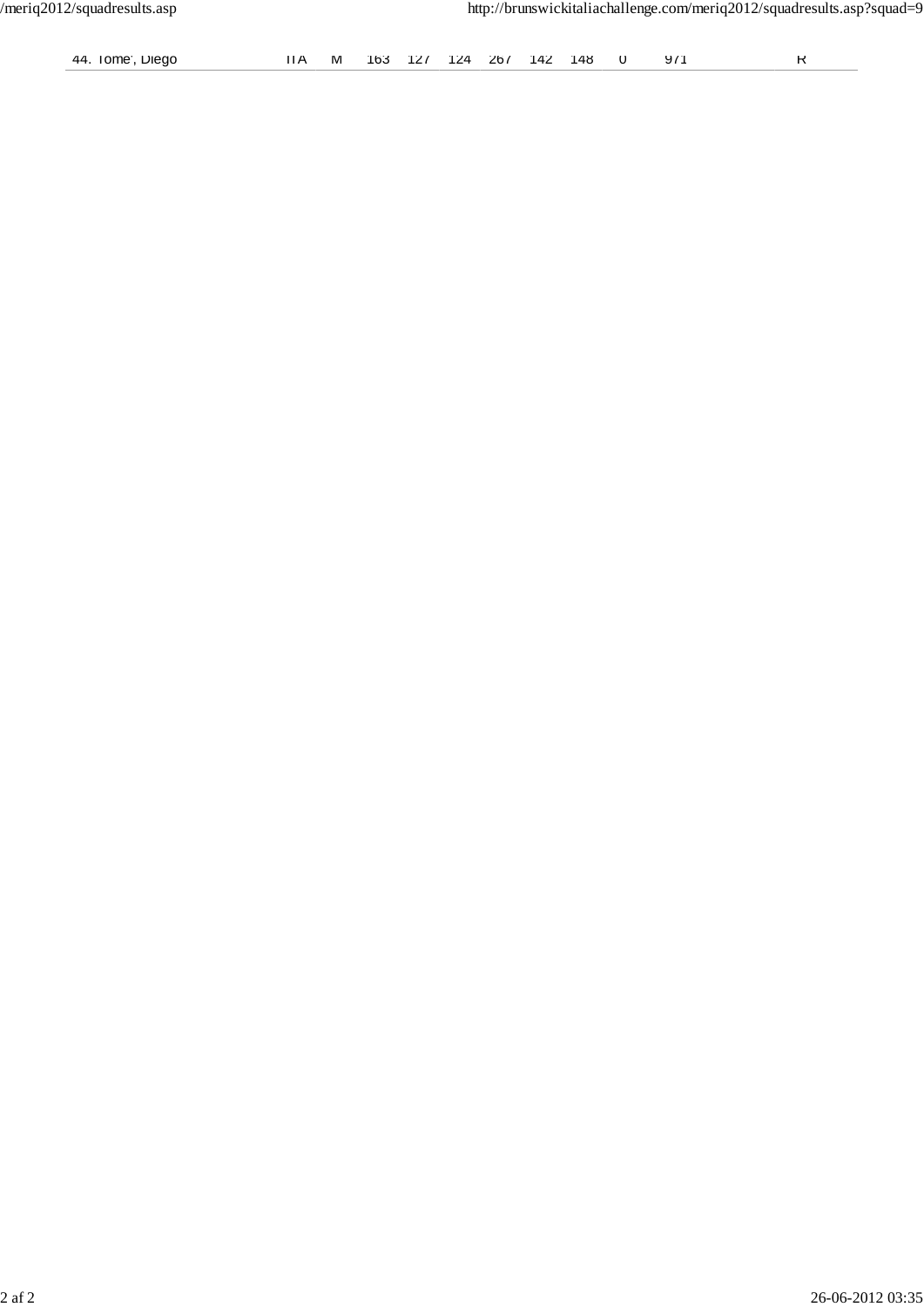| 44<br>Dieao<br>Tome | M | 16ა |  | 74 | 267 | 142 | 14.X |  | $\mathbf{u}$<br>- 21 |  |
|---------------------|---|-----|--|----|-----|-----|------|--|----------------------|--|
|---------------------|---|-----|--|----|-----|-----|------|--|----------------------|--|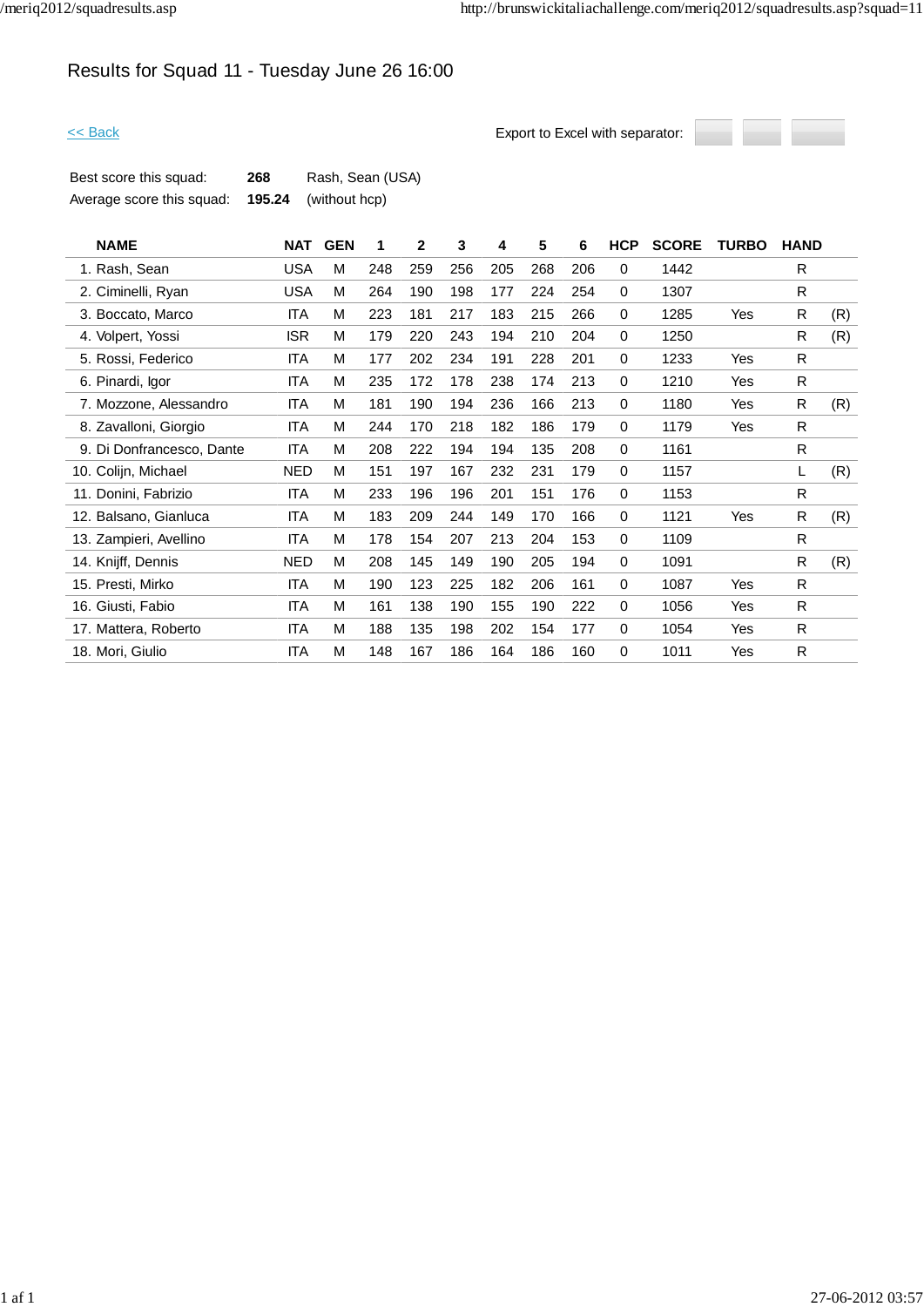# Results for Squad 11 - Tuesday June 26 16:00



| Best score this squad:    | 268 | Rash, Sean (USA)            |
|---------------------------|-----|-----------------------------|
| Average score this squad: |     | <b>195.24</b> (without hcp) |

| <b>NAME</b>               | <b>NAT</b> | <b>GEN</b> | 1   | 2   | 3   | 4   | 5   | 6   | <b>HCP</b>  | <b>SCORE</b> | <b>TURBO</b> | <b>HAND</b>  |     |
|---------------------------|------------|------------|-----|-----|-----|-----|-----|-----|-------------|--------------|--------------|--------------|-----|
| 1. Rash, Sean             | <b>USA</b> | M          | 248 | 259 | 256 | 205 | 268 | 206 | $\Omega$    | 1442         |              | R            |     |
| 2. Ciminelli, Ryan        | <b>USA</b> | M          | 264 | 190 | 198 | 177 | 224 | 254 | 0           | 1307         |              | $\mathsf{R}$ |     |
| 3. Boccato, Marco         | <b>ITA</b> | M          | 223 | 181 | 217 | 183 | 215 | 266 | 0           | 1285         | Yes          | R            | (R) |
| 4. Volpert, Yossi         | <b>ISR</b> | M          | 179 | 220 | 243 | 194 | 210 | 204 | $\Omega$    | 1250         |              | R            | (R) |
| 5. Rossi, Federico        | <b>ITA</b> | M          | 177 | 202 | 234 | 191 | 228 | 201 | 0           | 1233         | Yes          | R            |     |
| 6. Pinardi, Igor          | <b>ITA</b> | M          | 235 | 172 | 178 | 238 | 174 | 213 | 0           | 1210         | Yes          | R            |     |
| 7. Mozzone, Alessandro    | <b>ITA</b> | M          | 181 | 190 | 194 | 236 | 166 | 213 | $\mathbf 0$ | 1180         | Yes          | R            | (R) |
| 8. Zavalloni, Giorgio     | <b>ITA</b> | M          | 244 | 170 | 218 | 182 | 186 | 179 | $\Omega$    | 1179         | Yes          | R            |     |
| 9. Di Donfrancesco, Dante | <b>ITA</b> | M          | 208 | 222 | 194 | 194 | 135 | 208 | $\Omega$    | 1161         |              | R            |     |
| 10. Colijn, Michael       | NED        | M          | 151 | 197 | 167 | 232 | 231 | 179 | 0           | 1157         |              | L            | (R) |
| 11. Donini, Fabrizio      | <b>ITA</b> | M          | 233 | 196 | 196 | 201 | 151 | 176 | $\mathbf 0$ | 1153         |              | R            |     |
| 12. Balsano, Gianluca     | <b>ITA</b> | M          | 183 | 209 | 244 | 149 | 170 | 166 | 0           | 1121         | Yes          | R            | (R) |
| 13. Zampieri, Avellino    | <b>ITA</b> | M          | 178 | 154 | 207 | 213 | 204 | 153 | 0           | 1109         |              | R            |     |
| 14. Knijff, Dennis        | <b>NED</b> | M          | 208 | 145 | 149 | 190 | 205 | 194 | 0           | 1091         |              | R            | (R) |
| 15. Presti, Mirko         | <b>ITA</b> | M          | 190 | 123 | 225 | 182 | 206 | 161 | 0           | 1087         | Yes          | R            |     |
| 16. Giusti, Fabio         | <b>ITA</b> | M          | 161 | 138 | 190 | 155 | 190 | 222 | 0           | 1056         | Yes          | R            |     |
| 17. Mattera, Roberto      | <b>ITA</b> | M          | 188 | 135 | 198 | 202 | 154 | 177 | 0           | 1054         | Yes          | R            |     |
| 18. Mori, Giulio          | <b>ITA</b> | M          | 148 | 167 | 186 | 164 | 186 | 160 | 0           | 1011         | Yes          | R            |     |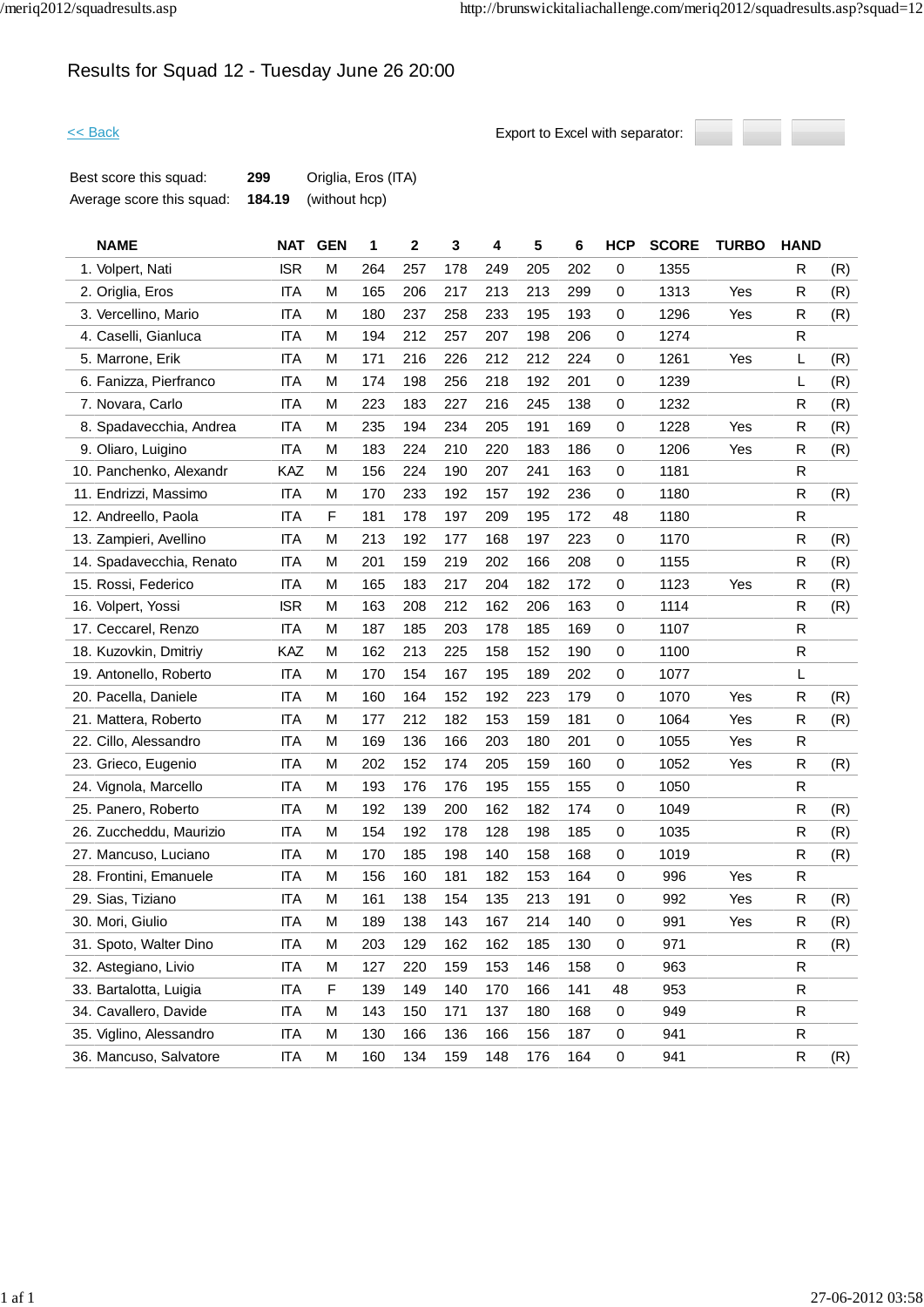# Results for Squad 12 - Tuesday June 26 20:00



| Best score this squad:    | 299    | Origlia, Eros (ITA) |
|---------------------------|--------|---------------------|
| Average score this squad: | 184.19 | (without hcp)       |

| <b>NAME</b>              | NAT        | <b>GEN</b> | 1   | 2   | 3   | 4   | 5   | 6   | <b>HCP</b>  | <b>SCORE</b> | <b>TURBO</b> | <b>HAND</b>  |     |
|--------------------------|------------|------------|-----|-----|-----|-----|-----|-----|-------------|--------------|--------------|--------------|-----|
| 1. Volpert, Nati         | <b>ISR</b> | М          | 264 | 257 | 178 | 249 | 205 | 202 | $\mathbf 0$ | 1355         |              | R            | (R) |
| 2. Origlia, Eros         | <b>ITA</b> | М          | 165 | 206 | 217 | 213 | 213 | 299 | 0           | 1313         | Yes          | R            | (R) |
| 3. Vercellino, Mario     | <b>ITA</b> | М          | 180 | 237 | 258 | 233 | 195 | 193 | 0           | 1296         | Yes          | R            | (R) |
| 4. Caselli, Gianluca     | <b>ITA</b> | М          | 194 | 212 | 257 | 207 | 198 | 206 | 0           | 1274         |              | R            |     |
| 5. Marrone, Erik         | <b>ITA</b> | M          | 171 | 216 | 226 | 212 | 212 | 224 | 0           | 1261         | Yes          | L            | (R) |
| 6. Fanizza, Pierfranco   | <b>ITA</b> | М          | 174 | 198 | 256 | 218 | 192 | 201 | 0           | 1239         |              | L            | (R) |
| 7. Novara, Carlo         | <b>ITA</b> | М          | 223 | 183 | 227 | 216 | 245 | 138 | 0           | 1232         |              | R            | (R) |
| 8. Spadavecchia, Andrea  | ITA        | М          | 235 | 194 | 234 | 205 | 191 | 169 | 0           | 1228         | Yes          | R            | (R) |
| 9. Oliaro, Luigino       | <b>ITA</b> | M          | 183 | 224 | 210 | 220 | 183 | 186 | 0           | 1206         | Yes          | R            | (R) |
| 10. Panchenko, Alexandr  | KAZ        | М          | 156 | 224 | 190 | 207 | 241 | 163 | 0           | 1181         |              | R.           |     |
| 11. Endrizzi, Massimo    | <b>ITA</b> | М          | 170 | 233 | 192 | 157 | 192 | 236 | 0           | 1180         |              | R            | (R) |
| 12. Andreello, Paola     | <b>ITA</b> | F          | 181 | 178 | 197 | 209 | 195 | 172 | 48          | 1180         |              | ${\sf R}$    |     |
| 13. Zampieri, Avellino   | <b>ITA</b> | M          | 213 | 192 | 177 | 168 | 197 | 223 | 0           | 1170         |              | R            | (R) |
| 14. Spadavecchia, Renato | <b>ITA</b> | М          | 201 | 159 | 219 | 202 | 166 | 208 | 0           | 1155         |              | R            | (R) |
| 15. Rossi, Federico      | <b>ITA</b> | М          | 165 | 183 | 217 | 204 | 182 | 172 | 0           | 1123         | Yes          | R            | (R) |
| 16. Volpert, Yossi       | <b>ISR</b> | Μ          | 163 | 208 | 212 | 162 | 206 | 163 | 0           | 1114         |              | R            | (R) |
| 17. Ceccarel, Renzo      | <b>ITA</b> | М          | 187 | 185 | 203 | 178 | 185 | 169 | 0           | 1107         |              | $\mathsf{R}$ |     |
| 18. Kuzovkin, Dmitriy    | KAZ        | М          | 162 | 213 | 225 | 158 | 152 | 190 | 0           | 1100         |              | R            |     |
| 19. Antonello, Roberto   | <b>ITA</b> | М          | 170 | 154 | 167 | 195 | 189 | 202 | 0           | 1077         |              | L            |     |
| 20. Pacella, Daniele     | <b>ITA</b> | М          | 160 | 164 | 152 | 192 | 223 | 179 | 0           | 1070         | Yes          | R            | (R) |
| 21. Mattera, Roberto     | <b>ITA</b> | Μ          | 177 | 212 | 182 | 153 | 159 | 181 | 0           | 1064         | Yes          | R            | (R) |
| 22. Cillo, Alessandro    | <b>ITA</b> | М          | 169 | 136 | 166 | 203 | 180 | 201 | 0           | 1055         | Yes          | R            |     |
| 23. Grieco, Eugenio      | <b>ITA</b> | М          | 202 | 152 | 174 | 205 | 159 | 160 | 0           | 1052         | Yes          | R            | (R) |
| 24. Vignola, Marcello    | <b>ITA</b> | M          | 193 | 176 | 176 | 195 | 155 | 155 | 0           | 1050         |              | $\mathsf{R}$ |     |
| 25. Panero, Roberto      | <b>ITA</b> | М          | 192 | 139 | 200 | 162 | 182 | 174 | 0           | 1049         |              | R            | (R) |
| 26. Zuccheddu, Maurizio  | <b>ITA</b> | М          | 154 | 192 | 178 | 128 | 198 | 185 | 0           | 1035         |              | R            | (R) |
| 27. Mancuso, Luciano     | <b>ITA</b> | М          | 170 | 185 | 198 | 140 | 158 | 168 | 0           | 1019         |              | R            | (R) |
| 28. Frontini, Emanuele   | <b>ITA</b> | M          | 156 | 160 | 181 | 182 | 153 | 164 | 0           | 996          | Yes          | R            |     |
| 29. Sias, Tiziano        | <b>ITA</b> | M          | 161 | 138 | 154 | 135 | 213 | 191 | 0           | 992          | Yes          | R            | (R) |
| 30. Mori, Giulio         | <b>ITA</b> | М          | 189 | 138 | 143 | 167 | 214 | 140 | 0           | 991          | Yes          | R            | (R) |
| 31. Spoto, Walter Dino   | <b>ITA</b> | М          | 203 | 129 | 162 | 162 | 185 | 130 | 0           | 971          |              | R            | (R) |
| 32. Astegiano, Livio     | <b>ITA</b> | M          | 127 | 220 | 159 | 153 | 146 | 158 | 0           | 963          |              | ${\sf R}$    |     |
| 33. Bartalotta, Luigia   | <b>ITA</b> | F          | 139 | 149 | 140 | 170 | 166 | 141 | 48          | 953          |              | R            |     |
| 34. Cavallero, Davide    | <b>ITA</b> | M          | 143 | 150 | 171 | 137 | 180 | 168 | $\pmb{0}$   | 949          |              | R            |     |
| 35. Viglino, Alessandro  | <b>ITA</b> | М          | 130 | 166 | 136 | 166 | 156 | 187 | 0           | 941          |              | R            |     |
| 36. Mancuso, Salvatore   | <b>ITA</b> | M          | 160 | 134 | 159 | 148 | 176 | 164 | $\pmb{0}$   | 941          |              | $\mathsf{R}$ | (R) |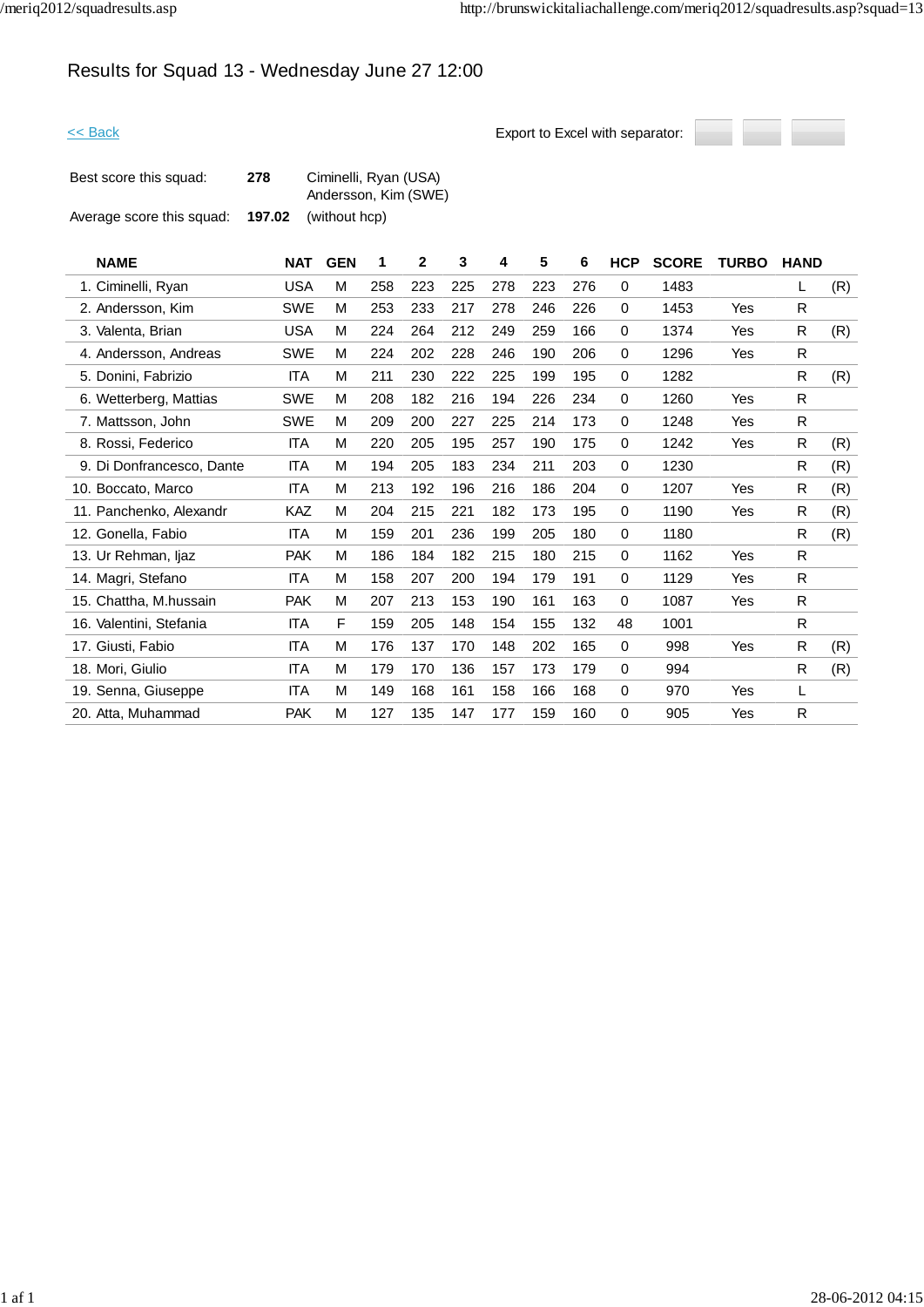# Results for Squad 13 - Wednesday June 27 12:00



| Best score this squad:    | 278    | Ciminelli, Ryan (USA)<br>Andersson, Kim (SWE) |
|---------------------------|--------|-----------------------------------------------|
| Average score this squad: | 197.02 | (without hcp)                                 |

| <b>NAME</b>               | <b>NAT</b> | <b>GEN</b> | 1   | $\mathbf{2}$ | 3   | 4   | 5   | 6   | <b>HCP</b>  | <b>SCORE</b> | <b>TURBO</b> | <b>HAND</b>  |     |
|---------------------------|------------|------------|-----|--------------|-----|-----|-----|-----|-------------|--------------|--------------|--------------|-----|
| 1. Ciminelli, Ryan        | <b>USA</b> | M          | 258 | 223          | 225 | 278 | 223 | 276 | 0           | 1483         |              | L            | (R) |
| 2. Andersson, Kim         | <b>SWE</b> | M          | 253 | 233          | 217 | 278 | 246 | 226 | 0           | 1453         | Yes          | R            |     |
| 3. Valenta, Brian         | <b>USA</b> | M          | 224 | 264          | 212 | 249 | 259 | 166 | 0           | 1374         | Yes          | R            | (R) |
| 4. Andersson, Andreas     | <b>SWE</b> | M          | 224 | 202          | 228 | 246 | 190 | 206 | 0           | 1296         | Yes          | ${\sf R}$    |     |
| 5. Donini, Fabrizio       | <b>ITA</b> | M          | 211 | 230          | 222 | 225 | 199 | 195 | 0           | 1282         |              | R            | (R) |
| 6. Wetterberg, Mattias    | <b>SWE</b> | M          | 208 | 182          | 216 | 194 | 226 | 234 | $\mathbf 0$ | 1260         | Yes          | R            |     |
| 7. Mattsson, John         | <b>SWE</b> | M          | 209 | 200          | 227 | 225 | 214 | 173 | 0           | 1248         | Yes          | R            |     |
| 8. Rossi, Federico        | <b>ITA</b> | M          | 220 | 205          | 195 | 257 | 190 | 175 | 0           | 1242         | Yes          | R.           | (R) |
| 9. Di Donfrancesco, Dante | <b>ITA</b> | M          | 194 | 205          | 183 | 234 | 211 | 203 | 0           | 1230         |              | R            | (R) |
| 10. Boccato, Marco        | ITA        | M          | 213 | 192          | 196 | 216 | 186 | 204 | 0           | 1207         | Yes          | R            | (R) |
| 11. Panchenko, Alexandr   | KAZ        | M          | 204 | 215          | 221 | 182 | 173 | 195 | 0           | 1190         | Yes          | R            | (R) |
| 12. Gonella, Fabio        | <b>ITA</b> | M          | 159 | 201          | 236 | 199 | 205 | 180 | 0           | 1180         |              | R            | (R) |
| 13. Ur Rehman, ljaz       | <b>PAK</b> | M          | 186 | 184          | 182 | 215 | 180 | 215 | 0           | 1162         | Yes          | R            |     |
| 14. Magri, Stefano        | <b>ITA</b> | M          | 158 | 207          | 200 | 194 | 179 | 191 | 0           | 1129         | Yes          | R            |     |
| 15. Chattha, M.hussain    | <b>PAK</b> | M          | 207 | 213          | 153 | 190 | 161 | 163 | 0           | 1087         | Yes          | R            |     |
| 16. Valentini, Stefania   | <b>ITA</b> | F          | 159 | 205          | 148 | 154 | 155 | 132 | 48          | 1001         |              | R.           |     |
| 17. Giusti, Fabio         | <b>ITA</b> | M          | 176 | 137          | 170 | 148 | 202 | 165 | $\mathbf 0$ | 998          | Yes          | R            | (R) |
| 18. Mori, Giulio          | <b>ITA</b> | M          | 179 | 170          | 136 | 157 | 173 | 179 | 0           | 994          |              | $\mathsf{R}$ | (R) |
| 19. Senna, Giuseppe       | <b>ITA</b> | M          | 149 | 168          | 161 | 158 | 166 | 168 | $\mathbf 0$ | 970          | Yes          | L            |     |
| 20. Atta, Muhammad        | <b>PAK</b> | M          | 127 | 135          | 147 | 177 | 159 | 160 | 0           | 905          | Yes          | $\mathsf{R}$ |     |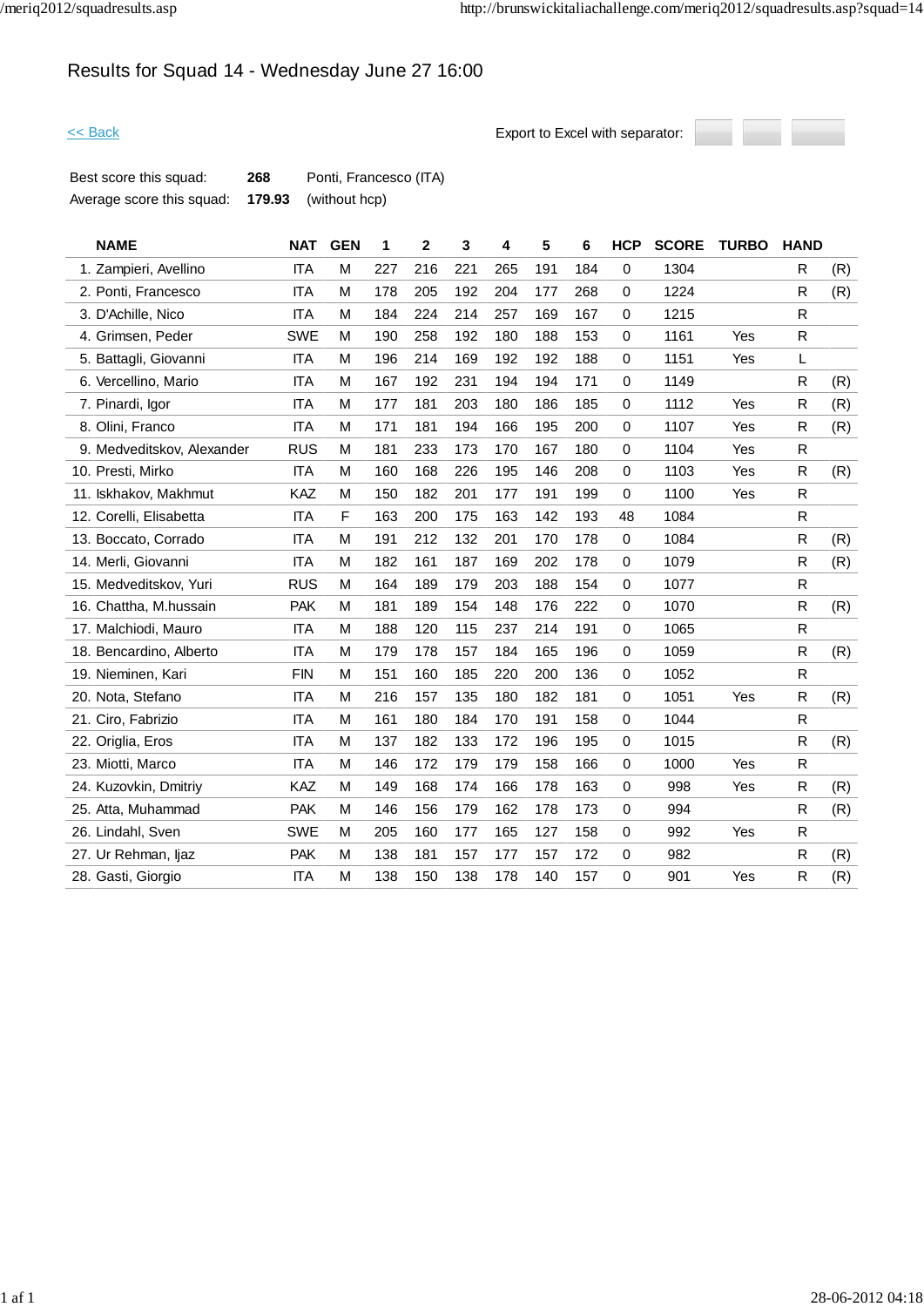# Results for Squad 14 - Wednesday June 27 16:00



| Best score this squad:    | 268 | Ponti, Francesco (ITA)      |
|---------------------------|-----|-----------------------------|
| Average score this squad: |     | <b>179.93</b> (without hcp) |

| <b>NAME</b>                | <b>NAT</b> | <b>GEN</b> | 1   | 2   | 3   | 4   | 5   | 6   | <b>HCP</b>  | <b>SCORE</b> | <b>TURBO</b> | <b>HAND</b>  |     |
|----------------------------|------------|------------|-----|-----|-----|-----|-----|-----|-------------|--------------|--------------|--------------|-----|
| 1. Zampieri, Avellino      | <b>ITA</b> | M          | 227 | 216 | 221 | 265 | 191 | 184 | $\mathbf 0$ | 1304         |              | R            | (R) |
| 2. Ponti, Francesco        | <b>ITA</b> | M          | 178 | 205 | 192 | 204 | 177 | 268 | 0           | 1224         |              | R            | (R) |
| 3. D'Achille, Nico         | <b>ITA</b> | M          | 184 | 224 | 214 | 257 | 169 | 167 | $\Omega$    | 1215         |              | R.           |     |
| 4. Grimsen, Peder          | <b>SWE</b> | М          | 190 | 258 | 192 | 180 | 188 | 153 | 0           | 1161         | <b>Yes</b>   | R            |     |
| 5. Battagli, Giovanni      | <b>ITA</b> | M          | 196 | 214 | 169 | 192 | 192 | 188 | $\mathbf 0$ | 1151         | Yes          | L            |     |
| 6. Vercellino, Mario       | <b>ITA</b> | M          | 167 | 192 | 231 | 194 | 194 | 171 | $\mathbf 0$ | 1149         |              | R            | (R) |
| 7. Pinardi, Igor           | <b>ITA</b> | M          | 177 | 181 | 203 | 180 | 186 | 185 | $\mathbf 0$ | 1112         | Yes          | R            | (R) |
| 8. Olini, Franco           | <b>ITA</b> | M          | 171 | 181 | 194 | 166 | 195 | 200 | $\Omega$    | 1107         | Yes          | R            | (R) |
| 9. Medveditskov, Alexander | <b>RUS</b> | M          | 181 | 233 | 173 | 170 | 167 | 180 | $\mathbf 0$ | 1104         | Yes          | R            |     |
| 10. Presti, Mirko          | <b>ITA</b> | M          | 160 | 168 | 226 | 195 | 146 | 208 | $\mathbf 0$ | 1103         | Yes          | $\mathsf{R}$ | (R) |
| 11. Iskhakov, Makhmut      | <b>KAZ</b> | M          | 150 | 182 | 201 | 177 | 191 | 199 | $\mathbf 0$ | 1100         | Yes          | R            |     |
| 12. Corelli, Elisabetta    | <b>ITA</b> | F          | 163 | 200 | 175 | 163 | 142 | 193 | 48          | 1084         |              | R            |     |
| 13. Boccato, Corrado       | <b>ITA</b> | M          | 191 | 212 | 132 | 201 | 170 | 178 | $\mathbf 0$ | 1084         |              | R            | (R) |
| 14. Merli, Giovanni        | <b>ITA</b> | М          | 182 | 161 | 187 | 169 | 202 | 178 | $\mathbf 0$ | 1079         |              | R            | (R) |
| 15. Medveditskov, Yuri     | <b>RUS</b> | M          | 164 | 189 | 179 | 203 | 188 | 154 | 0           | 1077         |              | $\mathsf R$  |     |
| 16. Chattha, M.hussain     | <b>PAK</b> | M          | 181 | 189 | 154 | 148 | 176 | 222 | $\mathbf 0$ | 1070         |              | R            | (R) |
| 17. Malchiodi, Mauro       | <b>ITA</b> | M          | 188 | 120 | 115 | 237 | 214 | 191 | $\mathbf 0$ | 1065         |              | R            |     |
| 18. Bencardino, Alberto    | <b>ITA</b> | M          | 179 | 178 | 157 | 184 | 165 | 196 | $\mathbf 0$ | 1059         |              | R            | (R) |
| 19. Nieminen, Kari         | <b>FIN</b> | M          | 151 | 160 | 185 | 220 | 200 | 136 | 0           | 1052         |              | R            |     |
| 20. Nota, Stefano          | <b>ITA</b> | M          | 216 | 157 | 135 | 180 | 182 | 181 | $\mathbf 0$ | 1051         | Yes          | $\mathsf R$  | (R) |
| 21. Ciro, Fabrizio         | <b>ITA</b> | M          | 161 | 180 | 184 | 170 | 191 | 158 | $\mathbf 0$ | 1044         |              | $\mathsf{R}$ |     |
| 22. Origlia, Eros          | <b>ITA</b> | M          | 137 | 182 | 133 | 172 | 196 | 195 | $\mathbf 0$ | 1015         |              | R            | (R) |
| 23. Miotti, Marco          | <b>ITA</b> | M          | 146 | 172 | 179 | 179 | 158 | 166 | $\mathbf 0$ | 1000         | Yes          | R            |     |
| 24. Kuzovkin, Dmitriy      | KAZ        | M          | 149 | 168 | 174 | 166 | 178 | 163 | 0           | 998          | Yes          | $\mathsf R$  | (R) |
| 25. Atta, Muhammad         | <b>PAK</b> | M          | 146 | 156 | 179 | 162 | 178 | 173 | $\mathbf 0$ | 994          |              | $\mathsf{R}$ | (R) |
| 26. Lindahl, Sven          | <b>SWE</b> | M          | 205 | 160 | 177 | 165 | 127 | 158 | $\mathbf 0$ | 992          | Yes          | $\mathsf{R}$ |     |
| 27. Ur Rehman, ljaz        | <b>PAK</b> | М          | 138 | 181 | 157 | 177 | 157 | 172 | $\mathbf 0$ | 982          |              | R            | (R) |
| 28. Gasti, Giorgio         | <b>ITA</b> | M          | 138 | 150 | 138 | 178 | 140 | 157 | $\Omega$    | 901          | Yes          | R            | (R) |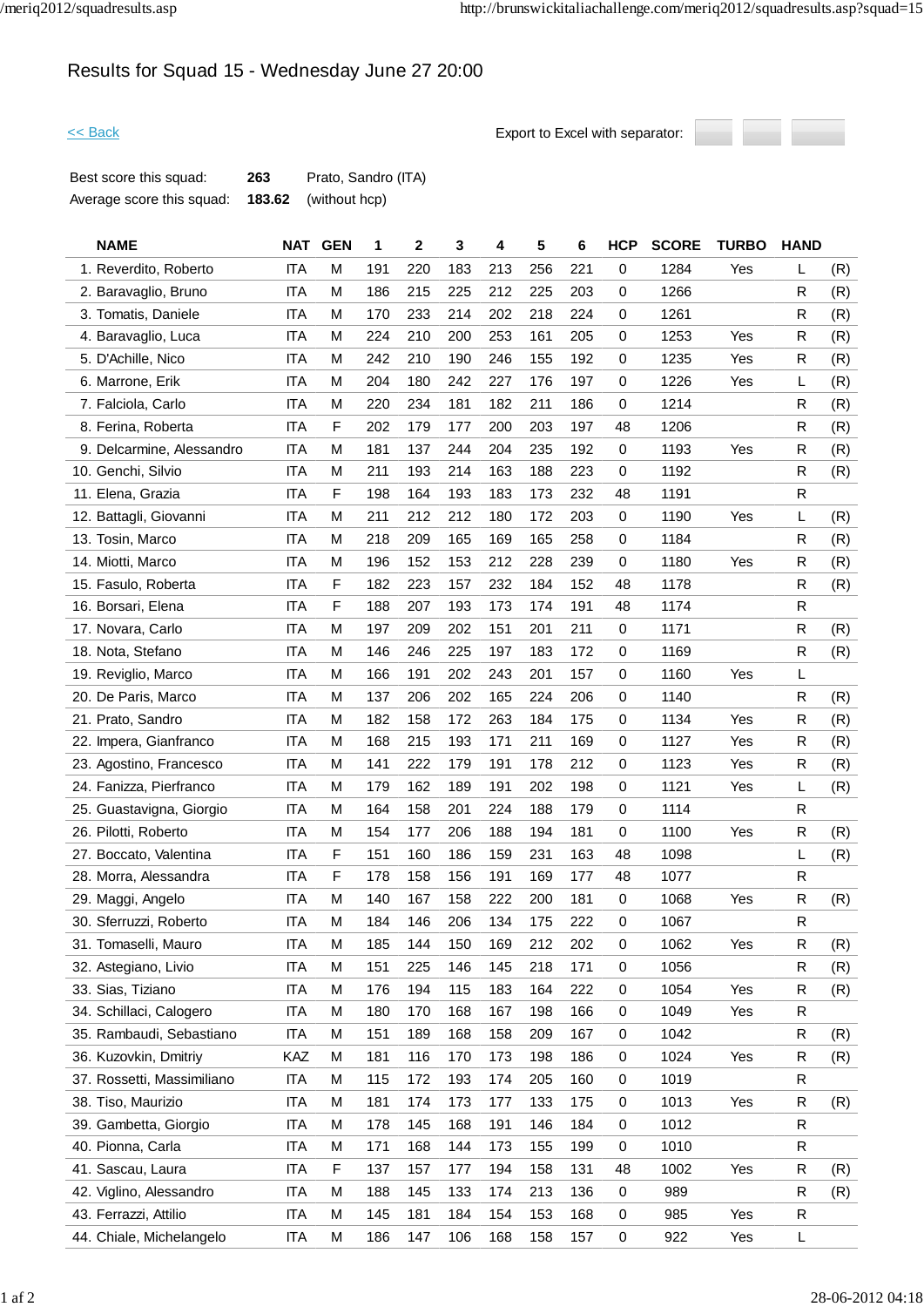# Results for Squad 15 - Wednesday June 27 20:00



| Best score this squad:    | 263 | Prato, Sandro (ITA)         |
|---------------------------|-----|-----------------------------|
| Average score this squad: |     | <b>183.62</b> (without hcp) |

|     | <b>NAME</b>                | <b>NAT</b> | <b>GEN</b> | 1   | 2   | 3   | 4   | 5   | 6   | <b>HCP</b> | <b>SCORE</b> | <b>TURBO</b> | <b>HAND</b>  |     |
|-----|----------------------------|------------|------------|-----|-----|-----|-----|-----|-----|------------|--------------|--------------|--------------|-----|
|     | 1. Reverdito, Roberto      | <b>ITA</b> | M          | 191 | 220 | 183 | 213 | 256 | 221 | 0          | 1284         | Yes          | L            | (R) |
|     | 2. Baravaglio, Bruno       | <b>ITA</b> | М          | 186 | 215 | 225 | 212 | 225 | 203 | 0          | 1266         |              | R            | (R) |
|     | 3. Tomatis, Daniele        | <b>ITA</b> | М          | 170 | 233 | 214 | 202 | 218 | 224 | 0          | 1261         |              | R            | (R) |
|     | 4. Baravaglio, Luca        | <b>ITA</b> | М          | 224 | 210 | 200 | 253 | 161 | 205 | 0          | 1253         | Yes          | R            | (R) |
|     | 5. D'Achille, Nico         | <b>ITA</b> | M          | 242 | 210 | 190 | 246 | 155 | 192 | 0          | 1235         | Yes          | R            | (R) |
|     | 6. Marrone, Erik           | <b>ITA</b> | М          | 204 | 180 | 242 | 227 | 176 | 197 | 0          | 1226         | Yes          | L            | (R) |
|     | 7. Falciola, Carlo         | <b>ITA</b> | М          | 220 | 234 | 181 | 182 | 211 | 186 | 0          | 1214         |              | R            | (R) |
|     | 8. Ferina, Roberta         | <b>ITA</b> | F          | 202 | 179 | 177 | 200 | 203 | 197 | 48         | 1206         |              | R            | (R) |
|     | 9. Delcarmine, Alessandro  | <b>ITA</b> | М          | 181 | 137 | 244 | 204 | 235 | 192 | 0          | 1193         | Yes          | R            | (R) |
|     | 10. Genchi, Silvio         | <b>ITA</b> | М          | 211 | 193 | 214 | 163 | 188 | 223 | 0          | 1192         |              | R            | (R) |
|     | 11. Elena, Grazia          | <b>ITA</b> | F          | 198 | 164 | 193 | 183 | 173 | 232 | 48         | 1191         |              | R            |     |
|     | 12. Battagli, Giovanni     | <b>ITA</b> | M          | 211 | 212 | 212 | 180 | 172 | 203 | 0          | 1190         | Yes          | L            | (R) |
|     | 13. Tosin, Marco           | <b>ITA</b> | М          | 218 | 209 | 165 | 169 | 165 | 258 | 0          | 1184         |              | R            | (R) |
|     | 14. Miotti, Marco          | <b>ITA</b> | M          | 196 | 152 | 153 | 212 | 228 | 239 | 0          | 1180         | Yes          | R            | (R) |
|     | 15. Fasulo, Roberta        | <b>ITA</b> | F          | 182 | 223 | 157 | 232 | 184 | 152 | 48         | 1178         |              | R            | (R) |
|     | 16. Borsari, Elena         | <b>ITA</b> | F          | 188 | 207 | 193 | 173 | 174 | 191 | 48         | 1174         |              | R            |     |
|     | 17. Novara, Carlo          | <b>ITA</b> | M          | 197 | 209 | 202 | 151 | 201 | 211 | 0          | 1171         |              | R            | (R) |
|     | 18. Nota, Stefano          | <b>ITA</b> | М          | 146 | 246 | 225 | 197 | 183 | 172 | 0          | 1169         |              | R            | (R) |
|     | 19. Reviglio, Marco        | <b>ITA</b> | M          | 166 | 191 | 202 | 243 | 201 | 157 | 0          | 1160         | Yes          | L            |     |
|     | 20. De Paris, Marco        | <b>ITA</b> | M          | 137 | 206 | 202 | 165 | 224 | 206 | 0          | 1140         |              | R            | (R) |
|     | 21. Prato, Sandro          | <b>ITA</b> | М          | 182 | 158 | 172 | 263 | 184 | 175 | 0          | 1134         | Yes          | R            | (R) |
|     | 22. Impera, Gianfranco     | <b>ITA</b> | М          | 168 | 215 | 193 | 171 | 211 | 169 | 0          | 1127         | Yes          | R            | (R) |
|     | 23. Agostino, Francesco    | <b>ITA</b> | М          | 141 | 222 | 179 | 191 | 178 | 212 | 0          | 1123         | Yes          | R            | (R) |
|     | 24. Fanizza, Pierfranco    | <b>ITA</b> | М          | 179 | 162 | 189 | 191 | 202 | 198 | 0          | 1121         | Yes          | L            | (R) |
|     | 25. Guastavigna, Giorgio   | <b>ITA</b> | М          | 164 | 158 | 201 | 224 | 188 | 179 | 0          | 1114         |              | R            |     |
|     | 26. Pilotti, Roberto       | <b>ITA</b> | М          | 154 | 177 | 206 | 188 | 194 | 181 | 0          | 1100         | Yes          | R            | (R) |
| 27. | Boccato, Valentina         | <b>ITA</b> | F          | 151 | 160 | 186 | 159 | 231 | 163 | 48         | 1098         |              | L            | (R) |
|     | 28. Morra, Alessandra      | <b>ITA</b> | F          | 178 | 158 | 156 | 191 | 169 | 177 | 48         | 1077         |              | R            |     |
|     | 29. Maggi, Angelo          | <b>ITA</b> | М          | 140 | 167 | 158 | 222 | 200 | 181 | 0          | 1068         | Yes          | R            | (R) |
|     | 30. Sferruzzi, Roberto     | <b>ITA</b> | M          | 184 | 146 | 206 | 134 | 175 | 222 | 0          | 1067         |              | $\mathsf{R}$ |     |
|     | 31. Tomaselli, Mauro       | <b>ITA</b> | М          | 185 | 144 | 150 | 169 | 212 | 202 | 0          | 1062         | Yes          | R            | (R) |
|     | 32. Astegiano, Livio       | <b>ITA</b> | М          | 151 | 225 | 146 | 145 | 218 | 171 | 0          | 1056         |              | R            | (R) |
|     | 33. Sias, Tiziano          | <b>ITA</b> | M          | 176 | 194 | 115 | 183 | 164 | 222 | 0          | 1054         | Yes          | R            | (R) |
|     | 34. Schillaci, Calogero    | <b>ITA</b> | М          | 180 | 170 | 168 | 167 | 198 | 166 | 0          | 1049         | Yes          | R            |     |
|     | 35. Rambaudi, Sebastiano   | ITA        | М          | 151 | 189 | 168 | 158 | 209 | 167 | 0          | 1042         |              | R            | (R) |
|     | 36. Kuzovkin, Dmitriy      | KAZ        | M          | 181 | 116 | 170 | 173 | 198 | 186 | 0          | 1024         | Yes          | R            | (R) |
|     | 37. Rossetti, Massimiliano | ITA        | M          | 115 | 172 | 193 | 174 | 205 | 160 | 0          | 1019         |              | R            |     |
|     | 38. Tiso, Maurizio         | ITA        | M          | 181 | 174 | 173 | 177 | 133 | 175 | 0          | 1013         | Yes          | R            | (R) |
|     | 39. Gambetta, Giorgio      | <b>ITA</b> | М          | 178 | 145 | 168 | 191 | 146 | 184 | 0          | 1012         |              | R            |     |
|     | 40. Pionna, Carla          | ITA        | М          | 171 | 168 | 144 | 173 | 155 | 199 | 0          | 1010         |              | R            |     |
|     | 41. Sascau, Laura          | <b>ITA</b> | F          | 137 | 157 | 177 | 194 | 158 | 131 | 48         | 1002         | Yes          | R            | (R) |
|     | 42. Viglino, Alessandro    | ITA        | М          | 188 | 145 | 133 | 174 | 213 | 136 | 0          | 989          |              | R            | (R) |
|     | 43. Ferrazzi, Attilio      | <b>ITA</b> | М          | 145 | 181 | 184 | 154 | 153 | 168 | 0          | 985          | Yes          | R            |     |
|     | 44. Chiale, Michelangelo   | <b>ITA</b> | М          | 186 | 147 | 106 | 168 | 158 | 157 | 0          | 922          | Yes          | L            |     |
|     |                            |            |            |     |     |     |     |     |     |            |              |              |              |     |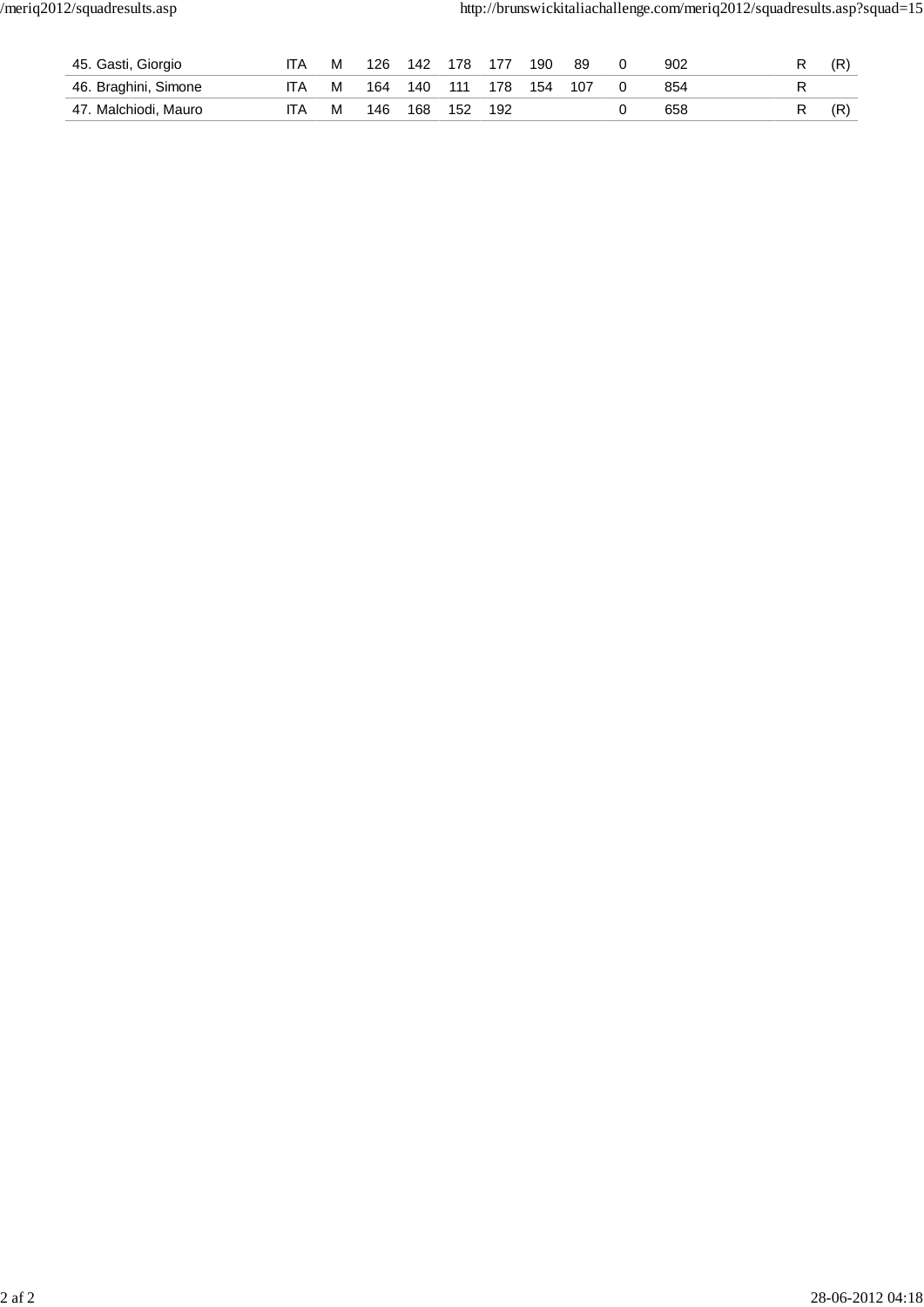| 45. Gasti, Giorgio   |     | м | 126 | 142 | 178 | 177 | 190 | 89  | 902 |  | (R |
|----------------------|-----|---|-----|-----|-----|-----|-----|-----|-----|--|----|
| 46. Braghini, Simone | IΤA | м | 164 | 140 | 111 | 178 | 154 | 107 | 854 |  |    |
| 47. Malchiodi, Mauro | ITA | м | 146 | 168 | 152 | 192 |     |     | 658 |  | (R |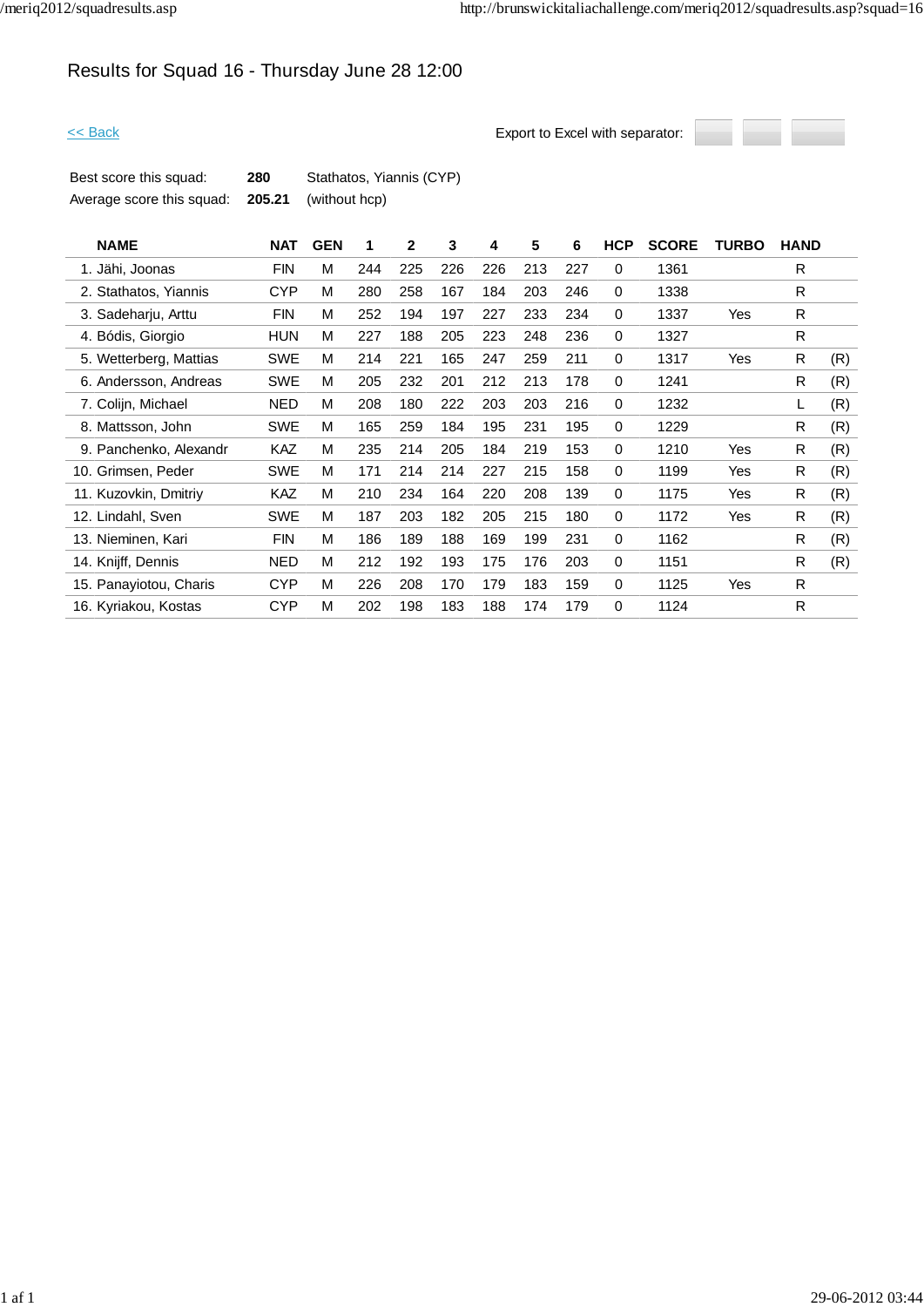# Results for Squad 16 - Thursday June 28 12:00



| Best score this squad:                                | 280 | Stathatos, Yiannis (CYP) |
|-------------------------------------------------------|-----|--------------------------|
| Average score this squad: <b>205.21</b> (without hcp) |     |                          |

| <b>NAME</b>            | <b>NAT</b> | <b>GEN</b> | 1   | $\mathbf{2}$ | 3   | 4   | 5   | 6   | <b>HCP</b>  | <b>SCORE</b> | <b>TURBO</b> | <b>HAND</b> |     |
|------------------------|------------|------------|-----|--------------|-----|-----|-----|-----|-------------|--------------|--------------|-------------|-----|
| 1. Jähi, Joonas        | <b>FIN</b> | M          | 244 | 225          | 226 | 226 | 213 | 227 | 0           | 1361         |              | R           |     |
| 2. Stathatos, Yiannis  | <b>CYP</b> | M          | 280 | 258          | 167 | 184 | 203 | 246 | 0           | 1338         |              | R           |     |
| 3. Sadeharju, Arttu    | <b>FIN</b> | M          | 252 | 194          | 197 | 227 | 233 | 234 | 0           | 1337         | Yes          | R           |     |
| 4. Bódis, Giorgio      | <b>HUN</b> | M          | 227 | 188          | 205 | 223 | 248 | 236 | 0           | 1327         |              | R.          |     |
| 5. Wetterberg, Mattias | <b>SWE</b> | м          | 214 | 221          | 165 | 247 | 259 | 211 | 0           | 1317         | Yes          | R           | (R) |
| 6. Andersson, Andreas  | SWE        | M          | 205 | 232          | 201 | 212 | 213 | 178 | 0           | 1241         |              | R           | (R) |
| 7. Colijn, Michael     | <b>NED</b> | M          | 208 | 180          | 222 | 203 | 203 | 216 | 0           | 1232         |              |             | (R) |
| 8. Mattsson, John      | <b>SWE</b> | M          | 165 | 259          | 184 | 195 | 231 | 195 | 0           | 1229         |              | R           | (R) |
| 9. Panchenko, Alexandr | <b>KAZ</b> | M          | 235 | 214          | 205 | 184 | 219 | 153 | 0           | 1210         | Yes          | R           | (R) |
| 10. Grimsen, Peder     | <b>SWE</b> | M          | 171 | 214          | 214 | 227 | 215 | 158 | 0           | 1199         | Yes          | R           | (R) |
| 11. Kuzovkin, Dmitriy  | KAZ        | М          | 210 | 234          | 164 | 220 | 208 | 139 | 0           | 1175         | Yes          | R           | (R) |
| 12. Lindahl, Sven      | <b>SWE</b> | M          | 187 | 203          | 182 | 205 | 215 | 180 | 0           | 1172         | Yes          | R.          | (R) |
| 13. Nieminen, Kari     | <b>FIN</b> | M          | 186 | 189          | 188 | 169 | 199 | 231 | 0           | 1162         |              | R           | (R) |
| 14. Knijff, Dennis     | <b>NED</b> | М          | 212 | 192          | 193 | 175 | 176 | 203 | 0           | 1151         |              | R           | (R) |
| 15. Panayiotou, Charis | <b>CYP</b> | M          | 226 | 208          | 170 | 179 | 183 | 159 | $\mathbf 0$ | 1125         | Yes          | R.          |     |
| 16. Kyriakou, Kostas   | <b>CYP</b> | М          | 202 | 198          | 183 | 188 | 174 | 179 | 0           | 1124         |              | R           |     |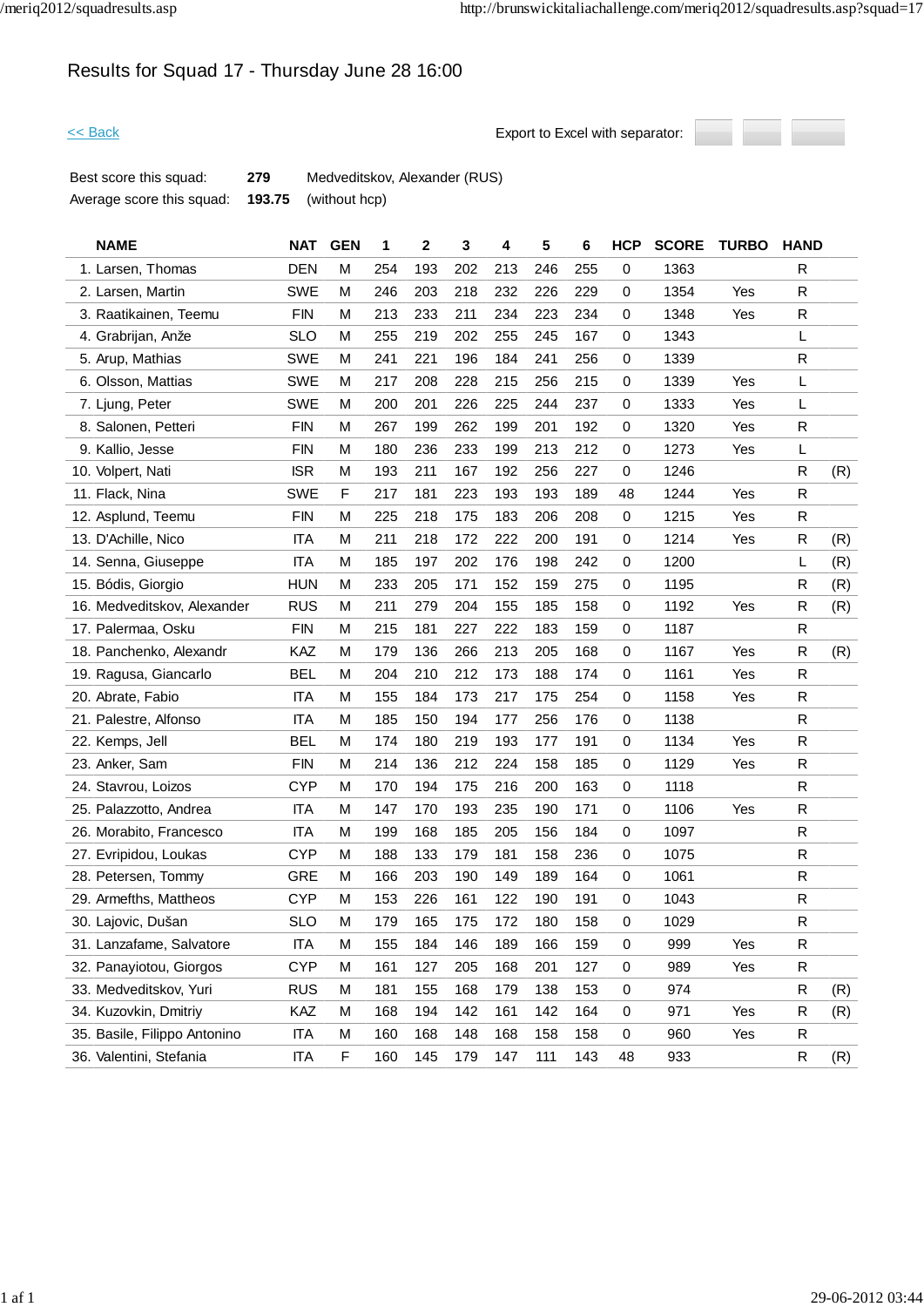# Results for Squad 17 - Thursday June 28 16:00

<< Back Export to Excel with separator:



Best score this squad: **279** Medveditskov, Alexander (RUS) Average score this squad: **193.75** (without hcp)

| <b>NAME</b>                  | <b>NAT</b> | <b>GEN</b> | 1   | 2   | 3   | 4   | 5   | 6   | <b>HCP</b>  | <b>SCORE</b> | <b>TURBO</b> | <b>HAND</b> |     |
|------------------------------|------------|------------|-----|-----|-----|-----|-----|-----|-------------|--------------|--------------|-------------|-----|
| 1. Larsen, Thomas            | <b>DEN</b> | М          | 254 | 193 | 202 | 213 | 246 | 255 | 0           | 1363         |              | R           |     |
| 2. Larsen, Martin            | <b>SWE</b> | М          | 246 | 203 | 218 | 232 | 226 | 229 | 0           | 1354         | Yes          | R           |     |
| 3. Raatikainen, Teemu        | <b>FIN</b> | M          | 213 | 233 | 211 | 234 | 223 | 234 | 0           | 1348         | Yes          | ${\sf R}$   |     |
| 4. Grabrijan, Anže           | <b>SLO</b> | M          | 255 | 219 | 202 | 255 | 245 | 167 | 0           | 1343         |              | L           |     |
| 5. Arup, Mathias             | <b>SWE</b> | M          | 241 | 221 | 196 | 184 | 241 | 256 | $\mathbf 0$ | 1339         |              | ${\sf R}$   |     |
| 6. Olsson, Mattias           | <b>SWE</b> | M          | 217 | 208 | 228 | 215 | 256 | 215 | 0           | 1339         | Yes          | L           |     |
| 7. Ljung, Peter              | <b>SWE</b> | M          | 200 | 201 | 226 | 225 | 244 | 237 | 0           | 1333         | Yes          | L           |     |
| 8. Salonen, Petteri          | <b>FIN</b> | M          | 267 | 199 | 262 | 199 | 201 | 192 | 0           | 1320         | Yes          | ${\sf R}$   |     |
| 9. Kallio, Jesse             | <b>FIN</b> | M          | 180 | 236 | 233 | 199 | 213 | 212 | 0           | 1273         | Yes          | L           |     |
| 10. Volpert, Nati            | <b>ISR</b> | M          | 193 | 211 | 167 | 192 | 256 | 227 | 0           | 1246         |              | R           | (R) |
| 11. Flack, Nina              | <b>SWE</b> | F          | 217 | 181 | 223 | 193 | 193 | 189 | 48          | 1244         | Yes          | R           |     |
| 12. Asplund, Teemu           | <b>FIN</b> | M          | 225 | 218 | 175 | 183 | 206 | 208 | 0           | 1215         | Yes          | R           |     |
| 13. D'Achille, Nico          | <b>ITA</b> | M          | 211 | 218 | 172 | 222 | 200 | 191 | 0           | 1214         | Yes          | R           | (R) |
| 14. Senna, Giuseppe          | <b>ITA</b> | M          | 185 | 197 | 202 | 176 | 198 | 242 | 0           | 1200         |              | L           | (R) |
| 15. Bódis, Giorgio           | <b>HUN</b> | M          | 233 | 205 | 171 | 152 | 159 | 275 | 0           | 1195         |              | R           | (R) |
| 16. Medveditskov, Alexander  | <b>RUS</b> | M          | 211 | 279 | 204 | 155 | 185 | 158 | 0           | 1192         | Yes          | R           | (R) |
| 17. Palermaa, Osku           | <b>FIN</b> | М          | 215 | 181 | 227 | 222 | 183 | 159 | 0           | 1187         |              | R           |     |
| 18. Panchenko, Alexandr      | KAZ        | M          | 179 | 136 | 266 | 213 | 205 | 168 | 0           | 1167         | Yes          | ${\sf R}$   | (R) |
| 19. Ragusa, Giancarlo        | <b>BEL</b> | M          | 204 | 210 | 212 | 173 | 188 | 174 | 0           | 1161         | Yes          | ${\sf R}$   |     |
| 20. Abrate, Fabio            | <b>ITA</b> | M          | 155 | 184 | 173 | 217 | 175 | 254 | 0           | 1158         | Yes          | R           |     |
| 21. Palestre, Alfonso        | <b>ITA</b> | M          | 185 | 150 | 194 | 177 | 256 | 176 | 0           | 1138         |              | R           |     |
| 22. Kemps, Jell              | <b>BEL</b> | M          | 174 | 180 | 219 | 193 | 177 | 191 | 0           | 1134         | Yes          | ${\sf R}$   |     |
| 23. Anker, Sam               | <b>FIN</b> | M          | 214 | 136 | 212 | 224 | 158 | 185 | 0           | 1129         | Yes          | R           |     |
| 24. Stavrou, Loizos          | <b>CYP</b> | M          | 170 | 194 | 175 | 216 | 200 | 163 | 0           | 1118         |              | ${\sf R}$   |     |
| 25. Palazzotto, Andrea       | <b>ITA</b> | М          | 147 | 170 | 193 | 235 | 190 | 171 | 0           | 1106         | Yes          | R           |     |
| 26. Morabito, Francesco      | <b>ITA</b> | М          | 199 | 168 | 185 | 205 | 156 | 184 | 0           | 1097         |              | R           |     |
| 27. Evripidou, Loukas        | <b>CYP</b> | M          | 188 | 133 | 179 | 181 | 158 | 236 | 0           | 1075         |              | ${\sf R}$   |     |
| 28. Petersen, Tommy          | <b>GRE</b> | M          | 166 | 203 | 190 | 149 | 189 | 164 | 0           | 1061         |              | $\mathsf R$ |     |
| 29. Armefths, Mattheos       | <b>CYP</b> | M          | 153 | 226 | 161 | 122 | 190 | 191 | 0           | 1043         |              | ${\sf R}$   |     |
| 30. Lajovic, Dušan           | <b>SLO</b> | M          | 179 | 165 | 175 | 172 | 180 | 158 | 0           | 1029         |              | ${\sf R}$   |     |
| 31. Lanzafame, Salvatore     | <b>ITA</b> | M          | 155 | 184 | 146 | 189 | 166 | 159 | 0           | 999          | Yes          | R           |     |
| 32. Panayiotou, Giorgos      | <b>CYP</b> | M          | 161 | 127 | 205 | 168 | 201 | 127 | 0           | 989          | Yes          | R           |     |
| 33. Medveditskov, Yuri       | <b>RUS</b> | M          | 181 | 155 | 168 | 179 | 138 | 153 | 0           | 974          |              | $\mathsf R$ | (R) |
| 34. Kuzovkin, Dmitriy        | KAZ        | M          | 168 | 194 | 142 | 161 | 142 | 164 | 0           | 971          | Yes          | R           | (R) |
| 35. Basile, Filippo Antonino | ITA        | М          | 160 | 168 | 148 | 168 | 158 | 158 | 0           | 960          | Yes          | R           |     |
| 36. Valentini, Stefania      | ITA        | F          | 160 | 145 | 179 | 147 | 111 | 143 | 48          | 933          |              | R           | (R) |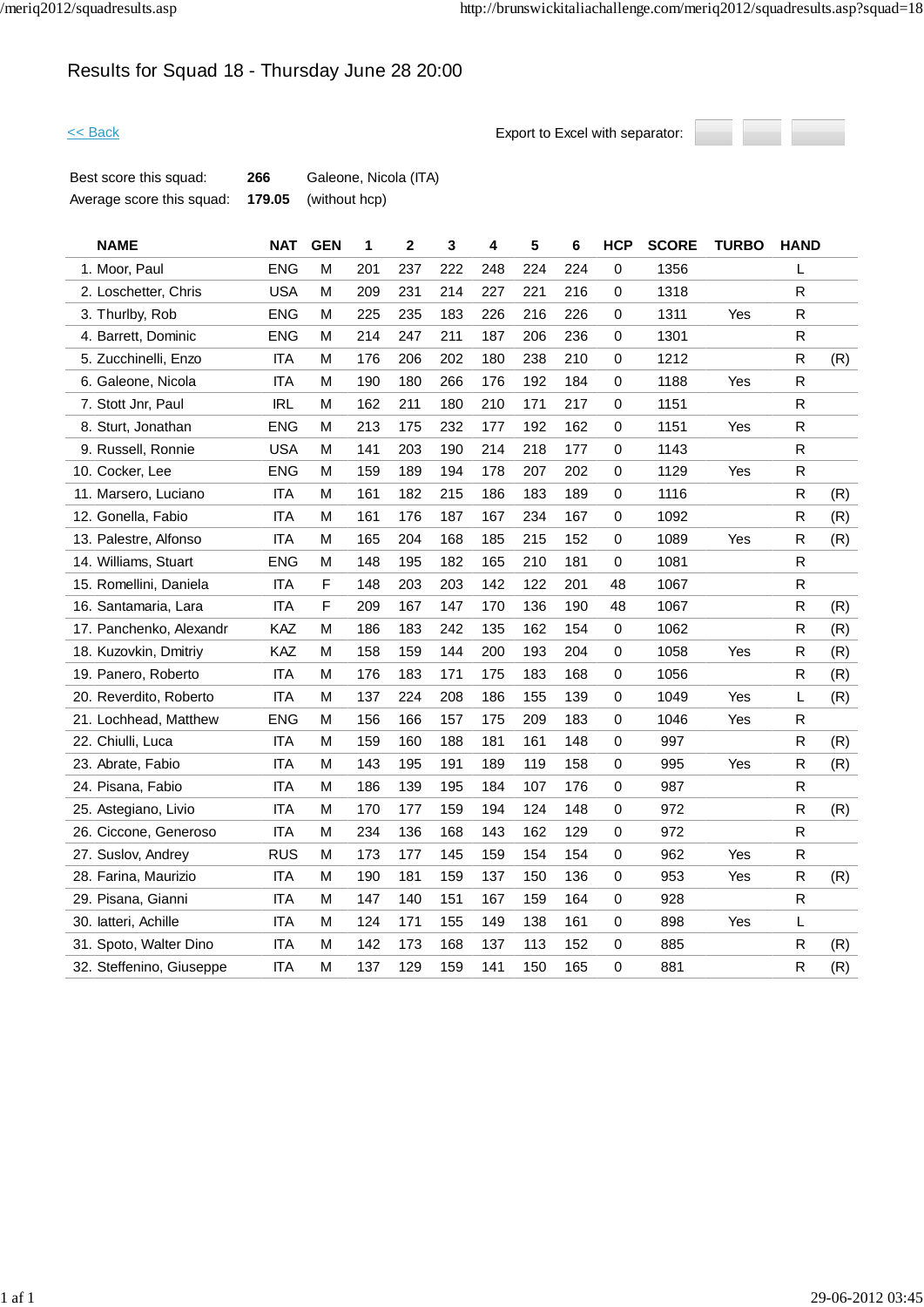# Results for Squad 18 - Thursday June 28 20:00



| Best score this squad:    | 266 | Galeone, Nicola (ITA)       |
|---------------------------|-----|-----------------------------|
| Average score this squad: |     | <b>179.05</b> (without hcp) |

| <b>NAME</b>              | <b>NAT</b> | <b>GEN</b>   | 1   | $\mathbf{2}$ | 3   | 4   | 5   | 6   | <b>HCP</b> | <b>SCORE</b> | <b>TURBO</b> | <b>HAND</b>  |     |
|--------------------------|------------|--------------|-----|--------------|-----|-----|-----|-----|------------|--------------|--------------|--------------|-----|
| 1. Moor, Paul            | <b>ENG</b> | M            | 201 | 237          | 222 | 248 | 224 | 224 | $\pmb{0}$  | 1356         |              | L.           |     |
| 2. Loschetter, Chris     | <b>USA</b> | M            | 209 | 231          | 214 | 227 | 221 | 216 | 0          | 1318         |              | $\mathsf{R}$ |     |
| 3. Thurlby, Rob          | <b>ENG</b> | М            | 225 | 235          | 183 | 226 | 216 | 226 | 0          | 1311         | Yes          | R            |     |
| 4. Barrett, Dominic      | <b>ENG</b> | М            | 214 | 247          | 211 | 187 | 206 | 236 | 0          | 1301         |              | R            |     |
| 5. Zucchinelli, Enzo     | <b>ITA</b> | M            | 176 | 206          | 202 | 180 | 238 | 210 | $\pmb{0}$  | 1212         |              | $\mathsf{R}$ | (R) |
| 6. Galeone, Nicola       | <b>ITA</b> | М            | 190 | 180          | 266 | 176 | 192 | 184 | 0          | 1188         | Yes          | R            |     |
| 7. Stott Jnr, Paul       | <b>IRL</b> | М            | 162 | 211          | 180 | 210 | 171 | 217 | 0          | 1151         |              | R            |     |
| 8. Sturt, Jonathan       | <b>ENG</b> | M            | 213 | 175          | 232 | 177 | 192 | 162 | 0          | 1151         | Yes          | R            |     |
| 9. Russell, Ronnie       | <b>USA</b> | М            | 141 | 203          | 190 | 214 | 218 | 177 | 0          | 1143         |              | $\mathsf{R}$ |     |
| 10. Cocker, Lee          | <b>ENG</b> | М            | 159 | 189          | 194 | 178 | 207 | 202 | $\pmb{0}$  | 1129         | Yes          | R            |     |
| 11. Marsero, Luciano     | <b>ITA</b> | M            | 161 | 182          | 215 | 186 | 183 | 189 | 0          | 1116         |              | $\mathsf{R}$ | (R) |
| 12. Gonella, Fabio       | <b>ITA</b> | M            | 161 | 176          | 187 | 167 | 234 | 167 | 0          | 1092         |              | $\mathsf{R}$ | (R) |
| 13. Palestre, Alfonso    | <b>ITA</b> | M            | 165 | 204          | 168 | 185 | 215 | 152 | 0          | 1089         | Yes          | ${\sf R}$    | (R) |
| 14. Williams, Stuart     | <b>ENG</b> | М            | 148 | 195          | 182 | 165 | 210 | 181 | 0          | 1081         |              | R            |     |
| 15. Romellini, Daniela   | <b>ITA</b> | $\mathsf{F}$ | 148 | 203          | 203 | 142 | 122 | 201 | 48         | 1067         |              | R            |     |
| 16. Santamaria, Lara     | <b>ITA</b> | F            | 209 | 167          | 147 | 170 | 136 | 190 | 48         | 1067         |              | R            | (R) |
| 17. Panchenko, Alexandr  | KAZ        | М            | 186 | 183          | 242 | 135 | 162 | 154 | 0          | 1062         |              | R            | (R) |
| 18. Kuzovkin, Dmitriy    | KAZ        | М            | 158 | 159          | 144 | 200 | 193 | 204 | 0          | 1058         | Yes          | R            | (R) |
| 19. Panero, Roberto      | <b>ITA</b> | M            | 176 | 183          | 171 | 175 | 183 | 168 | 0          | 1056         |              | R            | (R) |
| 20. Reverdito, Roberto   | <b>ITA</b> | M            | 137 | 224          | 208 | 186 | 155 | 139 | 0          | 1049         | Yes          | L            | (R) |
| 21. Lochhead, Matthew    | <b>ENG</b> | М            | 156 | 166          | 157 | 175 | 209 | 183 | 0          | 1046         | Yes          | R            |     |
| 22. Chiulli, Luca        | <b>ITA</b> | M            | 159 | 160          | 188 | 181 | 161 | 148 | $\pmb{0}$  | 997          |              | $\mathsf{R}$ | (R) |
| 23. Abrate, Fabio        | <b>ITA</b> | M            | 143 | 195          | 191 | 189 | 119 | 158 | 0          | 995          | Yes          | ${\sf R}$    | (R) |
| 24. Pisana, Fabio        | <b>ITA</b> | M            | 186 | 139          | 195 | 184 | 107 | 176 | $\pmb{0}$  | 987          |              | $\mathsf R$  |     |
| 25. Astegiano, Livio     | <b>ITA</b> | М            | 170 | 177          | 159 | 194 | 124 | 148 | 0          | 972          |              | R            | (R) |
| 26. Ciccone, Generoso    | <b>ITA</b> | M            | 234 | 136          | 168 | 143 | 162 | 129 | 0          | 972          |              | R            |     |
| 27. Suslov, Andrey       | <b>RUS</b> | M            | 173 | 177          | 145 | 159 | 154 | 154 | 0          | 962          | Yes          | $\mathsf{R}$ |     |
| 28. Farina, Maurizio     | <b>ITA</b> | М            | 190 | 181          | 159 | 137 | 150 | 136 | $\pmb{0}$  | 953          | Yes          | R            | (R) |
| 29. Pisana, Gianni       | <b>ITA</b> | М            | 147 | 140          | 151 | 167 | 159 | 164 | $\pmb{0}$  | 928          |              | R.           |     |
| 30. latteri, Achille     | <b>ITA</b> | M            | 124 | 171          | 155 | 149 | 138 | 161 | 0          | 898          | Yes          | L            |     |
| 31. Spoto, Walter Dino   | <b>ITA</b> | M            | 142 | 173          | 168 | 137 | 113 | 152 | $\pmb{0}$  | 885          |              | R            | (R) |
| 32. Steffenino, Giuseppe | <b>ITA</b> | M            | 137 | 129          | 159 | 141 | 150 | 165 | 0          | 881          |              | R            | (R) |
|                          |            |              |     |              |     |     |     |     |            |              |              |              |     |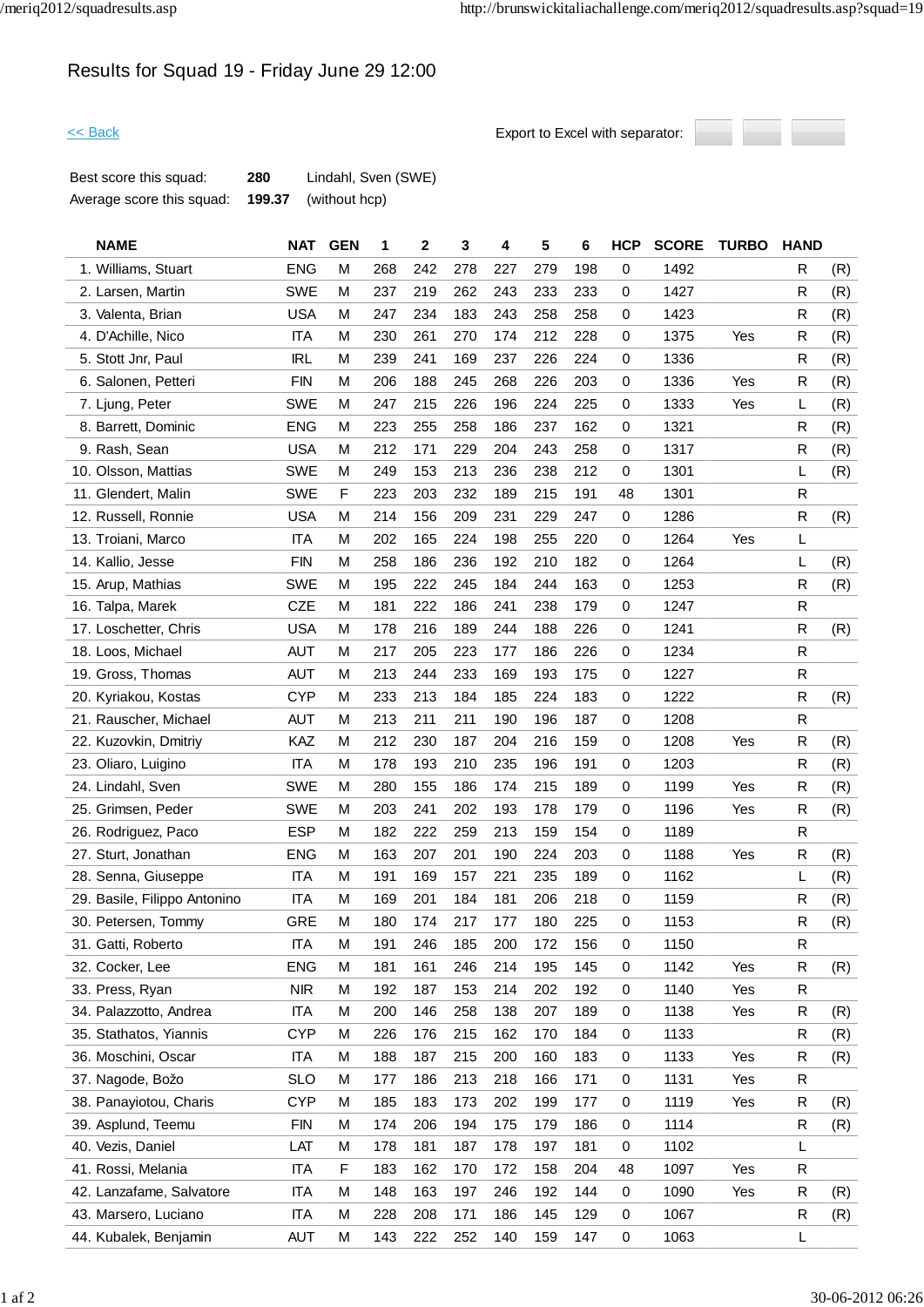# Results for Squad 19 - Friday June 29 12:00



| Best score this squad:    | 280    | Lindahl, Sven (SWE) |
|---------------------------|--------|---------------------|
| Average score this squad: | 199.37 | (without hcp)       |

| <b>NAME</b>                  | <b>NAT</b> | <b>GEN</b> | 1   | 2   | 3   | 4   | 5   | 6   | <b>HCP</b>  | <b>SCORE</b> | <b>TURBO</b> | <b>HAND</b> |     |
|------------------------------|------------|------------|-----|-----|-----|-----|-----|-----|-------------|--------------|--------------|-------------|-----|
| 1. Williams, Stuart          | <b>ENG</b> | M          | 268 | 242 | 278 | 227 | 279 | 198 | 0           | 1492         |              | R           | (R) |
| 2. Larsen, Martin            | <b>SWE</b> | M          | 237 | 219 | 262 | 243 | 233 | 233 | 0           | 1427         |              | R           | (R) |
| 3. Valenta, Brian            | <b>USA</b> | М          | 247 | 234 | 183 | 243 | 258 | 258 | 0           | 1423         |              | R           | (R) |
| 4. D'Achille, Nico           | ITA        | M          | 230 | 261 | 270 | 174 | 212 | 228 | 0           | 1375         | Yes          | R           | (R) |
| 5. Stott Jnr, Paul           | <b>IRL</b> | M          | 239 | 241 | 169 | 237 | 226 | 224 | 0           | 1336         |              | $\mathsf R$ | (R) |
| 6. Salonen, Petteri          | <b>FIN</b> | M          | 206 | 188 | 245 | 268 | 226 | 203 | 0           | 1336         | Yes          | R           | (R) |
| 7. Ljung, Peter              | <b>SWE</b> | M          | 247 | 215 | 226 | 196 | 224 | 225 | 0           | 1333         | Yes          | L           | (R) |
| 8. Barrett, Dominic          | <b>ENG</b> | M          | 223 | 255 | 258 | 186 | 237 | 162 | 0           | 1321         |              | R           | (R) |
| 9. Rash, Sean                | <b>USA</b> | M          | 212 | 171 | 229 | 204 | 243 | 258 | 0           | 1317         |              | R           | (R) |
| 10. Olsson, Mattias          | <b>SWE</b> | M          | 249 | 153 | 213 | 236 | 238 | 212 | $\mathbf 0$ | 1301         |              | L           | (R) |
| 11. Glendert, Malin          | <b>SWE</b> | F          | 223 | 203 | 232 | 189 | 215 | 191 | 48          | 1301         |              | R           |     |
| 12. Russell, Ronnie          | <b>USA</b> | M          | 214 | 156 | 209 | 231 | 229 | 247 | 0           | 1286         |              | ${\sf R}$   | (R) |
| 13. Troiani, Marco           | <b>ITA</b> | M          | 202 | 165 | 224 | 198 | 255 | 220 | 0           | 1264         | Yes          | L           |     |
| 14. Kallio, Jesse            | <b>FIN</b> | M          | 258 | 186 | 236 | 192 | 210 | 182 | 0           | 1264         |              | L           | (R) |
| 15. Arup, Mathias            | <b>SWE</b> | M          | 195 | 222 | 245 | 184 | 244 | 163 | $\mathbf 0$ | 1253         |              | R           | (R) |
| 16. Talpa, Marek             | CZE        | M          | 181 | 222 | 186 | 241 | 238 | 179 | 0           | 1247         |              | R           |     |
| 17. Loschetter, Chris        | <b>USA</b> | М          | 178 | 216 | 189 | 244 | 188 | 226 | 0           | 1241         |              | R           | (R) |
| 18. Loos, Michael            | <b>AUT</b> | M          | 217 | 205 | 223 | 177 | 186 | 226 | 0           | 1234         |              | ${\sf R}$   |     |
| 19. Gross, Thomas            | <b>AUT</b> | M          | 213 | 244 | 233 | 169 | 193 | 175 | 0           | 1227         |              | R           |     |
| 20. Kyriakou, Kostas         | <b>CYP</b> | M          | 233 | 213 | 184 | 185 | 224 | 183 | 0           | 1222         |              | R           | (R) |
| 21. Rauscher, Michael        | <b>AUT</b> | M          | 213 | 211 | 211 | 190 | 196 | 187 | 0           | 1208         |              | R           |     |
| 22. Kuzovkin, Dmitriy        | KAZ        | М          | 212 | 230 | 187 | 204 | 216 | 159 | 0           | 1208         | Yes          | R           | (R) |
| 23. Oliaro, Luigino          | <b>ITA</b> | M          | 178 | 193 | 210 | 235 | 196 | 191 | 0           | 1203         |              | R           | (R) |
| 24. Lindahl, Sven            | <b>SWE</b> | M          | 280 | 155 | 186 | 174 | 215 | 189 | $\mathbf 0$ | 1199         | Yes          | R           | (R) |
| 25. Grimsen, Peder           | <b>SWE</b> | M          | 203 | 241 | 202 | 193 | 178 | 179 | 0           | 1196         | Yes          | R           | (R) |
| 26. Rodriguez, Paco          | <b>ESP</b> | M          | 182 | 222 | 259 | 213 | 159 | 154 | 0           | 1189         |              | R           |     |
| 27. Sturt, Jonathan          | <b>ENG</b> | M          | 163 | 207 | 201 | 190 | 224 | 203 | 0           | 1188         | Yes          | R           | (R) |
| 28. Senna, Giuseppe          | ITA        | M          | 191 | 169 | 157 | 221 | 235 | 189 | 0           | 1162         |              | L           | (R) |
| 29. Basile, Filippo Antonino | <b>ITA</b> | М          | 169 | 201 | 184 | 181 | 206 | 218 | $\mathbf 0$ | 1159         |              | R           | (R) |
| 30. Petersen, Tommy          | <b>GRE</b> | M          | 180 | 174 | 217 | 177 | 180 | 225 | 0           | 1153         |              | ${\sf R}$   | (R) |
| 31. Gatti, Roberto           | <b>ITA</b> | M          | 191 | 246 | 185 | 200 | 172 | 156 | 0           | 1150         |              | $\mathsf R$ |     |
| 32. Cocker, Lee              | <b>ENG</b> | M          | 181 | 161 | 246 | 214 | 195 | 145 | 0           | 1142         | Yes          | R           | (R) |
| 33. Press, Ryan              | <b>NIR</b> | M          | 192 | 187 | 153 | 214 | 202 | 192 | 0           | 1140         | Yes          | R           |     |
| 34. Palazzotto, Andrea       | <b>ITA</b> | M          | 200 | 146 | 258 | 138 | 207 | 189 | $\mathbf 0$ | 1138         | Yes          | R           | (R) |
| 35. Stathatos, Yiannis       | <b>CYP</b> | M          | 226 | 176 | 215 | 162 | 170 | 184 | 0           | 1133         |              | R           | (R) |
| 36. Moschini, Oscar          | <b>ITA</b> | M          | 188 | 187 | 215 | 200 | 160 | 183 | $\mathbf 0$ | 1133         | Yes          | R           | (R) |
| 37. Nagode, Božo             | <b>SLO</b> | M          | 177 | 186 | 213 | 218 | 166 | 171 | 0           | 1131         | Yes          | R           |     |
| 38. Panayiotou, Charis       | <b>CYP</b> | M          | 185 | 183 | 173 | 202 | 199 | 177 | 0           | 1119         | Yes          | R           | (R) |
| 39. Asplund, Teemu           | <b>FIN</b> | M          | 174 | 206 | 194 | 175 | 179 | 186 | 0           | 1114         |              | $\mathsf R$ | (R) |
| 40. Vezis, Daniel            | LAT        | M          | 178 | 181 | 187 | 178 | 197 | 181 | 0           | 1102         |              | L           |     |
| 41. Rossi, Melania           | <b>ITA</b> | F          | 183 | 162 | 170 | 172 | 158 | 204 | 48          | 1097         | Yes          | R           |     |
| 42. Lanzafame, Salvatore     | ITA        | M          | 148 | 163 | 197 | 246 | 192 | 144 | 0           | 1090         | Yes          | R           | (R) |
| 43. Marsero, Luciano         | <b>ITA</b> | M          | 228 | 208 | 171 | 186 | 145 | 129 | 0           | 1067         |              | R           | (R) |
| 44. Kubalek, Benjamin        | AUT        | M          | 143 | 222 | 252 | 140 | 159 | 147 | 0           | 1063         |              | L           |     |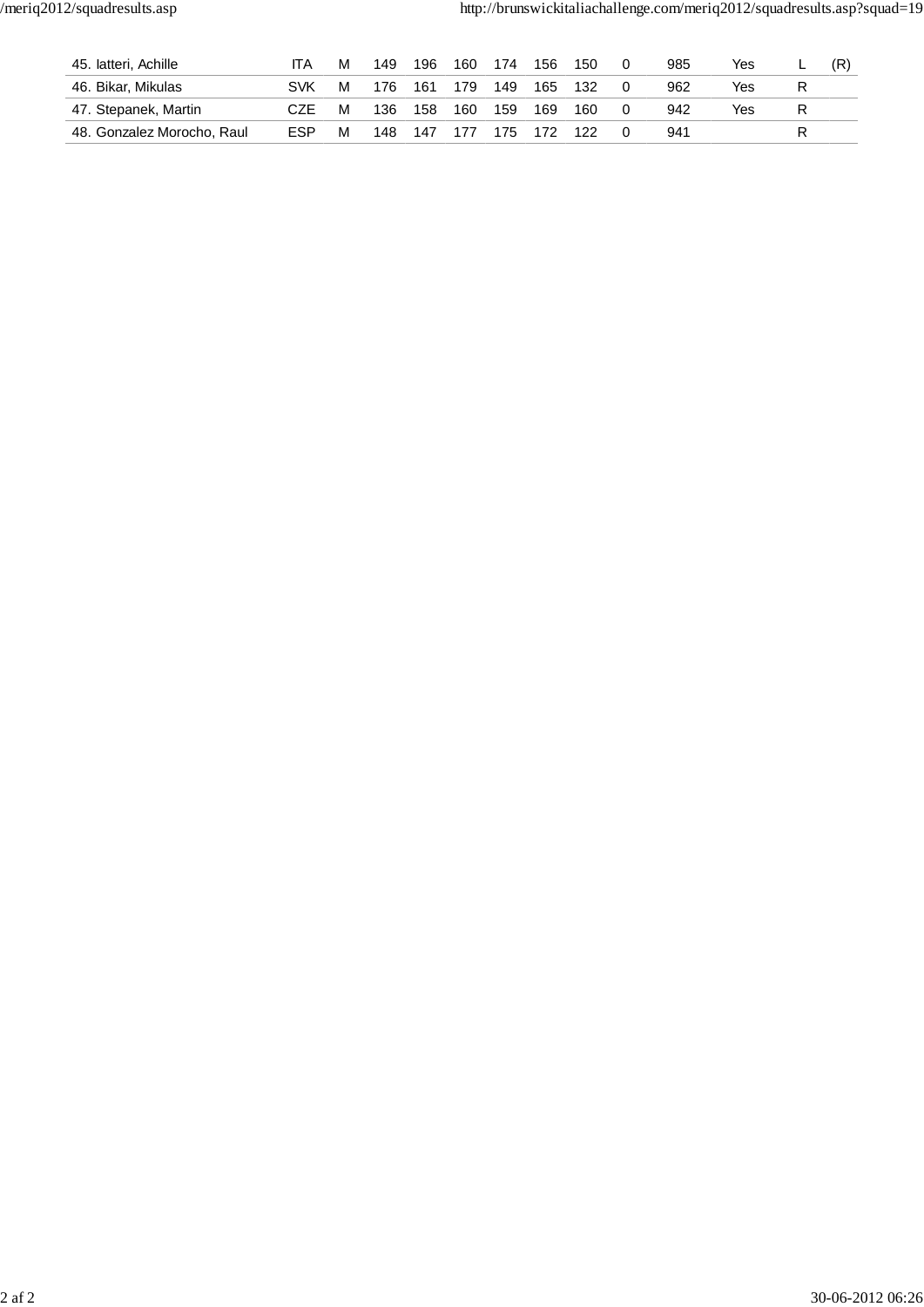| 45. latteri, Achille       | IΤA        | M | 149 | 196 | 160 | 174 | 156 | 150 | 985 | Yes | - |  |
|----------------------------|------------|---|-----|-----|-----|-----|-----|-----|-----|-----|---|--|
| 46. Bikar, Mikulas         | SVK        | M | 176 | 161 | 179 | 149 | 165 | 132 | 962 | Yes |   |  |
| 47. Stepanek, Martin       | CZE        | M | 136 | 158 | 160 | 159 | 169 | 160 | 942 | Yes |   |  |
| 48. Gonzalez Morocho, Raul | <b>ESP</b> | M | 148 | 147 | 177 | 175 | 172 | 122 | 941 |     |   |  |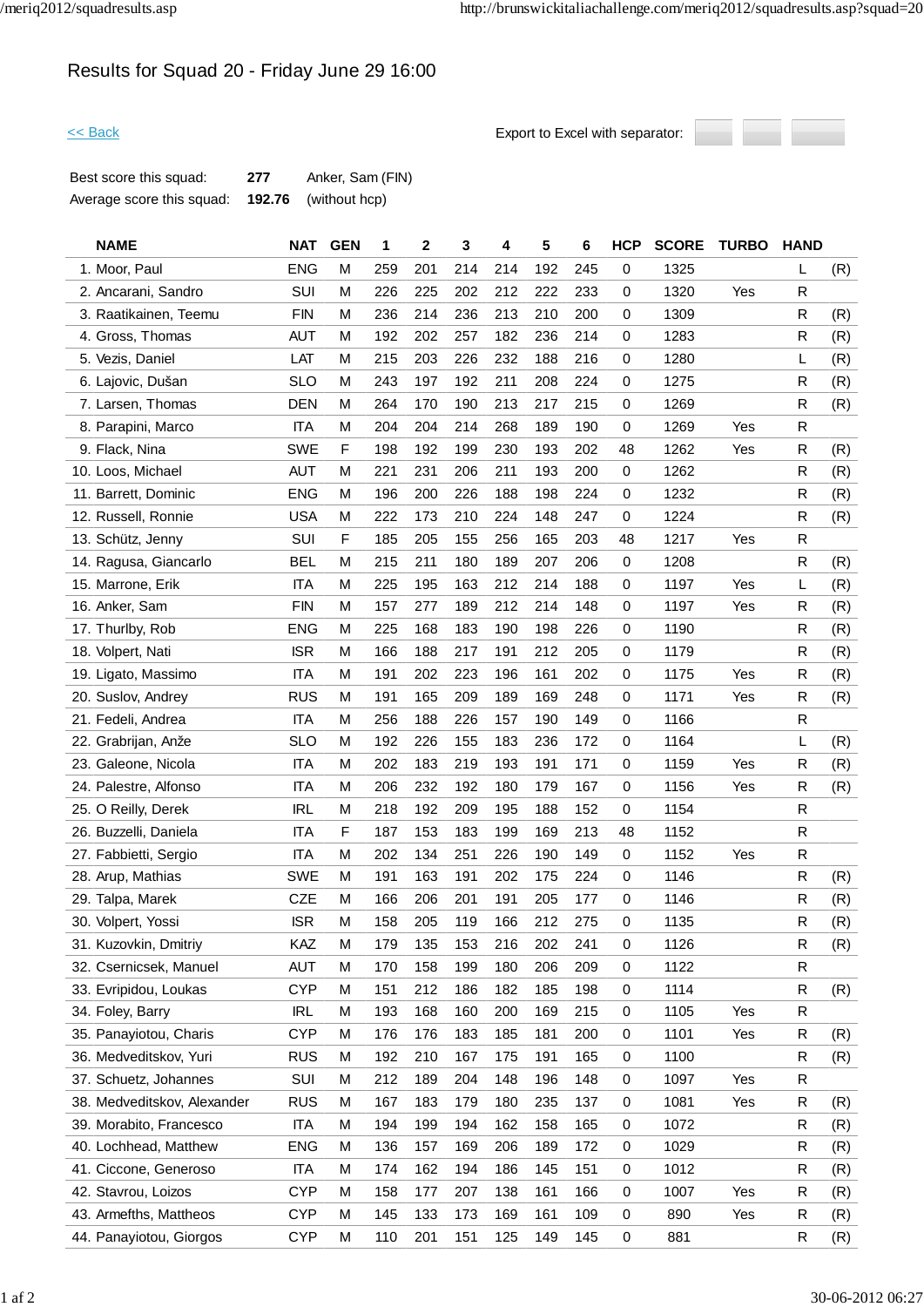# Results for Squad 20 - Friday June 29 16:00

```
<< Back Export to Excel with separator:
```


| Best score this squad:    | 277 | Anker, Sam (FIN)            |
|---------------------------|-----|-----------------------------|
| Average score this squad: |     | <b>192.76</b> (without hcp) |

| <b>NAME</b>                 | <b>NAT</b> | <b>GEN</b> | 1   | 2   | 3   | 4   | 5   | 6   | <b>HCP</b>  | <b>SCORE</b> | <b>TURBO</b> | <b>HAND</b> |     |
|-----------------------------|------------|------------|-----|-----|-----|-----|-----|-----|-------------|--------------|--------------|-------------|-----|
| 1. Moor, Paul               | <b>ENG</b> | M          | 259 | 201 | 214 | 214 | 192 | 245 | 0           | 1325         |              | L           | (R) |
| 2. Ancarani, Sandro         | SUI        | M          | 226 | 225 | 202 | 212 | 222 | 233 | 0           | 1320         | Yes          | R           |     |
| 3. Raatikainen, Teemu       | <b>FIN</b> | M          | 236 | 214 | 236 | 213 | 210 | 200 | 0           | 1309         |              | R           | (R) |
| 4. Gross, Thomas            | <b>AUT</b> | M          | 192 | 202 | 257 | 182 | 236 | 214 | 0           | 1283         |              | R           | (R) |
| 5. Vezis, Daniel            | LAT        | M          | 215 | 203 | 226 | 232 | 188 | 216 | 0           | 1280         |              | L           | (R) |
| 6. Lajovic, Dušan           | <b>SLO</b> | M          | 243 | 197 | 192 | 211 | 208 | 224 | 0           | 1275         |              | R           | (R) |
| 7. Larsen, Thomas           | <b>DEN</b> | M          | 264 | 170 | 190 | 213 | 217 | 215 | 0           | 1269         |              | R           | (R) |
| 8. Parapini, Marco          | <b>ITA</b> | M          | 204 | 204 | 214 | 268 | 189 | 190 | 0           | 1269         | Yes          | $\mathsf R$ |     |
| 9. Flack, Nina              | <b>SWE</b> | F          | 198 | 192 | 199 | 230 | 193 | 202 | 48          | 1262         | Yes          | R           | (R) |
| 10. Loos, Michael           | <b>AUT</b> | M          | 221 | 231 | 206 | 211 | 193 | 200 | $\mathbf 0$ | 1262         |              | R           | (R) |
| 11. Barrett, Dominic        | <b>ENG</b> | M          | 196 | 200 | 226 | 188 | 198 | 224 | 0           | 1232         |              | R           | (R) |
| 12. Russell, Ronnie         | <b>USA</b> | M          | 222 | 173 | 210 | 224 | 148 | 247 | 0           | 1224         |              | R           | (R) |
| 13. Schütz, Jenny           | SUI        | F          | 185 | 205 | 155 | 256 | 165 | 203 | 48          | 1217         | Yes          | $\mathsf R$ |     |
| 14. Ragusa, Giancarlo       | <b>BEL</b> | M          | 215 | 211 | 180 | 189 | 207 | 206 | 0           | 1208         |              | R           | (R) |
| 15. Marrone, Erik           | <b>ITA</b> | M          | 225 | 195 | 163 | 212 | 214 | 188 | 0           | 1197         | Yes          | L           | (R) |
| 16. Anker, Sam              | <b>FIN</b> | M          | 157 | 277 | 189 | 212 | 214 | 148 | 0           | 1197         | Yes          | R           | (R) |
| 17. Thurlby, Rob            | <b>ENG</b> | M          | 225 | 168 | 183 | 190 | 198 | 226 | 0           | 1190         |              | R           | (R) |
| 18. Volpert, Nati           | <b>ISR</b> | M          | 166 | 188 | 217 | 191 | 212 | 205 | 0           | 1179         |              | R           | (R) |
| 19. Ligato, Massimo         | <b>ITA</b> | M          | 191 | 202 | 223 | 196 | 161 | 202 | $\mathbf 0$ | 1175         | Yes          | R           | (R) |
| 20. Suslov, Andrey          | <b>RUS</b> | M          | 191 | 165 | 209 | 189 | 169 | 248 | 0           | 1171         | Yes          | $\mathsf R$ | (R) |
| 21. Fedeli, Andrea          | <b>ITA</b> | M          | 256 | 188 | 226 | 157 | 190 | 149 | 0           | 1166         |              | R           |     |
| 22. Grabrijan, Anže         | <b>SLO</b> | M          | 192 | 226 | 155 | 183 | 236 | 172 | $\mathbf 0$ | 1164         |              | L           | (R) |
| 23. Galeone, Nicola         | <b>ITA</b> | M          | 202 | 183 | 219 | 193 | 191 | 171 | 0           | 1159         | Yes          | R           | (R) |
| 24. Palestre, Alfonso       | <b>ITA</b> | M          | 206 | 232 | 192 | 180 | 179 | 167 | $\mathbf 0$ | 1156         | Yes          | R           | (R) |
| 25. O Reilly, Derek         | <b>IRL</b> | M          | 218 | 192 | 209 | 195 | 188 | 152 | 0           | 1154         |              | R           |     |
| 26. Buzzelli, Daniela       | <b>ITA</b> | F          | 187 | 153 | 183 | 199 | 169 | 213 | 48          | 1152         |              | R           |     |
| 27. Fabbietti, Sergio       | <b>ITA</b> | M          | 202 | 134 | 251 | 226 | 190 | 149 | 0           | 1152         | Yes          | $\mathsf R$ |     |
| 28. Arup, Mathias           | <b>SWE</b> | M          | 191 | 163 | 191 | 202 | 175 | 224 | 0           | 1146         |              | R           | (R) |
| 29. Talpa, Marek            | <b>CZE</b> | M          | 166 | 206 | 201 | 191 | 205 | 177 | 0           | 1146         |              | R           | (R) |
| 30. Volpert, Yossi          | <b>ISR</b> | M          | 158 | 205 | 119 | 166 | 212 | 275 | 0           | 1135         |              | R           | (R) |
| 31. Kuzovkin, Dmitriy       | KAZ        | M          | 179 | 135 | 153 | 216 | 202 | 241 | 0           | 1126         |              | R           | (R) |
| 32. Csernicsek, Manuel      | <b>AUT</b> | M          | 170 | 158 | 199 | 180 | 206 | 209 | 0           | 1122         |              | $\mathsf R$ |     |
| 33. Evripidou, Loukas       | <b>CYP</b> | M          | 151 | 212 | 186 | 182 | 185 | 198 | 0           | 1114         |              | R           | (R) |
| 34. Foley, Barry            | <b>IRL</b> | M          | 193 | 168 | 160 | 200 | 169 | 215 | $\mathbf 0$ | 1105         | Yes          | $\mathsf R$ |     |
| 35. Panayiotou, Charis      | <b>CYP</b> | M          | 176 | 176 | 183 | 185 | 181 | 200 | 0           | 1101         | Yes          | R           | (R) |
| 36. Medveditskov, Yuri      | <b>RUS</b> | M          | 192 | 210 | 167 | 175 | 191 | 165 | $\mathbf 0$ | 1100         |              | $\mathsf R$ | (R) |
| 37. Schuetz, Johannes       | SUI        | M          | 212 | 189 | 204 | 148 | 196 | 148 | 0           | 1097         | Yes          | R           |     |
| 38. Medveditskov, Alexander | <b>RUS</b> | M          | 167 | 183 | 179 | 180 | 235 | 137 | 0           | 1081         | Yes          | R           | (R) |
| 39. Morabito, Francesco     | <b>ITA</b> | M          | 194 | 199 | 194 | 162 | 158 | 165 | 0           | 1072         |              | $\mathsf R$ | (R) |
| 40. Lochhead, Matthew       | <b>ENG</b> | M          | 136 | 157 | 169 | 206 | 189 | 172 | 0           | 1029         |              | R           | (R) |
| 41. Ciccone, Generoso       | <b>ITA</b> | M          | 174 | 162 | 194 | 186 | 145 | 151 | $\mathbf 0$ | 1012         |              | R           | (R) |
| 42. Stavrou, Loizos         | <b>CYP</b> | M          | 158 | 177 | 207 | 138 | 161 | 166 | 0           | 1007         | Yes          | R           | (R) |
| 43. Armefths, Mattheos      | <b>CYP</b> | M          | 145 | 133 | 173 | 169 | 161 | 109 | 0           | 890          | Yes          | R           | (R) |
| 44. Panayiotou, Giorgos     | <b>CYP</b> | M          | 110 | 201 | 151 | 125 | 149 | 145 | 0           | 881          |              | R           | (R) |
|                             |            |            |     |     |     |     |     |     |             |              |              |             |     |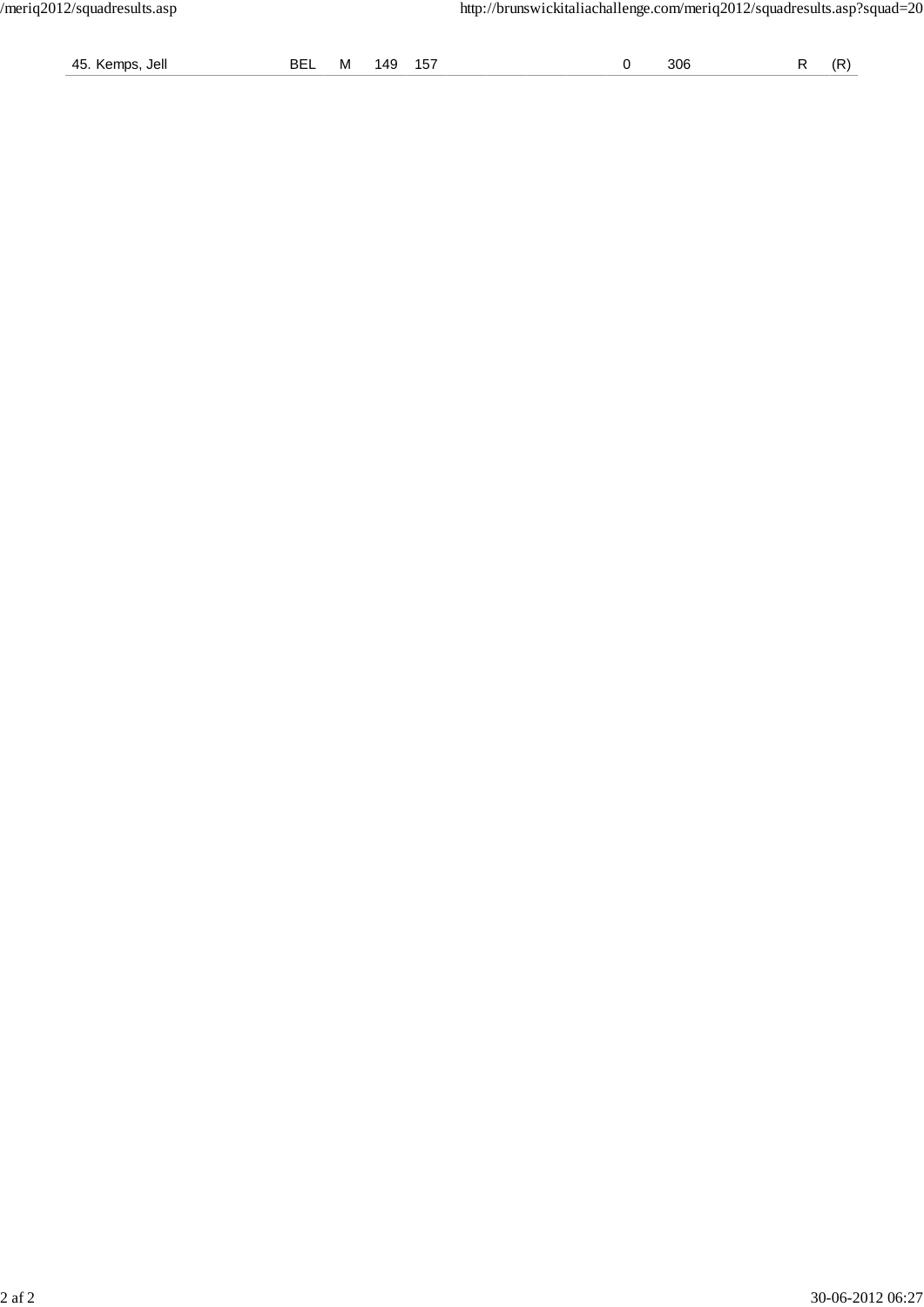| 45. Kemps, Jell | BEL M 149 157 |  |  |  |  |  | 306 |  | $R$ $(R)$ |
|-----------------|---------------|--|--|--|--|--|-----|--|-----------|
|-----------------|---------------|--|--|--|--|--|-----|--|-----------|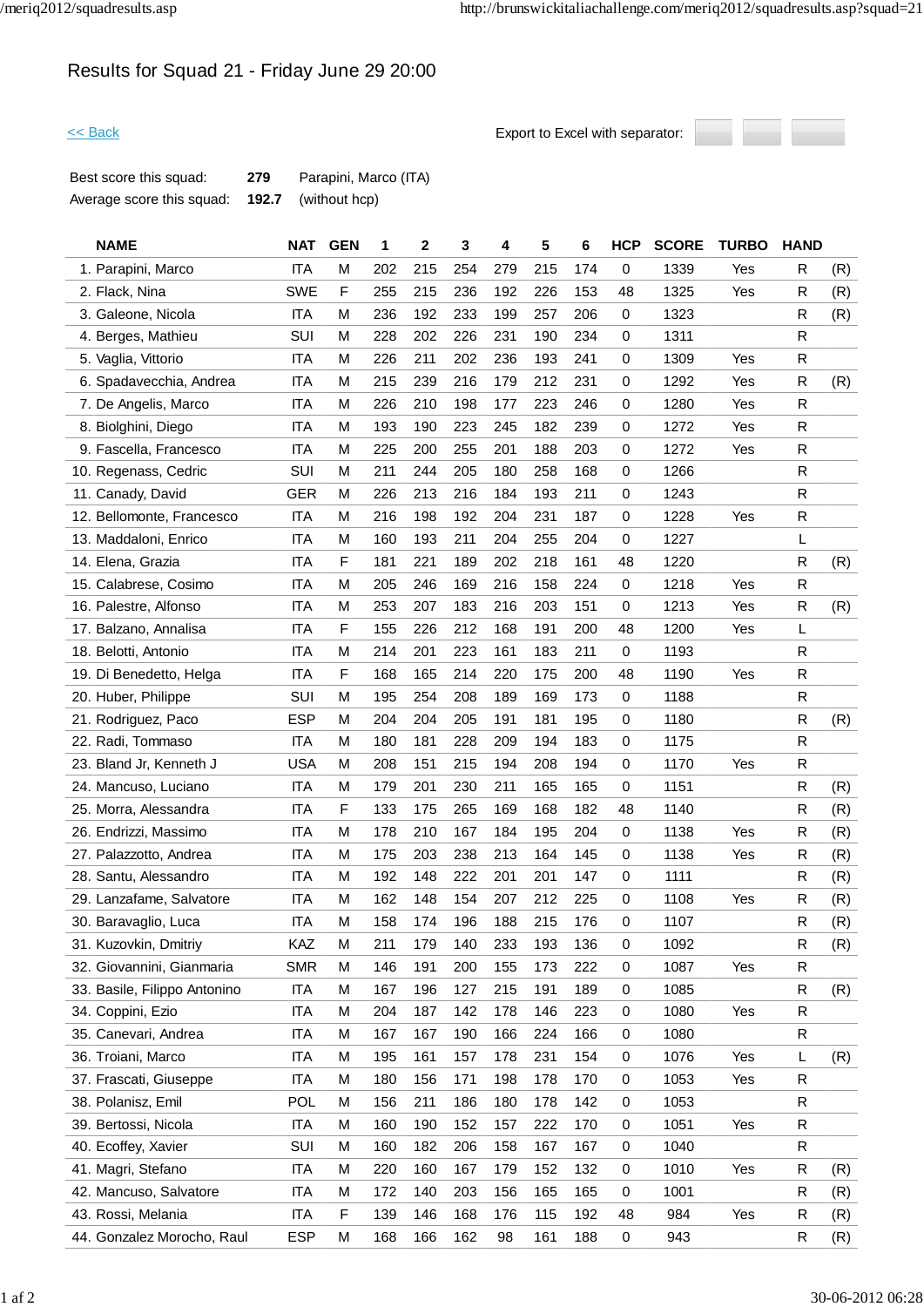# Results for Squad 21 - Friday June 29 20:00



| Best score this squad:    | 279   | Parapini, Marco (ITA) |
|---------------------------|-------|-----------------------|
| Average score this squad: | 192.7 | (without hcp)         |

| <b>NAME</b>                  | <b>NAT</b> | <b>GEN</b> | 1   | 2   | 3   | 4   | 5   | 6   | <b>HCP</b>  | <b>SCORE</b> | <b>TURBO</b> | <b>HAND</b>  |     |
|------------------------------|------------|------------|-----|-----|-----|-----|-----|-----|-------------|--------------|--------------|--------------|-----|
| 1. Parapini, Marco           | <b>ITA</b> | M          | 202 | 215 | 254 | 279 | 215 | 174 | 0           | 1339         | Yes          | R            | (R) |
| 2. Flack, Nina               | <b>SWE</b> | F          | 255 | 215 | 236 | 192 | 226 | 153 | 48          | 1325         | Yes          | R            | (R) |
| 3. Galeone, Nicola           | <b>ITA</b> | M          | 236 | 192 | 233 | 199 | 257 | 206 | 0           | 1323         |              | R            | (R) |
| 4. Berges, Mathieu           | SUI        | М          | 228 | 202 | 226 | 231 | 190 | 234 | 0           | 1311         |              | R            |     |
| 5. Vaglia, Vittorio          | <b>ITA</b> | M          | 226 | 211 | 202 | 236 | 193 | 241 | 0           | 1309         | Yes          | R            |     |
| 6. Spadavecchia, Andrea      | <b>ITA</b> | M          | 215 | 239 | 216 | 179 | 212 | 231 | 0           | 1292         | Yes          | $\mathsf R$  | (R) |
| 7. De Angelis, Marco         | <b>ITA</b> | M          | 226 | 210 | 198 | 177 | 223 | 246 | 0           | 1280         | Yes          | R            |     |
| 8. Biolghini, Diego          | ITA        | M          | 193 | 190 | 223 | 245 | 182 | 239 | 0           | 1272         | Yes          | R            |     |
| 9. Fascella, Francesco       | <b>ITA</b> | M          | 225 | 200 | 255 | 201 | 188 | 203 | 0           | 1272         | Yes          | R            |     |
| 10. Regenass, Cedric         | SUI        | M          | 211 | 244 | 205 | 180 | 258 | 168 | $\mathbf 0$ | 1266         |              | R            |     |
| 11. Canady, David            | <b>GER</b> | M          | 226 | 213 | 216 | 184 | 193 | 211 | 0           | 1243         |              | R            |     |
| 12. Bellomonte, Francesco    | <b>ITA</b> | M          | 216 | 198 | 192 | 204 | 231 | 187 | 0           | 1228         | Yes          | $\mathsf{R}$ |     |
| 13. Maddaloni, Enrico        | <b>ITA</b> | M          | 160 | 193 | 211 | 204 | 255 | 204 | 0           | 1227         |              | L            |     |
| 14. Elena, Grazia            | <b>ITA</b> | F          | 181 | 221 | 189 | 202 | 218 | 161 | 48          | 1220         |              | R            | (R) |
| 15. Calabrese, Cosimo        | <b>ITA</b> | M          | 205 | 246 | 169 | 216 | 158 | 224 | $\mathbf 0$ | 1218         | Yes          | R            |     |
| 16. Palestre, Alfonso        | ITA        | M          | 253 | 207 | 183 | 216 | 203 | 151 | 0           | 1213         | Yes          | R            | (R) |
| 17. Balzano, Annalisa        | <b>ITA</b> | F          | 155 | 226 | 212 | 168 | 191 | 200 | 48          | 1200         | Yes          | L            |     |
| 18. Belotti, Antonio         | <b>ITA</b> | M          | 214 | 201 | 223 | 161 | 183 | 211 | 0           | 1193         |              | $\mathsf{R}$ |     |
| 19. Di Benedetto, Helga      | <b>ITA</b> | F          | 168 | 165 | 214 | 220 | 175 | 200 | 48          | 1190         | Yes          | R            |     |
| 20. Huber, Philippe          | SUI        | M          | 195 | 254 | 208 | 189 | 169 | 173 | 0           | 1188         |              | R            |     |
| 21. Rodriguez, Paco          | <b>ESP</b> | M          | 204 | 204 | 205 | 191 | 181 | 195 | 0           | 1180         |              | $\mathsf R$  | (R) |
| 22. Radi, Tommaso            | <b>ITA</b> | М          | 180 | 181 | 228 | 209 | 194 | 183 | 0           | 1175         |              | R            |     |
| 23. Bland Jr, Kenneth J      | <b>USA</b> | M          | 208 | 151 | 215 | 194 | 208 | 194 | 0           | 1170         | Yes          | R            |     |
| 24. Mancuso, Luciano         | <b>ITA</b> | M          | 179 | 201 | 230 | 211 | 165 | 165 | $\mathbf 0$ | 1151         |              | $\mathsf{R}$ | (R) |
| 25. Morra, Alessandra        | <b>ITA</b> | F          | 133 | 175 | 265 | 169 | 168 | 182 | 48          | 1140         |              | R            | (R) |
| 26. Endrizzi, Massimo        | <b>ITA</b> | M          | 178 | 210 | 167 | 184 | 195 | 204 | 0           | 1138         | Yes          | R            | (R) |
| 27. Palazzotto, Andrea       | <b>ITA</b> | M          | 175 | 203 | 238 | 213 | 164 | 145 | 0           | 1138         | Yes          | R            | (R) |
| 28. Santu, Alessandro        | ITA        | M          | 192 | 148 | 222 | 201 | 201 | 147 | 0           | 1111         |              | R            | (R) |
| 29. Lanzafame, Salvatore     | <b>ITA</b> | М          | 162 | 148 | 154 | 207 | 212 | 225 | $\mathbf 0$ | 1108         | Yes          | R            | (R) |
| 30. Baravaglio, Luca         | <b>ITA</b> | M          | 158 | 174 | 196 | 188 | 215 | 176 | 0           | 1107         |              | $\mathsf R$  | (R) |
| 31. Kuzovkin, Dmitriy        | KAZ        | M          | 211 | 179 | 140 | 233 | 193 | 136 | 0           | 1092         |              | $\mathsf R$  | (R) |
| 32. Giovannini, Gianmaria    | <b>SMR</b> | M          | 146 | 191 | 200 | 155 | 173 | 222 | 0           | 1087         | Yes          | R            |     |
| 33. Basile, Filippo Antonino | ITA        | M          | 167 | 196 | 127 | 215 | 191 | 189 | 0           | 1085         |              | R            | (R) |
| 34. Coppini, Ezio            | <b>ITA</b> | M          | 204 | 187 | 142 | 178 | 146 | 223 | $\mathbf 0$ | 1080         | Yes          | R            |     |
| 35. Canevari, Andrea         | <b>ITA</b> | M          | 167 | 167 | 190 | 166 | 224 | 166 | 0           | 1080         |              | R            |     |
| 36. Troiani, Marco           | <b>ITA</b> | M          | 195 | 161 | 157 | 178 | 231 | 154 | $\mathbf 0$ | 1076         | Yes          | L            | (R) |
| 37. Frascati, Giuseppe       | <b>ITA</b> | M          | 180 | 156 | 171 | 198 | 178 | 170 | 0           | 1053         | Yes          | R            |     |
| 38. Polanisz, Emil           | <b>POL</b> | M          | 156 | 211 | 186 | 180 | 178 | 142 | 0           | 1053         |              | R            |     |
| 39. Bertossi, Nicola         | ITA        | M          | 160 | 190 | 152 | 157 | 222 | 170 | 0           | 1051         | Yes          | R            |     |
| 40. Ecoffey, Xavier          | SUI        | M          | 160 | 182 | 206 | 158 | 167 | 167 | 0           | 1040         |              | R            |     |
| 41. Magri, Stefano           | <b>ITA</b> | M          | 220 | 160 | 167 | 179 | 152 | 132 | $\mathbf 0$ | 1010         | Yes          | R            | (R) |
| 42. Mancuso, Salvatore       | ITA        | M          | 172 | 140 | 203 | 156 | 165 | 165 | 0           | 1001         |              | R            | (R) |
| 43. Rossi, Melania           | <b>ITA</b> | F          | 139 | 146 | 168 | 176 | 115 | 192 | 48          | 984          | Yes          | $\mathsf R$  | (R) |
| 44. Gonzalez Morocho, Raul   | <b>ESP</b> | M          | 168 | 166 | 162 | 98  | 161 | 188 | 0           | 943          |              | R            | (R) |
|                              |            |            |     |     |     |     |     |     |             |              |              |              |     |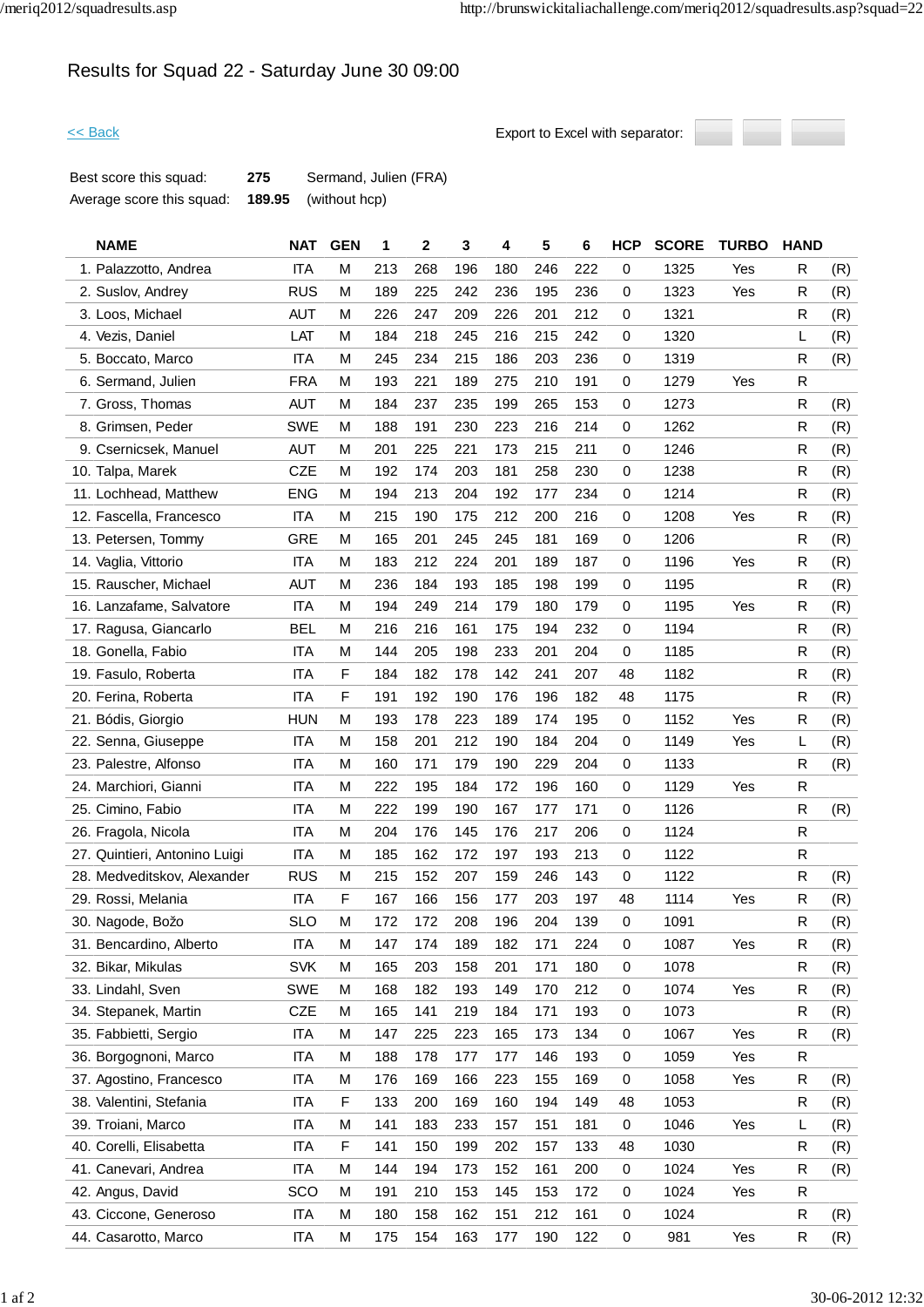# Results for Squad 22 - Saturday June 30 09:00



| Best score this squad:    | 275 | Sermand, Julien (FRA)       |
|---------------------------|-----|-----------------------------|
| Average score this squad: |     | <b>189.95</b> (without hcp) |

| <b>NAME</b>                   | <b>NAT</b> | <b>GEN</b>  | 1   | 2   | 3   | 4   | 5   | 6   | <b>HCP</b>  | <b>SCORE</b> | <b>TURBO</b> | <b>HAND</b>  |     |
|-------------------------------|------------|-------------|-----|-----|-----|-----|-----|-----|-------------|--------------|--------------|--------------|-----|
| 1. Palazzotto, Andrea         | <b>ITA</b> | M           | 213 | 268 | 196 | 180 | 246 | 222 | 0           | 1325         | Yes          | R            | (R) |
| 2. Suslov, Andrey             | <b>RUS</b> | M           | 189 | 225 | 242 | 236 | 195 | 236 | 0           | 1323         | Yes          | R            | (R) |
| 3. Loos, Michael              | <b>AUT</b> | M           | 226 | 247 | 209 | 226 | 201 | 212 | 0           | 1321         |              | R            | (R) |
| 4. Vezis, Daniel              | LAT        | M           | 184 | 218 | 245 | 216 | 215 | 242 | 0           | 1320         |              | L            | (R) |
| 5. Boccato, Marco             | <b>ITA</b> | M           | 245 | 234 | 215 | 186 | 203 | 236 | 0           | 1319         |              | R            | (R) |
| 6. Sermand, Julien            | <b>FRA</b> | M           | 193 | 221 | 189 | 275 | 210 | 191 | 0           | 1279         | Yes          | R            |     |
| 7. Gross, Thomas              | <b>AUT</b> | м           | 184 | 237 | 235 | 199 | 265 | 153 | 0           | 1273         |              | R            | (R) |
| 8. Grimsen, Peder             | <b>SWE</b> | M           | 188 | 191 | 230 | 223 | 216 | 214 | 0           | 1262         |              | $\mathsf R$  | (R) |
| 9. Csernicsek, Manuel         | <b>AUT</b> | M           | 201 | 225 | 221 | 173 | 215 | 211 | 0           | 1246         |              | R            | (R) |
| 10. Talpa, Marek              | <b>CZE</b> | M           | 192 | 174 | 203 | 181 | 258 | 230 | $\mathbf 0$ | 1238         |              | R            | (R) |
| 11. Lochhead, Matthew         | <b>ENG</b> | м           | 194 | 213 | 204 | 192 | 177 | 234 | 0           | 1214         |              | R            | (R) |
| 12. Fascella, Francesco       | <b>ITA</b> | М           | 215 | 190 | 175 | 212 | 200 | 216 | 0           | 1208         | Yes          | R            | (R) |
| 13. Petersen, Tommy           | <b>GRE</b> | M           | 165 | 201 | 245 | 245 | 181 | 169 | 0           | 1206         |              | R            | (R) |
| 14. Vaglia, Vittorio          | <b>ITA</b> | М           | 183 | 212 | 224 | 201 | 189 | 187 | 0           | 1196         | Yes          | R            | (R) |
| 15. Rauscher, Michael         | <b>AUT</b> | M           | 236 | 184 | 193 | 185 | 198 | 199 | 0           | 1195         |              | R            | (R) |
| 16. Lanzafame, Salvatore      | <b>ITA</b> | M           | 194 | 249 | 214 | 179 | 180 | 179 | 0           | 1195         | Yes          | R            | (R) |
| 17. Ragusa, Giancarlo         | <b>BEL</b> | M           | 216 | 216 | 161 | 175 | 194 | 232 | 0           | 1194         |              | R            | (R) |
| 18. Gonella, Fabio            | <b>ITA</b> | M           | 144 | 205 | 198 | 233 | 201 | 204 | 0           | 1185         |              | R            | (R) |
| 19. Fasulo, Roberta           | <b>ITA</b> | F           | 184 | 182 | 178 | 142 | 241 | 207 | 48          | 1182         |              | R            | (R) |
| 20. Ferina, Roberta           | <b>ITA</b> | F           | 191 | 192 | 190 | 176 | 196 | 182 | 48          | 1175         |              | R            | (R) |
| 21. Bódis, Giorgio            | <b>HUN</b> | M           | 193 | 178 | 223 | 189 | 174 | 195 | 0           | 1152         | Yes          | R            | (R) |
| 22. Senna, Giuseppe           | <b>ITA</b> | M           | 158 | 201 | 212 | 190 | 184 | 204 | $\mathbf 0$ | 1149         | Yes          | L            | (R) |
| 23. Palestre, Alfonso         | <b>ITA</b> | M           | 160 | 171 | 179 | 190 | 229 | 204 | 0           | 1133         |              | R            | (R) |
| 24. Marchiori, Gianni         | <b>ITA</b> | M           | 222 | 195 | 184 | 172 | 196 | 160 | $\mathbf 0$ | 1129         | Yes          | R            |     |
| 25. Cimino, Fabio             | <b>ITA</b> | M           | 222 | 199 | 190 | 167 | 177 | 171 | 0           | 1126         |              | $\mathsf R$  | (R) |
| 26. Fragola, Nicola           | <b>ITA</b> | M           | 204 | 176 | 145 | 176 | 217 | 206 | 0           | 1124         |              | R            |     |
| 27. Quintieri, Antonino Luigi | <b>ITA</b> | M           | 185 | 162 | 172 | 197 | 193 | 213 | 0           | 1122         |              | R            |     |
| 28. Medveditskov, Alexander   | <b>RUS</b> | M           | 215 | 152 | 207 | 159 | 246 | 143 | 0           | 1122         |              | R            | (R) |
| 29. Rossi, Melania            | <b>ITA</b> | $\mathsf F$ | 167 | 166 | 156 | 177 | 203 | 197 | 48          | 1114         | Yes          | R            | (R) |
| 30. Nagode, Božo              | <b>SLO</b> | M           | 172 | 172 | 208 | 196 | 204 | 139 | 0           | 1091         |              | R            | (R) |
| 31. Bencardino, Alberto       | <b>ITA</b> | M           | 147 | 174 | 189 | 182 | 171 | 224 | 0           | 1087         | Yes          | R            | (R) |
| 32. Bikar, Mikulas            | <b>SVK</b> | M           | 165 | 203 | 158 | 201 | 171 | 180 | 0           | 1078         |              | R            | (R) |
| 33. Lindahl, Sven             | SWE        | M           | 168 | 182 | 193 | 149 | 170 | 212 | 0           | 1074         | Yes          | R            | (R) |
| 34. Stepanek, Martin          | CZE        | M           | 165 | 141 | 219 | 184 | 171 | 193 | $\mathbf 0$ | 1073         |              | R            | (R) |
| 35. Fabbietti, Sergio         | ITA        | M           | 147 | 225 | 223 | 165 | 173 | 134 | 0           | 1067         | Yes          | R            | (R) |
| 36. Borgognoni, Marco         | <b>ITA</b> | M           | 188 | 178 | 177 | 177 | 146 | 193 | $\mathbf 0$ | 1059         | Yes          | $\mathsf{R}$ |     |
| 37. Agostino, Francesco       | <b>ITA</b> | М           | 176 | 169 | 166 | 223 | 155 | 169 | 0           | 1058         | Yes          | R            | (R) |
| 38. Valentini, Stefania       | ITA        | F           | 133 | 200 | 169 | 160 | 194 | 149 | 48          | 1053         |              | R            | (R) |
| 39. Troiani, Marco            | ITA        | M           | 141 | 183 | 233 | 157 | 151 | 181 | 0           | 1046         | Yes          | L            | (R) |
| 40. Corelli, Elisabetta       | ITA        | F           | 141 | 150 | 199 | 202 | 157 | 133 | 48          | 1030         |              | R            | (R) |
| 41. Canevari, Andrea          | ITA        | М           | 144 | 194 | 173 | 152 | 161 | 200 | $\mathbf 0$ | 1024         | Yes          | R            | (R) |
| 42. Angus, David              | SCO        | M           | 191 | 210 | 153 | 145 | 153 | 172 | 0           | 1024         | Yes          | R            |     |
| 43. Ciccone, Generoso         | <b>ITA</b> | M           | 180 | 158 | 162 | 151 | 212 | 161 | $\mathbf 0$ | 1024         |              | ${\sf R}$    | (R) |
| 44. Casarotto, Marco          | <b>ITA</b> | М           | 175 | 154 | 163 | 177 | 190 | 122 | 0           | 981          | Yes          | ${\sf R}$    | (R) |
|                               |            |             |     |     |     |     |     |     |             |              |              |              |     |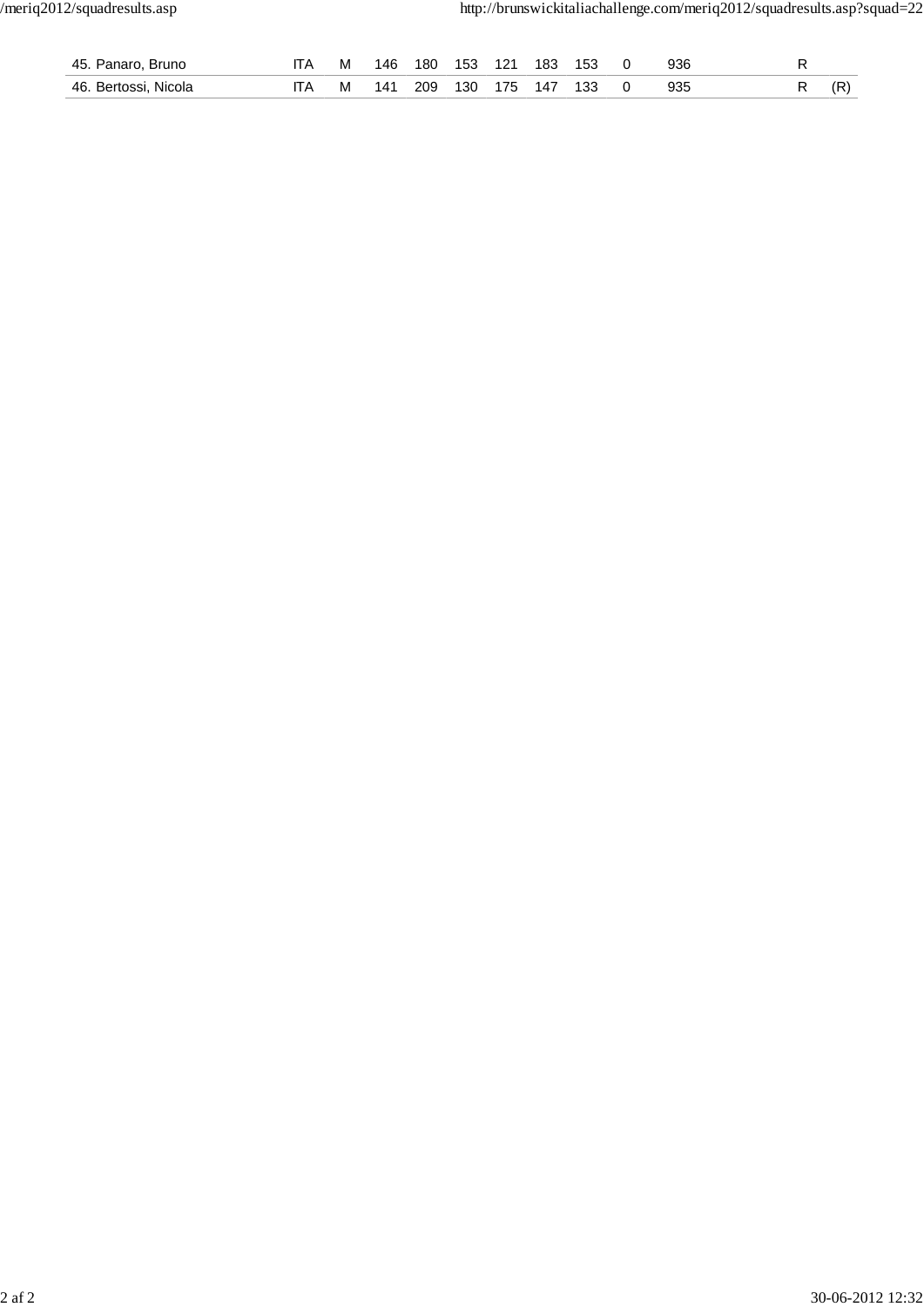| 45. Panaro, Bruno    | м | 146 | 180 | 153 | 121 | 183             | 153 | 936 |  |  |
|----------------------|---|-----|-----|-----|-----|-----------------|-----|-----|--|--|
| 46. Bertossi, Nicola | M | 141 | 209 |     |     | 130 175 147 133 |     | 935 |  |  |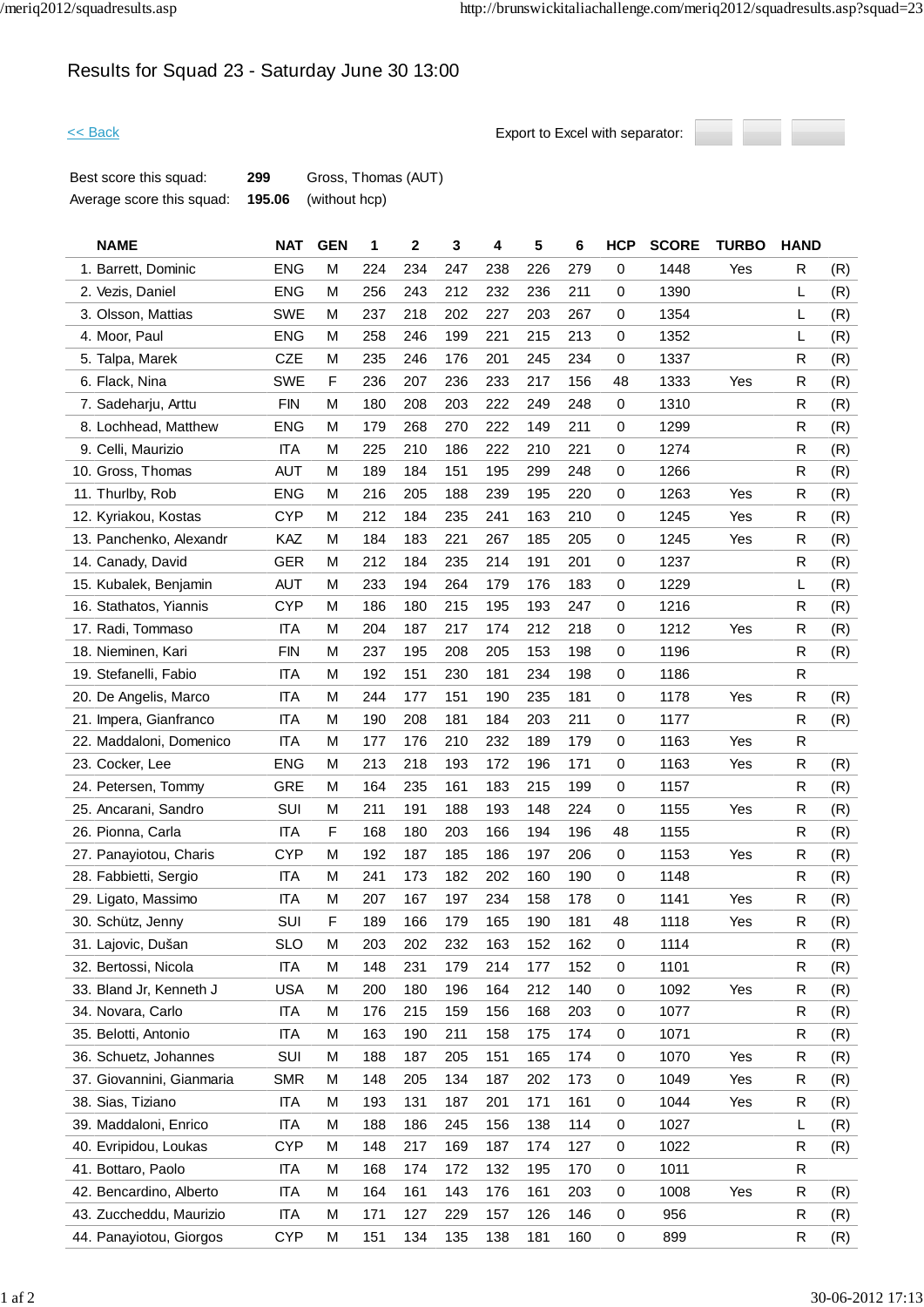# Results for Squad 23 - Saturday June 30 13:00



| Best score this squad:    | 299 | Gross, Thomas (AUT)         |
|---------------------------|-----|-----------------------------|
| Average score this squad: |     | <b>195.06</b> (without hcp) |

| <b>NAME</b>               | <b>NAT</b> | <b>GEN</b> | 1   | 2   | 3   | 4   | 5   | 6   | <b>HCP</b> | <b>SCORE</b> | <b>TURBO</b> | <b>HAND</b> |     |
|---------------------------|------------|------------|-----|-----|-----|-----|-----|-----|------------|--------------|--------------|-------------|-----|
| 1. Barrett, Dominic       | <b>ENG</b> | M          | 224 | 234 | 247 | 238 | 226 | 279 | 0          | 1448         | Yes          | R           | (R) |
| 2. Vezis, Daniel          | <b>ENG</b> | M          | 256 | 243 | 212 | 232 | 236 | 211 | 0          | 1390         |              | L           | (R) |
| 3. Olsson, Mattias        | <b>SWE</b> | м          | 237 | 218 | 202 | 227 | 203 | 267 | 0          | 1354         |              | L           | (R) |
| 4. Moor, Paul             | <b>ENG</b> | м          | 258 | 246 | 199 | 221 | 215 | 213 | 0          | 1352         |              | L           | (R) |
| 5. Talpa, Marek           | <b>CZE</b> | м          | 235 | 246 | 176 | 201 | 245 | 234 | 0          | 1337         |              | R           | (R) |
| 6. Flack, Nina            | <b>SWE</b> | F          | 236 | 207 | 236 | 233 | 217 | 156 | 48         | 1333         | Yes          | R           | (R) |
| 7. Sadeharju, Arttu       | <b>FIN</b> | м          | 180 | 208 | 203 | 222 | 249 | 248 | 0          | 1310         |              | R           | (R) |
| 8. Lochhead, Matthew      | <b>ENG</b> | M          | 179 | 268 | 270 | 222 | 149 | 211 | 0          | 1299         |              | R           | (R) |
| 9. Celli, Maurizio        | <b>ITA</b> | M          | 225 | 210 | 186 | 222 | 210 | 221 | 0          | 1274         |              | R           | (R) |
| 10. Gross, Thomas         | <b>AUT</b> | м          | 189 | 184 | 151 | 195 | 299 | 248 | 0          | 1266         |              | R           | (R) |
| 11. Thurlby, Rob          | <b>ENG</b> | М          | 216 | 205 | 188 | 239 | 195 | 220 | 0          | 1263         | Yes          | R           | (R) |
| 12. Kyriakou, Kostas      | <b>CYP</b> | M          | 212 | 184 | 235 | 241 | 163 | 210 | 0          | 1245         | Yes          | R           | (R) |
| 13. Panchenko, Alexandr   | KAZ        | М          | 184 | 183 | 221 | 267 | 185 | 205 | 0          | 1245         | Yes          | R           | (R) |
| 14. Canady, David         | <b>GER</b> | M          | 212 | 184 | 235 | 214 | 191 | 201 | 0          | 1237         |              | R           | (R) |
| 15. Kubalek, Benjamin     | <b>AUT</b> | м          | 233 | 194 | 264 | 179 | 176 | 183 | 0          | 1229         |              | L           | (R) |
| 16. Stathatos, Yiannis    | <b>CYP</b> | м          | 186 | 180 | 215 | 195 | 193 | 247 | 0          | 1216         |              | R           | (R) |
| 17. Radi, Tommaso         | <b>ITA</b> | м          | 204 | 187 | 217 | 174 | 212 | 218 | 0          | 1212         | Yes          | R           | (R) |
| 18. Nieminen, Kari        | <b>FIN</b> | M          | 237 | 195 | 208 | 205 | 153 | 198 | 0          | 1196         |              | R           | (R) |
| 19. Stefanelli, Fabio     | <b>ITA</b> | м          | 192 | 151 | 230 | 181 | 234 | 198 | 0          | 1186         |              | R           |     |
| 20. De Angelis, Marco     | <b>ITA</b> | M          | 244 | 177 | 151 | 190 | 235 | 181 | 0          | 1178         | Yes          | R           | (R) |
| 21. Impera, Gianfranco    | ITA        | M          | 190 | 208 | 181 | 184 | 203 | 211 | 0          | 1177         |              | R           | (R) |
| 22. Maddaloni, Domenico   | <b>ITA</b> | м          | 177 | 176 | 210 | 232 | 189 | 179 | 0          | 1163         | Yes          | R           |     |
| 23. Cocker, Lee           | <b>ENG</b> | м          | 213 | 218 | 193 | 172 | 196 | 171 | 0          | 1163         | Yes          | R           | (R) |
| 24. Petersen, Tommy       | <b>GRE</b> | м          | 164 | 235 | 161 | 183 | 215 | 199 | 0          | 1157         |              | R           | (R) |
| 25. Ancarani, Sandro      | SUI        | M          | 211 | 191 | 188 | 193 | 148 | 224 | 0          | 1155         | Yes          | R           | (R) |
| 26. Pionna, Carla         | <b>ITA</b> | F          | 168 | 180 | 203 | 166 | 194 | 196 | 48         | 1155         |              | R           | (R) |
| 27. Panayiotou, Charis    | <b>CYP</b> | M          | 192 | 187 | 185 | 186 | 197 | 206 | 0          | 1153         | Yes          | R           | (R) |
| 28. Fabbietti, Sergio     | ITA        | M          | 241 | 173 | 182 | 202 | 160 | 190 | 0          | 1148         |              | R           | (R) |
| 29. Ligato, Massimo       | <b>ITA</b> | м          | 207 | 167 | 197 | 234 | 158 | 178 | 0          | 1141         | Yes          | R           | (R) |
| 30. Schütz, Jenny         | SUI        | F          | 189 | 166 | 179 | 165 | 190 | 181 | 48         | 1118         | Yes          | R           | (R) |
| 31. Lajovic, Dušan        | <b>SLO</b> | M          | 203 | 202 | 232 | 163 | 152 | 162 | 0          | 1114         |              | R           | (R) |
| 32. Bertossi, Nicola      | <b>ITA</b> | M          | 148 | 231 | 179 | 214 | 177 | 152 | 0          | 1101         |              | R           | (R) |
| 33. Bland Jr, Kenneth J   | <b>USA</b> | м          | 200 | 180 | 196 | 164 | 212 | 140 | 0          | 1092         | Yes          | R           | (R) |
| 34. Novara, Carlo         | <b>ITA</b> | M          | 176 | 215 | 159 | 156 | 168 | 203 | 0          | 1077         |              | R           | (R) |
| 35. Belotti, Antonio      | <b>ITA</b> | М          | 163 | 190 | 211 | 158 | 175 | 174 | 0          | 1071         |              | R           | (R) |
| 36. Schuetz, Johannes     | SUI        | M          | 188 | 187 | 205 | 151 | 165 | 174 | 0          | 1070         | Yes          | R           | (R) |
| 37. Giovannini, Gianmaria | <b>SMR</b> | M          | 148 | 205 | 134 | 187 | 202 | 173 | 0          | 1049         | Yes          | R           | (R) |
| 38. Sias, Tiziano         | <b>ITA</b> | M          | 193 | 131 | 187 | 201 | 171 | 161 | 0          | 1044         | Yes          | R           | (R) |
| 39. Maddaloni, Enrico     | <b>ITA</b> | M          | 188 | 186 | 245 | 156 | 138 | 114 | 0          | 1027         |              | L           | (R) |
| 40. Evripidou, Loukas     | <b>CYP</b> | м          | 148 | 217 | 169 | 187 | 174 | 127 | 0          | 1022         |              | R           | (R) |
| 41. Bottaro, Paolo        | <b>ITA</b> | M          | 168 | 174 | 172 | 132 | 195 | 170 | 0          | 1011         |              | R           |     |
| 42. Bencardino, Alberto   | ITA        | M          | 164 | 161 | 143 | 176 | 161 | 203 | 0          | 1008         | Yes          | R           | (R) |
| 43. Zuccheddu, Maurizio   | <b>ITA</b> | M          | 171 | 127 | 229 | 157 | 126 | 146 | 0          | 956          |              | R           | (R) |
| 44. Panayiotou, Giorgos   | CYP        | M          | 151 | 134 | 135 | 138 | 181 | 160 | 0          | 899          |              | R           | (R) |
|                           |            |            |     |     |     |     |     |     |            |              |              |             |     |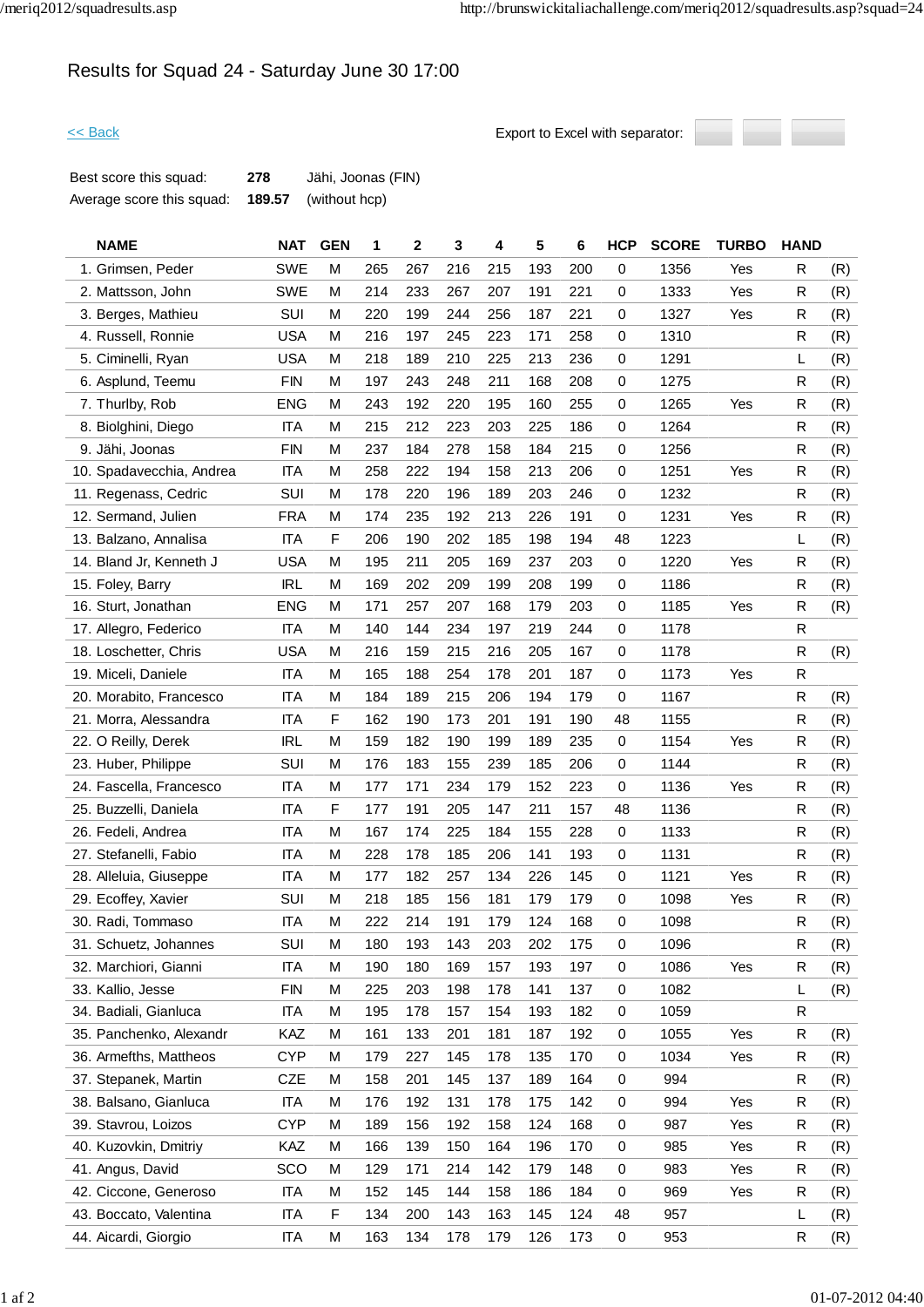# Results for Squad 24 - Saturday June 30 17:00



| Best score this squad:    | 278    | Jähi, Joonas (FIN) |
|---------------------------|--------|--------------------|
| Average score this squad: | 189.57 | (without hcp)      |

| <b>NAME</b>              | <b>NAT</b> | <b>GEN</b> | 1   | 2   | 3   | 4   | 5   | 6   | <b>HCP</b> | <b>SCORE</b> | <b>TURBO</b> | <b>HAND</b> |     |
|--------------------------|------------|------------|-----|-----|-----|-----|-----|-----|------------|--------------|--------------|-------------|-----|
| 1. Grimsen, Peder        | <b>SWE</b> | М          | 265 | 267 | 216 | 215 | 193 | 200 | 0          | 1356         | Yes          | R           | (R) |
| 2. Mattsson, John        | <b>SWE</b> | м          | 214 | 233 | 267 | 207 | 191 | 221 | 0          | 1333         | Yes          | R           | (R) |
| 3. Berges, Mathieu       | SUI        | м          | 220 | 199 | 244 | 256 | 187 | 221 | 0          | 1327         | Yes          | R           | (R) |
| 4. Russell, Ronnie       | <b>USA</b> | м          | 216 | 197 | 245 | 223 | 171 | 258 | 0          | 1310         |              | R           | (R) |
| 5. Ciminelli, Ryan       | <b>USA</b> | м          | 218 | 189 | 210 | 225 | 213 | 236 | 0          | 1291         |              | L           | (R) |
| 6. Asplund, Teemu        | <b>FIN</b> | М          | 197 | 243 | 248 | 211 | 168 | 208 | 0          | 1275         |              | R           | (R) |
| 7. Thurlby, Rob          | <b>ENG</b> | м          | 243 | 192 | 220 | 195 | 160 | 255 | 0          | 1265         | Yes          | R           | (R) |
| 8. Biolghini, Diego      | <b>ITA</b> | м          | 215 | 212 | 223 | 203 | 225 | 186 | 0          | 1264         |              | R           | (R) |
| 9. Jähi, Joonas          | <b>FIN</b> | М          | 237 | 184 | 278 | 158 | 184 | 215 | 0          | 1256         |              | R           | (R) |
| 10. Spadavecchia, Andrea | <b>ITA</b> | м          | 258 | 222 | 194 | 158 | 213 | 206 | 0          | 1251         | Yes          | R           | (R) |
| 11. Regenass, Cedric     | <b>SUI</b> | м          | 178 | 220 | 196 | 189 | 203 | 246 | 0          | 1232         |              | R           | (R) |
| 12. Sermand, Julien      | <b>FRA</b> | М          | 174 | 235 | 192 | 213 | 226 | 191 | 0          | 1231         | Yes          | R           | (R) |
| 13. Balzano, Annalisa    | <b>ITA</b> | F          | 206 | 190 | 202 | 185 | 198 | 194 | 48         | 1223         |              | L           | (R) |
| 14. Bland Jr, Kenneth J  | <b>USA</b> | м          | 195 | 211 | 205 | 169 | 237 | 203 | 0          | 1220         | Yes          | R           | (R) |
| 15. Foley, Barry         | <b>IRL</b> | м          | 169 | 202 | 209 | 199 | 208 | 199 | 0          | 1186         |              | R           | (R) |
| 16. Sturt, Jonathan      | <b>ENG</b> | м          | 171 | 257 | 207 | 168 | 179 | 203 | 0          | 1185         | Yes          | R           | (R) |
| 17. Allegro, Federico    | <b>ITA</b> | м          | 140 | 144 | 234 | 197 | 219 | 244 | 0          | 1178         |              | R           |     |
| 18. Loschetter, Chris    | <b>USA</b> | М          | 216 | 159 | 215 | 216 | 205 | 167 | 0          | 1178         |              | R           | (R) |
| 19. Miceli, Daniele      | <b>ITA</b> | М          | 165 | 188 | 254 | 178 | 201 | 187 | 0          | 1173         | Yes          | R           |     |
| 20. Morabito, Francesco  | <b>ITA</b> | м          | 184 | 189 | 215 | 206 | 194 | 179 | 0          | 1167         |              | R           | (R) |
| 21. Morra, Alessandra    | ITA        | F          | 162 | 190 | 173 | 201 | 191 | 190 | 48         | 1155         |              | R           | (R) |
| 22. O Reilly, Derek      | <b>IRL</b> | М          | 159 | 182 | 190 | 199 | 189 | 235 | 0          | 1154         | Yes          | R           | (R) |
| 23. Huber, Philippe      | SUI        | м          | 176 | 183 | 155 | 239 | 185 | 206 | 0          | 1144         |              | R           | (R) |
| 24. Fascella, Francesco  | <b>ITA</b> | М          | 177 | 171 | 234 | 179 | 152 | 223 | $\pmb{0}$  | 1136         | Yes          | R           | (R) |
| 25. Buzzelli, Daniela    | <b>ITA</b> | F          | 177 | 191 | 205 | 147 | 211 | 157 | 48         | 1136         |              | R           | (R) |
| 26. Fedeli, Andrea       | <b>ITA</b> | М          | 167 | 174 | 225 | 184 | 155 | 228 | 0          | 1133         |              | R           | (R) |
| 27. Stefanelli, Fabio    | <b>ITA</b> | м          | 228 | 178 | 185 | 206 | 141 | 193 | 0          | 1131         |              | R           | (R) |
| 28. Alleluia, Giuseppe   | <b>ITA</b> | М          | 177 | 182 | 257 | 134 | 226 | 145 | 0          | 1121         | Yes          | R           | (R) |
| 29. Ecoffey, Xavier      | SUI        | м          | 218 | 185 | 156 | 181 | 179 | 179 | 0          | 1098         | Yes          | R           | (R) |
| 30. Radi, Tommaso        | <b>ITA</b> | M          | 222 | 214 | 191 | 179 | 124 | 168 | 0          | 1098         |              | R           | (R) |
| 31. Schuetz, Johannes    | SUI        | М          | 180 | 193 | 143 | 203 | 202 | 175 | 0          | 1096         |              | R           | (R) |
| 32. Marchiori, Gianni    | <b>ITA</b> | М          | 190 | 180 | 169 | 157 | 193 | 197 | 0          | 1086         | Yes          | R           | (R) |
| 33. Kallio, Jesse        | <b>FIN</b> | M          | 225 | 203 | 198 | 178 | 141 | 137 | 0          | 1082         |              | L           | (R) |
| 34. Badiali, Gianluca    | <b>ITA</b> | М          | 195 | 178 | 157 | 154 | 193 | 182 | 0          | 1059         |              | R           |     |
| 35. Panchenko, Alexandr  | KAZ        | М          | 161 | 133 | 201 | 181 | 187 | 192 | 0          | 1055         | Yes          | R           | (R) |
| 36. Armefths, Mattheos   | <b>CYP</b> | М          | 179 | 227 | 145 | 178 | 135 | 170 | 0          | 1034         | Yes          | R           | (R) |
| 37. Stepanek, Martin     | CZE        | M          | 158 | 201 | 145 | 137 | 189 | 164 | 0          | 994          |              | R           | (R) |
| 38. Balsano, Gianluca    | <b>ITA</b> | М          | 176 | 192 | 131 | 178 | 175 | 142 | 0          | 994          | Yes          | R           | (R) |
| 39. Stavrou, Loizos      | <b>CYP</b> | М          | 189 | 156 | 192 | 158 | 124 | 168 | 0          | 987          | Yes          | R           | (R) |
| 40. Kuzovkin, Dmitriy    | KAZ        | м          | 166 | 139 | 150 | 164 | 196 | 170 | 0          | 985          | Yes          | R           | (R) |
| 41. Angus, David         | SCO        | М          | 129 | 171 | 214 | 142 | 179 | 148 | 0          | 983          | Yes          | R           | (R) |
| 42. Ciccone, Generoso    | ITA        | M          | 152 | 145 | 144 | 158 | 186 | 184 | 0          | 969          | Yes          | R           | (R) |
| 43. Boccato, Valentina   | <b>ITA</b> | F          | 134 | 200 | 143 | 163 | 145 | 124 | 48         | 957          |              | L           | (R) |
| 44. Aicardi, Giorgio     | <b>ITA</b> | М          | 163 | 134 | 178 | 179 | 126 | 173 | 0          | 953          |              | R           | (R) |
|                          |            |            |     |     |     |     |     |     |            |              |              |             |     |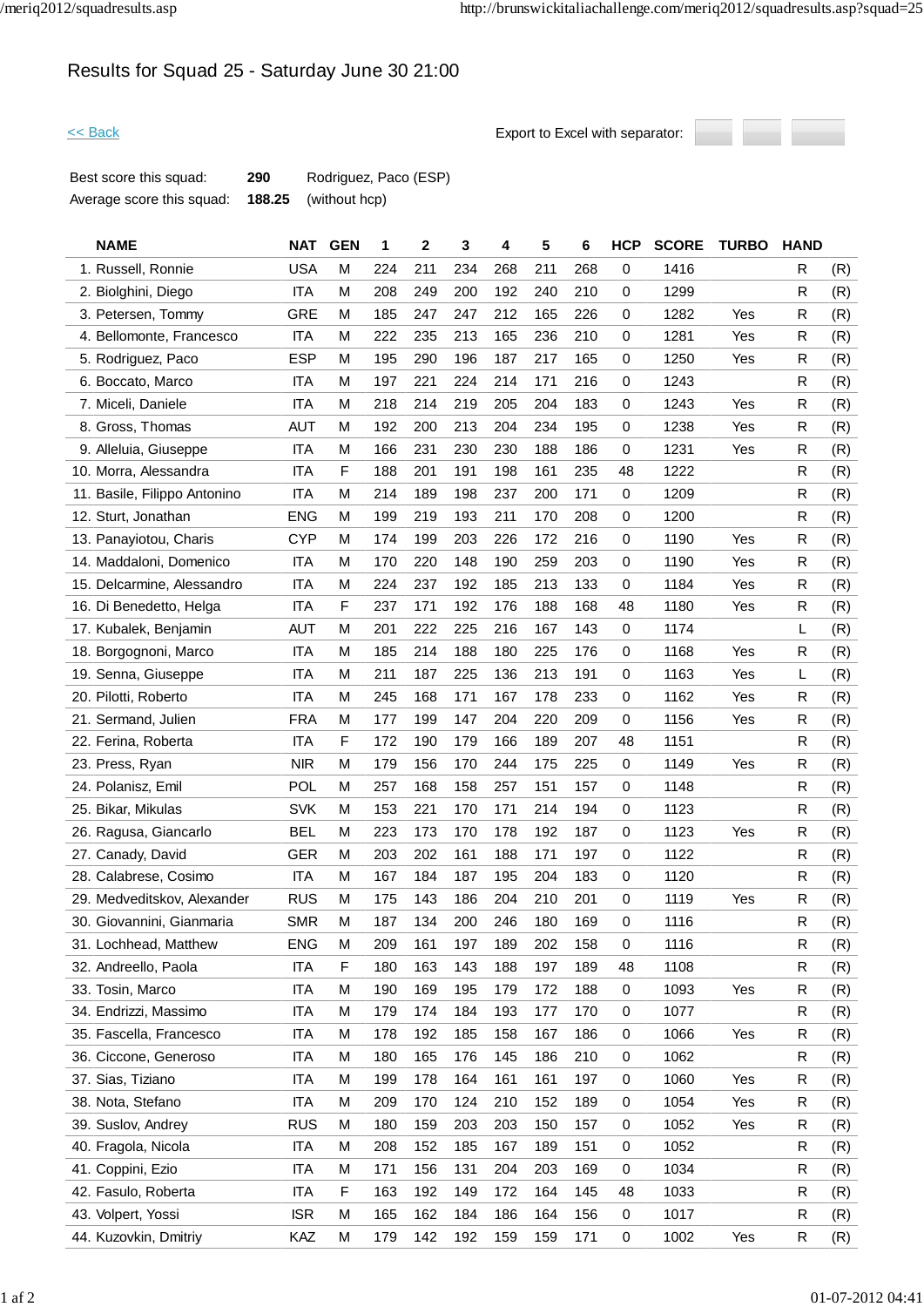# Results for Squad 25 - Saturday June 30 21:00



| Best score this squad:    | 290 | Rodriguez, Paco (ESP)       |
|---------------------------|-----|-----------------------------|
| Average score this squad: |     | <b>188.25</b> (without hcp) |

| <b>NAME</b>                  | <b>NAT</b> | <b>GEN</b> | 1   | 2   | 3   | 4   | 5   | 6   | <b>HCP</b>  | <b>SCORE</b> | <b>TURBO</b> | <b>HAND</b> |     |
|------------------------------|------------|------------|-----|-----|-----|-----|-----|-----|-------------|--------------|--------------|-------------|-----|
| 1. Russell, Ronnie           | <b>USA</b> | M          | 224 | 211 | 234 | 268 | 211 | 268 | 0           | 1416         |              | R           | (R) |
| 2. Biolghini, Diego          | <b>ITA</b> | M          | 208 | 249 | 200 | 192 | 240 | 210 | 0           | 1299         |              | R           | (R) |
| 3. Petersen, Tommy           | <b>GRE</b> | М          | 185 | 247 | 247 | 212 | 165 | 226 | 0           | 1282         | Yes          | R           | (R) |
| 4. Bellomonte, Francesco     | <b>ITA</b> | M          | 222 | 235 | 213 | 165 | 236 | 210 | 0           | 1281         | Yes          | R           | (R) |
| 5. Rodriguez, Paco           | <b>ESP</b> | M          | 195 | 290 | 196 | 187 | 217 | 165 | 0           | 1250         | Yes          | R           | (R) |
| 6. Boccato, Marco            | <b>ITA</b> | M          | 197 | 221 | 224 | 214 | 171 | 216 | 0           | 1243         |              | R           | (R) |
| 7. Miceli, Daniele           | <b>ITA</b> | M          | 218 | 214 | 219 | 205 | 204 | 183 | 0           | 1243         | Yes          | R           | (R) |
| 8. Gross, Thomas             | AUT        | M          | 192 | 200 | 213 | 204 | 234 | 195 | 0           | 1238         | Yes          | ${\sf R}$   | (R) |
| 9. Alleluia, Giuseppe        | <b>ITA</b> | M          | 166 | 231 | 230 | 230 | 188 | 186 | 0           | 1231         | Yes          | R           | (R) |
| 10. Morra, Alessandra        | <b>ITA</b> | F          | 188 | 201 | 191 | 198 | 161 | 235 | 48          | 1222         |              | R           | (R) |
| 11. Basile, Filippo Antonino | <b>ITA</b> | М          | 214 | 189 | 198 | 237 | 200 | 171 | 0           | 1209         |              | R           | (R) |
| 12. Sturt, Jonathan          | <b>ENG</b> | M          | 199 | 219 | 193 | 211 | 170 | 208 | 0           | 1200         |              | R           | (R) |
| 13. Panayiotou, Charis       | <b>CYP</b> | M          | 174 | 199 | 203 | 226 | 172 | 216 | 0           | 1190         | Yes          | R           | (R) |
| 14. Maddaloni, Domenico      | <b>ITA</b> | M          | 170 | 220 | 148 | 190 | 259 | 203 | 0           | 1190         | Yes          | R           | (R) |
| 15. Delcarmine, Alessandro   | <b>ITA</b> | M          | 224 | 237 | 192 | 185 | 213 | 133 | 0           | 1184         | Yes          | $\mathsf R$ | (R) |
| 16. Di Benedetto, Helga      | <b>ITA</b> | F          | 237 | 171 | 192 | 176 | 188 | 168 | 48          | 1180         | Yes          | R           | (R) |
| 17. Kubalek, Benjamin        | AUT        | М          | 201 | 222 | 225 | 216 | 167 | 143 | 0           | 1174         |              | L           | (R) |
| 18. Borgognoni, Marco        | <b>ITA</b> | M          | 185 | 214 | 188 | 180 | 225 | 176 | 0           | 1168         | Yes          | R           | (R) |
| 19. Senna, Giuseppe          | <b>ITA</b> | M          | 211 | 187 | 225 | 136 | 213 | 191 | 0           | 1163         | Yes          | L           | (R) |
| 20. Pilotti, Roberto         | <b>ITA</b> | M          | 245 | 168 | 171 | 167 | 178 | 233 | 0           | 1162         | Yes          | R           | (R) |
| 21. Sermand, Julien          | <b>FRA</b> | M          | 177 | 199 | 147 | 204 | 220 | 209 | 0           | 1156         | Yes          | R           | (R) |
| 22. Ferina, Roberta          | <b>ITA</b> | F          | 172 | 190 | 179 | 166 | 189 | 207 | 48          | 1151         |              | R           | (R) |
| 23. Press, Ryan              | <b>NIR</b> | M          | 179 | 156 | 170 | 244 | 175 | 225 | 0           | 1149         | Yes          | R           | (R) |
| 24. Polanisz, Emil           | POL        | M          | 257 | 168 | 158 | 257 | 151 | 157 | 0           | 1148         |              | R           | (R) |
| 25. Bikar, Mikulas           | <b>SVK</b> | M          | 153 | 221 | 170 | 171 | 214 | 194 | 0           | 1123         |              | R           | (R) |
| 26. Ragusa, Giancarlo        | <b>BEL</b> | M          | 223 | 173 | 170 | 178 | 192 | 187 | 0           | 1123         | Yes          | R           | (R) |
| 27. Canady, David            | <b>GER</b> | M          | 203 | 202 | 161 | 188 | 171 | 197 | 0           | 1122         |              | R           | (R) |
| 28. Calabrese, Cosimo        | <b>ITA</b> | M          | 167 | 184 | 187 | 195 | 204 | 183 | 0           | 1120         |              | R           | (R) |
| 29. Medveditskov, Alexander  | <b>RUS</b> | М          | 175 | 143 | 186 | 204 | 210 | 201 | 0           | 1119         | Yes          | R           | (R) |
| 30. Giovannini, Gianmaria    | <b>SMR</b> | M          | 187 | 134 | 200 | 246 | 180 | 169 | 0           | 1116         |              | R           | (R) |
| 31. Lochhead, Matthew        | <b>ENG</b> | M          | 209 | 161 | 197 | 189 | 202 | 158 | 0           | 1116         |              | R           | (R) |
| 32. Andreello, Paola         | <b>ITA</b> | F          | 180 | 163 | 143 | 188 | 197 | 189 | 48          | 1108         |              | R           | (R) |
| 33. Tosin, Marco             | <b>ITA</b> | M          | 190 | 169 | 195 | 179 | 172 | 188 | 0           | 1093         | Yes          | R           | (R) |
| 34. Endrizzi, Massimo        | <b>ITA</b> | M          | 179 | 174 | 184 | 193 | 177 | 170 | 0           | 1077         |              | R           | (R) |
| 35. Fascella, Francesco      | ITA        | M          | 178 | 192 | 185 | 158 | 167 | 186 | 0           | 1066         | Yes          | R           | (R) |
| 36. Ciccone, Generoso        | <b>ITA</b> | M          | 180 | 165 | 176 | 145 | 186 | 210 | 0           | 1062         |              | R           | (R) |
| 37. Sias, Tiziano            | <b>ITA</b> | M          | 199 | 178 | 164 | 161 | 161 | 197 | 0           | 1060         | Yes          | R           | (R) |
| 38. Nota, Stefano            | <b>ITA</b> | M          | 209 | 170 | 124 | 210 | 152 | 189 | 0           | 1054         | Yes          | R           | (R) |
| 39. Suslov, Andrey           | <b>RUS</b> | M          | 180 | 159 | 203 | 203 | 150 | 157 | 0           | 1052         | Yes          | R           | (R) |
| 40. Fragola, Nicola          | <b>ITA</b> | M          | 208 | 152 | 185 | 167 | 189 | 151 | 0           | 1052         |              | R           | (R) |
| 41. Coppini, Ezio            | <b>ITA</b> | M          | 171 | 156 | 131 | 204 | 203 | 169 | $\mathbf 0$ | 1034         |              | R           | (R) |
| 42. Fasulo, Roberta          | <b>ITA</b> | F          | 163 | 192 | 149 | 172 | 164 | 145 | 48          | 1033         |              | R           | (R) |
| 43. Volpert, Yossi           | <b>ISR</b> | M          | 165 | 162 | 184 | 186 | 164 | 156 | 0           | 1017         |              | R           | (R) |
| 44. Kuzovkin, Dmitriy        | KAZ        | M          | 179 | 142 | 192 | 159 | 159 | 171 | 0           | 1002         | Yes          | R           | (R) |
|                              |            |            |     |     |     |     |     |     |             |              |              |             |     |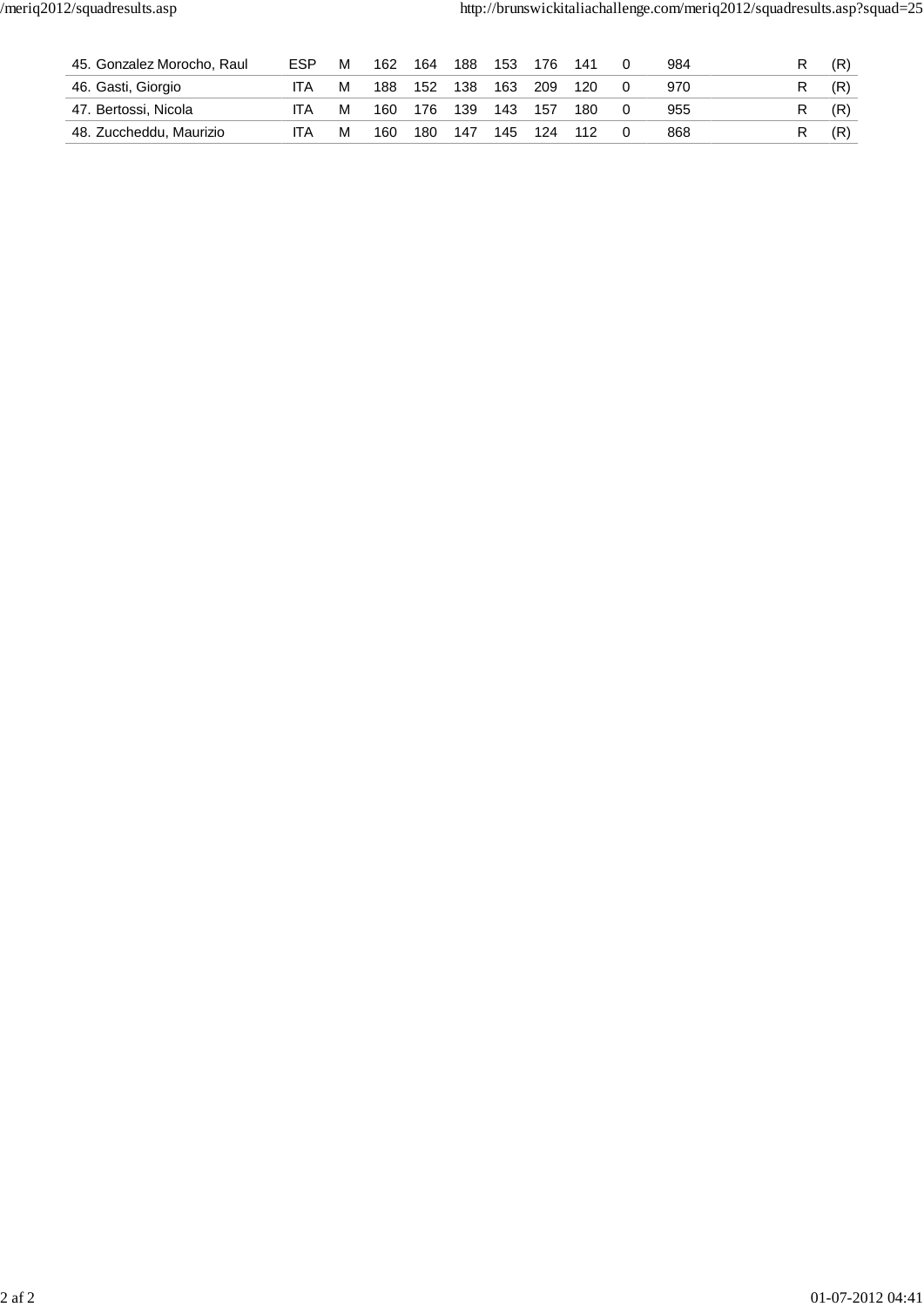| 45. Gonzalez Morocho, Raul | ESP | М | 162 | 164 | 188 | 153 | 176 | 141 | 984 |     |
|----------------------------|-----|---|-----|-----|-----|-----|-----|-----|-----|-----|
| 46. Gasti, Giorgio         | ITA | м | 188 | 152 | 138 | 163 | 209 | 120 | 970 | (R) |
| 47. Bertossi, Nicola       | IΤA | м | 160 | 176 | 139 | 143 | 157 | 180 | 955 | (R) |
| 48. Zuccheddu, Maurizio    | IΤA | м | 160 | 180 | 147 | 145 | 124 | 112 | 868 | (R) |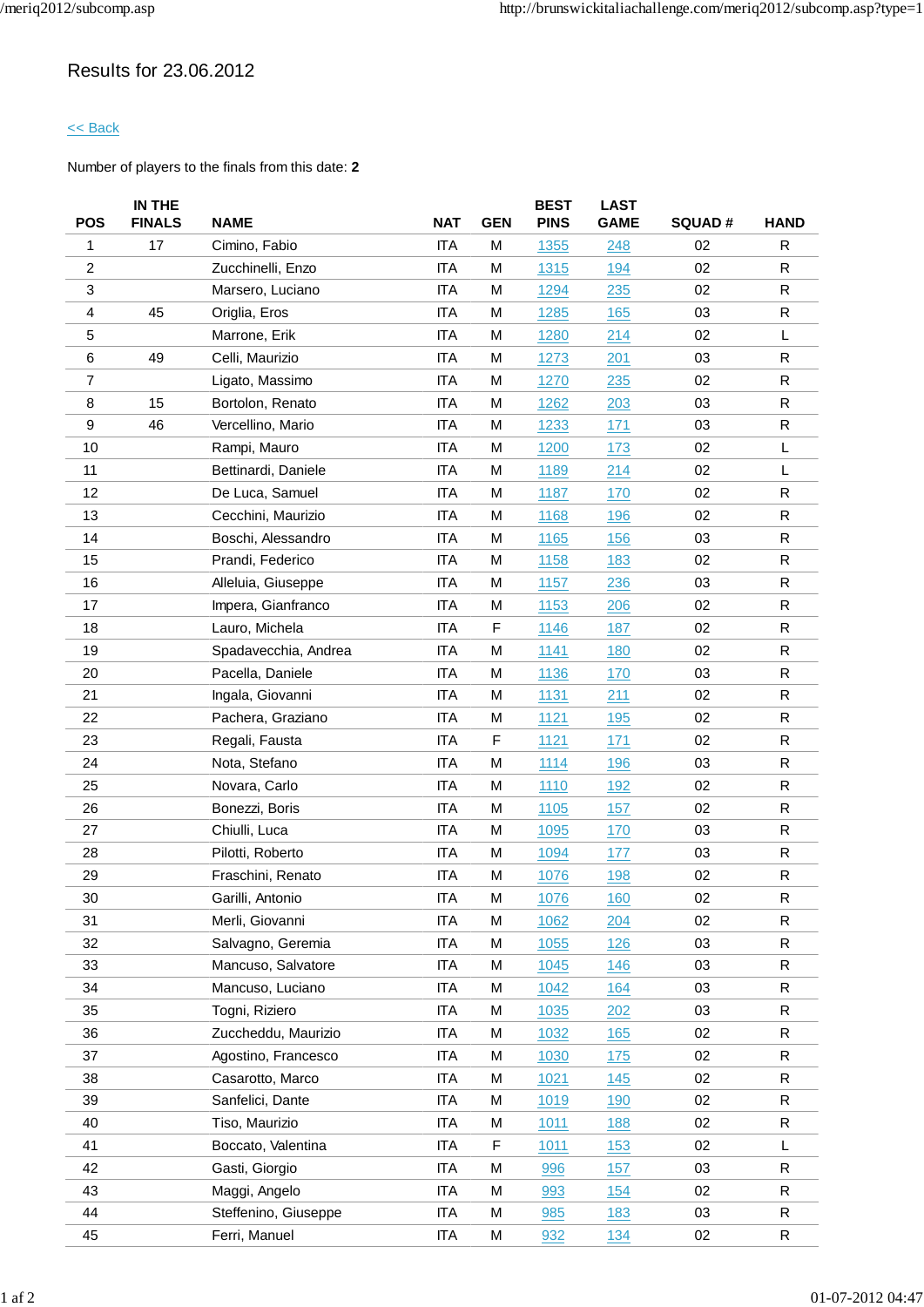## Results for 23.06.2012

### << Back

|                | IN THE        |                      |            |            | <b>BEST</b> | <b>LAST</b> |               |              |
|----------------|---------------|----------------------|------------|------------|-------------|-------------|---------------|--------------|
| <b>POS</b>     | <b>FINALS</b> | <b>NAME</b>          | <b>NAT</b> | <b>GEN</b> | <b>PINS</b> | <b>GAME</b> | <b>SQUAD#</b> | <b>HAND</b>  |
| 1              | 17            | Cimino, Fabio        | <b>ITA</b> | M          | 1355        | 248         | 02            | R            |
| $\overline{c}$ |               | Zucchinelli, Enzo    | <b>ITA</b> | M          | 1315        | 194         | 02            | R            |
| 3              |               | Marsero, Luciano     | <b>ITA</b> | M          | 1294        | 235         | 02            | $\mathsf{R}$ |
| 4              | 45            | Origlia, Eros        | <b>ITA</b> | M          | 1285        | 165         | 03            | R            |
| 5              |               | Marrone, Erik        | <b>ITA</b> | M          | 1280        | 214         | 02            | L            |
| 6              | 49            | Celli, Maurizio      | <b>ITA</b> | M          | 1273        | 201         | 03            | ${\sf R}$    |
| $\overline{7}$ |               | Ligato, Massimo      | <b>ITA</b> | M          | 1270        | 235         | 02            | R            |
| 8              | 15            | Bortolon, Renato     | <b>ITA</b> | M          | 1262        | 203         | 03            | R            |
| 9              | 46            | Vercellino, Mario    | <b>ITA</b> | M          | 1233        | 171         | 03            | R            |
| 10             |               | Rampi, Mauro         | <b>ITA</b> | M          | 1200        | 173         | 02            | L            |
| 11             |               | Bettinardi, Daniele  | <b>ITA</b> | M          | 1189        | 214         | 02            | L            |
| 12             |               | De Luca, Samuel      | <b>ITA</b> | M          | 1187        | 170         | 02            | R            |
| 13             |               | Cecchini, Maurizio   | <b>ITA</b> | M          | <u>1168</u> | <b>196</b>  | 02            | R            |
| 14             |               | Boschi, Alessandro   | <b>ITA</b> | M          | 1165        | 156         | 03            | R            |
| 15             |               | Prandi, Federico     | <b>ITA</b> | M          | 1158        | 183         | 02            | $\mathsf{R}$ |
| 16             |               | Alleluia, Giuseppe   | <b>ITA</b> | M          | 1157        | 236         | 03            | R            |
| 17             |               | Impera, Gianfranco   | <b>ITA</b> | M          | 1153        | 206         | 02            | R            |
| 18             |               | Lauro, Michela       | <b>ITA</b> | F          | 1146        | <u>187</u>  | 02            | ${\sf R}$    |
| 19             |               | Spadavecchia, Andrea | <b>ITA</b> | M          | 1141        | 180         | 02            | R            |
| 20             |               | Pacella, Daniele     | <b>ITA</b> | M          | 1136        | 170         | 03            | R            |
| 21             |               | Ingala, Giovanni     | <b>ITA</b> | M          | 1131        | 211         | 02            | R            |
| 22             |               | Pachera, Graziano    | <b>ITA</b> | M          | 1121        | 195         | 02            | R            |
| 23             |               | Regali, Fausta       | <b>ITA</b> | F          | 1121        | 171         | 02            | ${\sf R}$    |
| 24             |               | Nota, Stefano        | <b>ITA</b> | M          | 1114        | 196         | 03            | R            |
| 25             |               | Novara, Carlo        | <b>ITA</b> | M          | 1110        | 192         | 02            | R            |
| 26             |               | Bonezzi, Boris       | <b>ITA</b> | M          | 1105        | 157         | 02            | R            |
| 27             |               | Chiulli, Luca        | <b>ITA</b> | M          | 1095        | 170         | 03            | $\mathsf{R}$ |
| 28             |               | Pilotti, Roberto     | <b>ITA</b> | M          | 1094        | 177         | 03            | R            |
| 29             |               | Fraschini, Renato    | <b>ITA</b> | M          | 1076        | 198         | 02            | $\mathsf R$  |
| 30             |               | Garilli, Antonio     | <b>ITA</b> | M          | 1076        | <u>160</u>  | 02            | ${\sf R}$    |
| 31             |               | Merli, Giovanni      | ITA        | M          | 1062        | 204         | 02            | R            |
| 32             |               | Salvagno, Geremia    | <b>ITA</b> | M          | 1055        | 126         | 03            | R            |
| 33             |               | Mancuso, Salvatore   | <b>ITA</b> | M          | 1045        | 146         | 03            | R            |
| 34             |               | Mancuso, Luciano     | <b>ITA</b> | M          | 1042        | 164         | 03            | R            |
| 35             |               | Togni, Riziero       | <b>ITA</b> | M          | 1035        | 202         | 03            | R            |
| 36             |               | Zuccheddu, Maurizio  | <b>ITA</b> | M          | 1032        | <b>165</b>  | 02            | R            |
| 37             |               | Agostino, Francesco  | <b>ITA</b> | M          | 1030        | 175         | 02            | R            |
| 38             |               | Casarotto, Marco     | <b>ITA</b> | M          | 1021        | 145         | 02            | R            |
| 39             |               | Sanfelici, Dante     | <b>ITA</b> | M          | 1019        | 190         | 02            | R            |
| 40             |               | Tiso, Maurizio       | <b>ITA</b> | M          | 1011        | 188         | 02            | R            |
| 41             |               | Boccato, Valentina   | <b>ITA</b> | F          | 1011        | 153         | 02            | L            |
| 42             |               | Gasti, Giorgio       | <b>ITA</b> | M          | 996         | 157         | 03            | $\mathsf R$  |
| 43             |               | Maggi, Angelo        | <b>ITA</b> | M          | 993         | 154         | 02            | R            |
| 44             |               | Steffenino, Giuseppe | <b>ITA</b> | M          | 985         | 183         | 03            | R            |
| 45             |               | Ferri, Manuel        | ITA        | M          | 932         | <u>134</u>  | 02            | R            |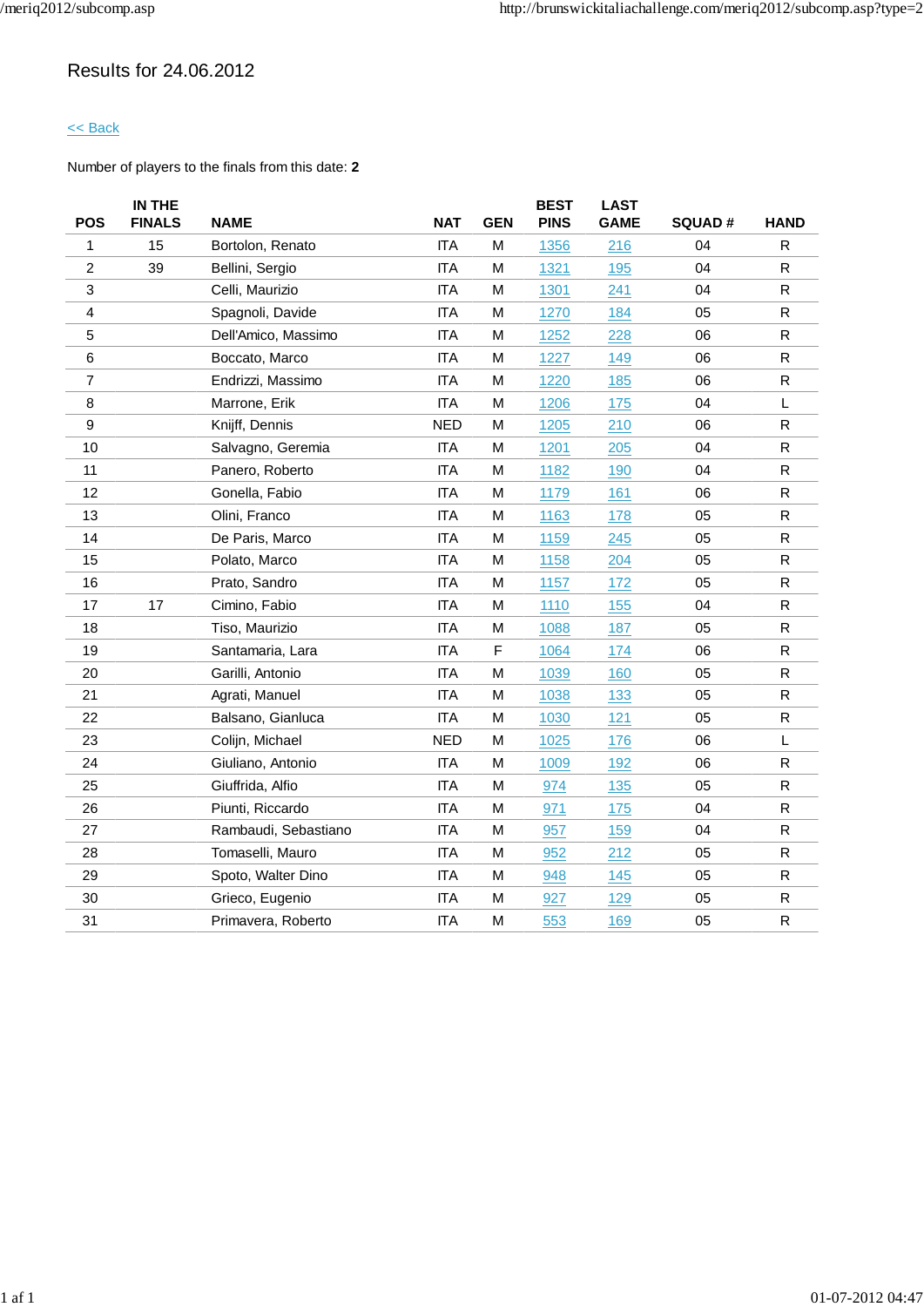## Results for 24.06.2012

### << Back

| <b>POS</b>     | IN THE<br><b>FINALS</b> | <b>NAME</b>          | <b>NAT</b> | <b>GEN</b> | <b>BEST</b><br><b>PINS</b> | <b>LAST</b><br><b>GAME</b> | <b>SQUAD#</b> | <b>HAND</b>  |
|----------------|-------------------------|----------------------|------------|------------|----------------------------|----------------------------|---------------|--------------|
| 1              | 15                      | Bortolon, Renato     | <b>ITA</b> | M          | 1356                       | 216                        | 04            | ${\sf R}$    |
| $\overline{c}$ | 39                      | Bellini, Sergio      | <b>ITA</b> | Μ          | 1321                       | <u>195</u>                 | 04            | R            |
| 3              |                         | Celli, Maurizio      | <b>ITA</b> | M          | 1301                       | 241                        | 04            | R            |
| 4              |                         | Spagnoli, Davide     | <b>ITA</b> | Μ          | 1270                       | 184                        | 05            | R            |
| 5              |                         | Dell'Amico, Massimo  | <b>ITA</b> | M          | 1252                       | 228                        | 06            | $\mathsf R$  |
| $\,6$          |                         | Boccato, Marco       | <b>ITA</b> | M          | 1227                       | 149                        | 06            | $\mathsf R$  |
| $\overline{7}$ |                         | Endrizzi, Massimo    | <b>ITA</b> | M          | 1220                       | 185                        | 06            | $\mathsf{R}$ |
| 8              |                         | Marrone, Erik        | <b>ITA</b> | M          | 1206                       | 175                        | 04            | L            |
| 9              |                         | Knijff, Dennis       | <b>NED</b> | М          | 1205                       | 210                        | 06            | R            |
| 10             |                         | Salvagno, Geremia    | <b>ITA</b> | M          | 1201                       | 205                        | 04            | R            |
| 11             |                         | Panero, Roberto      | <b>ITA</b> | M          | 1182                       | 190                        | 04            | $\mathsf{R}$ |
| 12             |                         | Gonella, Fabio       | <b>ITA</b> | M          | 1179                       | 161                        | 06            | ${\sf R}$    |
| 13             |                         | Olini, Franco        | <b>ITA</b> | M          | 1163                       | 178                        | 05            | $\mathsf R$  |
| 14             |                         | De Paris, Marco      | <b>ITA</b> | М          | 1159                       | 245                        | 05            | $\mathsf{R}$ |
| 15             |                         | Polato, Marco        | <b>ITA</b> | M          | 1158                       | 204                        | 05            | $\mathsf{R}$ |
| 16             |                         | Prato, Sandro        | <b>ITA</b> | М          | 1157                       | 172                        | 05            | R            |
| 17             | 17                      | Cimino, Fabio        | <b>ITA</b> | М          | 1110                       | 155                        | 04            | $\mathsf{R}$ |
| 18             |                         | Tiso, Maurizio       | <b>ITA</b> | М          | 1088                       | 187                        | 05            | $\mathsf R$  |
| 19             |                         | Santamaria, Lara     | <b>ITA</b> | F          | 1064                       | 174                        | 06            | ${\sf R}$    |
| 20             |                         | Garilli, Antonio     | <b>ITA</b> | М          | 1039                       | 160                        | 05            | $\mathsf{R}$ |
| 21             |                         | Agrati, Manuel       | <b>ITA</b> | M          | 1038                       | 133                        | 05            | $\mathsf R$  |
| 22             |                         | Balsano, Gianluca    | <b>ITA</b> | м          | 1030                       | 121                        | 05            | ${\sf R}$    |
| 23             |                         | Colijn, Michael      | <b>NED</b> | М          | 1025                       | 176                        | 06            | L            |
| 24             |                         | Giuliano, Antonio    | <b>ITA</b> | Μ          | 1009                       | 192                        | 06            | $\mathsf{R}$ |
| 25             |                         | Giuffrida, Alfio     | <b>ITA</b> | Μ          | 974                        | 135                        | 05            | ${\sf R}$    |
| 26             |                         | Piunti, Riccardo     | <b>ITA</b> | Μ          | 971                        | 175                        | 04            | $\mathsf R$  |
| 27             |                         | Rambaudi, Sebastiano | <b>ITA</b> | M          | 957                        | 159                        | 04            | R            |
| 28             |                         | Tomaselli, Mauro     | <b>ITA</b> | M          | 952                        | 212                        | 05            | $\mathsf{R}$ |
| 29             |                         | Spoto, Walter Dino   | <b>ITA</b> | M          | 948                        | 145                        | 05            | R            |
| 30             |                         | Grieco, Eugenio      | <b>ITA</b> | Μ          | 927                        | 129                        | 05            | R            |
| 31             |                         | Primavera, Roberto   | <b>ITA</b> | M          | 553                        | 169                        | 05            | $\mathsf{R}$ |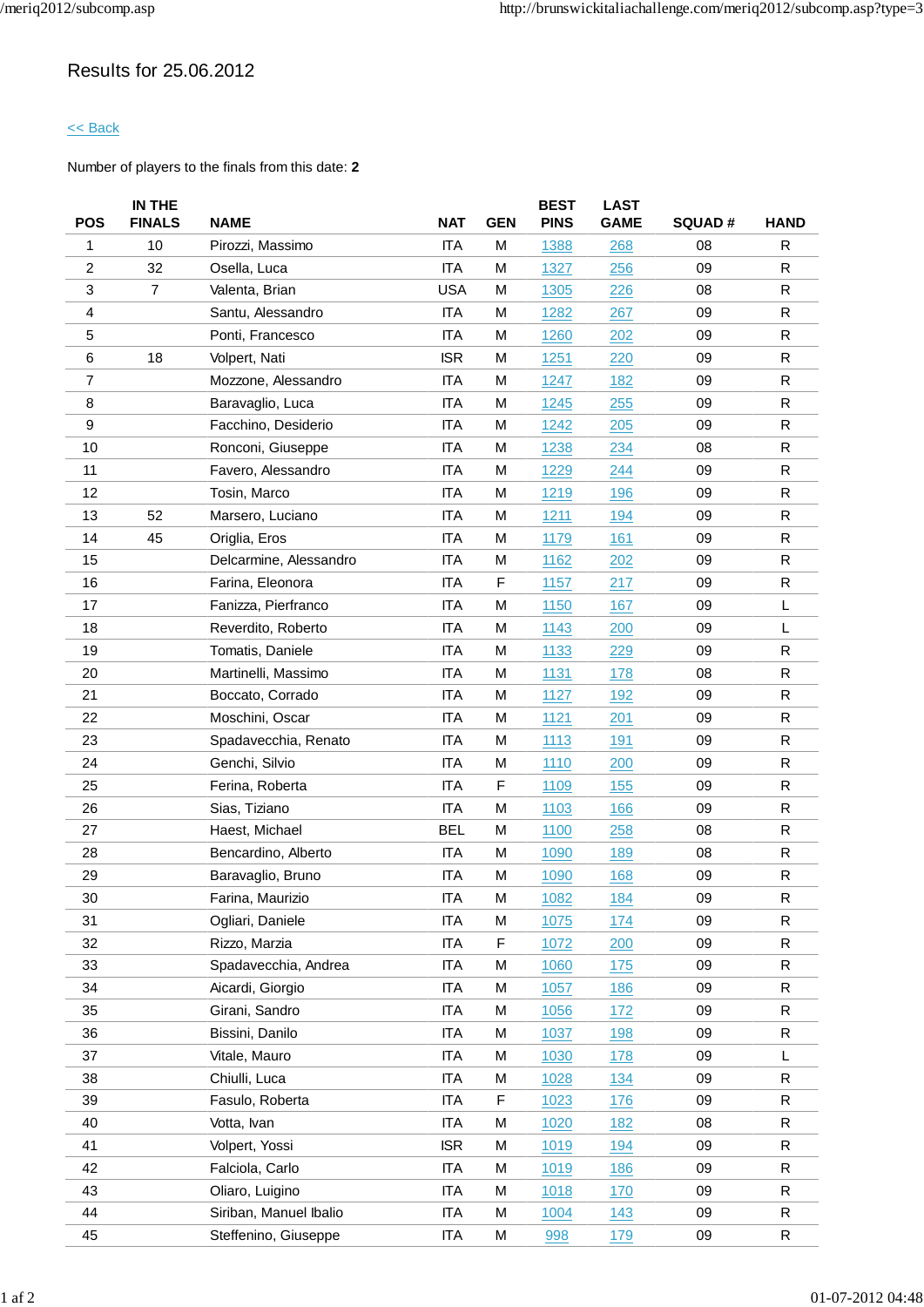## Results for 25.06.2012

### << Back

|                | IN THE         |                        |            |             | <b>BEST</b> | LAST        |               |              |
|----------------|----------------|------------------------|------------|-------------|-------------|-------------|---------------|--------------|
| <b>POS</b>     | <b>FINALS</b>  | <b>NAME</b>            | <b>NAT</b> | <b>GEN</b>  | <b>PINS</b> | <b>GAME</b> | <b>SQUAD#</b> | <b>HAND</b>  |
| 1              | 10             | Pirozzi, Massimo       | <b>ITA</b> | M           | 1388        | 268         | 08            | R            |
| $\overline{2}$ | 32             | Osella, Luca           | <b>ITA</b> | M           | 1327        | 256         | 09            | R            |
| 3              | $\overline{7}$ | Valenta, Brian         | <b>USA</b> | M           | 1305        | 226         | 08            | $\mathsf{R}$ |
| 4              |                | Santu, Alessandro      | <b>ITA</b> | M           | 1282        | 267         | 09            | R            |
| 5              |                | Ponti, Francesco       | <b>ITA</b> | M           | 1260        | 202         | 09            | R            |
| 6              | 18             | Volpert, Nati          | <b>ISR</b> | M           | 1251        | 220         | 09            | R            |
| $\overline{7}$ |                | Mozzone, Alessandro    | <b>ITA</b> | M           | 1247        | 182         | 09            | R            |
| 8              |                | Baravaglio, Luca       | <b>ITA</b> | M           | 1245        | 255         | 09            | $\mathsf{R}$ |
| 9              |                | Facchino, Desiderio    | <b>ITA</b> | M           | 1242        | 205         | 09            | R            |
| 10             |                | Ronconi, Giuseppe      | <b>ITA</b> | M           | 1238        | 234         | 08            | R            |
| 11             |                | Favero, Alessandro     | <b>ITA</b> | M           | 1229        | 244         | 09            | R            |
| 12             |                | Tosin, Marco           | <b>ITA</b> | M           | 1219        | 196         | 09            | R            |
| 13             | 52             | Marsero, Luciano       | <b>ITA</b> | М           | 1211        | 194         | 09            | R            |
| 14             | 45             | Origlia, Eros          | <b>ITA</b> | M           | 1179        | 161         | 09            | R            |
| 15             |                | Delcarmine, Alessandro | <b>ITA</b> | M           | 1162        | 202         | 09            | $\mathsf{R}$ |
| 16             |                | Farina, Eleonora       | <b>ITA</b> | F           | 1157        | 217         | 09            | R            |
| 17             |                | Fanizza, Pierfranco    | <b>ITA</b> | M           | 1150        | 167         | 09            | L            |
| 18             |                | Reverdito, Roberto     | <b>ITA</b> | M           | 1143        | 200         | 09            | L            |
| 19             |                | Tomatis, Daniele       | <b>ITA</b> | M           | 1133        | 229         | 09            | R            |
| 20             |                | Martinelli, Massimo    | <b>ITA</b> | M           | 1131        | 178         | 08            | R            |
| 21             |                | Boccato, Corrado       | <b>ITA</b> | M           | 1127        | 192         | 09            | R            |
| 22             |                | Moschini, Oscar        | <b>ITA</b> | M           | 1121        | 201         | 09            | R            |
| 23             |                | Spadavecchia, Renato   | <b>ITA</b> | M           | 1113        | 191         | 09            | $\mathsf{R}$ |
| 24             |                | Genchi, Silvio         | <b>ITA</b> | M           | 1110        | 200         | 09            | R            |
| 25             |                | Ferina, Roberta        | <b>ITA</b> | F           | 1109        | 155         | 09            | R            |
| 26             |                | Sias, Tiziano          | <b>ITA</b> | M           | 1103        | 166         | 09            | R            |
| 27             |                | Haest, Michael         | <b>BEL</b> | M           | 1100        | 258         | 08            | $\mathsf{R}$ |
| 28             |                | Bencardino, Alberto    | <b>ITA</b> | M           | 1090        | 189         | 08            | ${\sf R}$    |
| 29             |                | Baravaglio, Bruno      | <b>ITA</b> | M           | 1090        | 168         | 09            | ${\sf R}$    |
| 30             |                | Farina, Maurizio       | <b>ITA</b> | M           | 1082        | <u>184</u>  | 09            | $\mathsf R$  |
| 31             |                | Ogliari, Daniele       | <b>ITA</b> | M           | 1075        | 174         | 09            | R            |
| 32             |                | Rizzo, Marzia          | <b>ITA</b> | $\mathsf F$ | 1072        | 200         | 09            | R            |
| 33             |                | Spadavecchia, Andrea   | <b>ITA</b> | M           | 1060        | 175         | 09            | R            |
| 34             |                | Aicardi, Giorgio       | <b>ITA</b> | M           | 1057        | 186         | 09            | R            |
| 35             |                | Girani, Sandro         | <b>ITA</b> | M           | 1056        | 172         | 09            | ${\sf R}$    |
| 36             |                | Bissini, Danilo        | <b>ITA</b> | M           | 1037        | 198         | 09            | R            |
| 37             |                | Vitale, Mauro          | <b>ITA</b> | M           | 1030        | 178         | 09            | L            |
| 38             |                | Chiulli, Luca          | <b>ITA</b> | Μ           | 1028        | 134         | 09            | R            |
| 39             |                | Fasulo, Roberta        | <b>ITA</b> | F           | 1023        | 176         | 09            | R            |
| 40             |                | Votta, Ivan            | <b>ITA</b> | M           | 1020        | 182         | 08            | R            |
| 41             |                | Volpert, Yossi         | <b>ISR</b> | M           | 1019        | 194         | 09            | R            |
| 42             |                | Falciola, Carlo        | <b>ITA</b> | M           | 1019        | 186         | 09            | R            |
| 43             |                | Oliaro, Luigino        | <b>ITA</b> | M           | 1018        | 170         | 09            | R            |
| 44             |                | Siriban, Manuel Ibalio | <b>ITA</b> | M           | 1004        | 143         | 09            | R            |
| 45             |                | Steffenino, Giuseppe   | <b>ITA</b> | М           | 998         | <u>179</u>  | 09            | R            |
|                |                |                        |            |             |             |             |               |              |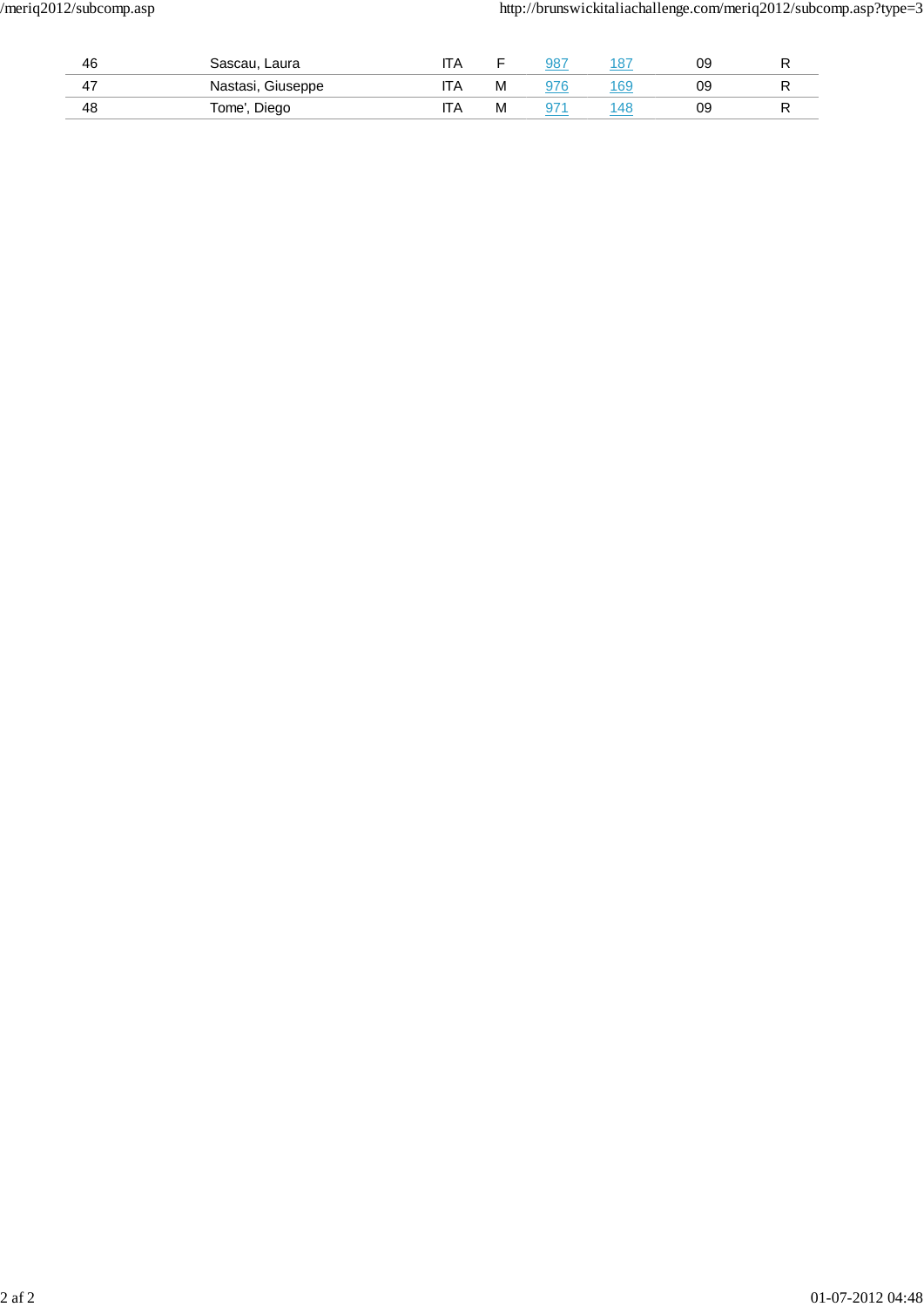| 46                    | Sascau, Laura     |      |   | 987        | 1 O.T | 09 |   |
|-----------------------|-------------------|------|---|------------|-------|----|---|
| . –<br>4 <sub>l</sub> | Nastasi, Giuseppe | II A | M | <b>276</b> | 69    | 09 |   |
| 48                    | Diego<br>Готе',   | .IA  | М |            |       | 09 | D |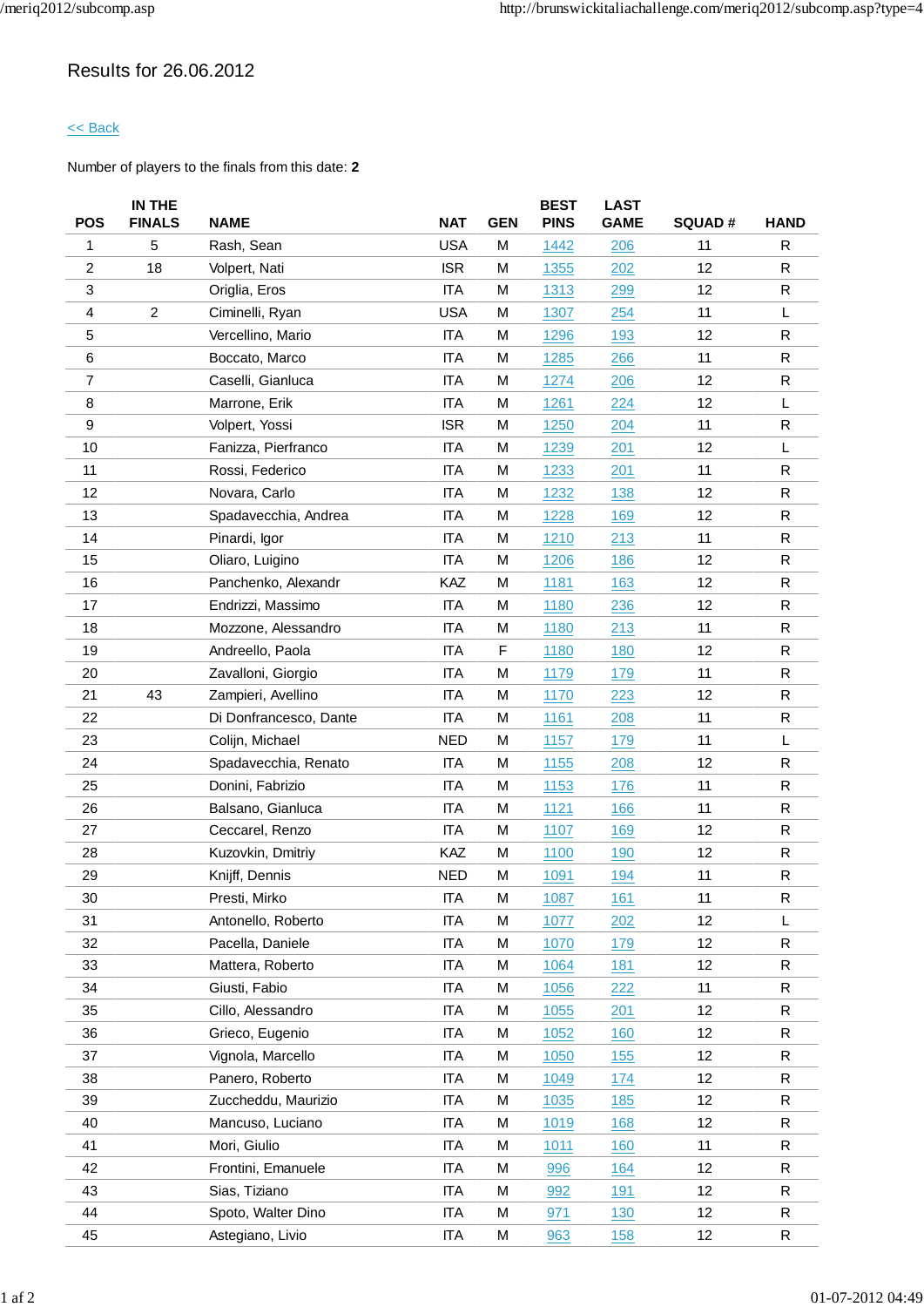## Results for 26.06.2012

### << Back

|                | IN THE         |                        |            |            | <b>BEST</b> | <b>LAST</b> |               |              |
|----------------|----------------|------------------------|------------|------------|-------------|-------------|---------------|--------------|
| <b>POS</b>     | <b>FINALS</b>  | <b>NAME</b>            | <b>NAT</b> | <b>GEN</b> | <b>PINS</b> | <b>GAME</b> | <b>SQUAD#</b> | <b>HAND</b>  |
| 1              | 5              | Rash, Sean             | <b>USA</b> | M          | 1442        | 206         | 11            | R            |
| $\overline{c}$ | 18             | Volpert, Nati          | <b>ISR</b> | м          | 1355        | 202         | 12            | R            |
| 3              |                | Origlia, Eros          | <b>ITA</b> | M          | 1313        | 299         | 12            | $\mathsf{R}$ |
| 4              | $\overline{c}$ | Ciminelli, Ryan        | <b>USA</b> | M          | 1307        | 254         | 11            | L            |
| 5              |                | Vercellino, Mario      | <b>ITA</b> | M          | 1296        | 193         | 12            | R            |
| 6              |                | Boccato, Marco         | <b>ITA</b> | M          | 1285        | 266         | 11            | $\mathsf R$  |
| $\overline{7}$ |                | Caselli, Gianluca      | <b>ITA</b> | M          | 1274        | 206         | 12            | R            |
| 8              |                | Marrone, Erik          | <b>ITA</b> | M          | 1261        | 224         | 12            | L            |
| 9              |                | Volpert, Yossi         | <b>ISR</b> | M          | 1250        | 204         | 11            | R            |
| 10             |                | Fanizza, Pierfranco    | <b>ITA</b> | M          | 1239        | 201         | 12            | L            |
| 11             |                | Rossi, Federico        | <b>ITA</b> | M          | 1233        | 201         | 11            | $\mathsf R$  |
| 12             |                | Novara, Carlo          | <b>ITA</b> | M          | 1232        | 138         | 12            | $\mathsf{R}$ |
| 13             |                | Spadavecchia, Andrea   | <b>ITA</b> | M          | 1228        | 169         | 12            | $\mathsf R$  |
| 14             |                | Pinardi, Igor          | <b>ITA</b> | M          | 1210        | 213         | 11            | R            |
| 15             |                | Oliaro, Luigino        | <b>ITA</b> | M          | 1206        | 186         | 12            | $\mathsf{R}$ |
| 16             |                | Panchenko, Alexandr    | KAZ        | M          | 1181        | 163         | 12            | $\mathsf{R}$ |
| 17             |                | Endrizzi, Massimo      | <b>ITA</b> | M          | 1180        | 236         | 12            | $\mathsf{R}$ |
| 18             |                | Mozzone, Alessandro    | <b>ITA</b> | M          | <u>1180</u> | 213         | 11            | $\mathsf R$  |
| 19             |                | Andreello, Paola       | <b>ITA</b> | F          | 1180        | 180         | 12            | $\mathsf{R}$ |
| 20             |                | Zavalloni, Giorgio     | <b>ITA</b> | M          | 1179        | 179         | 11            | R            |
| 21             | 43             | Zampieri, Avellino     | <b>ITA</b> | M          | 1170        | 223         | 12            | R            |
| 22             |                | Di Donfrancesco, Dante | <b>ITA</b> | M          | 1161        | 208         | 11            | $\mathsf{R}$ |
| 23             |                | Colijn, Michael        | <b>NED</b> | M          | 1157        | 179         | 11            | L            |
| 24             |                | Spadavecchia, Renato   | <b>ITA</b> | M          | 1155        | 208         | 12            | $\mathsf{R}$ |
| 25             |                | Donini, Fabrizio       | <b>ITA</b> | M          | 1153        | 176         | 11            | R            |
| 26             |                | Balsano, Gianluca      | <b>ITA</b> | M          | 1121        | 166         | 11            | R            |
| 27             |                | Ceccarel, Renzo        | <b>ITA</b> | M          | 1107        | 169         | 12            | $\mathsf{R}$ |
| 28             |                | Kuzovkin, Dmitriy      | KAZ        | M          | 1100        | 190         | 12            | $\mathsf R$  |
| 29             |                | Knijff, Dennis         | <b>NED</b> | M          | 1091        | 194         | 11            | $\mathsf R$  |
| 30             |                | Presti, Mirko          | <b>ITA</b> | M          | 1087        | 161         | 11            | ${\sf R}$    |
| 31             |                | Antonello, Roberto     | <b>ITA</b> | M          | 1077        | 202         | 12            | L            |
| 32             |                | Pacella, Daniele       | <b>ITA</b> | M          | 1070        | 179         | 12            | R            |
| 33             |                | Mattera, Roberto       | <b>ITA</b> | M          | 1064        | 181         | 12            | R            |
| 34             |                | Giusti, Fabio          | <b>ITA</b> | M          | 1056        | 222         | 11            | R            |
| 35             |                | Cillo, Alessandro      | <b>ITA</b> | M          | 1055        | 201         | 12            | R            |
| 36             |                | Grieco, Eugenio        | <b>ITA</b> | M          | 1052        | 160         | 12            | $\mathsf{R}$ |
| 37             |                | Vignola, Marcello      | <b>ITA</b> | M          | 1050        | 155         | 12            | R            |
| 38             |                | Panero, Roberto        | <b>ITA</b> | М          | 1049        | 174         | 12            | R            |
| 39             |                | Zuccheddu, Maurizio    | <b>ITA</b> | M          | 1035        | 185         | 12            | R            |
| 40             |                | Mancuso, Luciano       | <b>ITA</b> | M          | 1019        | 168         | 12            | $\mathsf R$  |
| 41             |                | Mori, Giulio           | <b>ITA</b> | M          | 1011        | 160         | 11            | R            |
| 42             |                | Frontini, Emanuele     | <b>ITA</b> | M          | 996         | 164         | 12            | R            |
| 43             |                | Sias, Tiziano          | <b>ITA</b> | M          | 992         | 191         | 12            | R            |
| 44             |                | Spoto, Walter Dino     | <b>ITA</b> | M          | 971         | 130         | 12            | R            |
| 45             |                | Astegiano, Livio       | ITA        | M          | 963         | <b>158</b>  | 12            | $\mathsf{R}$ |
|                |                |                        |            |            |             |             |               |              |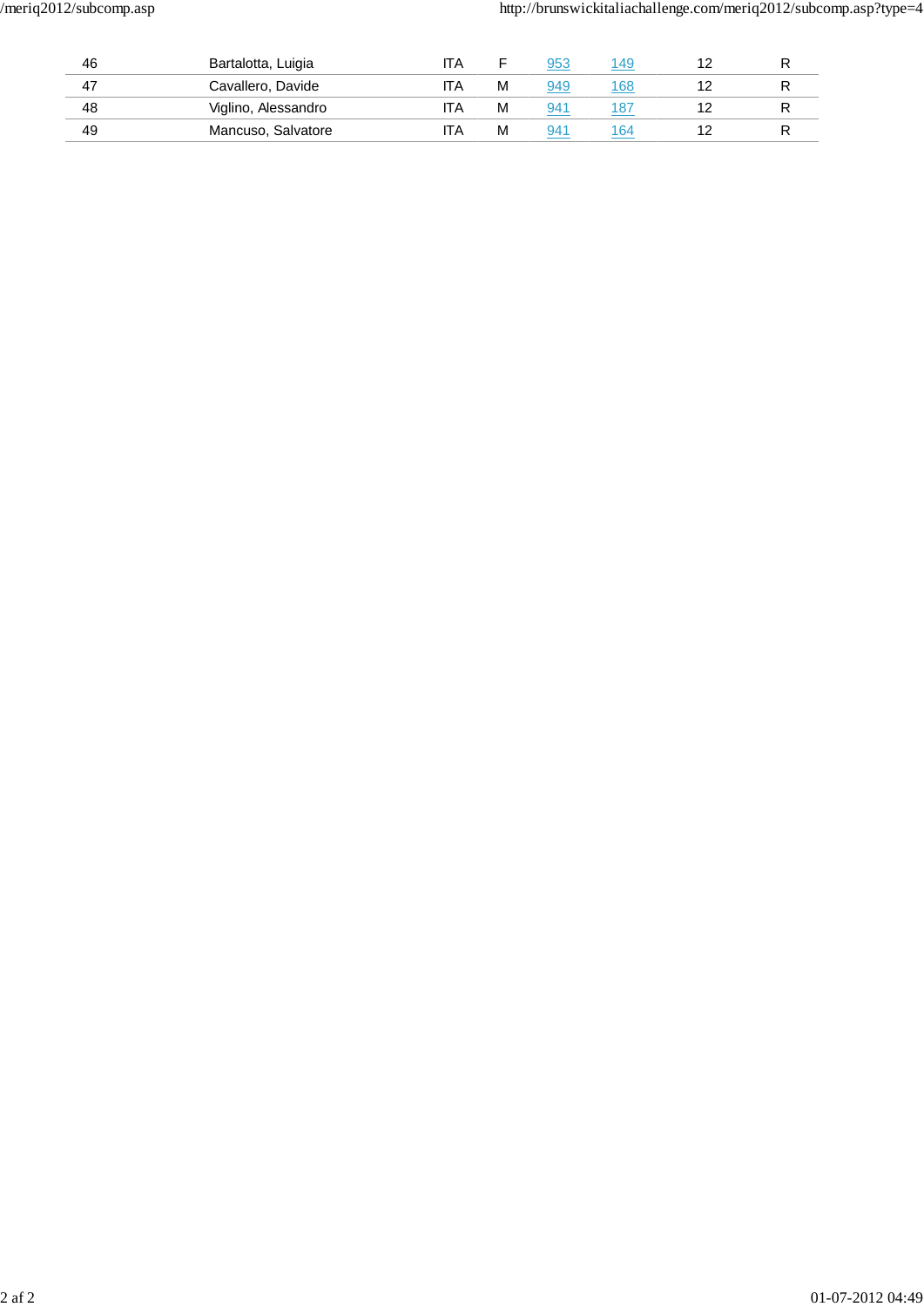| 46 | Bartalotta, Luigia  | IΑ |   | 953 | 149 |  |
|----|---------------------|----|---|-----|-----|--|
| 47 | Cavallero, Davide   | ΙA | м | 949 | 168 |  |
| 48 | Viglino, Alessandro | ۱A | м | 94' | 187 |  |
| 49 | Mancuso, Salvatore  | IΑ | м | 94٬ | 64  |  |
|    |                     |    |   |     |     |  |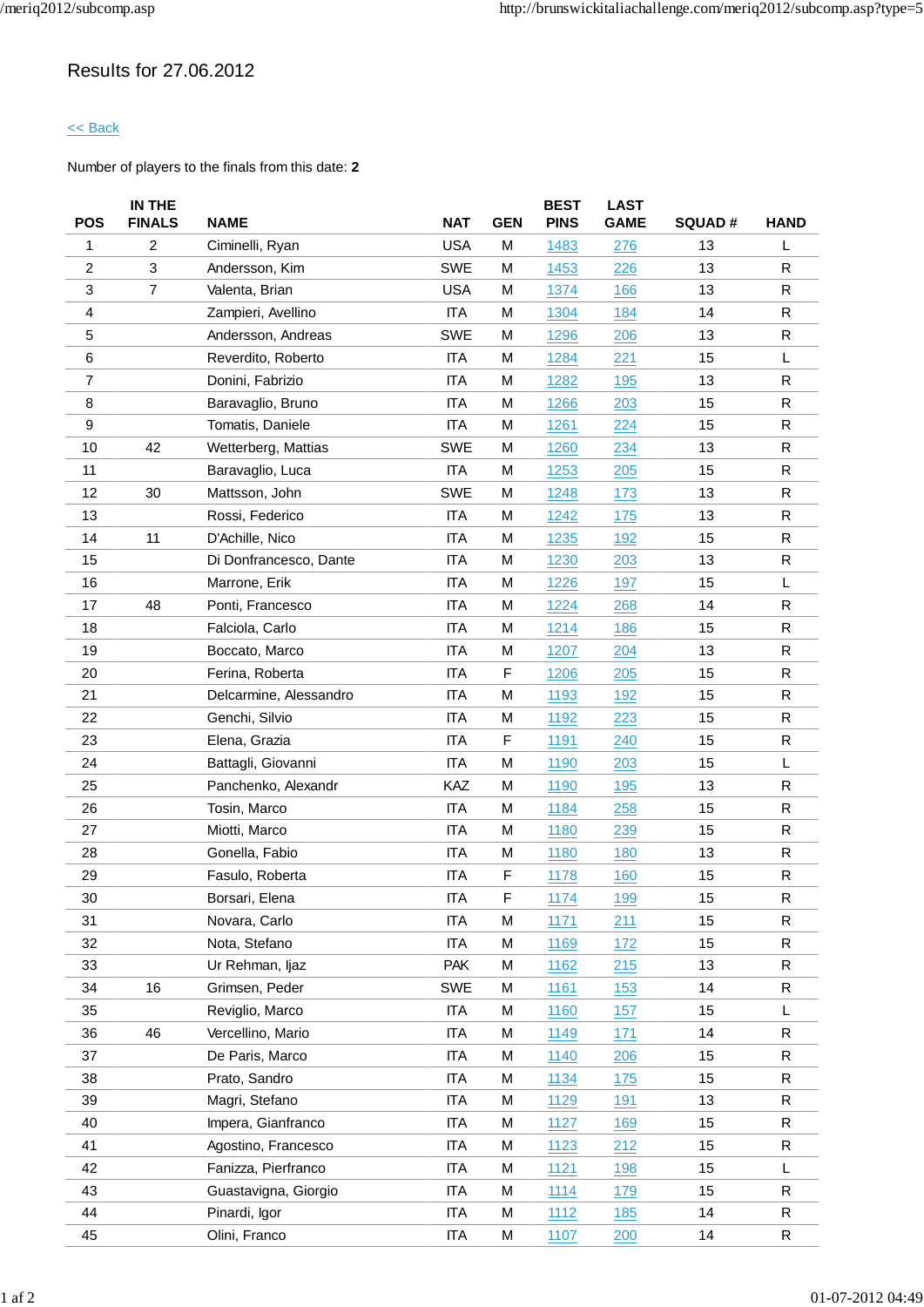## Results for 27.06.2012

### << Back

|                | IN THE         |                        |            |            | <b>BEST</b> | <b>LAST</b> |               |              |
|----------------|----------------|------------------------|------------|------------|-------------|-------------|---------------|--------------|
| <b>POS</b>     | <b>FINALS</b>  | <b>NAME</b>            | <b>NAT</b> | <b>GEN</b> | <b>PINS</b> | <b>GAME</b> | <b>SQUAD#</b> | <b>HAND</b>  |
| 1              | $\overline{c}$ | Ciminelli, Ryan        | <b>USA</b> | M          | 1483        | 276         | 13            | L            |
| $\overline{c}$ | 3              | Andersson, Kim         | <b>SWE</b> | м          | 1453        | 226         | 13            | R            |
| 3              | $\overline{7}$ | Valenta, Brian         | <b>USA</b> | M          | 1374        | 166         | 13            | $\mathsf{R}$ |
| 4              |                | Zampieri, Avellino     | <b>ITA</b> | M          | 1304        | 184         | 14            | $\mathsf{R}$ |
| 5              |                | Andersson, Andreas     | <b>SWE</b> | м          | 1296        | 206         | 13            | ${\sf R}$    |
| 6              |                | Reverdito, Roberto     | <b>ITA</b> | M          | 1284        | 221         | 15            | L            |
| $\overline{7}$ |                | Donini, Fabrizio       | <b>ITA</b> | М          | 1282        | 195         | 13            | $\mathsf{R}$ |
| 8              |                | Baravaglio, Bruno      | <b>ITA</b> | M          | 1266        | 203         | 15            | ${\sf R}$    |
| 9              |                | Tomatis, Daniele       | <b>ITA</b> | M          | 1261        | 224         | 15            | $\mathsf{R}$ |
| 10             | 42             | Wetterberg, Mattias    | <b>SWE</b> | M          | 1260        | 234         | 13            | ${\sf R}$    |
| 11             |                | Baravaglio, Luca       | <b>ITA</b> | M          | 1253        | 205         | 15            | $\mathsf R$  |
| 12             | 30             | Mattsson, John         | <b>SWE</b> | М          | 1248        | 173         | 13            | $\mathsf{R}$ |
| 13             |                | Rossi, Federico        | <b>ITA</b> | M          | 1242        | 175         | 13            | $\mathsf R$  |
| 14             | 11             | D'Achille, Nico        | <b>ITA</b> | М          | 1235        | 192         | 15            | $\mathsf{R}$ |
| 15             |                | Di Donfrancesco, Dante | <b>ITA</b> | M          | 1230        | 203         | 13            | $\mathsf{R}$ |
| 16             |                | Marrone, Erik          | <b>ITA</b> | M          | 1226        | 197         | 15            | L.           |
| 17             | 48             | Ponti, Francesco       | <b>ITA</b> | М          | 1224        | 268         | 14            | $\mathsf{R}$ |
| 18             |                | Falciola, Carlo        | <b>ITA</b> | M          | 1214        | 186         | 15            | $\mathsf R$  |
| 19             |                | Boccato, Marco         | <b>ITA</b> | М          | 1207        | 204         | 13            | $\mathsf{R}$ |
| 20             |                | Ferina, Roberta        | <b>ITA</b> | F          | 1206        | 205         | 15            | $\mathsf{R}$ |
| 21             |                | Delcarmine, Alessandro | <b>ITA</b> | M          | 1193        | 192         | 15            | $\mathsf{R}$ |
| 22             |                | Genchi, Silvio         | <b>ITA</b> | M          | 1192        | 223         | 15            | $\mathsf{R}$ |
| 23             |                | Elena, Grazia          | <b>ITA</b> | F          | 1191        | 240         | 15            | $\mathsf R$  |
| 24             |                | Battagli, Giovanni     | <b>ITA</b> | M          | 1190        | 203         | 15            | L            |
| 25             |                | Panchenko, Alexandr    | KAZ        | M          | 1190        | 195         | 13            | R            |
| 26             |                | Tosin, Marco           | <b>ITA</b> | м          | 1184        | 258         | 15            | $\mathsf{R}$ |
| 27             |                | Miotti, Marco          | <b>ITA</b> | M          | 1180        | 239         | 15            | $\mathsf{R}$ |
| 28             |                | Gonella, Fabio         | <b>ITA</b> | М          | 1180        | 180         | 13            | $\mathsf R$  |
| 29             |                | Fasulo, Roberta        | <b>ITA</b> | F          | 1178        | 160         | 15            | ${\sf R}$    |
| 30             |                | Borsari, Elena         | <b>ITA</b> | F          | 1174        | <u>199</u>  | 15            | ${\sf R}$    |
| 31             |                | Novara, Carlo          | <b>ITA</b> | М          | 1171        | 211         | 15            | R            |
| 32             |                | Nota, Stefano          | <b>ITA</b> | M          | 1169        | 172         | 15            | $\mathsf{R}$ |
| 33             |                | Ur Rehman, ljaz        | <b>PAK</b> | M          | 1162        | 215         | 13            | R            |
| 34             | 16             | Grimsen, Peder         | SWE        | M          | 1161        | 153         | 14            | $\mathsf R$  |
| 35             |                | Reviglio, Marco        | <b>ITA</b> | M          | 1160        | 157         | 15            | L            |
| 36             | 46             | Vercellino, Mario      | <b>ITA</b> | М          | 1149        | 171         | 14            | $\mathsf R$  |
| 37             |                | De Paris, Marco        | <b>ITA</b> | M          | 1140        | 206         | 15            | $\mathsf R$  |
| 38             |                | Prato, Sandro          | ITA        | М          | 1134        | 175         | 15            | R            |
| 39             |                | Magri, Stefano         | <b>ITA</b> | М          | 1129        | 191         | 13            | $\mathsf R$  |
| 40             |                | Impera, Gianfranco     | <b>ITA</b> | M          | 1127        | 169         | 15            | $\mathsf R$  |
| 41             |                | Agostino, Francesco    | <b>ITA</b> | M          | 1123        | 212         | 15            | $\mathsf R$  |
| 42             |                | Fanizza, Pierfranco    | <b>ITA</b> | M          | 1121        | 198         | 15            | L            |
| 43             |                | Guastavigna, Giorgio   | ITA        | M          | 1114        | 179         | 15            | R            |
| 44             |                | Pinardi, Igor          | <b>ITA</b> | M          | 1112        | 185         | 14            | R            |
| 45             |                | Olini, Franco          | ITA        | M          | 1107        | 200         | 14            | R            |
|                |                |                        |            |            |             |             |               |              |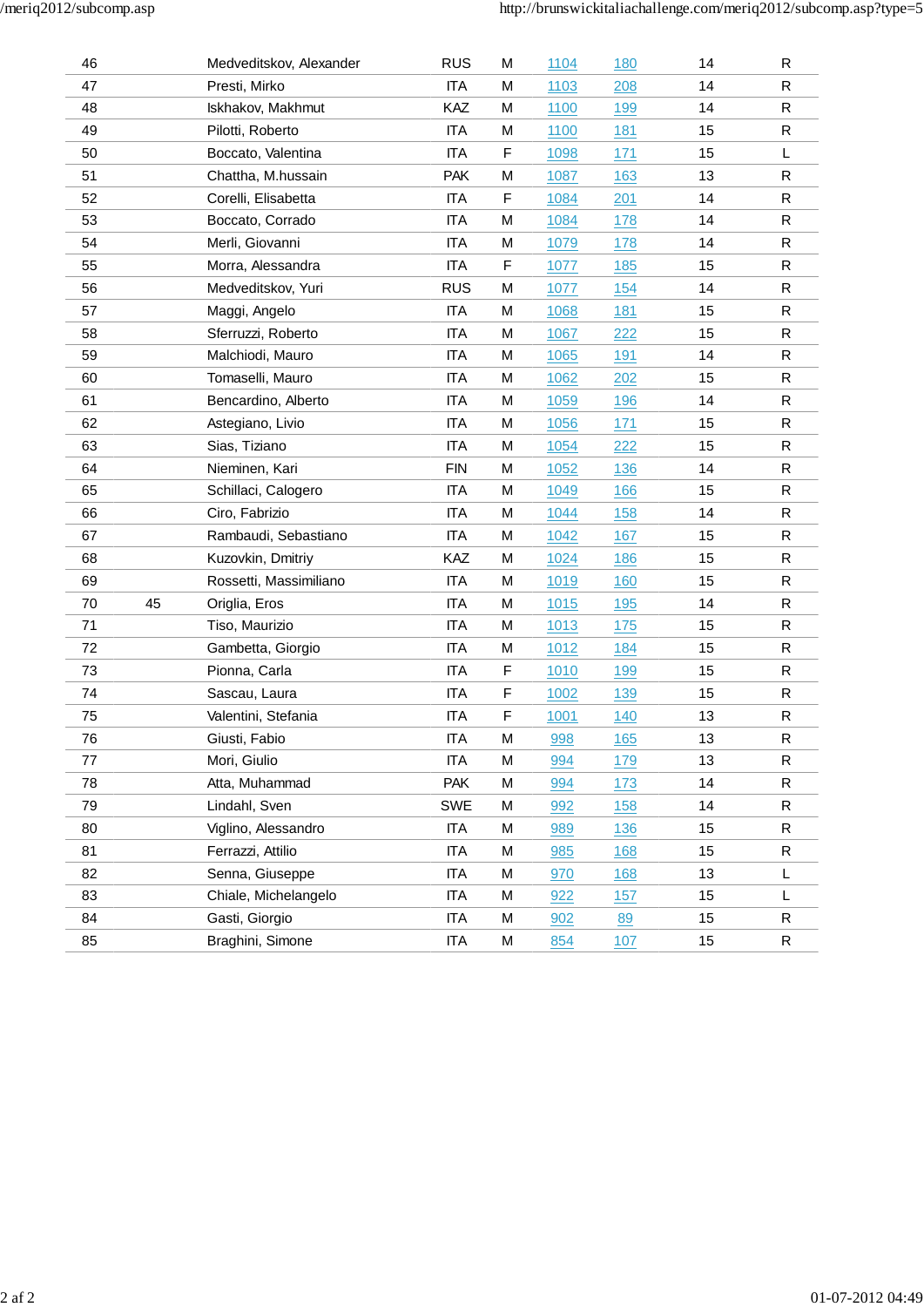| 46 |    | Medveditskov, Alexander | <b>RUS</b> | M | 1104        | <u>180</u> | 14 | R           |
|----|----|-------------------------|------------|---|-------------|------------|----|-------------|
| 47 |    | Presti, Mirko           | <b>ITA</b> | М | 1103        | 208        | 14 | ${\sf R}$   |
| 48 |    | Iskhakov, Makhmut       | KAZ        | М | 1100        | 199        | 14 | $\mathsf R$ |
| 49 |    | Pilotti, Roberto        | <b>ITA</b> | М | 1100        | 181        | 15 | $\mathsf R$ |
| 50 |    | Boccato, Valentina      | <b>ITA</b> | F | 1098        | 171        | 15 | L           |
| 51 |    | Chattha, M.hussain      | <b>PAK</b> | M | 1087        | 163        | 13 | ${\sf R}$   |
| 52 |    | Corelli, Elisabetta     | <b>ITA</b> | F | 1084        | 201        | 14 | $\mathsf R$ |
| 53 |    | Boccato, Corrado        | <b>ITA</b> | М | 1084        | 178        | 14 | $\mathsf R$ |
| 54 |    | Merli, Giovanni         | <b>ITA</b> | М | 1079        | 178        | 14 | ${\sf R}$   |
| 55 |    | Morra, Alessandra       | <b>ITA</b> | F | 1077        | 185        | 15 | R           |
| 56 |    | Medveditskov, Yuri      | <b>RUS</b> | M | 1077        | 154        | 14 | $\mathsf R$ |
| 57 |    | Maggi, Angelo           | <b>ITA</b> | М | 1068        | 181        | 15 | R           |
| 58 |    | Sferruzzi, Roberto      | <b>ITA</b> | M | 1067        | 222        | 15 | ${\sf R}$   |
| 59 |    | Malchiodi, Mauro        | <b>ITA</b> | М | <u>1065</u> | 191        | 14 | ${\sf R}$   |
| 60 |    | Tomaselli, Mauro        | <b>ITA</b> | М | 1062        | 202        | 15 | $\mathsf R$ |
| 61 |    | Bencardino, Alberto     | <b>ITA</b> | М | 1059        | 196        | 14 | $\mathsf R$ |
| 62 |    | Astegiano, Livio        | <b>ITA</b> | M | 1056        | 171        | 15 | R           |
| 63 |    | Sias, Tiziano           | <b>ITA</b> | М | 1054        | 222        | 15 | ${\sf R}$   |
| 64 |    | Nieminen, Kari          | <b>FIN</b> | М | 1052        | 136        | 14 | ${\sf R}$   |
| 65 |    | Schillaci, Calogero     | <b>ITA</b> | М | 1049        | 166        | 15 | $\mathsf R$ |
| 66 |    | Ciro, Fabrizio          | <b>ITA</b> | M | 1044        | 158        | 14 | $\mathsf R$ |
| 67 |    | Rambaudi, Sebastiano    | <b>ITA</b> | М | 1042        | 167        | 15 | $\mathsf R$ |
| 68 |    | Kuzovkin, Dmitriy       | KAZ        | M | 1024        | 186        | 15 | $\mathsf R$ |
| 69 |    | Rossetti, Massimiliano  | <b>ITA</b> | М | 1019        | 160        | 15 | R           |
| 70 | 45 | Origlia, Eros           | <b>ITA</b> | М | 1015        | 195        | 14 | ${\sf R}$   |
| 71 |    | Tiso, Maurizio          | <b>ITA</b> | М | 1013        | 175        | 15 | $\mathsf R$ |
| 72 |    | Gambetta, Giorgio       | <b>ITA</b> | М | 1012        | 184        | 15 | $\mathsf R$ |
| 73 |    | Pionna, Carla           | <b>ITA</b> | F | 1010        | 199        | 15 | $\mathsf R$ |
| 74 |    | Sascau, Laura           | <b>ITA</b> | F | 1002        | 139        | 15 | R           |
| 75 |    | Valentini, Stefania     | <b>ITA</b> | F | 1001        | 140        | 13 | ${\sf R}$   |
| 76 |    | Giusti, Fabio           | <b>ITA</b> | М | 998         | 165        | 13 | R           |
| 77 |    | Mori, Giulio            | <b>ITA</b> | M | 994         | 179        | 13 | $\mathsf R$ |
| 78 |    | Atta, Muhammad          | <b>PAK</b> | М | 994         | 173        | 14 | R           |
| 79 |    | Lindahl, Sven           | <b>SWE</b> | М | 992         | 158        | 14 | R           |
| 80 |    | Viglino, Alessandro     | <b>ITA</b> | M | 989         | 136        | 15 | R           |
| 81 |    | Ferrazzi, Attilio       | <b>ITA</b> | M | 985         | 168        | 15 | R           |
| 82 |    | Senna, Giuseppe         | <b>ITA</b> | M | 970         | 168        | 13 | L           |
| 83 |    | Chiale, Michelangelo    | <b>ITA</b> | М | 922         | 157        | 15 | L           |
| 84 |    | Gasti, Giorgio          | ITA        | М | 902         | 89         | 15 | R           |
| 85 |    | Braghini, Simone        | <b>ITA</b> | М | 854         | 107        | 15 | R           |
|    |    |                         |            |   |             |            |    |             |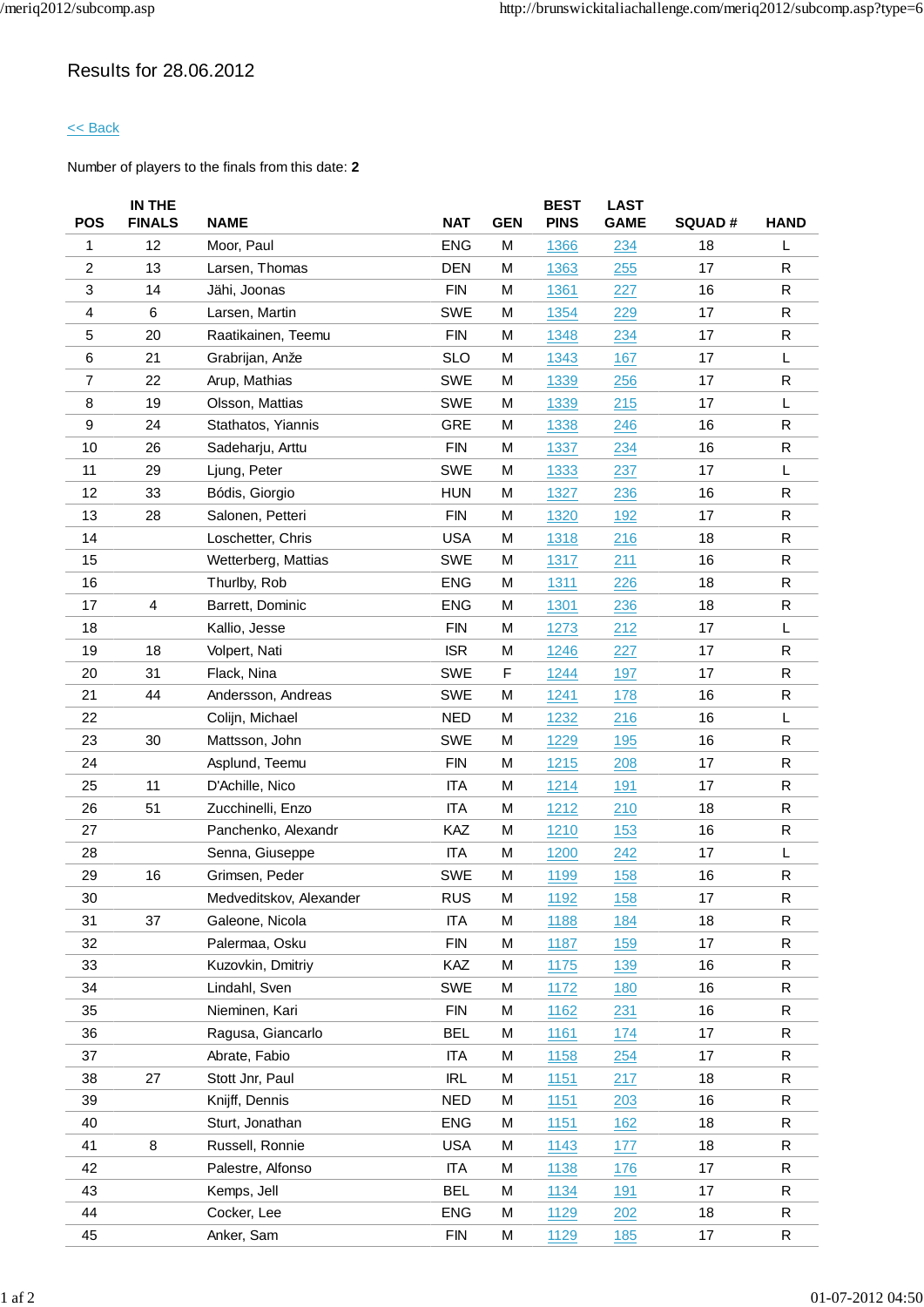## Results for 28.06.2012

### << Back

|                | IN THE        |                         |            |            | <b>BEST</b> | <b>LAST</b> |               |              |
|----------------|---------------|-------------------------|------------|------------|-------------|-------------|---------------|--------------|
| <b>POS</b>     | <b>FINALS</b> | <b>NAME</b>             | <b>NAT</b> | <b>GEN</b> | <b>PINS</b> | <b>GAME</b> | <b>SQUAD#</b> | <b>HAND</b>  |
| 1              | 12            | Moor, Paul              | <b>ENG</b> | M          | 1366        | 234         | 18            | L            |
| $\overline{c}$ | 13            | Larsen, Thomas          | <b>DEN</b> | M          | 1363        | 255         | 17            | $\mathsf R$  |
| 3              | 14            | Jähi, Joonas            | <b>FIN</b> | M          | 1361        | 227         | 16            | $\mathsf{R}$ |
| 4              | 6             | Larsen, Martin          | <b>SWE</b> | М          | 1354        | 229         | 17            | ${\sf R}$    |
| 5              | 20            | Raatikainen, Teemu      | <b>FIN</b> | M          | 1348        | 234         | 17            | R            |
| 6              | 21            | Grabrijan, Anže         | <b>SLO</b> | M          | 1343        | 167         | 17            | L            |
| $\overline{7}$ | 22            | Arup, Mathias           | SWE        | М          | 1339        | 256         | 17            | $\mathsf R$  |
| 8              | 19            | Olsson, Mattias         | <b>SWE</b> | M          | 1339        | 215         | 17            | L            |
| 9              | 24            | Stathatos, Yiannis      | <b>GRE</b> | М          | 1338        | 246         | 16            | $\mathsf R$  |
| 10             | 26            | Sadeharju, Arttu        | <b>FIN</b> | M          | 1337        | 234         | 16            | $\mathsf{R}$ |
| 11             | 29            | Ljung, Peter            | <b>SWE</b> | M          | 1333        | 237         | 17            | L            |
| 12             | 33            | Bódis, Giorgio          | <b>HUN</b> | М          | 1327        | 236         | 16            | R            |
| 13             | 28            | Salonen, Petteri        | <b>FIN</b> | М          | 1320        | 192         | 17            | $\mathsf R$  |
| 14             |               | Loschetter, Chris       | <b>USA</b> | M          | 1318        | 216         | 18            | R            |
| 15             |               | Wetterberg, Mattias     | <b>SWE</b> | М          | 1317        | 211         | 16            | $\mathsf{R}$ |
| 16             |               | Thurlby, Rob            | <b>ENG</b> | M          | 1311        | 226         | 18            | $\mathsf R$  |
| 17             | 4             | Barrett, Dominic        | <b>ENG</b> | M          | 1301        | 236         | 18            | $\mathsf{R}$ |
| 18             |               | Kallio, Jesse           | <b>FIN</b> | M          | 1273        | 212         | 17            | L            |
| 19             | 18            | Volpert, Nati           | <b>ISR</b> | М          | 1246        | 227         | 17            | $\mathsf{R}$ |
| 20             | 31            | Flack, Nina             | <b>SWE</b> | F          | 1244        | 197         | 17            | $\mathsf{R}$ |
| 21             | 44            | Andersson, Andreas      | <b>SWE</b> | M          | 1241        | 178         | 16            | R            |
| 22             |               | Colijn, Michael         | <b>NED</b> | M          | 1232        | 216         | 16            | L            |
| 23             | 30            | Mattsson, John          | <b>SWE</b> | М          | 1229        | 195         | 16            | $\mathsf{R}$ |
| 24             |               | Asplund, Teemu          | <b>FIN</b> | М          | 1215        | 208         | 17            | $\mathsf{R}$ |
| 25             | 11            | D'Achille, Nico         | <b>ITA</b> | М          | 1214        | 191         | 17            | $\mathsf{R}$ |
| 26             | 51            | Zucchinelli, Enzo       | <b>ITA</b> | М          | 1212        | 210         | 18            | R            |
| 27             |               | Panchenko, Alexandr     | KAZ        | M          | 1210        | 153         | 16            | R            |
| 28             |               | Senna, Giuseppe         | <b>ITA</b> | М          | 1200        | 242         | 17            | L            |
| 29             | 16            | Grimsen, Peder          | <b>SWE</b> | M          | 1199        | 158         | 16            | $\mathsf R$  |
| 30             |               | Medveditskov, Alexander | <b>RUS</b> | M          | 1192        | 158         | 17            | ${\sf R}$    |
| 31             | 37            | Galeone, Nicola         | <b>ITA</b> | М          | 1188        | 184         | 18            | $\mathsf{R}$ |
| 32             |               | Palermaa, Osku          | <b>FIN</b> | M          | 1187        | 159         | 17            | $\mathsf{R}$ |
| 33             |               | Kuzovkin, Dmitriy       | KAZ        | М          | 1175        | 139         | 16            | R            |
| 34             |               | Lindahl, Sven           | SWE        | М          | 1172        | 180         | 16            | $\mathsf{R}$ |
| 35             |               | Nieminen, Kari          | <b>FIN</b> | М          | 1162        | 231         | 16            | $\mathsf R$  |
| 36             |               | Ragusa, Giancarlo       | <b>BEL</b> | М          | 1161        | 174         | 17            | ${\sf R}$    |
| 37             |               | Abrate, Fabio           | <b>ITA</b> | M          | 1158        | 254         | 17            | $\mathsf{R}$ |
| 38             | 27            | Stott Jnr, Paul         | <b>IRL</b> | M          | 1151        | 217         | 18            | R            |
| 39             |               | Knijff, Dennis          | <b>NED</b> | М          | 1151        | 203         | 16            | R            |
| 40             |               | Sturt, Jonathan         | <b>ENG</b> | М          | 1151        | 162         | 18            | $\mathsf{R}$ |
| 41             | 8             | Russell, Ronnie         | <b>USA</b> | М          | 1143        | 177         | 18            | ${\sf R}$    |
| 42             |               | Palestre, Alfonso       | <b>ITA</b> | М          | 1138        | 176         | 17            | $\mathsf R$  |
| 43             |               | Kemps, Jell             | <b>BEL</b> | М          | 1134        | 191         | 17            | R            |
| 44             |               | Cocker, Lee             | <b>ENG</b> | M          | 1129        | 202         | 18            | $\mathsf{R}$ |
| 45             |               | Anker, Sam              | <b>FIN</b> | M          | 1129        | <u>185</u>  | 17            | R            |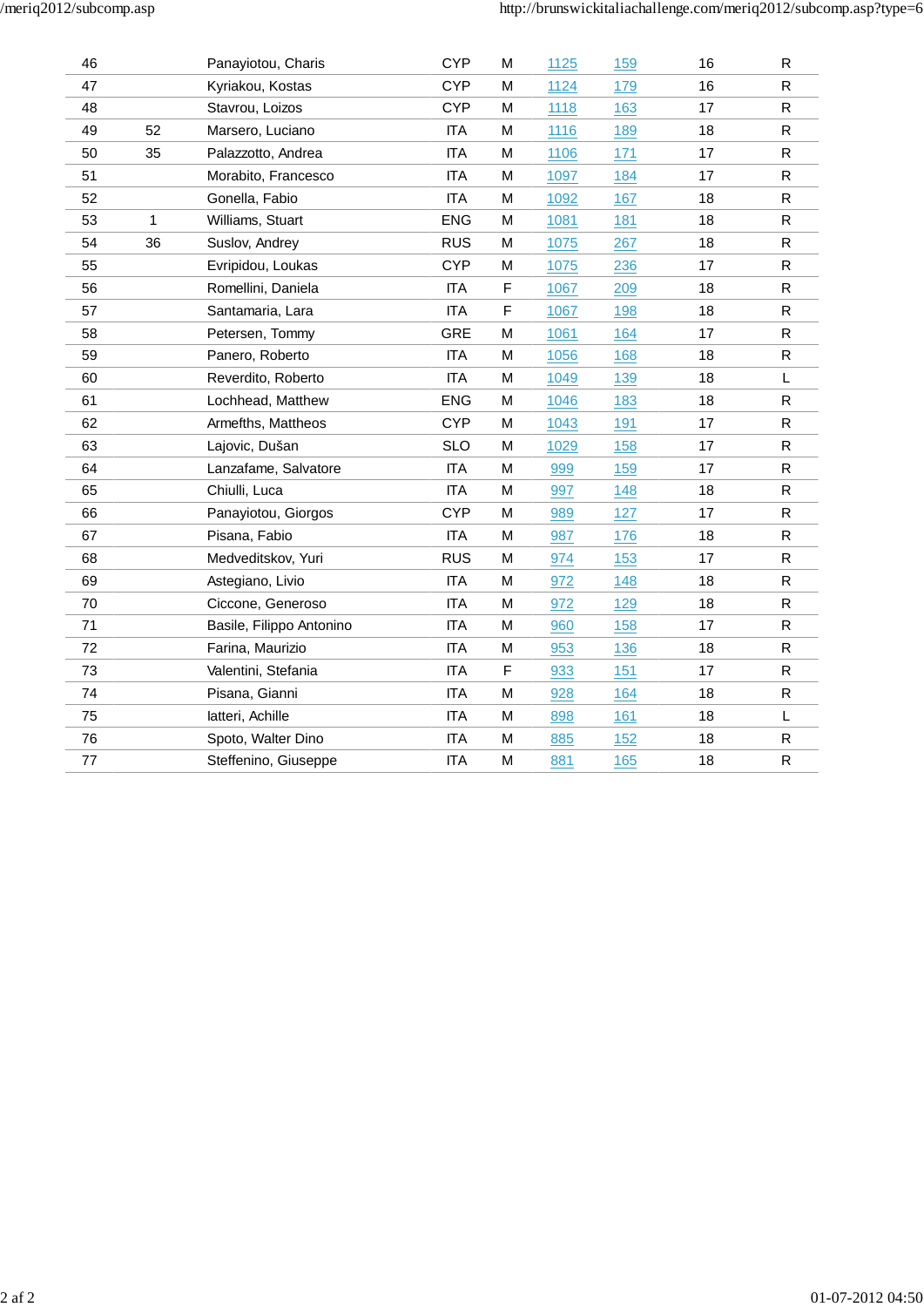| 46      |              | Panayiotou, Charis       | <b>CYP</b> | M | 1125 | 159 | 16 | R            |
|---------|--------------|--------------------------|------------|---|------|-----|----|--------------|
| 47      |              | Kyriakou, Kostas         | <b>CYP</b> | M | 1124 | 179 | 16 | ${\sf R}$    |
| 48      |              | Stavrou, Loizos          | <b>CYP</b> | M | 1118 | 163 | 17 | R            |
| 49      | 52           | Marsero, Luciano         | <b>ITA</b> | М | 1116 | 189 | 18 | ${\sf R}$    |
| 50      | 35           | Palazzotto, Andrea       | <b>ITA</b> | M | 1106 | 171 | 17 | ${\sf R}$    |
| 51      |              | Morabito, Francesco      | <b>ITA</b> | M | 1097 | 184 | 17 | ${\sf R}$    |
| 52      |              | Gonella, Fabio           | <b>ITA</b> | M | 1092 | 167 | 18 | $\mathsf{R}$ |
| 53      | $\mathbf{1}$ | Williams, Stuart         | <b>ENG</b> | M | 1081 | 181 | 18 | ${\sf R}$    |
| 54      | 36           | Suslov, Andrey           | <b>RUS</b> | M | 1075 | 267 | 18 | $\mathsf{R}$ |
| 55      |              | Evripidou, Loukas        | <b>CYP</b> | M | 1075 | 236 | 17 | ${\sf R}$    |
| 56      |              | Romellini, Daniela       | <b>ITA</b> | F | 1067 | 209 | 18 | ${\sf R}$    |
| 57      |              | Santamaria, Lara         | <b>ITA</b> | F | 1067 | 198 | 18 | ${\sf R}$    |
| 58      |              | Petersen, Tommy          | <b>GRE</b> | M | 1061 | 164 | 17 | $\mathsf{R}$ |
| 59      |              | Panero, Roberto          | <b>ITA</b> | M | 1056 | 168 | 18 | $\mathsf R$  |
| 60      |              | Reverdito, Roberto       | <b>ITA</b> | M | 1049 | 139 | 18 | L            |
| 61      |              | Lochhead, Matthew        | <b>ENG</b> | M | 1046 | 183 | 18 | ${\sf R}$    |
| 62      |              | Armefths, Mattheos       | <b>CYP</b> | M | 1043 | 191 | 17 | ${\sf R}$    |
| 63      |              | Lajovic, Dušan           | <b>SLO</b> | M | 1029 | 158 | 17 | ${\sf R}$    |
| 64      |              | Lanzafame, Salvatore     | <b>ITA</b> | M | 999  | 159 | 17 | $\mathsf{R}$ |
| 65      |              | Chiulli, Luca            | <b>ITA</b> | M | 997  | 148 | 18 | $\mathsf{R}$ |
| 66      |              | Panayiotou, Giorgos      | <b>CYP</b> | M | 989  | 127 | 17 | $\mathsf{R}$ |
| 67      |              | Pisana, Fabio            | <b>ITA</b> | M | 987  | 176 | 18 | ${\sf R}$    |
| 68      |              | Medveditskov, Yuri       | <b>RUS</b> | M | 974  | 153 | 17 | ${\sf R}$    |
| 69      |              | Astegiano, Livio         | <b>ITA</b> | M | 972  | 148 | 18 | ${\sf R}$    |
| 70      |              | Ciccone, Generoso        | <b>ITA</b> | M | 972  | 129 | 18 | ${\sf R}$    |
| 71      |              | Basile, Filippo Antonino | <b>ITA</b> | M | 960  | 158 | 17 | ${\sf R}$    |
| 72      |              | Farina, Maurizio         | <b>ITA</b> | M | 953  | 136 | 18 | $\mathsf{R}$ |
| 73      |              | Valentini, Stefania      | <b>ITA</b> | F | 933  | 151 | 17 | ${\sf R}$    |
| 74      |              | Pisana, Gianni           | <b>ITA</b> | M | 928  | 164 | 18 | $\mathsf{R}$ |
| 75      |              | latteri, Achille         | <b>ITA</b> | M | 898  | 161 | 18 | L            |
| 76      |              | Spoto, Walter Dino       | <b>ITA</b> | M | 885  | 152 | 18 | ${\sf R}$    |
| $77 \,$ |              | Steffenino, Giuseppe     | <b>ITA</b> | M | 881  | 165 | 18 | ${\sf R}$    |
|         |              |                          |            |   |      |     |    |              |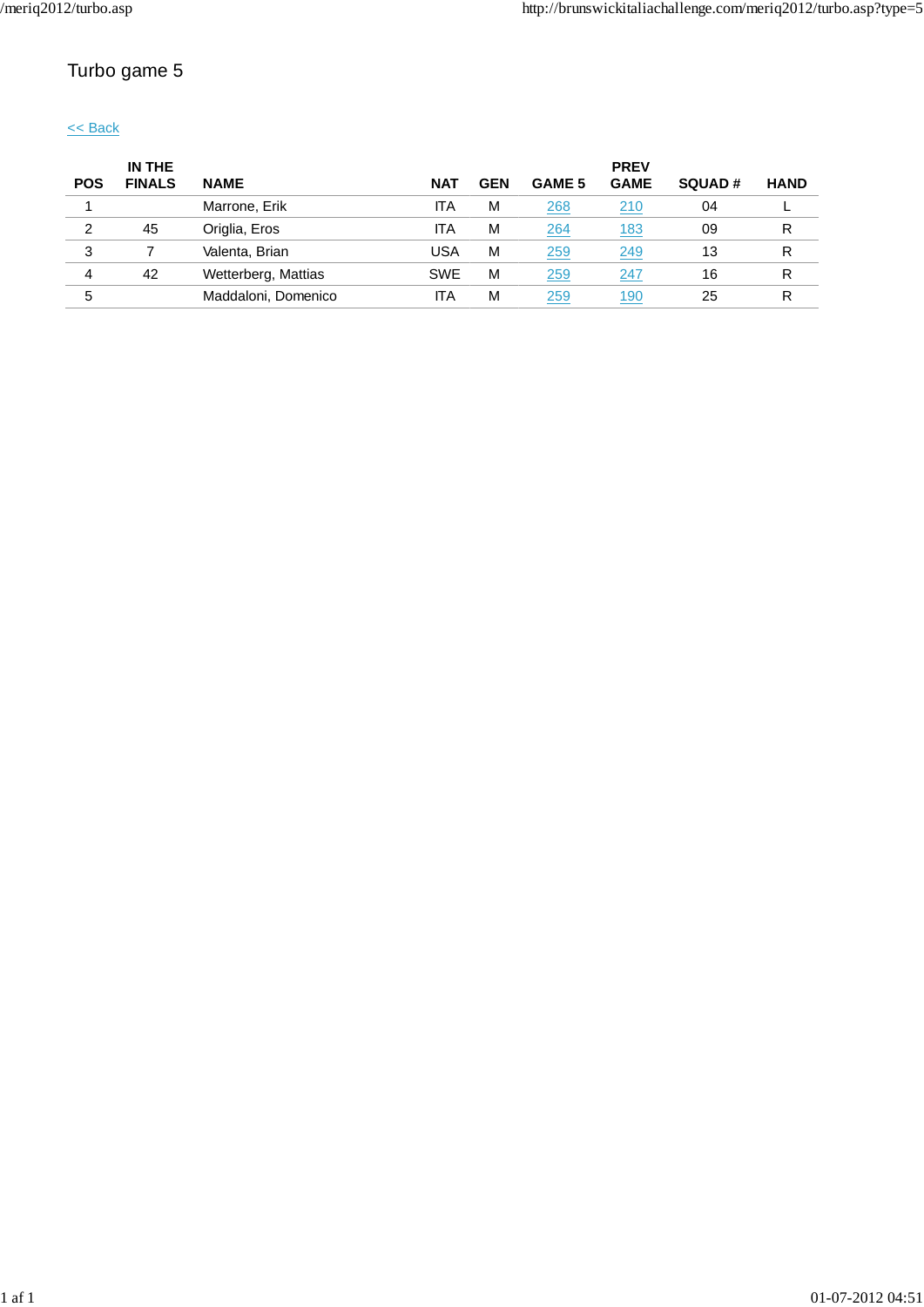# Turbo game 5

<< Back

|            | IN THE        |                     |            |            |               | <b>PREV</b> |               |             |
|------------|---------------|---------------------|------------|------------|---------------|-------------|---------------|-------------|
| <b>POS</b> | <b>FINALS</b> | <b>NAME</b>         | <b>NAT</b> | <b>GEN</b> | <b>GAME 5</b> | <b>GAME</b> | <b>SQUAD#</b> | <b>HAND</b> |
|            |               | Marrone, Erik       | ITA        | M          | 268           | 210         | 04            |             |
| 2          | 45            | Origlia, Eros       | ITA        | M          | 264           | <u> 183</u> | 09            | R           |
| 3          |               | Valenta, Brian      | USA        | M          | 259           | 249         | 13            | R           |
| 4          | 42            | Wetterberg, Mattias | <b>SWE</b> | M          | 259           | 247         | 16            | R           |
| 5          |               | Maddaloni, Domenico | ITA        | M          | 259           | <u> 190</u> | 25            | R           |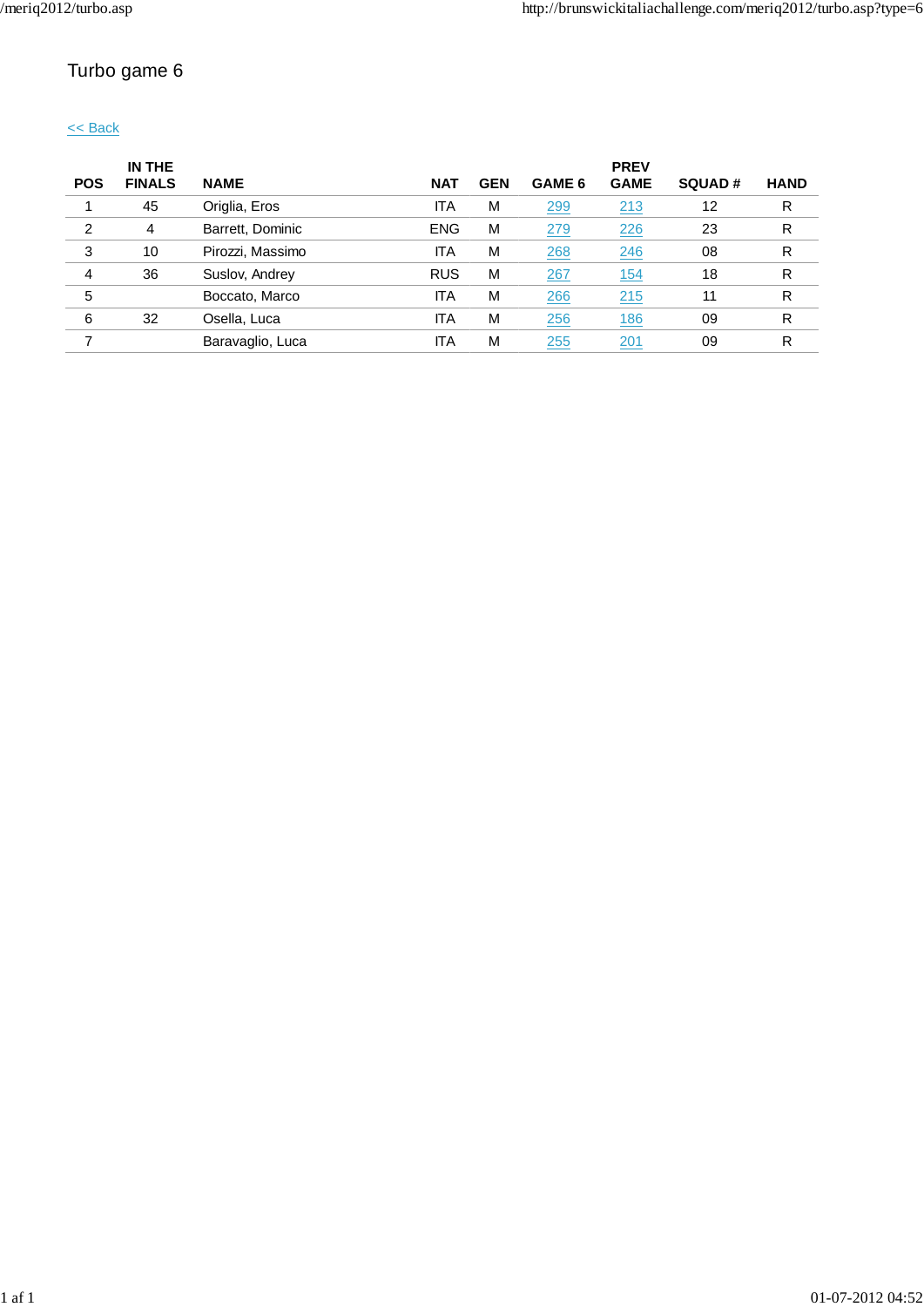# Turbo game 6

### << Back

|            | IN THE        |                  |            |            |        | <b>PREV</b> |               |             |
|------------|---------------|------------------|------------|------------|--------|-------------|---------------|-------------|
| <b>POS</b> | <b>FINALS</b> | <b>NAME</b>      | <b>NAT</b> | <b>GEN</b> | GAME 6 | <b>GAME</b> | <b>SQUAD#</b> | <b>HAND</b> |
|            | 45            | Origlia, Eros    | <b>ITA</b> | M          | 299    | 213         | 12            | R           |
| 2          | 4             | Barrett, Dominic | <b>ENG</b> | M          | 279    | 226         | 23            | R           |
| 3          | 10            | Pirozzi, Massimo | ITA        | M          | 268    | 246         | 08            | R           |
| 4          | 36            | Suslov, Andrey   | <b>RUS</b> | M          | 267    | <u>154</u>  | 18            | R           |
| 5          |               | Boccato, Marco   | <b>ITA</b> | M          | 266    | 215         | 11            | R           |
| 6          | 32            | Osella, Luca     | ITA        | M          | 256    | <u>186</u>  | 09            | R           |
|            |               | Baravaglio, Luca | ITA        | M          | 255    | 201         | 09            | R           |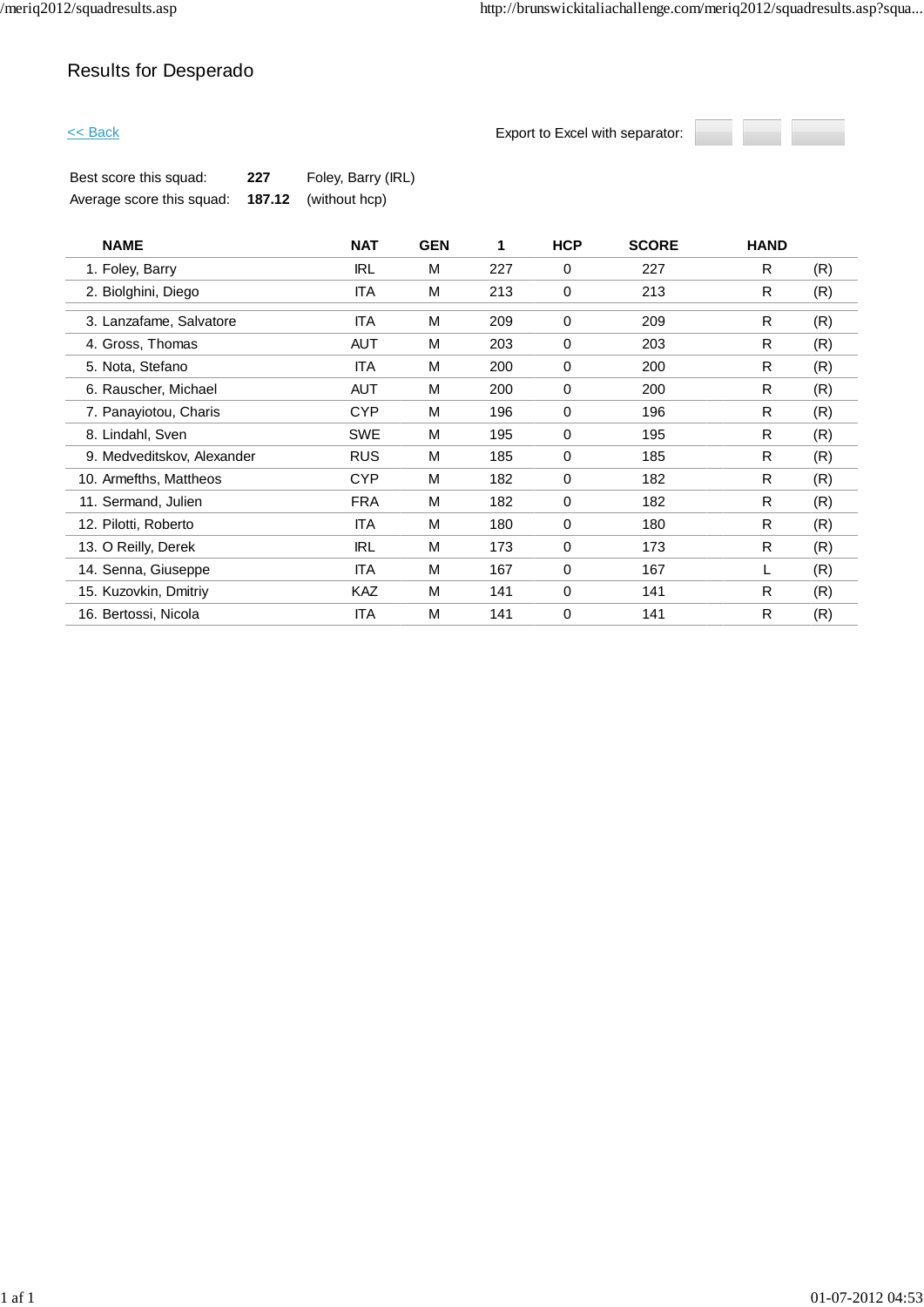# Results for Desperado

**Export to Excel with separator:** 



| Best score this squad:    | 227 | Foley, Barry (IRL)          |
|---------------------------|-----|-----------------------------|
| Average score this squad: |     | <b>187.12</b> (without hcp) |

| <b>NAME</b>                | <b>NAT</b> | <b>GEN</b> | 1   | <b>HCP</b>  | <b>SCORE</b> | <b>HAND</b> |     |
|----------------------------|------------|------------|-----|-------------|--------------|-------------|-----|
| 1. Foley, Barry            | <b>IRL</b> | M          | 227 | 0           | 227          | R           | (R) |
| 2. Biolghini, Diego        | <b>ITA</b> | M          | 213 | 0           | 213          | R           | (R) |
| 3. Lanzafame, Salvatore    | <b>ITA</b> | M          | 209 | 0           | 209          | R           | (R) |
| 4. Gross, Thomas           | <b>AUT</b> | м          | 203 | 0           | 203          | R           | (R) |
| 5. Nota, Stefano           | ITA        | M          | 200 | 0           | 200          | R           | (R) |
| 6. Rauscher, Michael       | AUT        | M          | 200 | 0           | 200          | R           | (R) |
| 7. Panayiotou, Charis      | <b>CYP</b> | M          | 196 | 0           | 196          | R           | (R) |
| 8. Lindahl, Sven           | <b>SWE</b> | M          | 195 | 0           | 195          | R           | (R) |
| 9. Medveditskov, Alexander | <b>RUS</b> | M          | 185 | 0           | 185          | R           | (R) |
| 10. Armefths, Mattheos     | <b>CYP</b> | M          | 182 | 0           | 182          | R           | (R) |
| 11. Sermand, Julien        | <b>FRA</b> | M          | 182 | $\mathbf 0$ | 182          | R           | (R) |
| 12. Pilotti, Roberto       | <b>ITA</b> | M          | 180 | 0           | 180          | R           | (R) |
| 13. O Reilly, Derek        | <b>IRL</b> | м          | 173 | 0           | 173          | R           | (R) |
| 14. Senna, Giuseppe        | ITA        | M          | 167 | 0           | 167          | L           | (R) |
| 15. Kuzovkin, Dmitriy      | KAZ        | M          | 141 | 0           | 141          | R           | (R) |
| 16. Bertossi, Nicola       | <b>ITA</b> | M          | 141 | 0           | 141          | R           | (R) |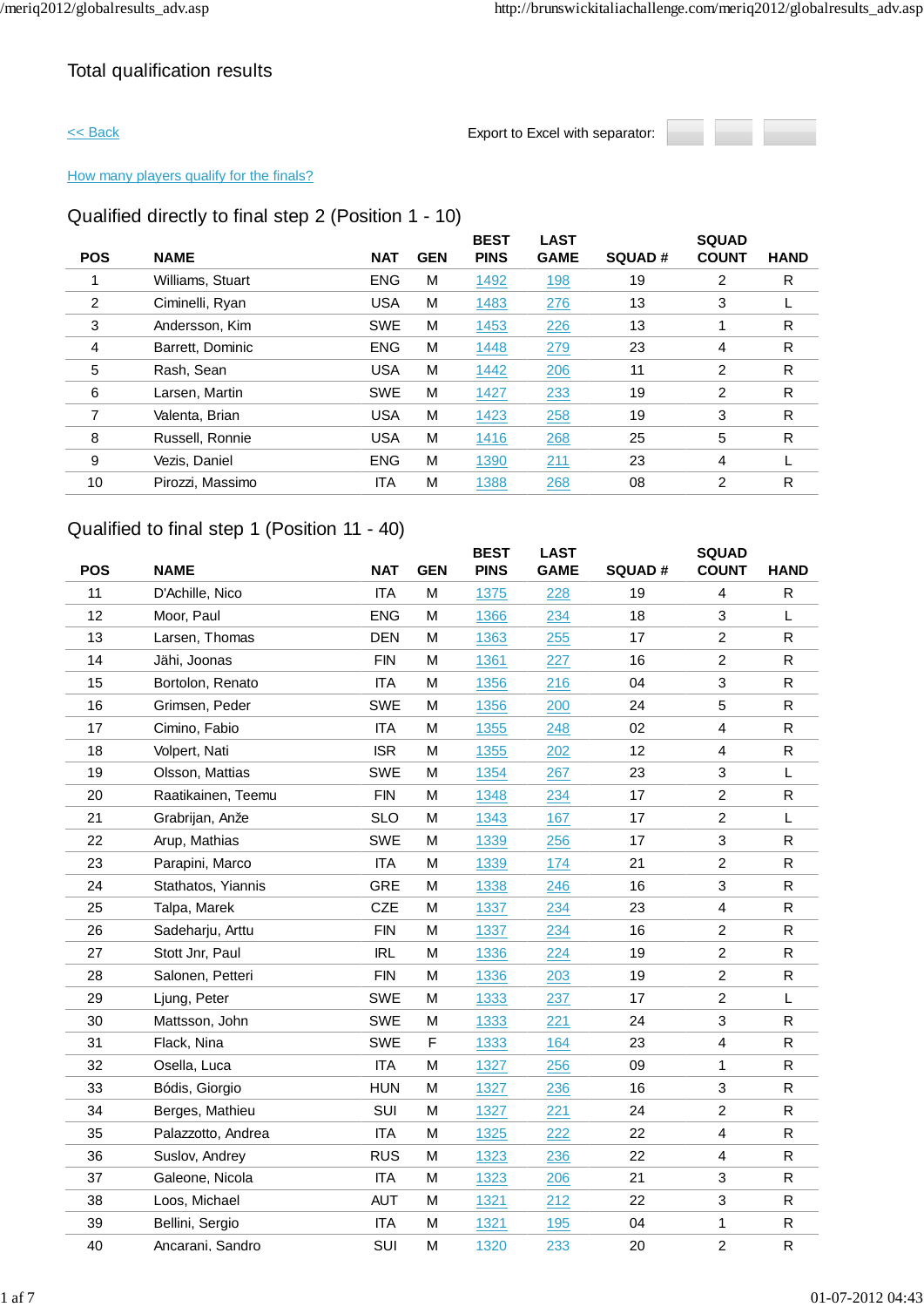## Total qualification results



### How many players qualify for the finals?

## Qualified directly to final step 2 (Position 1 - 10)

| <b>NAME</b>      | <b>NAT</b> | <b>GEN</b> | <b>BEST</b><br><b>PINS</b> | <b>LAST</b><br><b>GAME</b> | <b>SQUAD#</b> | <b>SQUAD</b><br><b>COUNT</b> | <b>HAND</b>  |
|------------------|------------|------------|----------------------------|----------------------------|---------------|------------------------------|--------------|
| Williams, Stuart | <b>ENG</b> | M          | 1492                       | 198                        | 19            | 2                            | R            |
| Ciminelli, Ryan  | <b>USA</b> | M          | 1483                       | 276                        | 13            | 3                            |              |
| Andersson, Kim   | <b>SWE</b> | M          | 1453                       | 226                        | 13            |                              | R            |
| Barrett, Dominic | <b>ENG</b> | M          | 1448                       | 279                        | 23            | 4                            | R            |
| Rash, Sean       | <b>USA</b> | M          | 1442                       | 206                        | 11            | 2                            | R            |
| Larsen, Martin   | <b>SWE</b> | M          | 1427                       | 233                        | 19            | 2                            | R            |
| Valenta, Brian   | <b>USA</b> | M          | 1423                       | 258                        | 19            | 3                            | R            |
| Russell, Ronnie  | <b>USA</b> | M          | 1416                       | 268                        | 25            | 5                            | $\mathsf{R}$ |
| Vezis, Daniel    | <b>ENG</b> | M          | 1390                       | 211                        | 23            | 4                            |              |
| Pirozzi, Massimo | <b>ITA</b> | M          | 1388                       | 268                        | 08            | 2                            | R            |
|                  |            |            |                            |                            |               |                              |              |

## Qualified to final step 1 (Position 11 - 40)

| <b>POS</b> | <b>NAME</b>        | <b>NAT</b> | <b>GEN</b> | <b>BEST</b><br><b>PINS</b> | <b>LAST</b><br><b>GAME</b> | <b>SQUAD#</b> | <b>SQUAD</b><br><b>COUNT</b> | <b>HAND</b>  |
|------------|--------------------|------------|------------|----------------------------|----------------------------|---------------|------------------------------|--------------|
| 11         | D'Achille, Nico    | <b>ITA</b> | M          | 1375                       | 228                        | 19            | 4                            | R            |
| 12         | Moor, Paul         | <b>ENG</b> | M          | 1366                       | 234                        | 18            | 3                            | L            |
| 13         | Larsen, Thomas     | <b>DEN</b> | M          | 1363                       | 255                        | 17            | $\overline{2}$               | ${\sf R}$    |
| 14         | Jähi, Joonas       | <b>FIN</b> | M          | 1361                       | 227                        | 16            | $\overline{c}$               | ${\sf R}$    |
| 15         | Bortolon, Renato   | <b>ITA</b> | M          | 1356                       | 216                        | 04            | 3                            | $\mathsf{R}$ |
| 16         | Grimsen, Peder     | <b>SWE</b> | M          | 1356                       | 200                        | 24            | 5                            | R            |
| 17         | Cimino, Fabio      | <b>ITA</b> | M          | 1355                       | 248                        | 02            | 4                            | $\mathsf{R}$ |
| 18         | Volpert, Nati      | <b>ISR</b> | M          | 1355                       | 202                        | 12            | $\overline{4}$               | ${\sf R}$    |
| 19         | Olsson, Mattias    | <b>SWE</b> | M          | 1354                       | 267                        | 23            | $\mathbf 3$                  | L            |
| 20         | Raatikainen, Teemu | <b>FIN</b> | M          | 1348                       | 234                        | 17            | $\overline{2}$               | R            |
| 21         | Grabrijan, Anže    | <b>SLO</b> | M          | 1343                       | 167                        | 17            | $\overline{2}$               | L            |
| 22         | Arup, Mathias      | <b>SWE</b> | M          | 1339                       | 256                        | 17            | $\sqrt{3}$                   | $\mathsf R$  |
| 23         | Parapini, Marco    | <b>ITA</b> | M          | 1339                       | 174                        | 21            | $\overline{c}$               | R            |
| 24         | Stathatos, Yiannis | <b>GRE</b> | M          | 1338                       | 246                        | 16            | 3                            | ${\sf R}$    |
| 25         | Talpa, Marek       | <b>CZE</b> | м          | 1337                       | 234                        | 23            | 4                            | R            |
| 26         | Sadeharju, Arttu   | <b>FIN</b> | M          | 1337                       | 234                        | 16            | $\overline{c}$               | ${\sf R}$    |
| 27         | Stott Jnr, Paul    | <b>IRL</b> | M          | 1336                       | 224                        | 19            | $\overline{2}$               | ${\sf R}$    |
| 28         | Salonen, Petteri   | <b>FIN</b> | M          | 1336                       | 203                        | 19            | $\overline{2}$               | $\mathsf{R}$ |
| 29         | Ljung, Peter       | <b>SWE</b> | M          | 1333                       | 237                        | 17            | $\overline{c}$               | L            |
| 30         | Mattsson, John     | <b>SWE</b> | M          | 1333                       | 221                        | 24            | 3                            | R            |
| 31         | Flack, Nina        | <b>SWE</b> | F          | 1333                       | 164                        | 23            | $\overline{4}$               | $\mathsf{R}$ |
| 32         | Osella, Luca       | <b>ITA</b> | M          | 1327                       | 256                        | 09            | $\mathbf{1}$                 | ${\sf R}$    |
| 33         | Bódis, Giorgio     | <b>HUN</b> | M          | 1327                       | 236                        | 16            | 3                            | R            |
| 34         | Berges, Mathieu    | SUI        | M          | 1327                       | 221                        | 24            | $\overline{c}$               | ${\sf R}$    |
| 35         | Palazzotto, Andrea | <b>ITA</b> | M          | 1325                       | 222                        | 22            | $\overline{4}$               | ${\sf R}$    |
| 36         | Suslov, Andrey     | <b>RUS</b> | M          | 1323                       | 236                        | 22            | $\overline{\mathbf{4}}$      | R            |
| 37         | Galeone, Nicola    | <b>ITA</b> | M          | 1323                       | 206                        | 21            | 3                            | ${\sf R}$    |
| 38         | Loos, Michael      | <b>AUT</b> | M          | 1321                       | 212                        | 22            | 3                            | $\mathsf R$  |
| 39         | Bellini, Sergio    | <b>ITA</b> | M          | 1321                       | <u>195</u>                 | 04            | 1                            | R            |
| 40         | Ancarani, Sandro   | SUI        | M          | 1320                       | 233                        | 20            | $\overline{2}$               | ${\sf R}$    |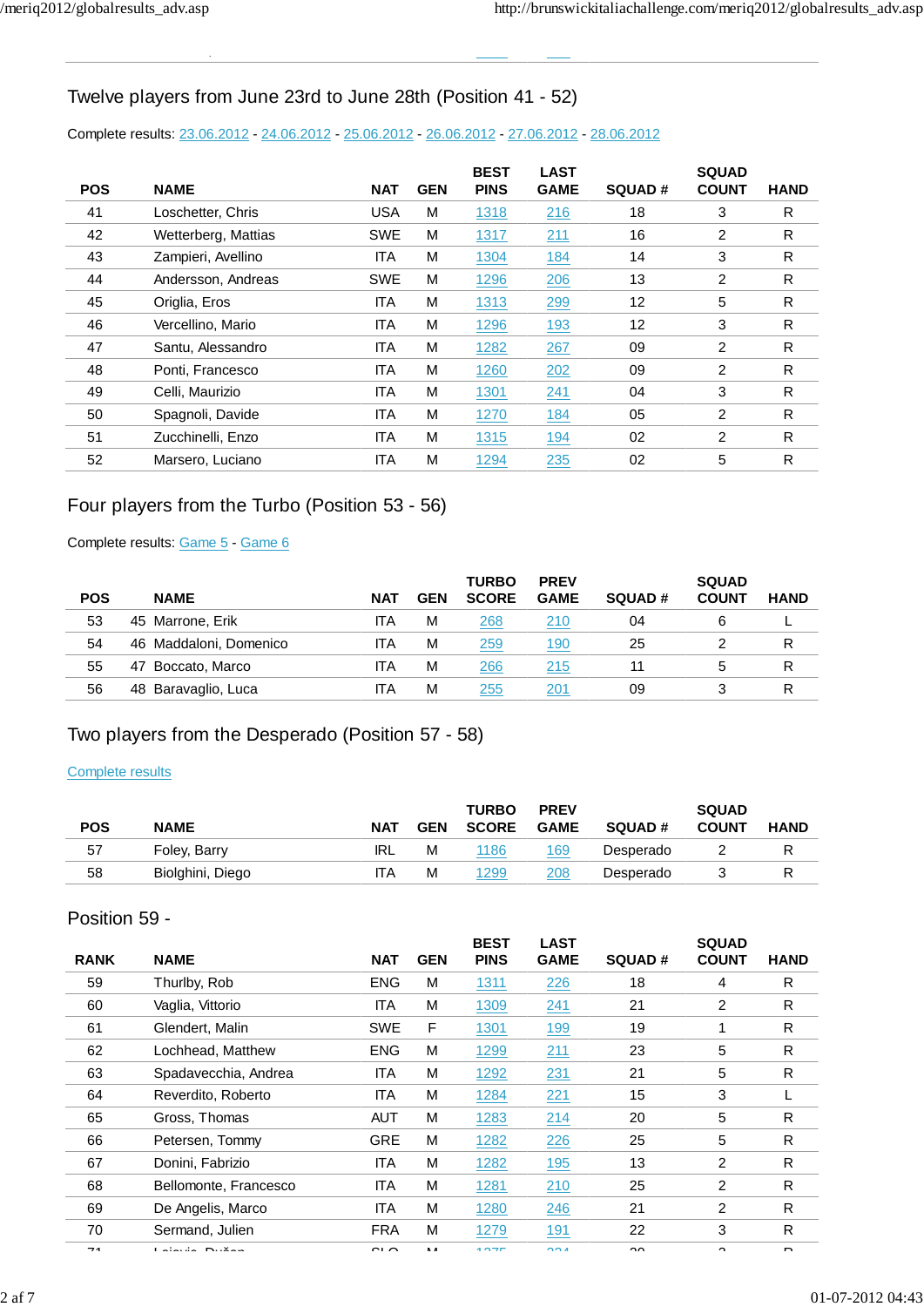,

## Twelve players from June 23rd to June 28th (Position 41 - 52)

### Complete results: 23.06.2012 - 24.06.2012 - 25.06.2012 - 26.06.2012 - 27.06.2012 - 28.06.2012

| <b>POS</b> | <b>NAME</b>         | <b>NAT</b> | <b>GEN</b> | <b>BEST</b><br><b>PINS</b> | <b>LAST</b><br><b>GAME</b> | <b>SQUAD#</b> | <b>SQUAD</b><br><b>COUNT</b> | <b>HAND</b> |
|------------|---------------------|------------|------------|----------------------------|----------------------------|---------------|------------------------------|-------------|
| 41         | Loschetter, Chris   | <b>USA</b> | M          | 1318                       | 216                        | 18            | 3                            | R           |
| 42         | Wetterberg, Mattias | <b>SWE</b> | M          | 1317                       | 211                        | 16            | 2                            | R           |
| 43         | Zampieri, Avellino  | <b>ITA</b> | M          | 1304                       | 184                        | 14            | 3                            | R           |
| 44         | Andersson, Andreas  | <b>SWE</b> | M          | 1296                       | 206                        | 13            | 2                            | R           |
| 45         | Origlia, Eros       | <b>ITA</b> | M          | 1313                       | 299                        | 12            | 5                            | R           |
| 46         | Vercellino, Mario   | <b>ITA</b> | M          | 1296                       | 193                        | 12            | 3                            | R           |
| 47         | Santu, Alessandro   | <b>ITA</b> | M          | 1282                       | 267                        | 09            | 2                            | R           |
| 48         | Ponti, Francesco    | <b>ITA</b> | M          | 1260                       | 202                        | 09            | 2                            | R           |
| 49         | Celli, Maurizio     | <b>ITA</b> | M          | 1301                       | 241                        | 04            | 3                            | R           |
| 50         | Spagnoli, Davide    | <b>ITA</b> | M          | 1270                       | 184                        | 05            | 2                            | R           |
| 51         | Zucchinelli, Enzo   | <b>ITA</b> | M          | 1315                       | 194                        | 02            | 2                            | R           |
| 52         | Marsero, Luciano    | <b>ITA</b> | M          | 1294                       | 235                        | 02            | 5                            | R           |

## Four players from the Turbo (Position 53 - 56)

### Complete results: Game 5 - Game 6

| <b>POS</b> | <b>NAME</b>             | <b>NAT</b> | <b>GEN</b> | <b>TURBO</b><br><b>SCORE</b> | <b>PREV</b><br><b>GAME</b> | <b>SQUAD#</b> | <b>SQUAD</b><br><b>COUNT</b> | <b>HAND</b> |
|------------|-------------------------|------------|------------|------------------------------|----------------------------|---------------|------------------------------|-------------|
|            |                         |            |            |                              |                            |               |                              |             |
| 53         | 45 Marrone, Erik        | ITA        | М          | 268                          | 210                        | 04            | 6                            |             |
| 54         | 46 Maddaloni, Domenico  | ITA        | М          | 259                          | 190                        | 25            |                              | R           |
| 55         | Boccato, Marco<br>47    | ITA        | М          | 266                          | 215                        |               | 5                            | R           |
| 56         | Baravaglio, Luca<br>48. | <b>ITA</b> | М          | 255                          | 201                        | 09            |                              | R           |

## Two players from the Desperado (Position 57 - 58)

### Complete results

| <b>POS</b> | <b>NAME</b>      | <b>NAT</b> | <b>GEN</b> | <b>TURBO</b><br><b>SCORE</b> | <b>PREV</b><br><b>GAME</b> | <b>SQUAD#</b> | <b>SQUAD</b><br><b>COUNT</b> | <b>HAND</b> |
|------------|------------------|------------|------------|------------------------------|----------------------------|---------------|------------------------------|-------------|
| 57         | Foley, Barry     | IRL        | М          | 1186                         | 169                        | Desperado     |                              |             |
| 58         | Biolghini, Diego | ITA        | М          | 1299                         | 208                        | Desperado     |                              |             |

### Position 59 -

| <b>RANK</b>              | <b>NAME</b>               | <b>NAT</b> | <b>GEN</b> | <b>BEST</b><br><b>PINS</b> | <b>LAST</b><br><b>GAME</b> | <b>SQUAD#</b> | <b>SQUAD</b><br><b>COUNT</b> | <b>HAND</b>  |
|--------------------------|---------------------------|------------|------------|----------------------------|----------------------------|---------------|------------------------------|--------------|
| 59                       | Thurlby, Rob              | <b>ENG</b> | M          | 1311                       | 226                        | 18            | 4                            | R            |
| 60                       | Vaglia, Vittorio          | <b>ITA</b> | M          | 1309                       | 241                        | 21            | 2                            | R            |
| 61                       | Glendert, Malin           | <b>SWE</b> | F          | 1301                       | 199                        | 19            |                              | R            |
| 62                       | Lochhead, Matthew         | <b>ENG</b> | M          | 1299                       | 211                        | 23            | 5                            | R            |
| 63                       | Spadavecchia, Andrea      | <b>ITA</b> | M          | 1292                       | 231                        | 21            | 5                            | R            |
| 64                       | Reverdito, Roberto        | <b>ITA</b> | M          | 1284                       | 221                        | 15            | 3                            |              |
| 65                       | Gross, Thomas             | <b>AUT</b> | M          | 1283                       | 214                        | 20            | 5                            | R            |
| 66                       | Petersen, Tommy           | <b>GRE</b> | M          | 1282                       | 226                        | 25            | 5                            | R            |
| 67                       | Donini, Fabrizio          | <b>ITA</b> | M          | 1282                       | 195                        | 13            | $\overline{2}$               | R            |
| 68                       | Bellomonte, Francesco     | <b>ITA</b> | M          | 1281                       | 210                        | 25            | $\overline{2}$               | R            |
| 69                       | De Angelis, Marco         | <b>ITA</b> | M          | 1280                       | 246                        | 21            | $\overline{2}$               | R            |
| 70                       | Sermand, Julien           | <b>FRA</b> | M          | 1279                       | 191                        | 22            | 3                            | R            |
| $\overline{\phantom{a}}$ | <b>Listendo Industria</b> | $\sim$     | <b>B</b> A | 107                        | 001                        | $\sim$        | $\sim$                       | <sub>n</sub> |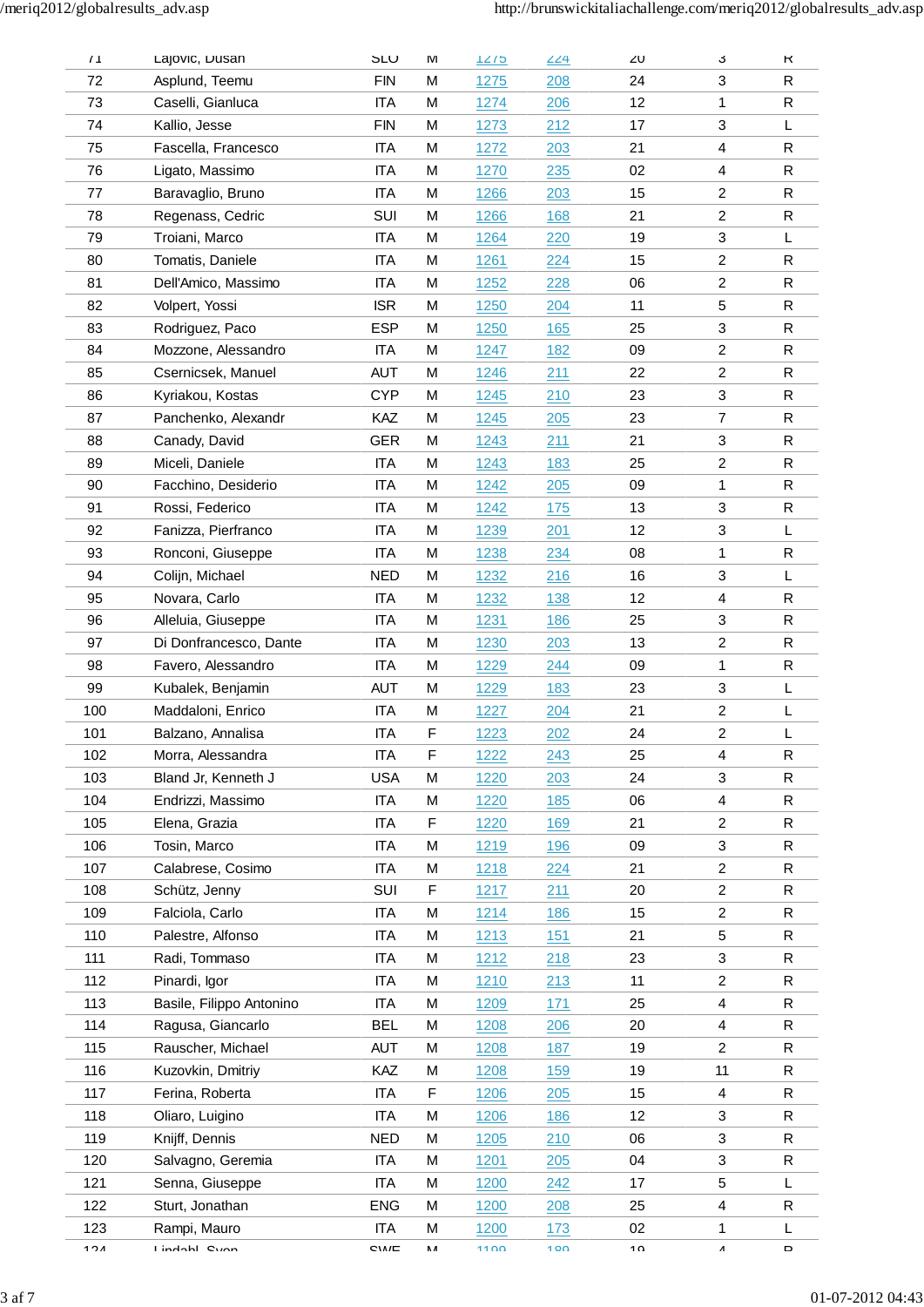| 71  | Lajovic, Dusan           | <b>SLU</b>   | ΙVΙ | 7275        | 224 | ZU | J.              | к            |
|-----|--------------------------|--------------|-----|-------------|-----|----|-----------------|--------------|
| 72  | Asplund, Teemu           | <b>FIN</b>   | M   | 1275        | 208 | 24 | 3               | R            |
| 73  | Caselli, Gianluca        | <b>ITA</b>   | M   | 1274        | 206 | 12 | 1               | R            |
| 74  | Kallio, Jesse            | <b>FIN</b>   | М   | 1273        | 212 | 17 | 3               | L            |
| 75  | Fascella, Francesco      | <b>ITA</b>   | M   | <u>1272</u> | 203 | 21 | 4               | R            |
| 76  | Ligato, Massimo          | <b>ITA</b>   | M   | 1270        | 235 | 02 | 4               | R            |
| 77  | Baravaglio, Bruno        | <b>ITA</b>   | М   | 1266        | 203 | 15 | $\overline{2}$  | R            |
| 78  | Regenass, Cedric         | SUI          | M   | <u>1266</u> | 168 | 21 | $\overline{2}$  | $\mathsf{R}$ |
| 79  | Troiani, Marco           | <b>ITA</b>   | M   | 1264        | 220 | 19 | 3               | L            |
| 80  | Tomatis, Daniele         | <b>ITA</b>   | М   | 1261        | 224 | 15 | $\overline{2}$  | R            |
| 81  | Dell'Amico, Massimo      | <b>ITA</b>   | М   | <u>1252</u> | 228 | 06 | 2               | R            |
| 82  | Volpert, Yossi           | <b>ISR</b>   | M   | 1250        | 204 | 11 | 5               | R            |
| 83  | Rodriguez, Paco          | <b>ESP</b>   | M   | 1250        | 165 | 25 | 3               | $\mathsf R$  |
| 84  | Mozzone, Alessandro      | <b>ITA</b>   | M   | 1247        | 182 | 09 | $\overline{2}$  | R            |
| 85  | Csernicsek, Manuel       | <b>AUT</b>   | М   | <u>1246</u> | 211 | 22 | $\overline{2}$  | $\mathsf R$  |
| 86  | Kyriakou, Kostas         | <b>CYP</b>   | M   | 1245        | 210 | 23 | 3               | R            |
| 87  | Panchenko, Alexandr      | KAZ          | M   | 1245        | 205 | 23 | $\overline{7}$  | $\mathsf{R}$ |
| 88  | Canady, David            | GER          | M   | 1243        | 211 | 21 | 3               | $\mathsf{R}$ |
| 89  | Miceli, Daniele          | <b>ITA</b>   | M   | 1243        | 183 | 25 | $\overline{2}$  | $\mathsf{R}$ |
| 90  | Facchino, Desiderio      | <b>ITA</b>   | M   | <u>1242</u> | 205 | 09 | 1               | $\mathsf{R}$ |
| 91  | Rossi, Federico          | ITA          | M   | 1242        | 175 | 13 | 3               | R            |
| 92  | Fanizza, Pierfranco      | <b>ITA</b>   | M   | 1239        | 201 | 12 | 3               | L            |
| 93  | Ronconi, Giuseppe        | <b>ITA</b>   | M   | 1238        | 234 | 08 | 1               | R            |
| 94  | Colijn, Michael          | <b>NED</b>   | M   | 1232        | 216 | 16 | 3               | L            |
| 95  | Novara, Carlo            | <b>ITA</b>   | М   | 1232        | 138 | 12 | 4               | $\mathsf R$  |
| 96  | Alleluia, Giuseppe       | <b>ITA</b>   | M   | <u>1231</u> | 186 | 25 | 3               | $\mathsf{R}$ |
| 97  | Di Donfrancesco, Dante   | <b>ITA</b>   | M   | 1230        | 203 | 13 | $\overline{2}$  | R            |
| 98  | Favero, Alessandro       | <b>ITA</b>   | M   | 1229        | 244 | 09 | 1               | R            |
| 99  | Kubalek, Benjamin        | <b>AUT</b>   | M   | 1229        | 183 | 23 | 3               | L            |
| 100 | Maddaloni, Enrico        | <b>ITA</b>   | М   | 1227        | 204 | 21 | 2               | L            |
| 101 | Balzano, Annalisa        | <b>ITA</b>   | F   | 1223        | 202 | 24 | $\overline{c}$  | L            |
| 102 | Morra, Alessandra        | <b>ITA</b>   | F   | 1222        | 243 | 25 | 4               | $\mathsf{R}$ |
| 103 | Bland Jr, Kenneth J      | <b>USA</b>   | M   | 1220        | 203 | 24 | 3               | R            |
| 104 | Endrizzi, Massimo        | <b>ITA</b>   | M   | 1220        | 185 | 06 | 4               | R            |
| 105 | Elena, Grazia            | ITA          | F   | 1220        | 169 | 21 | 2               | R            |
| 106 | Tosin, Marco             | <b>ITA</b>   | M   | 1219        | 196 | 09 | 3               | R            |
| 107 | Calabrese, Cosimo        | <b>ITA</b>   | M   | 1218        | 224 | 21 | $\overline{2}$  | R            |
| 108 | Schütz, Jenny            | SUI          | F   | 1217        | 211 | 20 | $\overline{2}$  | $\mathsf{R}$ |
| 109 | Falciola, Carlo          | <b>ITA</b>   | M   | 1214        | 186 | 15 | $\overline{c}$  | $\mathsf R$  |
| 110 | Palestre, Alfonso        | ITA          | M   | 1213        | 151 | 21 | 5               | R            |
| 111 | Radi, Tommaso            | <b>ITA</b>   | M   | 1212        | 218 | 23 | 3               | R            |
| 112 | Pinardi, Igor            | ITA          | M   | 1210        | 213 | 11 | $\overline{c}$  | R            |
| 113 | Basile, Filippo Antonino | <b>ITA</b>   | М   | 1209        | 171 | 25 | 4               | R            |
| 114 | Ragusa, Giancarlo        | BEL          | M   | 1208        | 206 | 20 | 4               | $\mathsf R$  |
| 115 | Rauscher, Michael        | <b>AUT</b>   | M   | 1208        | 187 | 19 | $\overline{2}$  | $\mathsf{R}$ |
| 116 | Kuzovkin, Dmitriy        | KAZ          | M   | 1208        | 159 | 19 | 11              | $\mathsf R$  |
| 117 | Ferina, Roberta          | <b>ITA</b>   | F   | 1206        | 205 | 15 | 4               | R            |
| 118 | Oliaro, Luigino          | <b>ITA</b>   | M   | 1206        | 186 | 12 | 3               | R            |
| 119 | Knijff, Dennis           | <b>NED</b>   | M   | 1205        | 210 | 06 | 3               | R            |
| 120 | Salvagno, Geremia        | ITA          | M   | 1201        | 205 | 04 | 3               | R            |
| 121 | Senna, Giuseppe          | <b>ITA</b>   | M   | 1200        | 242 | 17 | 5               | L            |
| 122 | Sturt, Jonathan          | <b>ENG</b>   | M   | 1200        | 208 | 25 | 4               | R            |
| 123 | Rampi, Mauro             | <b>ITA</b>   | M   | 1200        | 173 | 02 | 1               | L            |
| 101 | Lindobl Cunn             | <b>CIAIC</b> | ٨A  | 1100        | 100 | 10 | $\pmb{\Lambda}$ | D            |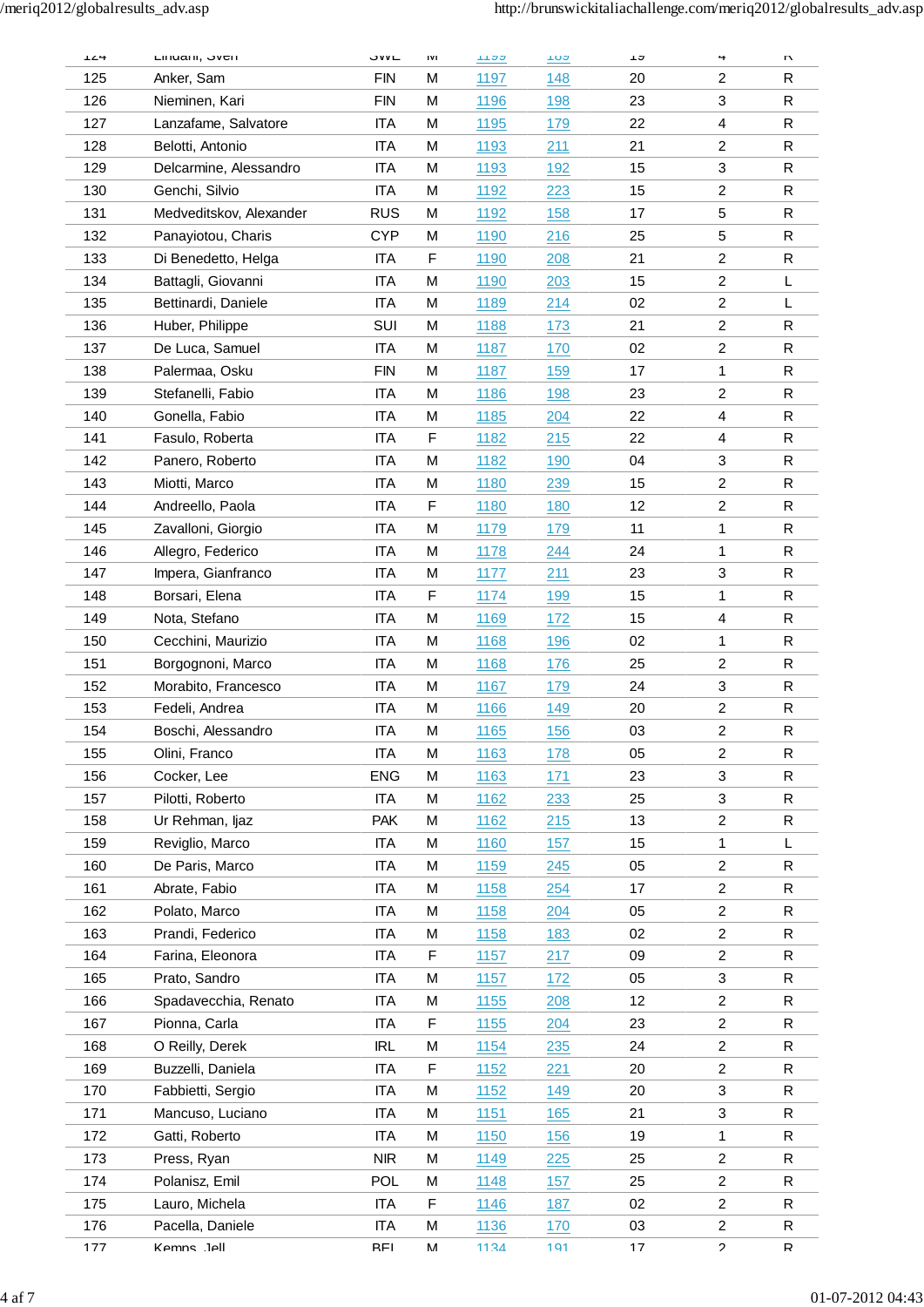| 124 | Lilludill, OVEII        | ついに        | IVI | <u>1122</u> | 102         | ៲៴ | 4                          | U            |
|-----|-------------------------|------------|-----|-------------|-------------|----|----------------------------|--------------|
| 125 | Anker, Sam              | FIN        | M   | 1197        | 148         | 20 | 2                          | R            |
| 126 | Nieminen, Kari          | <b>FIN</b> | M   | 1196        | 198         | 23 | 3                          | R            |
| 127 | Lanzafame, Salvatore    | <b>ITA</b> | M   | 1195        | 179         | 22 | 4                          | $\mathsf{R}$ |
| 128 | Belotti, Antonio        | <b>ITA</b> | M   | 1193        | 211         | 21 | $\overline{c}$             | R            |
| 129 | Delcarmine, Alessandro  | <b>ITA</b> | M   | <u>1193</u> | 192         | 15 | 3                          | $\mathsf{R}$ |
| 130 | Genchi, Silvio          | <b>ITA</b> | M   | 1192        | 223         | 15 | $\overline{2}$             | R            |
| 131 | Medveditskov, Alexander | <b>RUS</b> | M   | <u>1192</u> | 158         | 17 | 5                          | R            |
| 132 | Panayiotou, Charis      | <b>CYP</b> | M   | 1190        | 216         | 25 | 5                          | R            |
| 133 | Di Benedetto, Helga     | <b>ITA</b> | F   | 1190        | 208         | 21 | $\overline{2}$             | ${\sf R}$    |
| 134 | Battagli, Giovanni      | <b>ITA</b> | M   | <u>1190</u> | 203         | 15 | $\overline{2}$             | L            |
| 135 | Bettinardi, Daniele     | <b>ITA</b> | M   | 1189        | <u> 214</u> | 02 | $\overline{2}$             | L            |
| 136 | Huber, Philippe         | SUI        | M   | 1188        | 173         | 21 | $\overline{2}$             | R            |
| 137 | De Luca, Samuel         | <b>ITA</b> | M   | 1187        | 170         | 02 | 2                          | R            |
| 138 | Palermaa, Osku          | <b>FIN</b> | M   | 1187        | 159         | 17 | $\mathbf{1}$               | R            |
| 139 | Stefanelli, Fabio       | <b>ITA</b> | M   | 1186        | 198         | 23 | $\overline{c}$             | $\mathsf{R}$ |
| 140 | Gonella, Fabio          | <b>ITA</b> | M   | 1185        | 204         | 22 | 4                          | R            |
| 141 | Fasulo, Roberta         | <b>ITA</b> | F   | <u>1182</u> | 215         | 22 | 4                          | $\mathsf R$  |
| 142 | Panero, Roberto         | <b>ITA</b> | M   | 1182        | 190         | 04 | 3                          | R            |
| 143 | Miotti, Marco           | <b>ITA</b> | M   | 1180        | 239         | 15 | $\overline{2}$             | R            |
|     |                         |            |     |             |             |    |                            |              |
| 144 | Andreello, Paola        | <b>ITA</b> | F   | 1180        | 180         | 12 | 2                          | R            |
| 145 | Zavalloni, Giorgio      | <b>ITA</b> | M   | 1179        | 179         | 11 | 1                          | ${\sf R}$    |
| 146 | Allegro, Federico       | <b>ITA</b> | M   | <b>1178</b> | 244         | 24 | 1                          | $\mathsf R$  |
| 147 | Impera, Gianfranco      | <b>ITA</b> | M   | 1177        | 211         | 23 | 3                          | R            |
| 148 | Borsari, Elena          | <b>ITA</b> | F   | 1174        | 199         | 15 | 1                          | R            |
| 149 | Nota, Stefano           | <b>ITA</b> | M   | 1169        | 172         | 15 | 4                          | R            |
| 150 | Cecchini, Maurizio      | <b>ITA</b> | M   | 1168        | 196         | 02 | 1                          | R            |
| 151 | Borgognoni, Marco       | <b>ITA</b> | M   | 1168        | 176         | 25 | $\overline{c}$             | $\mathsf{R}$ |
| 152 | Morabito, Francesco     | <b>ITA</b> | M   | 1167        | 179         | 24 | 3                          | R            |
| 153 | Fedeli, Andrea          | <b>ITA</b> | M   | <u>1166</u> | 149         | 20 | $\overline{\mathbf{c}}$    | $\mathsf{R}$ |
| 154 | Boschi, Alessandro      | ITA        | M   | 1165        | 156         | 03 | $\overline{2}$             | $\mathsf{R}$ |
| 155 | Olini, Franco           | <b>ITA</b> | M   | 1163        | 178         | 05 | $\overline{c}$             | R            |
| 156 | Cocker, Lee             | <b>ENG</b> | M   | 1163        | 171         | 23 | 3                          | R            |
| 157 | Pilotti, Roberto        | <b>ITA</b> | M   | 1162        | 233         | 25 | 3                          | R            |
| 158 | Ur Rehman, Ijaz         | <b>PAK</b> | M   | 1162        | <u>215</u>  | 13 | $\overline{2}$             | $\mathsf{R}$ |
| 159 | Reviglio, Marco         | <b>ITA</b> | M   | 1160        | 157         | 15 | 1                          | L            |
| 160 | De Paris, Marco         | <b>ITA</b> | M   | 1159        | 245         | 05 | $\overline{2}$             | $\mathsf{R}$ |
| 161 | Abrate, Fabio           | <b>ITA</b> | M   | 1158        | 254         | 17 | $\overline{2}$             | R            |
| 162 | Polato, Marco           | <b>ITA</b> | M   | 1158        | 204         | 05 | $\overline{c}$             | R            |
| 163 | Prandi, Federico        | <b>ITA</b> | M   | 1158        | 183         | 02 | $\overline{c}$             | $\mathsf{R}$ |
| 164 | Farina, Eleonora        | <b>ITA</b> | F   | 1157        | 217         | 09 | $\overline{c}$             | $\mathsf R$  |
| 165 | Prato, Sandro           | ITA        | M   | <u>1157</u> | 172         | 05 | 3                          | $\mathsf{R}$ |
| 166 | Spadavecchia, Renato    | <b>ITA</b> | M   | 1155        | 208         | 12 | $\overline{c}$             | R            |
| 167 | Pionna, Carla           | <b>ITA</b> | F   | 1155        | 204         | 23 | $\overline{2}$             | $\mathsf{R}$ |
| 168 | O Reilly, Derek         | <b>IRL</b> | M   | 1154        | 235         | 24 | $\overline{\mathbf{c}}$    | R            |
| 169 | Buzzelli, Daniela       | <b>ITA</b> | F   | 1152        | 221         | 20 | $\overline{2}$             | ${\sf R}$    |
| 170 | Fabbietti, Sergio       | <b>ITA</b> | M   | 1152        | 149         | 20 | 3                          | $\mathsf{R}$ |
| 171 | Mancuso, Luciano        | <b>ITA</b> | M   | <b>1151</b> | 165         | 21 | 3                          | $\mathsf{R}$ |
| 172 | Gatti, Roberto          | <b>ITA</b> | M   | <u>1150</u> | 156         | 19 | 1                          | $\mathsf{R}$ |
| 173 | Press, Ryan             | <b>NIR</b> | M   | 1149        | 225         | 25 | $\overline{c}$             | R            |
| 174 | Polanisz, Emil          | <b>POL</b> | M   | 1148        | 157         | 25 | $\overline{c}$             | R            |
| 175 | Lauro, Michela          | <b>ITA</b> | F   | 1146        | 187         | 02 | $\overline{c}$             | $\mathsf{R}$ |
| 176 | Pacella, Daniele        | <b>ITA</b> | M   | 1136        | 170         | 03 | $\overline{2}$             | $\mathsf R$  |
| 177 | KAmns . IAll            | RFI        | М   | 1134        | 191         | 17 | $\boldsymbol{\mathcal{P}}$ | R            |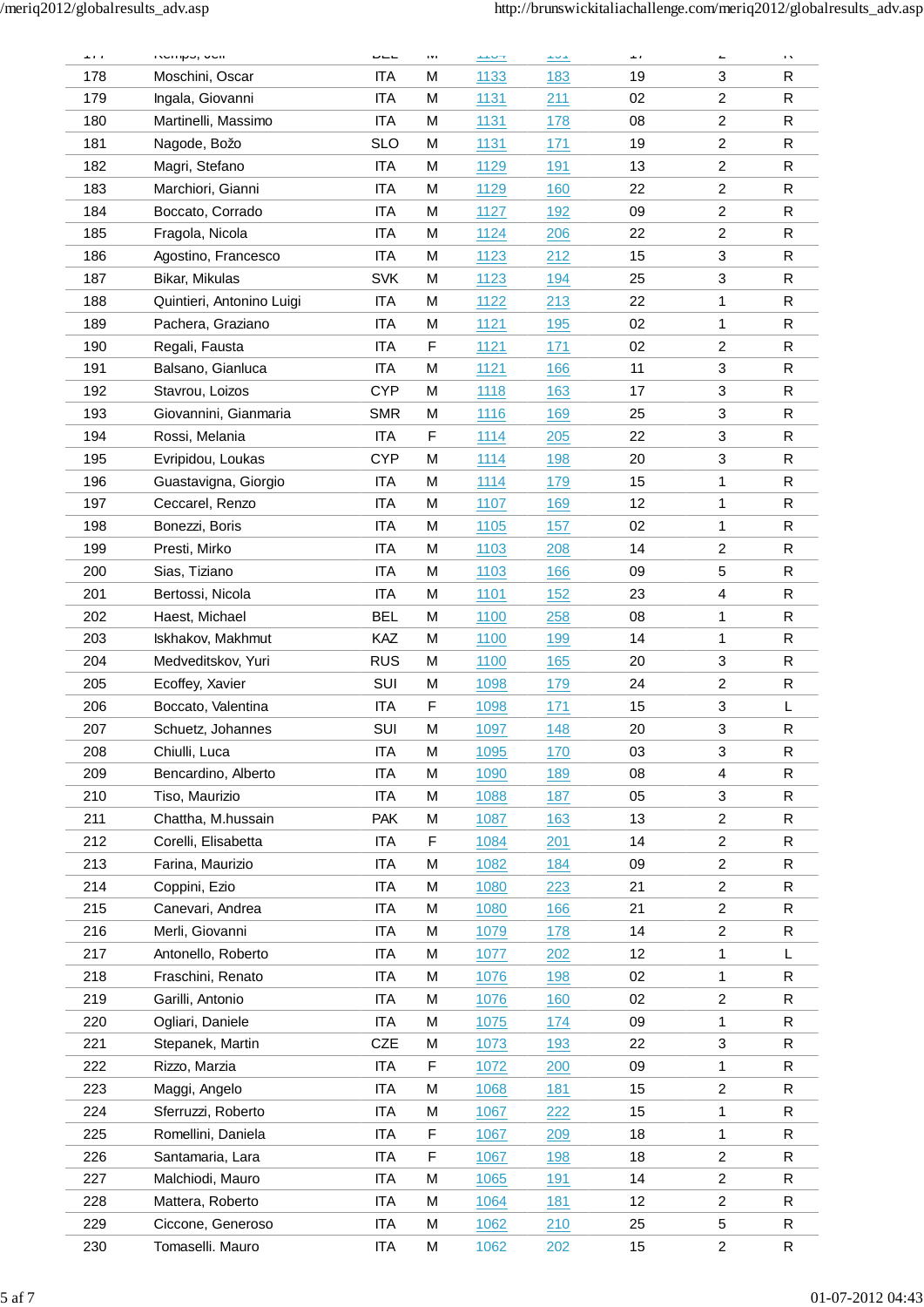| 1.1.1 | inviripo, ouri            | $- - -$    | $\mathbf{1} \mathbf{V} \mathbf{1}$ | $1.1 \times T$ | $\frac{1}{2}$ | $\mathbf{r}$ | <b>L</b>                | $\mathbf{r}$ $\mathbf{v}$ |
|-------|---------------------------|------------|------------------------------------|----------------|---------------|--------------|-------------------------|---------------------------|
| 178   | Moschini, Oscar           | <b>ITA</b> | M                                  | 1133           | 183           | 19           | 3                       | R                         |
| 179   | Ingala, Giovanni          | <b>ITA</b> | M                                  | 1131           | 211           | 02           | $\overline{2}$          | R                         |
| 180   | Martinelli, Massimo       | <b>ITA</b> | M                                  | <u>1131</u>    | 178           | 08           | $\overline{c}$          | $\mathsf R$               |
| 181   | Nagode, Božo              | <b>SLO</b> | M                                  | 1131           | 171           | 19           | $\overline{2}$          | R                         |
| 182   | Magri, Stefano            | <b>ITA</b> | M                                  | 1129           | 191           | 13           | $\overline{2}$          | $\mathsf R$               |
| 183   | Marchiori, Gianni         | <b>ITA</b> | M                                  | <u>1129</u>    | 160           | 22           | $\overline{\mathbf{c}}$ | $\mathsf R$               |
| 184   | Boccato, Corrado          | <b>ITA</b> | M                                  | 1127           | 192           | 09           | $\overline{2}$          | R                         |
| 185   | Fragola, Nicola           | <b>ITA</b> | M                                  | 1124           | 206           | 22           | $\overline{2}$          | R                         |
| 186   | Agostino, Francesco       | <b>ITA</b> | M                                  | 1123           | 212           | 15           | 3                       | R                         |
| 187   | Bikar, Mikulas            | <b>SVK</b> | M                                  | 1123           | 194           | 25           | 3                       | R                         |
| 188   | Quintieri, Antonino Luigi | <b>ITA</b> | M                                  | 1122           | 213           | 22           | 1                       | R                         |
| 189   | Pachera, Graziano         | <b>ITA</b> | M                                  | 1121           | 195           | 02           | 1                       | R                         |
| 190   | Regali, Fausta            | <b>ITA</b> | F                                  | 1121           | 171           | 02           | $\overline{c}$          | $\mathsf R$               |
| 191   | Balsano, Gianluca         | <b>ITA</b> | M                                  | 1121           | 166           | 11           | 3                       | $\mathsf{R}$              |
| 192   | Stavrou, Loizos           | <b>CYP</b> | M                                  | 1118           | 163           | 17           | 3                       | R                         |
| 193   | Giovannini, Gianmaria     | <b>SMR</b> | M                                  | 1116           | 169           | 25           | 3                       | R                         |
| 194   | Rossi, Melania            | <b>ITA</b> | F                                  | 1114           | 205           | 22           | 3                       | $\mathsf R$               |
| 195   | Evripidou, Loukas         | <b>CYP</b> | M                                  | 1114           | 198           | 20           | 3                       | $\mathsf{R}$              |
| 196   | Guastavigna, Giorgio      | <b>ITA</b> | M                                  | 1114           | 179           | 15           | 1                       | R                         |
| 197   | Ceccarel, Renzo           | <b>ITA</b> | M                                  | 1107           | 169           | 12           | 1                       | $\mathsf R$               |
| 198   | Bonezzi, Boris            | <b>ITA</b> | M                                  | 1105           | 157           | 02           | 1                       | R                         |
| 199   |                           | <b>ITA</b> | M                                  |                |               | 14           | $\overline{c}$          | R                         |
|       | Presti, Mirko             |            |                                    | 1103           | 208           |              | 5                       |                           |
| 200   | Sias, Tiziano             | <b>ITA</b> | M                                  | 1103           | 166           | 09           |                         | R                         |
| 201   | Bertossi, Nicola          | <b>ITA</b> | M                                  | 1101           | 152           | 23           | 4                       | R                         |
| 202   | Haest, Michael            | <b>BEL</b> | M                                  | 1100           | 258           | 08           | 1                       | $\mathsf R$               |
| 203   | Iskhakov, Makhmut         | KAZ        | M                                  | 1100           | 199           | 14           | 1                       | $\mathsf{R}$              |
| 204   | Medveditskov, Yuri        | <b>RUS</b> | M                                  | <u>1100</u>    | 165           | 20           | 3                       | $\mathsf R$               |
| 205   | Ecoffey, Xavier           | SUI        | М                                  | 1098           | 179           | 24           | 2                       | R                         |
| 206   | Boccato, Valentina        | <b>ITA</b> | F                                  | 1098           | 171           | 15           | 3                       | L                         |
| 207   | Schuetz, Johannes         | SUI        | M                                  | 1097           | 148           | 20           | 3                       | $\mathsf R$               |
| 208   | Chiulli, Luca             | <b>ITA</b> | M                                  | 1095           | 170           | 03           | 3                       | R                         |
| 209   | Bencardino, Alberto       | <b>ITA</b> | M                                  | 1090           | 189           | 08           | 4                       | R                         |
| 210   | Tiso, Maurizio            | <b>ITA</b> | M                                  | 1088           | 187           | 05           | 3                       | R                         |
| 211   | Chattha, M.hussain        | <b>PAK</b> | M                                  | 1087           | 163           | 13           | $\overline{2}$          | R                         |
| 212   | Corelli, Elisabetta       | <b>ITA</b> | F                                  | 1084           | 201           | 14           | 2                       | R                         |
| 213   | Farina, Maurizio          | <b>ITA</b> | M                                  | 1082           | 184           | 09           | $\overline{2}$          | R                         |
| 214   | Coppini, Ezio             | ITA        | M                                  | <u>1080</u>    | 223           | 21           | $\overline{c}$          | R                         |
| 215   | Canevari, Andrea          | <b>ITA</b> | M                                  | 1080           | 166           | 21           | $\overline{2}$          | R                         |
| 216   | Merli, Giovanni           | <b>ITA</b> | M                                  | 1079           | 178           | 14           | $\overline{c}$          | R                         |
| 217   | Antonello, Roberto        | <b>ITA</b> | M                                  | 1077           | 202           | 12           | 1                       | L                         |
| 218   | Fraschini, Renato         | <b>ITA</b> | M                                  | 1076           | 198           | 02           | $\mathbf{1}$            | R                         |
| 219   | Garilli, Antonio          | <b>ITA</b> | M                                  | 1076           | 160           | 02           | $\overline{c}$          | R                         |
| 220   | Ogliari, Daniele          | <b>ITA</b> | M                                  | 1075           | 174           | 09           | 1                       | R                         |
| 221   | Stepanek, Martin          | CZE        | M                                  | 1073           | <u>193</u>    | 22           | 3                       | R                         |
| 222   | Rizzo, Marzia             | <b>ITA</b> | F                                  | 1072           | 200           | 09           | 1                       | R                         |
| 223   | Maggi, Angelo             | <b>ITA</b> | M                                  | 1068           | 181           | 15           | $\overline{2}$          | R                         |
| 224   | Sferruzzi, Roberto        | <b>ITA</b> | М                                  | 1067           | 222           | 15           | 1                       | R                         |
| 225   | Romellini, Daniela        | <b>ITA</b> | F                                  | 1067           | 209           | 18           | 1                       | $\mathsf R$               |
| 226   | Santamaria, Lara          | <b>ITA</b> | F                                  | 1067           | <u>198</u>    | 18           | $\overline{2}$          | R                         |
| 227   | Malchiodi, Mauro          | <b>ITA</b> | M                                  | 1065           | 191           | 14           | $\overline{c}$          | $\mathsf{R}$              |
| 228   | Mattera, Roberto          | <b>ITA</b> | M                                  | 1064           | 181           | 12           | $\overline{c}$          | R                         |
| 229   | Ciccone, Generoso         | ITA        | м                                  | 1062           | 210           | 25           | 5                       | R                         |
| 230   | Tomaselli. Mauro          | <b>ITA</b> | M                                  | 1062           | 202           | 15           | $\overline{c}$          | $\mathsf R$               |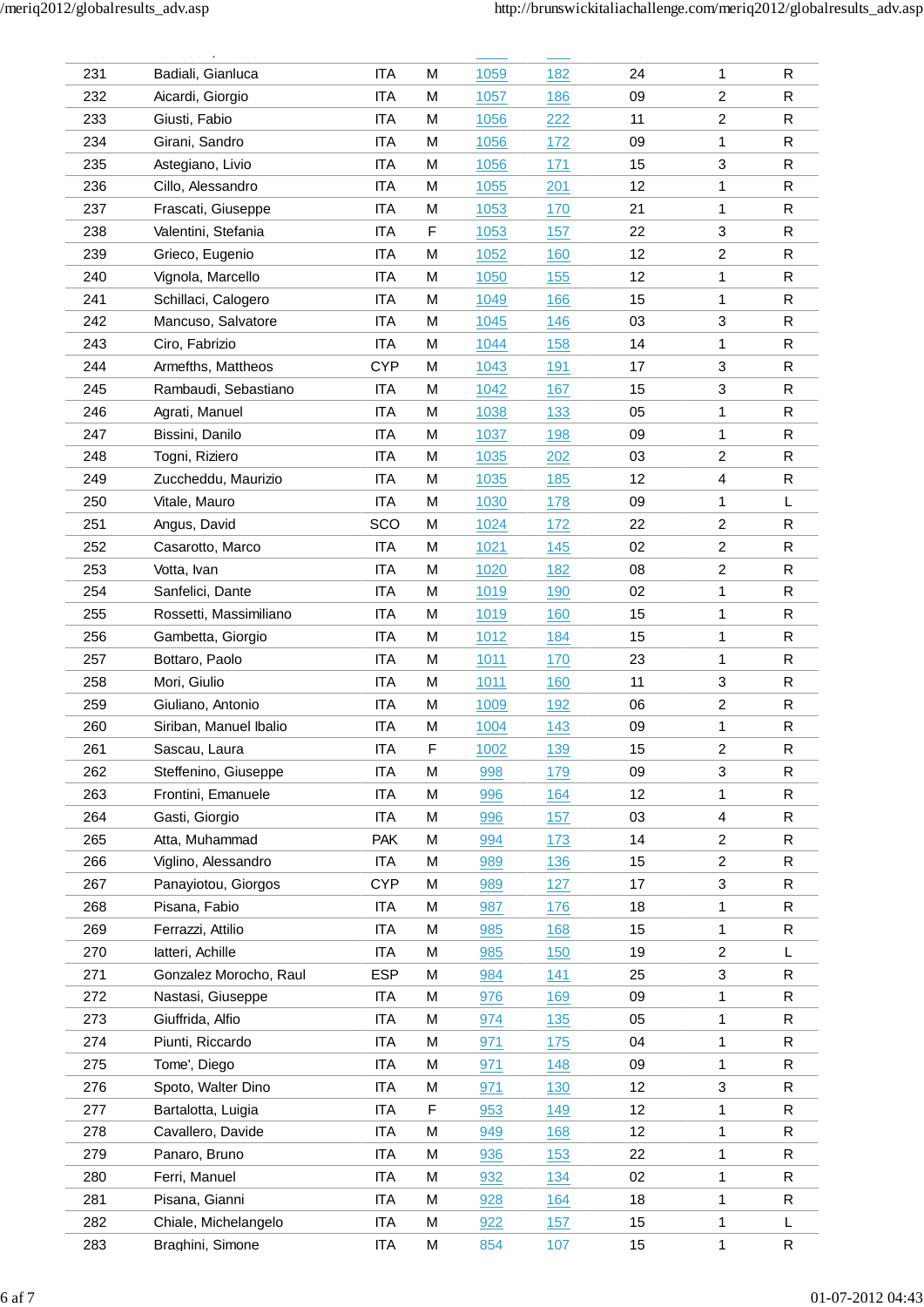| --- | بالمستحدث وبالحاجات بالحادية    | .          | $\ldots$ | $ -$         | $= -$      | $\ddot{\phantom{0}}$ |                         | $\sim$ $\sim$ |
|-----|---------------------------------|------------|----------|--------------|------------|----------------------|-------------------------|---------------|
| 231 | Badiali, Gianluca               | <b>ITA</b> | M        | 1059         | 182        | 24                   | 1                       | R             |
| 232 | Aicardi, Giorgio                | <b>ITA</b> | M        | 1057         | 186        | 09                   | 2                       | R             |
| 233 | Giusti, Fabio                   | <b>ITA</b> | M        | 1056         | 222        | 11                   | $\overline{c}$          | R             |
| 234 | Girani, Sandro                  | <b>ITA</b> | M        | 1056         | 172        | 09                   | 1                       | $\mathsf{R}$  |
| 235 | Astegiano, Livio                | <b>ITA</b> | M        | 1056         | 171        | 15                   | 3                       | R             |
| 236 | Cillo, Alessandro               | <b>ITA</b> | M        | 1055         | 201        | 12                   | 1                       | $\mathsf R$   |
| 237 | Frascati, Giuseppe              | <b>ITA</b> | M        | 1053         | 170        | 21                   | 1                       | R             |
| 238 | Valentini, Stefania             | <b>ITA</b> | F        | 1053         | 157        | 22                   | 3                       | R             |
| 239 | Grieco, Eugenio                 | <b>ITA</b> | M        | 1052         | 160        | 12                   | 2                       | R             |
| 240 | Vignola, Marcello               | <b>ITA</b> | M        | 1050         | 155        | 12                   | 1                       | $\mathsf{R}$  |
| 241 | Schillaci, Calogero             | <b>ITA</b> | M        | 1049         | 166        | 15                   | 1                       | $\mathsf{R}$  |
| 242 | Mancuso, Salvatore              | <b>ITA</b> | M        | 1045         | 146        | 03                   | 3                       | R             |
| 243 | Ciro, Fabrizio                  | <b>ITA</b> | M        | 1044         | 158        | 14                   | 1                       | $\mathsf{R}$  |
| 244 | Armefths, Mattheos              | <b>CYP</b> | M        | 1043         | 191        | 17                   | 3                       | R             |
| 245 | Rambaudi, Sebastiano            | <b>ITA</b> | M        | 1042         | 167        | 15                   | 3                       | R             |
| 246 | Agrati, Manuel                  | <b>ITA</b> | M        | 1038         | 133        | 05                   | 1                       | R             |
| 247 | Bissini, Danilo                 | <b>ITA</b> | M        | 1037         | 198        | 09                   | 1                       | R             |
| 248 | Togni, Riziero                  | ITA        | M        | 1035         | 202        | 03                   | $\overline{\mathbf{c}}$ | $\mathsf{R}$  |
| 249 | Zuccheddu, Maurizio             | <b>ITA</b> | M        | 1035         | 185        | 12                   | $\overline{4}$          | R             |
| 250 | Vitale, Mauro                   | <b>ITA</b> | M        | 1030         | 178        | 09                   | 1                       | L             |
| 251 | Angus, David                    | SCO        | М        | 1024         | 172        | 22                   | 2                       | R             |
| 252 | Casarotto, Marco                | <b>ITA</b> | M        | 1021         | 145        | 02                   | $\overline{2}$          | R             |
| 253 |                                 | <b>ITA</b> | M        |              | 182        | 08                   | $\overline{\mathbf{c}}$ | $\mathsf{R}$  |
| 254 | Votta, Ivan<br>Sanfelici, Dante | <b>ITA</b> | M        | 1020<br>1019 | 190        | 02                   | 1                       | $\mathsf{R}$  |
|     |                                 |            |          |              |            |                      |                         |               |
| 255 | Rossetti, Massimiliano          | <b>ITA</b> | M        | <u>1019</u>  | 160        | 15                   | 1                       | $\mathsf{R}$  |
| 256 | Gambetta, Giorgio               | ITA        | M        | 1012         | 184        | 15                   | 1                       | R             |
| 257 | Bottaro, Paolo                  | <b>ITA</b> | M        | 1011         | 170        | 23                   | 1                       | R             |
| 258 | Mori, Giulio                    | <b>ITA</b> | M        | 1011         | 160        | 11                   | 3                       | R             |
| 259 | Giuliano, Antonio               | <b>ITA</b> | M        | 1009         | 192        | 06                   | 2                       | $\mathsf{R}$  |
| 260 | Siriban, Manuel Ibalio          | <b>ITA</b> | M        | 1004         | 143        | 09                   | 1                       | $\mathsf R$   |
| 261 | Sascau, Laura                   | <b>ITA</b> | F        | 1002         | 139        | 15                   | $\overline{c}$          | $\mathsf{R}$  |
| 262 | Steffenino, Giuseppe            | <b>ITA</b> | M        | 998          | 179        | 09                   | 3                       | R             |
| 263 | Frontini, Emanuele              | <b>ITA</b> | M        | 996          | 164        | 12                   | 1                       | R             |
| 264 | Gasti, Giorgio                  | <b>ITA</b> | M        | 996          | 157        | 03                   | 4                       | R             |
| 265 | Atta, Muhammad                  | <b>PAK</b> | M        | 994          | 173        | 14                   | $\overline{c}$          | $\mathsf{R}$  |
| 266 | Viglino, Alessandro             | <b>ITA</b> | M        | 989          | 136        | 15                   | $\overline{2}$          | $\mathsf{R}$  |
| 267 | Panayiotou, Giorgos             | <b>CYP</b> | M        | 989          | 127        | 17                   | 3                       | $\mathsf{R}$  |
| 268 | Pisana, Fabio                   | ITA        | M        | 987          | 176        | 18                   | 1                       | R             |
| 269 | Ferrazzi, Attilio               | <b>ITA</b> | M        | 985          | <u>168</u> | 15                   | 1                       | $\mathsf{R}$  |
| 270 | latteri, Achille                | ITA        | M        | 985          | 150        | 19                   | 2                       | L             |
| 271 | Gonzalez Morocho, Raul          | <b>ESP</b> | M        | 984          | 141        | 25                   | 3                       | R             |
| 272 | Nastasi, Giuseppe               | <b>ITA</b> | M        | 976          | 169        | 09                   | 1                       | $\mathsf{R}$  |
| 273 | Giuffrida, Alfio                | <b>ITA</b> | M        | 974          | 135        | 05                   | 1                       | R             |
| 274 | Piunti, Riccardo                | <b>ITA</b> | M        | 971          | 175        | 04                   | 1                       | $\mathsf{R}$  |
| 275 | Tome', Diego                    | <b>ITA</b> | M        | 971          | 148        | 09                   | 1                       | R             |
| 276 | Spoto, Walter Dino              | <b>ITA</b> | M        | 971          | 130        | 12                   | 3                       | R             |
| 277 | Bartalotta, Luigia              | ITA        | F        | 953          | 149        | 12                   | 1                       | R             |
| 278 | Cavallero, Davide               | <b>ITA</b> | M        | 949          | 168        | 12                   | 1                       | R             |
| 279 | Panaro, Bruno                   | ITA        | M        | 936          | <u>153</u> | 22                   | 1                       | $\mathsf{R}$  |
| 280 | Ferri, Manuel                   | <b>ITA</b> | М        | 932          | 134        | 02                   | 1                       | $\mathsf{R}$  |
| 281 | Pisana, Gianni                  | <b>ITA</b> | M        | 928          | 164        | 18                   | 1                       | $\mathsf R$   |
| 282 | Chiale, Michelangelo            | <b>ITA</b> | M        | 922          | 157        | 15                   | 1                       | L             |
| 283 | Braghini, Simone                | <b>ITA</b> | М        | 854          | 107        | 15                   | 1                       | ${\sf R}$     |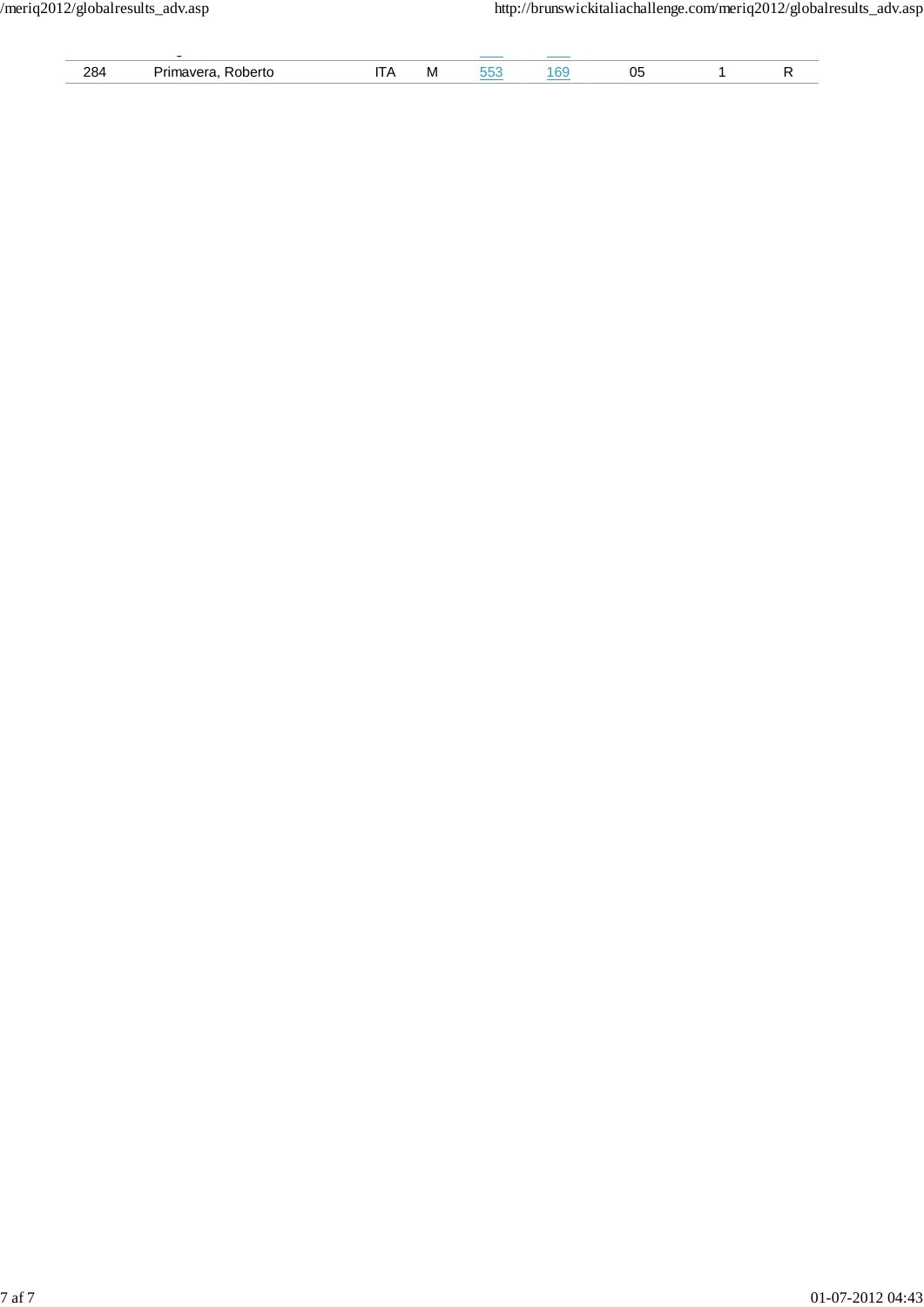|                    | $\overline{\phantom{a}}$ |            |  |  |  |
|--------------------|--------------------------|------------|--|--|--|
| റാം.<br>∽⊃<br>____ | .                        | <b>IVI</b> |  |  |  |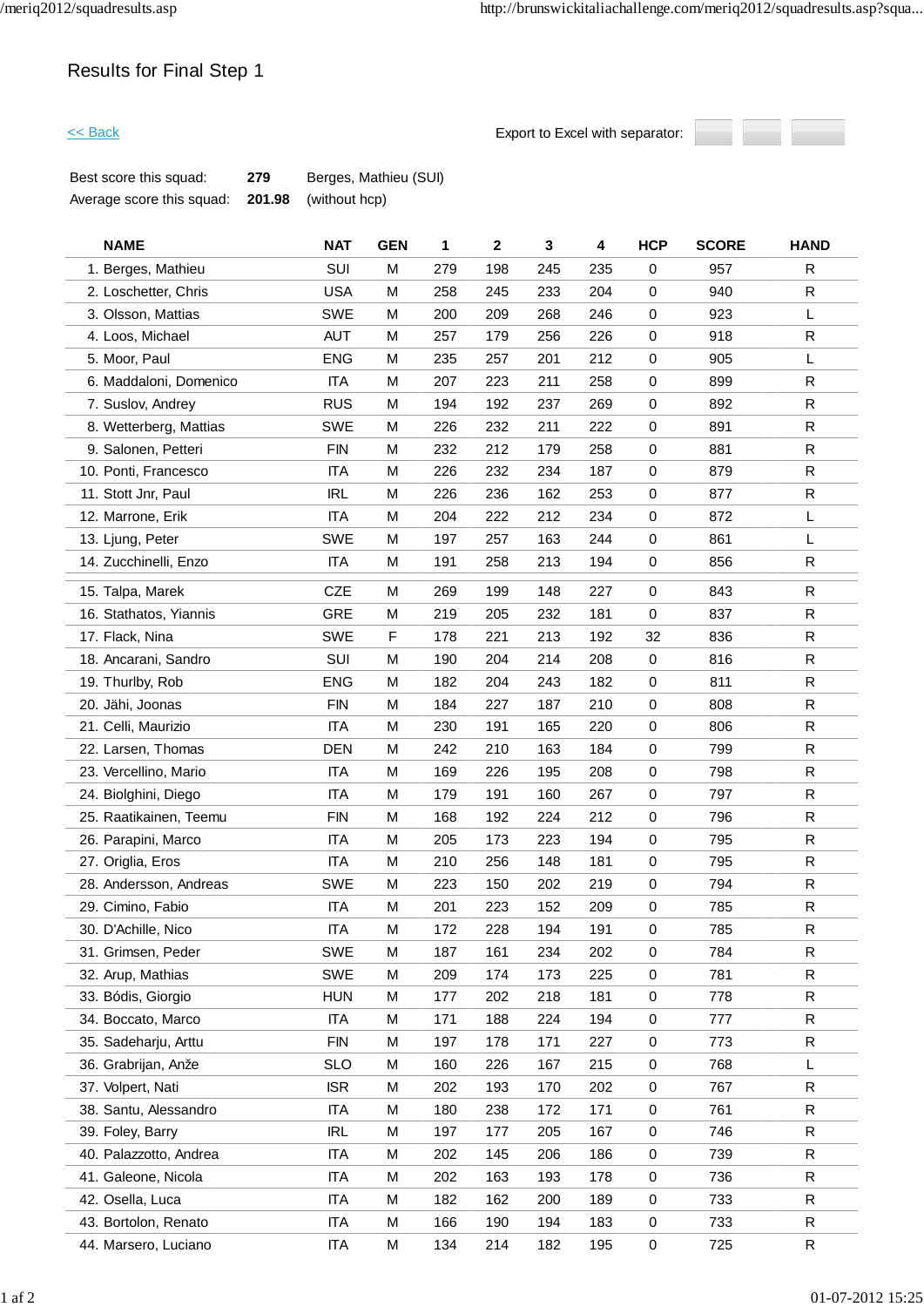# Results for Final Step 1

**Export to Excel with separator:** 



| Best score this squad:    | 279 | Berges, Mathieu (SUI)       |
|---------------------------|-----|-----------------------------|
| Average score this squad: |     | <b>201.98</b> (without hcp) |

| <b>NAME</b>            | <b>NAT</b> | <b>GEN</b> | 1   | $\boldsymbol{2}$ | 3   | 4   | <b>HCP</b> | <b>SCORE</b> | <b>HAND</b>  |
|------------------------|------------|------------|-----|------------------|-----|-----|------------|--------------|--------------|
| 1. Berges, Mathieu     | SUI        | M          | 279 | 198              | 245 | 235 | 0          | 957          | R            |
| 2. Loschetter, Chris   | <b>USA</b> | M          | 258 | 245              | 233 | 204 | 0          | 940          | ${\sf R}$    |
| 3. Olsson, Mattias     | <b>SWE</b> | M          | 200 | 209              | 268 | 246 | $\pmb{0}$  | 923          | L            |
| 4. Loos, Michael       | <b>AUT</b> | M          | 257 | 179              | 256 | 226 | 0          | 918          | R            |
| 5. Moor, Paul          | <b>ENG</b> | M          | 235 | 257              | 201 | 212 | $\pmb{0}$  | 905          | Г            |
| 6. Maddaloni, Domenico | <b>ITA</b> | M          | 207 | 223              | 211 | 258 | 0          | 899          | R            |
| 7. Suslov, Andrey      | <b>RUS</b> | M          | 194 | 192              | 237 | 269 | 0          | 892          | ${\sf R}$    |
| 8. Wetterberg, Mattias | <b>SWE</b> | M          | 226 | 232              | 211 | 222 | $\pmb{0}$  | 891          | R            |
| 9. Salonen, Petteri    | <b>FIN</b> | M          | 232 | 212              | 179 | 258 | 0          | 881          | $\mathsf R$  |
| 10. Ponti, Francesco   | <b>ITA</b> | M          | 226 | 232              | 234 | 187 | $\pmb{0}$  | 879          | R            |
| 11. Stott Jnr, Paul    | <b>IRL</b> | M          | 226 | 236              | 162 | 253 | 0          | 877          | $\mathsf R$  |
| 12. Marrone, Erik      | <b>ITA</b> | M          | 204 | 222              | 212 | 234 | 0          | 872          | L            |
| 13. Ljung, Peter       | <b>SWE</b> | M          | 197 | 257              | 163 | 244 | 0          | 861          | L            |
| 14. Zucchinelli, Enzo  | <b>ITA</b> | M          | 191 | 258              | 213 | 194 | 0          | 856          | R            |
| 15. Talpa, Marek       | CZE        | M          | 269 | 199              | 148 | 227 | 0          | 843          | ${\sf R}$    |
| 16. Stathatos, Yiannis | <b>GRE</b> | M          | 219 | 205              | 232 | 181 | 0          | 837          | R            |
| 17. Flack, Nina        | <b>SWE</b> | F          | 178 | 221              | 213 | 192 | 32         | 836          | ${\sf R}$    |
| 18. Ancarani, Sandro   | SUI        | M          | 190 | 204              | 214 | 208 | 0          | 816          | ${\sf R}$    |
| 19. Thurlby, Rob       | <b>ENG</b> | M          | 182 | 204              | 243 | 182 | $\pmb{0}$  | 811          | R            |
| 20. Jähi, Joonas       | <b>FIN</b> | M          | 184 | 227              | 187 | 210 | $\pmb{0}$  | 808          | ${\sf R}$    |
| 21. Celli, Maurizio    | <b>ITA</b> | M          | 230 | 191              | 165 | 220 | 0          | 806          | R            |
| 22. Larsen, Thomas     | <b>DEN</b> | M          | 242 | 210              | 163 | 184 | 0          | 799          | $\mathsf{R}$ |
| 23. Vercellino, Mario  | <b>ITA</b> | М          | 169 | 226              | 195 | 208 | 0          | 798          | R            |
| 24. Biolghini, Diego   | <b>ITA</b> | M          | 179 | 191              | 160 | 267 | 0          | 797          | ${\sf R}$    |
| 25. Raatikainen, Teemu | <b>FIN</b> | M          | 168 | 192              | 224 | 212 | $\pmb{0}$  | 796          | R            |
| 26. Parapini, Marco    | <b>ITA</b> | M          | 205 | 173              | 223 | 194 | 0          | 795          | R            |
| 27. Origlia, Eros      | <b>ITA</b> | M          | 210 | 256              | 148 | 181 | 0          | 795          | ${\sf R}$    |
| 28. Andersson, Andreas | <b>SWE</b> | M          | 223 | 150              | 202 | 219 | 0          | 794          | R            |
| 29. Cimino, Fabio      | <b>ITA</b> | M          | 201 | 223              | 152 | 209 | 0          | 785          | ${\sf R}$    |
| 30. D'Achille, Nico    | <b>ITA</b> | M          | 172 | 228              | 194 | 191 | $\pmb{0}$  | 785          | ${\sf R}$    |
| 31. Grimsen, Peder     | <b>SWE</b> | М          | 187 | 161              | 234 | 202 | 0          | 784          | R            |
| 32. Arup, Mathias      | <b>SWE</b> | M          | 209 | 174              | 173 | 225 | $\pmb{0}$  | 781          | R            |
| 33. Bódis, Giorgio     | <b>HUN</b> | M          | 177 | 202              | 218 | 181 | 0          | 778          | R            |
| 34. Boccato, Marco     | <b>ITA</b> | M          | 171 | 188              | 224 | 194 | 0          | 777          | R            |
| 35. Sadeharju, Arttu   | <b>FIN</b> | M          | 197 | 178              | 171 | 227 | $\pmb{0}$  | 773          | R            |
| 36. Grabrijan, Anže    | <b>SLO</b> | М          | 160 | 226              | 167 | 215 | 0          | 768          | L            |
| 37. Volpert, Nati      | <b>ISR</b> | M          | 202 | 193              | 170 | 202 | $\pmb{0}$  | 767          | R            |
| 38. Santu, Alessandro  | <b>ITA</b> | М          | 180 | 238              | 172 | 171 | $\pmb{0}$  | 761          | R            |
| 39. Foley, Barry       | <b>IRL</b> | M          | 197 | 177              | 205 | 167 | $\pmb{0}$  | 746          | R            |
| 40. Palazzotto, Andrea | <b>ITA</b> | М          | 202 | 145              | 206 | 186 | 0          | 739          | R            |
| 41. Galeone, Nicola    | <b>ITA</b> | M          | 202 | 163              | 193 | 178 | 0          | 736          | R            |
| 42. Osella, Luca       | <b>ITA</b> | M          | 182 | 162              | 200 | 189 | 0          | 733          | ${\sf R}$    |
| 43. Bortolon, Renato   | <b>ITA</b> | М          | 166 | 190              | 194 | 183 | $\pmb{0}$  | 733          | ${\sf R}$    |
| 44. Marsero, Luciano   | <b>ITA</b> | М          | 134 | 214              | 182 | 195 | $\pmb{0}$  | 725          | R            |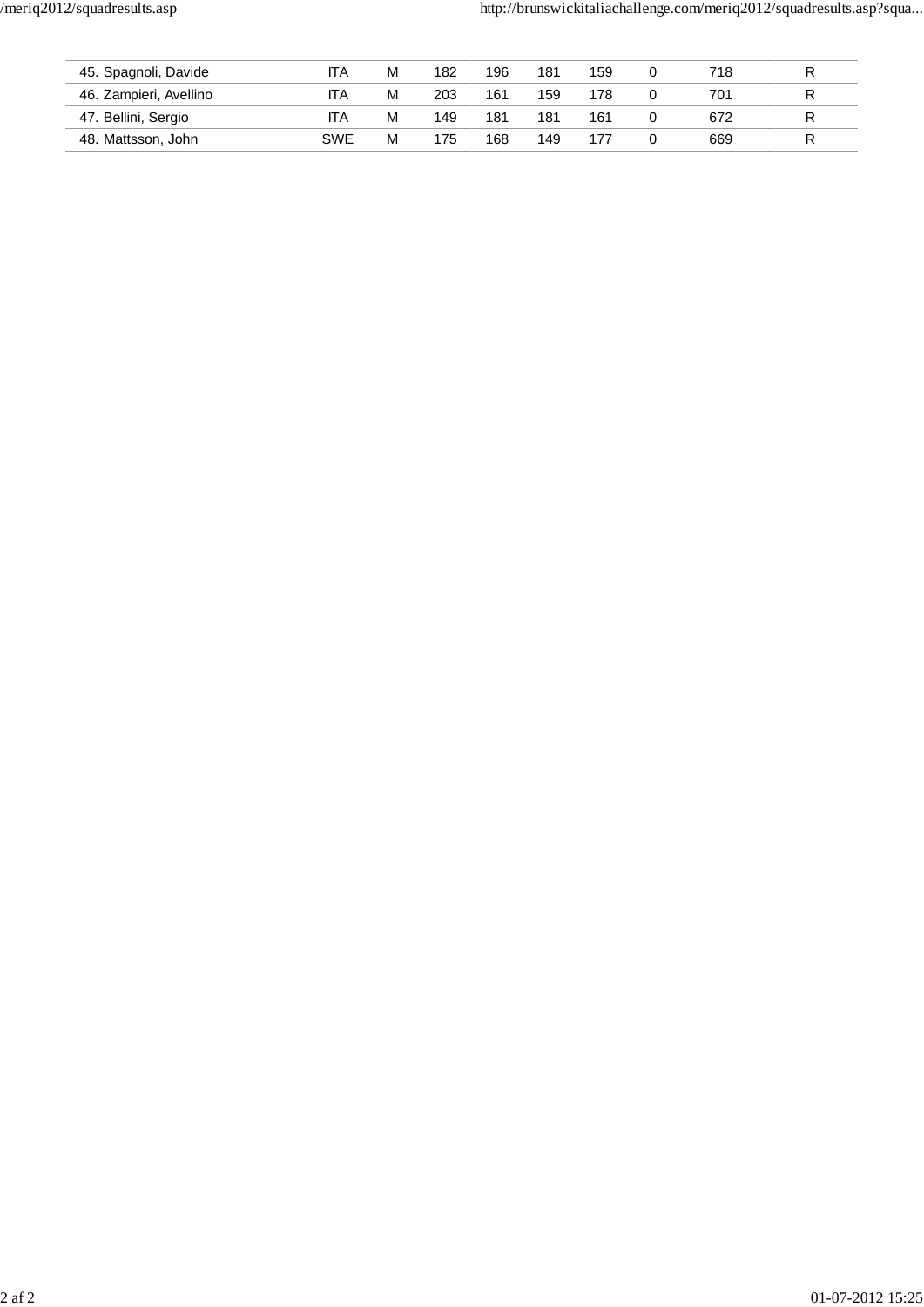| 45. Spagnoli, Davide   | ITA        | M | 182 | 196 | 181 | 159 | 718 |   |
|------------------------|------------|---|-----|-----|-----|-----|-----|---|
| 46. Zampieri, Avellino | <b>ITA</b> | м | 203 | 161 | 159 | 178 | 701 | R |
| 47. Bellini, Sergio    | <b>ITA</b> | м | 149 | 181 | 181 | 161 | 672 |   |
| 48. Mattsson, John     | <b>SWE</b> | M | 175 | 168 | 149 |     | 669 |   |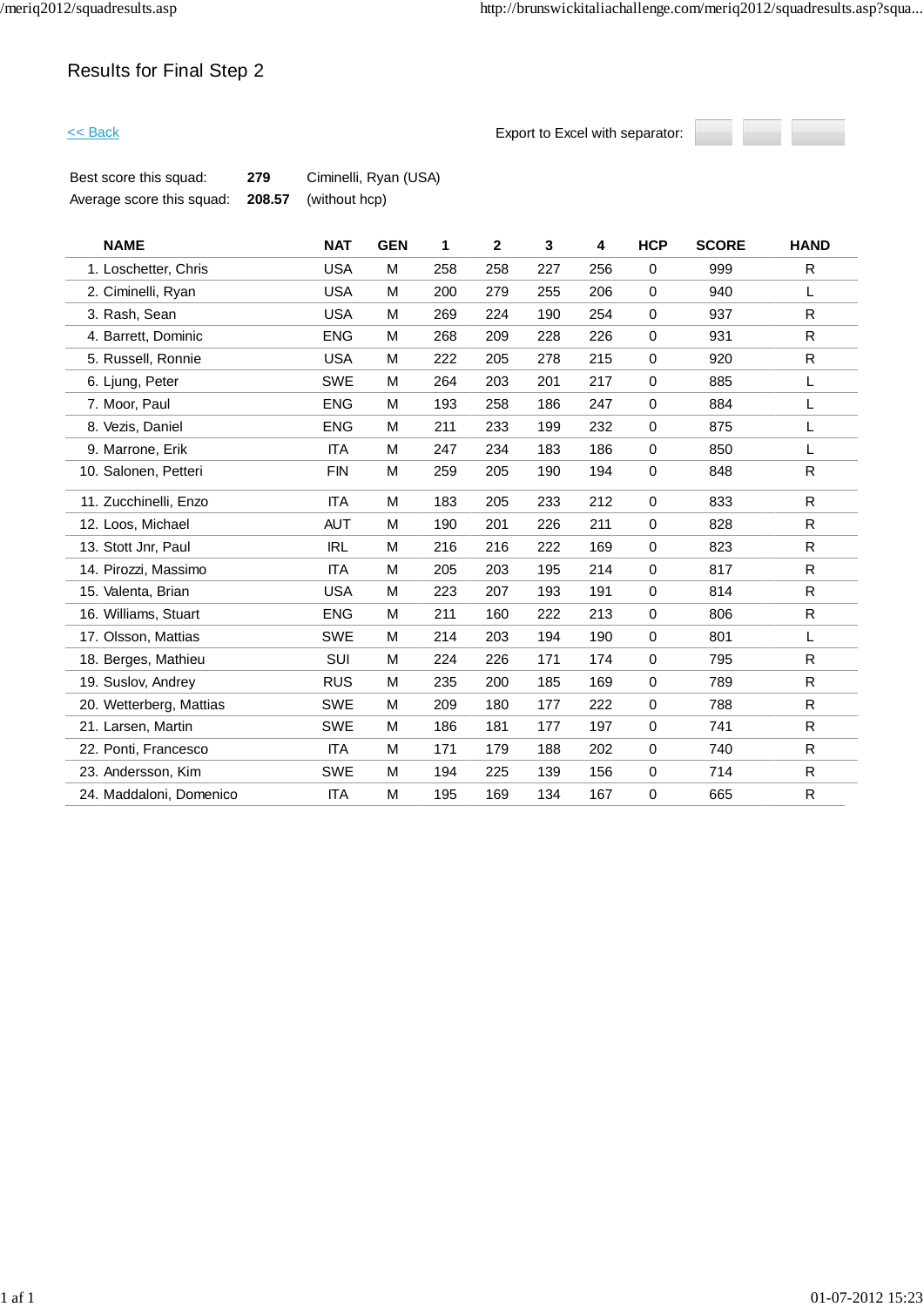# Results for Final Step 2

**Export to Excel with separator:** 



| Best score this squad:    | 279 | Ciminelli, Ryan (USA)       |
|---------------------------|-----|-----------------------------|
| Average score this squad: |     | <b>208.57</b> (without hcp) |

| <b>NAME</b>             | <b>NAT</b> | <b>GEN</b> | 1   | $\mathbf{2}$ | 3   | 4   | <b>HCP</b>  | <b>SCORE</b> | <b>HAND</b>  |
|-------------------------|------------|------------|-----|--------------|-----|-----|-------------|--------------|--------------|
| 1. Loschetter, Chris    | <b>USA</b> | M          | 258 | 258          | 227 | 256 | $\mathbf 0$ | 999          | R            |
| 2. Ciminelli, Ryan      | <b>USA</b> | M          | 200 | 279          | 255 | 206 | $\mathbf 0$ | 940          | L            |
| 3. Rash, Sean           | <b>USA</b> | M          | 269 | 224          | 190 | 254 | $\mathbf 0$ | 937          | $\mathsf{R}$ |
| 4. Barrett, Dominic     | <b>ENG</b> | M          | 268 | 209          | 228 | 226 | $\mathbf 0$ | 931          | R            |
| 5. Russell, Ronnie      | <b>USA</b> | M          | 222 | 205          | 278 | 215 | $\mathbf 0$ | 920          | $\mathsf{R}$ |
| 6. Ljung, Peter         | <b>SWE</b> | M          | 264 | 203          | 201 | 217 | $\pmb{0}$   | 885          | L            |
| 7. Moor, Paul           | <b>ENG</b> | M          | 193 | 258          | 186 | 247 | $\mathbf 0$ | 884          | L            |
| 8. Vezis, Daniel        | <b>ENG</b> | M          | 211 | 233          | 199 | 232 | $\pmb{0}$   | 875          | L            |
| 9. Marrone, Erik        | <b>ITA</b> | M          | 247 | 234          | 183 | 186 | $\mathbf 0$ | 850          | L            |
| 10. Salonen, Petteri    | <b>FIN</b> | M          | 259 | 205          | 190 | 194 | $\mathbf 0$ | 848          | $\mathsf{R}$ |
| 11. Zucchinelli, Enzo   | <b>ITA</b> | M          | 183 | 205          | 233 | 212 | $\mathbf 0$ | 833          | R            |
| 12. Loos, Michael       | <b>AUT</b> | M          | 190 | 201          | 226 | 211 | $\mathbf 0$ | 828          | R            |
| 13. Stott Jnr, Paul     | <b>IRL</b> | M          | 216 | 216          | 222 | 169 | $\mathbf 0$ | 823          | $\mathsf{R}$ |
| 14. Pirozzi, Massimo    | <b>ITA</b> | M          | 205 | 203          | 195 | 214 | $\mathbf 0$ | 817          | $\mathsf{R}$ |
| 15. Valenta, Brian      | <b>USA</b> | M          | 223 | 207          | 193 | 191 | $\mathbf 0$ | 814          | $\mathsf{R}$ |
| 16. Williams, Stuart    | <b>ENG</b> | M          | 211 | 160          | 222 | 213 | $\mathbf 0$ | 806          | R            |
| 17. Olsson, Mattias     | <b>SWE</b> | м          | 214 | 203          | 194 | 190 | $\mathbf 0$ | 801          | L            |
| 18. Berges, Mathieu     | <b>SUI</b> | M          | 224 | 226          | 171 | 174 | $\mathbf 0$ | 795          | R            |
| 19. Suslov, Andrey      | <b>RUS</b> | м          | 235 | 200          | 185 | 169 | $\mathbf 0$ | 789          | R.           |
| 20. Wetterberg, Mattias | <b>SWE</b> | м          | 209 | 180          | 177 | 222 | $\mathbf 0$ | 788          | ${\sf R}$    |
| 21. Larsen, Martin      | <b>SWE</b> | М          | 186 | 181          | 177 | 197 | $\mathbf 0$ | 741          | R            |
| 22. Ponti, Francesco    | <b>ITA</b> | M          | 171 | 179          | 188 | 202 | $\mathbf 0$ | 740          | $\mathsf{R}$ |
| 23. Andersson, Kim      | <b>SWE</b> | M          | 194 | 225          | 139 | 156 | $\pmb{0}$   | 714          | ${\sf R}$    |
| 24. Maddaloni, Domenico | <b>ITA</b> | м          | 195 | 169          | 134 | 167 | $\mathbf 0$ | 665          | ${\sf R}$    |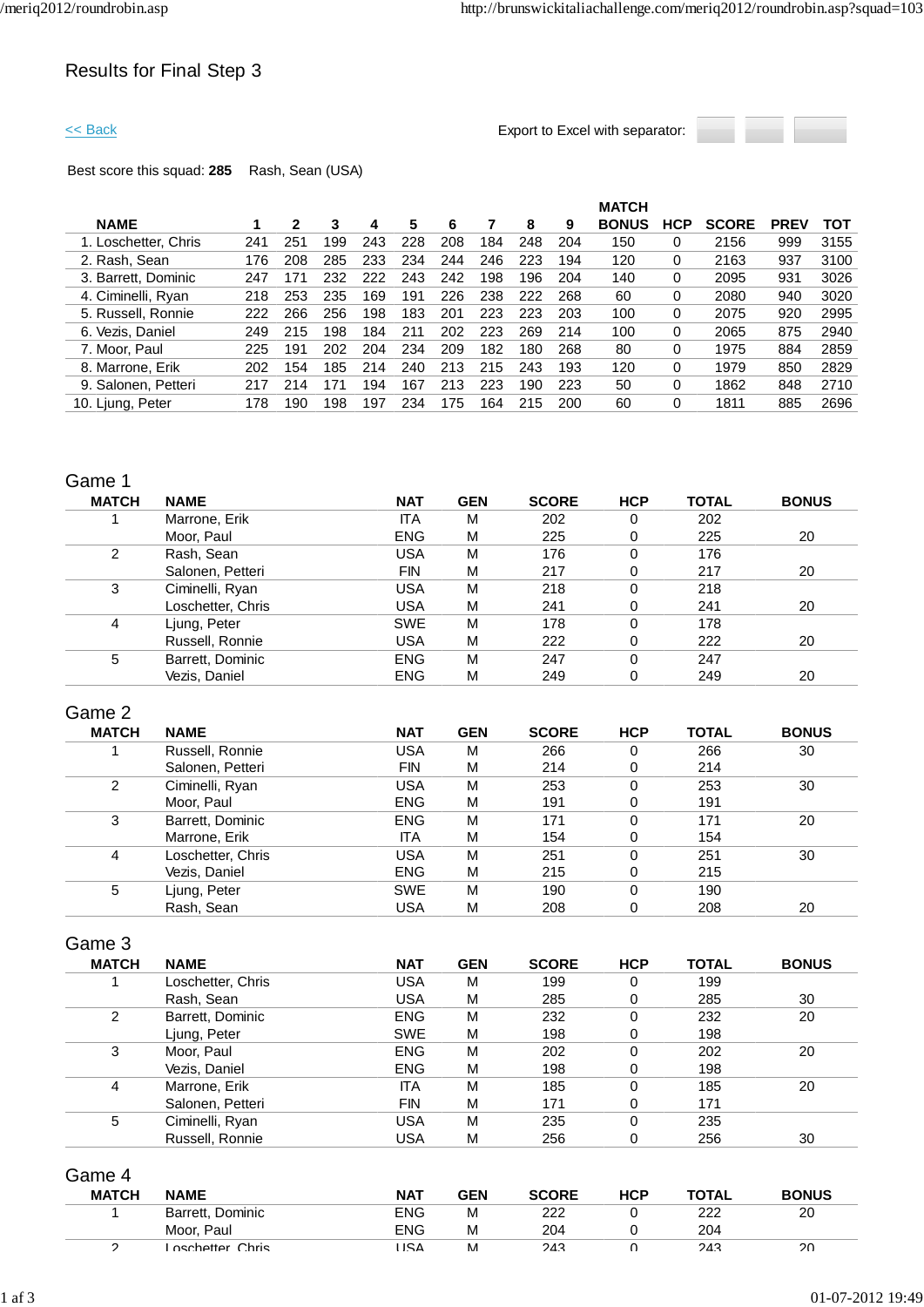## Results for Final Step 3

<< Back Export to Excel with separator:



Best score this squad: **285** Rash, Sean (USA)

|                      |     |     |     |     |     |     |     |     |     | <b>MATCH</b> |            |              |             |      |
|----------------------|-----|-----|-----|-----|-----|-----|-----|-----|-----|--------------|------------|--------------|-------------|------|
| <b>NAME</b>          |     | 2   | 3   | 4   | 5   | 6   |     | 8   | 9   | <b>BONUS</b> | <b>HCP</b> | <b>SCORE</b> | <b>PREV</b> | тот  |
| 1. Loschetter, Chris | 241 | 251 | 199 | 243 | 228 | 208 | 184 | 248 | 204 | 150          | 0          | 2156         | 999         | 3155 |
| 2. Rash, Sean        | 176 | 208 | 285 | 233 | 234 | 244 | 246 | 223 | 194 | 120          | 0          | 2163         | 937         | 3100 |
| 3. Barrett, Dominic  | 247 | 171 | 232 | 222 | 243 | 242 | 198 | 196 | 204 | 140          | 0          | 2095         | 931         | 3026 |
| 4. Ciminelli, Ryan   | 218 | 253 | 235 | 169 | 191 | 226 | 238 | 222 | 268 | 60           | 0          | 2080         | 940         | 3020 |
| 5. Russell, Ronnie   | 222 | 266 | 256 | 198 | 183 | 201 | 223 | 223 | 203 | 100          | 0          | 2075         | 920         | 2995 |
| 6. Vezis, Daniel     | 249 | 215 | 198 | 184 | 211 | 202 | 223 | 269 | 214 | 100          | 0          | 2065         | 875         | 2940 |
| 7. Moor, Paul        | 225 | 191 | 202 | 204 | 234 | 209 | 182 | 180 | 268 | 80           | 0          | 1975         | 884         | 2859 |
| 8. Marrone, Erik     | 202 | 154 | 185 | 214 | 240 | 213 | 215 | 243 | 193 | 120          | 0          | 1979         | 850         | 2829 |
| 9. Salonen, Petteri  | 217 | 214 |     | 194 | 167 | 213 | 223 | 190 | 223 | 50           | 0          | 1862         | 848         | 2710 |
| 10. Ljung, Peter     | 178 | 190 | 198 | 197 | 234 | 175 | 164 | 215 | 200 | 60           | 0          | 1811         | 885         | 2696 |
|                      |     |     |     |     |     |     |     |     |     |              |            |              |             |      |

### Game 1

| <b>MATCH</b> | <b>NAME</b>       | <b>NAT</b> | <b>GEN</b> | <b>SCORE</b> | <b>HCP</b> | <b>TOTAL</b> | <b>BONUS</b> |
|--------------|-------------------|------------|------------|--------------|------------|--------------|--------------|
|              | Marrone, Erik     | ITA        | M          | 202          | 0          | 202          |              |
|              | Moor, Paul        | <b>ENG</b> | M          | 225          | 0          | 225          | 20           |
| 2            | Rash, Sean        | <b>USA</b> | M          | 176          | 0          | 176          |              |
|              | Salonen, Petteri  | <b>FIN</b> | M          | 217          | 0          | 217          | 20           |
| 3            | Ciminelli, Ryan   | <b>USA</b> | M          | 218          | 0          | 218          |              |
|              | Loschetter, Chris | <b>USA</b> | M          | 241          | 0          | 241          | 20           |
| 4            | Ljung, Peter      | <b>SWE</b> | M          | 178          | 0          | 178          |              |
|              | Russell, Ronnie   | <b>USA</b> | M          | 222          | 0          | 222          | 20           |
| 5            | Barrett, Dominic  | <b>ENG</b> | M          | 247          | 0          | 247          |              |
|              | Vezis. Daniel     | <b>ENG</b> | M          | 249          | 0          | 249          | 20           |

## Game 2

| <b>MATCH</b> | <b>NAME</b>       | <b>NAT</b> | <b>GEN</b> | <b>SCORE</b> | <b>HCP</b> | <b>TOTAL</b> | <b>BONUS</b> |
|--------------|-------------------|------------|------------|--------------|------------|--------------|--------------|
|              | Russell, Ronnie   | USA        | M          | 266          | 0          | 266          | 30           |
|              | Salonen, Petteri  | <b>FIN</b> | M          | 214          |            | 214          |              |
| 2            | Ciminelli, Ryan   | USA        | M          | 253          | 0          | 253          | 30           |
|              | Moor, Paul        | <b>ENG</b> | M          | 191          |            | 191          |              |
| 3            | Barrett, Dominic  | <b>ENG</b> | M          | 171          | 0          | 171          | 20           |
|              | Marrone, Erik     | ITA.       | M          | 154          |            | 154          |              |
| 4            | Loschetter, Chris | USA        | M          | 251          | 0          | 251          | 30           |
|              | Vezis, Daniel     | <b>ENG</b> | M          | 215          | ი          | 215          |              |
| 5            | Ljung, Peter      | <b>SWE</b> | M          | 190          | 0          | 190          |              |
|              | Rash, Sean        | USA        | M          | 208          |            | 208          | 20           |

### Game 3

| <b>MATCH</b> | <b>NAME</b>       | <b>NAT</b> | <b>GEN</b> | <b>SCORE</b> | <b>HCP</b> | <b>TOTAL</b> | <b>BONUS</b> |
|--------------|-------------------|------------|------------|--------------|------------|--------------|--------------|
|              | Loschetter, Chris | <b>USA</b> | M          | 199          | 0          | 199          |              |
|              | Rash, Sean        | USA        | M          | 285          | 0          | 285          | 30           |
| 2            | Barrett, Dominic  | <b>ENG</b> | M          | 232          | 0          | 232          | 20           |
|              | Ljung, Peter      | <b>SWE</b> | M          | 198          | 0          | 198          |              |
| 3            | Moor, Paul        | <b>ENG</b> | M          | 202          | 0          | 202          | 20           |
|              | Vezis, Daniel     | <b>ENG</b> | M          | 198          | 0          | 198          |              |
| 4            | Marrone, Erik     | <b>ITA</b> | M          | 185          | 0          | 185          | 20           |
|              | Salonen, Petteri  | <b>FIN</b> | M          | 171          | 0          | 171          |              |
| 5            | Ciminelli, Ryan   | USA        | M          | 235          | 0          | 235          |              |
|              | Russell, Ronnie   | USA        | M          | 256          | 0          | 256          | 30           |

Game 4

| <b>BONUS</b> |
|--------------|
| 20           |
|              |
| 20           |
|              |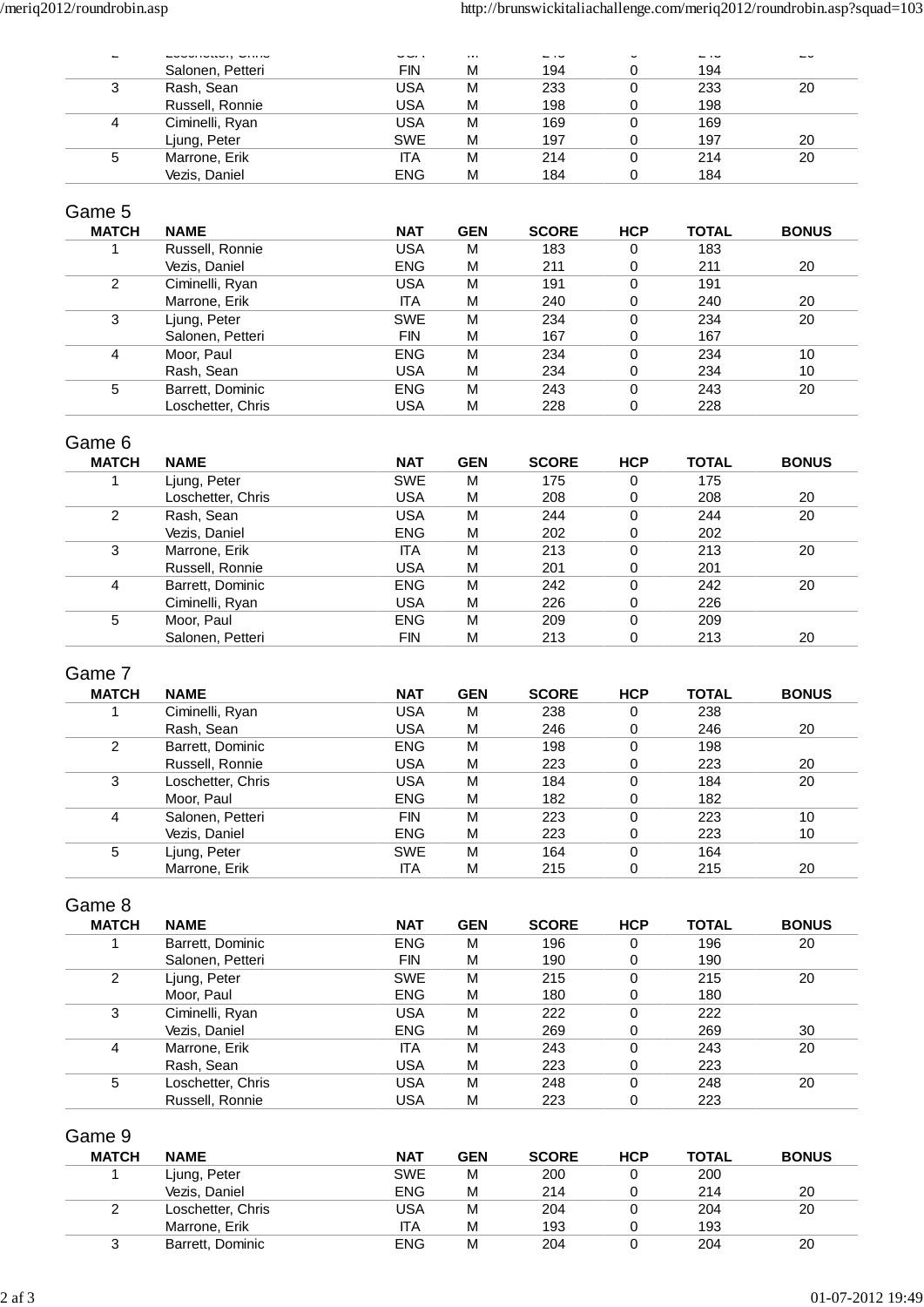| $\overline{\phantom{a}}$ | $\sim$           | $\sim$     | $\cdots$ | $\sim$ 1 $\sim$ | ັ | ں ۔ | $\overline{\phantom{0}}$ |
|--------------------------|------------------|------------|----------|-----------------|---|-----|--------------------------|
|                          | Salonen, Petteri | FIN        | M        | 194             |   | 194 |                          |
| 3                        | Rash, Sean       | USA        | M        | 233             |   | 233 | 20                       |
|                          | Russell, Ronnie  | USA        | M        | 198             |   | 198 |                          |
| 4                        | Ciminelli, Ryan  | USA        | M        | 169             |   | 169 |                          |
|                          | Ljung, Peter     | <b>SWE</b> | M        | 197             |   | 197 | 20                       |
| 5                        | Marrone, Erik    | IТA        | M        | 214             |   | 214 | 20                       |
|                          | Vezis, Daniel    | <b>ENG</b> | M        | 184             |   | 184 |                          |

### Game 5

| <b>MATCH</b> | <b>NAME</b>       | <b>NAT</b> | <b>GEN</b> | <b>SCORE</b> | <b>HCP</b> | <b>TOTAL</b> | <b>BONUS</b> |
|--------------|-------------------|------------|------------|--------------|------------|--------------|--------------|
|              | Russell, Ronnie   | USA        | M          | 183          | 0          | 183          |              |
|              | Vezis, Daniel     | <b>ENG</b> | M          | 211          | 0          | 211          | 20           |
| 2            | Ciminelli, Ryan   | USA        | M          | 191          | 0          | 191          |              |
|              | Marrone, Erik     | ΙTΑ        | M          | 240          | 0          | 240          | 20           |
| 3            | Ljung, Peter      | <b>SWE</b> | M          | 234          | 0          | 234          | 20           |
|              | Salonen, Petteri  | <b>FIN</b> | M          | 167          | 0          | 167          |              |
| 4            | Moor, Paul        | <b>ENG</b> | M          | 234          | 0          | 234          | 10           |
|              | Rash, Sean        | USA        | M          | 234          | 0          | 234          | 10           |
| 5            | Barrett, Dominic  | <b>ENG</b> | M          | 243          | 0          | 243          | 20           |
|              | Loschetter, Chris | USA        | M          | 228          | 0          | 228          |              |

## Game 6

| <b>MATCH</b> | <b>NAME</b>       | <b>NAT</b> | <b>GEN</b> | <b>SCORE</b> | <b>HCP</b> | <b>TOTAL</b> | <b>BONUS</b> |
|--------------|-------------------|------------|------------|--------------|------------|--------------|--------------|
|              | Ljung, Peter      | <b>SWE</b> | M          | 175          | 0          | 175          |              |
|              | Loschetter, Chris | USA        | M          | 208          | 0          | 208          | 20           |
| 2            | Rash, Sean        | USA        | M          | 244          | 0          | 244          | 20           |
|              | Vezis, Daniel     | <b>ENG</b> | M          | 202          | 0          | 202          |              |
| 3            | Marrone, Erik     | <b>ITA</b> | M          | 213          | 0          | 213          | 20           |
|              | Russell, Ronnie   | USA        | M          | 201          | 0          | 201          |              |
| 4            | Barrett, Dominic  | <b>ENG</b> | M          | 242          | 0          | 242          | 20           |
|              | Ciminelli, Ryan   | USA        | M          | 226          | 0          | 226          |              |
| 5            | Moor, Paul        | <b>ENG</b> | M          | 209          | 0          | 209          |              |
|              | Salonen, Petteri  | <b>FIN</b> | M          | 213          | 0          | 213          | 20           |

## Game 7

| <b>MATCH</b> | <b>NAME</b>       | <b>NAT</b> | <b>GEN</b> | <b>SCORE</b> | <b>HCP</b> | <b>TOTAL</b> | <b>BONUS</b> |
|--------------|-------------------|------------|------------|--------------|------------|--------------|--------------|
|              | Ciminelli, Ryan   | USA        | M          | 238          | 0          | 238          |              |
|              | Rash, Sean        | USA        | M          | 246          | 0          | 246          | 20           |
| 2            | Barrett, Dominic  | <b>ENG</b> | M          | 198          | 0          | 198          |              |
|              | Russell, Ronnie   | USA        | M          | 223          | 0          | 223          | 20           |
| 3            | Loschetter, Chris | <b>USA</b> | M          | 184          | 0          | 184          | 20           |
|              | Moor, Paul        | <b>ENG</b> | M          | 182          | 0          | 182          |              |
| 4            | Salonen, Petteri  | FIN        | M          | 223          | 0          | 223          | 10           |
|              | Vezis, Daniel     | <b>ENG</b> | M          | 223          | 0          | 223          | 10           |
| 5            | Ljung, Peter      | <b>SWE</b> | M          | 164          | 0          | 164          |              |
|              | Marrone, Erik     | ΙTΑ        | M          | 215          | 0          | 215          | 20           |

# Game 8

| <b>MATCH</b> | <b>NAME</b>       | <b>NAT</b> | <b>GEN</b> | <b>SCORE</b> | <b>HCP</b> | <b>TOTAL</b> | <b>BONUS</b> |
|--------------|-------------------|------------|------------|--------------|------------|--------------|--------------|
|              | Barrett, Dominic  | <b>ENG</b> | M          | 196          | 0          | 196          | 20           |
|              | Salonen, Petteri  | <b>FIN</b> | M          | 190          | 0          | 190          |              |
| 2            | Ljung, Peter      | <b>SWE</b> | м          | 215          | 0          | 215          | 20           |
|              | Moor, Paul        | <b>ENG</b> | M          | 180          | 0          | 180          |              |
| 3            | Ciminelli, Ryan   | <b>USA</b> | M          | 222          | 0          | 222          |              |
|              | Vezis, Daniel     | <b>ENG</b> | M          | 269          | 0          | 269          | 30           |
| 4            | Marrone, Erik     | <b>ITA</b> | M          | 243          | 0          | 243          | 20           |
|              | Rash, Sean        | <b>USA</b> | M          | 223          | 0          | 223          |              |
| 5            | Loschetter, Chris | USA        | M          | 248          | 0          | 248          | 20           |
|              | Russell, Ronnie   | USA        | M          | 223          | 0          | 223          |              |

## Game 9

| <b>MATCH</b> | <b>NAME</b>       | <b>NAT</b> | <b>GEN</b> | <b>SCORE</b> | HCP | <b>TOTAL</b> | <b>BONUS</b> |
|--------------|-------------------|------------|------------|--------------|-----|--------------|--------------|
|              | Ljung, Peter      | <b>SWE</b> | M          | 200          |     | 200          |              |
|              | Vezis, Daniel     | <b>ENG</b> | M          | 214          |     | 214          | 20           |
| っ            | Loschetter, Chris | USA        | M          | 204          |     | 204          | 20           |
|              | Marrone, Erik     | <b>ITA</b> | M          | 193          |     | 193          |              |
| 3            | Barrett, Dominic  | <b>ENG</b> | M          | 204          |     | 204          | 20           |